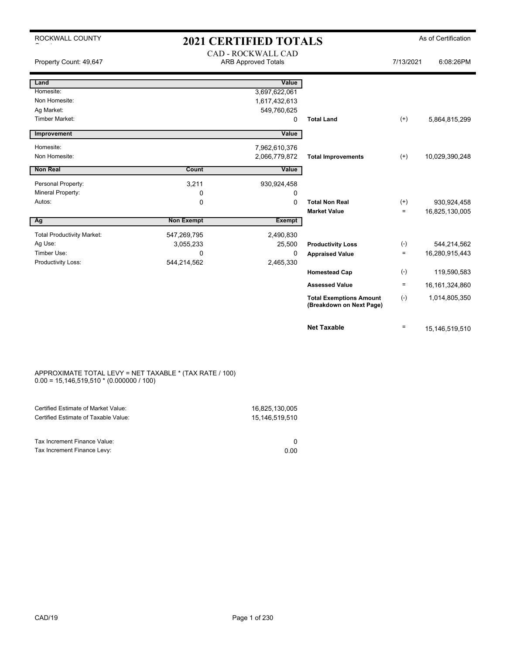| ROCKWALL COUNTY                   |                   | <b>2021 CERTIFIED TOTALS</b> |                                                            |           | As of Certification |
|-----------------------------------|-------------------|------------------------------|------------------------------------------------------------|-----------|---------------------|
|                                   |                   | <b>CAD - ROCKWALL CAD</b>    |                                                            |           |                     |
| Property Count: 49,647            |                   | <b>ARB Approved Totals</b>   |                                                            | 7/13/2021 | 6:08:26PM           |
|                                   |                   |                              |                                                            |           |                     |
| Land                              |                   | Value                        |                                                            |           |                     |
| Homesite:                         |                   | 3,697,622,061                |                                                            |           |                     |
| Non Homesite:                     |                   | 1,617,432,613                |                                                            |           |                     |
| Ag Market:                        |                   | 549,760,625                  |                                                            |           |                     |
| <b>Timber Market:</b>             |                   | $\Omega$                     | <b>Total Land</b>                                          | $^{(+)}$  | 5,864,815,299       |
| Improvement                       |                   | Value                        |                                                            |           |                     |
| Homesite:                         |                   | 7,962,610,376                |                                                            |           |                     |
| Non Homesite:                     |                   | 2,066,779,872                | <b>Total Improvements</b>                                  | $(+)$     | 10,029,390,248      |
|                                   |                   |                              |                                                            |           |                     |
| <b>Non Real</b>                   | Count             | Value                        |                                                            |           |                     |
| Personal Property:                | 3,211             | 930,924,458                  |                                                            |           |                     |
| Mineral Property:                 | 0                 | 0                            |                                                            |           |                     |
| Autos:                            | 0                 | $\Omega$                     | <b>Total Non Real</b>                                      | $^{(+)}$  | 930,924,458         |
|                                   |                   |                              | <b>Market Value</b>                                        | $\equiv$  | 16,825,130,005      |
| Ag                                | <b>Non Exempt</b> | <b>Exempt</b>                |                                                            |           |                     |
| <b>Total Productivity Market:</b> | 547,269,795       | 2,490,830                    |                                                            |           |                     |
| Ag Use:                           | 3,055,233         | 25,500                       | <b>Productivity Loss</b>                                   | $(-)$     | 544,214,562         |
| Timber Use:                       | 0                 | $\Omega$                     | <b>Appraised Value</b>                                     | $\equiv$  | 16,280,915,443      |
| Productivity Loss:                | 544,214,562       | 2,465,330                    |                                                            |           |                     |
|                                   |                   |                              | <b>Homestead Cap</b>                                       | $(-)$     | 119,590,583         |
|                                   |                   |                              | <b>Assessed Value</b>                                      | $=$       | 16, 161, 324, 860   |
|                                   |                   |                              | <b>Total Exemptions Amount</b><br>(Breakdown on Next Page) | $(-)$     | 1,014,805,350       |
|                                   |                   |                              | <b>Net Taxable</b>                                         | $\equiv$  | 15,146,519,510      |

### APPROXIMATE TOTAL LEVY = NET TAXABLE \* (TAX RATE / 100) 0.00 = 15,146,519,510 \* (0.000000 / 100)

| Certified Estimate of Market Value:                         | 16,825,130,005 |
|-------------------------------------------------------------|----------------|
| Certified Estimate of Taxable Value:                        | 15,146,519,510 |
| Tax Increment Finance Value:<br>Tax Increment Finance Levy: | 0.00           |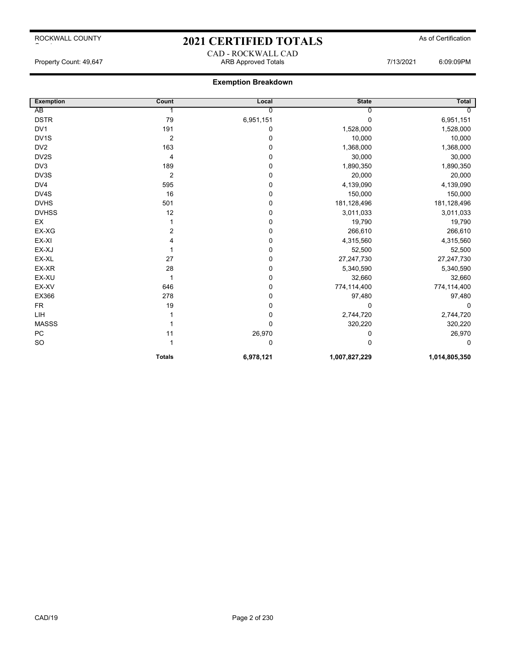## 2021 CERTIFIED TOTALS As of Certification CAD - ROCKWALL CAD

Property Count: 49,647 ARB Approved Totals 7/13/2021 6:09:09PM

## **Exemption Breakdown**

| <b>Exemption</b>  | Count          | Local          | <b>State</b>  | Total         |
|-------------------|----------------|----------------|---------------|---------------|
| AB                |                | $\overline{0}$ | 0             |               |
| <b>DSTR</b>       | 79             | 6,951,151      | 0             | 6,951,151     |
| DV <sub>1</sub>   | 191            | 0              | 1,528,000     | 1,528,000     |
| DV <sub>1</sub> S | $\overline{2}$ | 0              | 10,000        | 10,000        |
| DV <sub>2</sub>   | 163            | 0              | 1,368,000     | 1,368,000     |
| DV2S              | 4              | 0              | 30,000        | 30,000        |
| DV3               | 189            | $\mathbf 0$    | 1,890,350     | 1,890,350     |
| DV3S              | $\overline{2}$ | 0              | 20,000        | 20,000        |
| DV4               | 595            | 0              | 4,139,090     | 4,139,090     |
| DV4S              | 16             | $\mathbf 0$    | 150,000       | 150,000       |
| <b>DVHS</b>       | 501            | 0              | 181,128,496   | 181,128,496   |
| <b>DVHSS</b>      | 12             | 0              | 3,011,033     | 3,011,033     |
| EX                |                | 0              | 19,790        | 19,790        |
| EX-XG             | 2              | 0              | 266,610       | 266,610       |
| EX-XI             | 4              | 0              | 4,315,560     | 4,315,560     |
| EX-XJ             |                | 0              | 52,500        | 52,500        |
| EX-XL             | 27             | 0              | 27,247,730    | 27,247,730    |
| EX-XR             | 28             | $\mathbf 0$    | 5,340,590     | 5,340,590     |
| EX-XU             |                | 0              | 32,660        | 32,660        |
| EX-XV             | 646            | 0              | 774,114,400   | 774,114,400   |
| EX366             | 278            | 0              | 97,480        | 97,480        |
| <b>FR</b>         | 19             | 0              | 0             | $\Omega$      |
| LIH               |                | $\mathbf 0$    | 2,744,720     | 2,744,720     |
| <b>MASSS</b>      |                | 0              | 320,220       | 320,220       |
| <b>PC</b>         | 11             | 26,970         | 0             | 26,970        |
| SO                |                | 0              | 0             | 0             |
|                   | <b>Totals</b>  | 6,978,121      | 1,007,827,229 | 1,014,805,350 |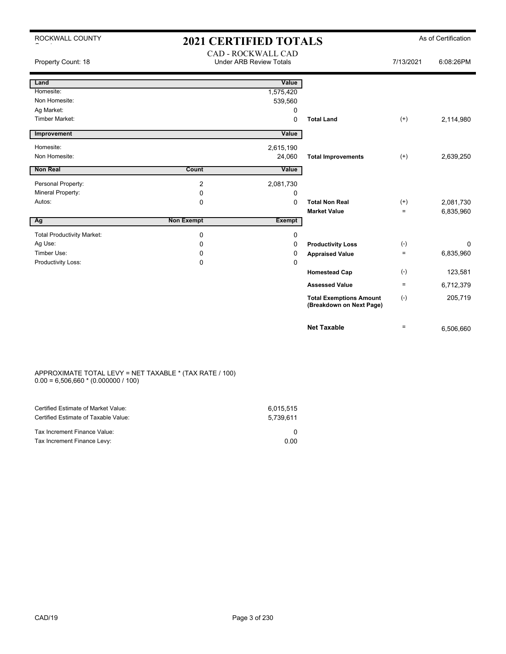| ROCKWALL COUNTY                   | <b>2021 CERTIFIED TOTALS</b> |                                                      |                                                            |           | As of Certification |
|-----------------------------------|------------------------------|------------------------------------------------------|------------------------------------------------------------|-----------|---------------------|
| Property Count: 18                |                              | CAD - ROCKWALL CAD<br><b>Under ARB Review Totals</b> |                                                            | 7/13/2021 | 6:08:26PM           |
| Land                              |                              | Value                                                |                                                            |           |                     |
| Homesite:                         |                              | 1,575,420                                            |                                                            |           |                     |
| Non Homesite:                     |                              | 539,560                                              |                                                            |           |                     |
| Ag Market:                        |                              | 0                                                    |                                                            |           |                     |
| <b>Timber Market:</b>             |                              | 0                                                    | <b>Total Land</b>                                          | $(+)$     | 2,114,980           |
| Improvement                       |                              | Value                                                |                                                            |           |                     |
| Homesite:                         |                              | 2,615,190                                            |                                                            |           |                     |
| Non Homesite:                     |                              | 24,060                                               | <b>Total Improvements</b>                                  | $(+)$     | 2,639,250           |
| Non Real                          | Count                        | Value                                                |                                                            |           |                     |
|                                   |                              |                                                      |                                                            |           |                     |
| Personal Property:                | $\overline{2}$               | 2,081,730                                            |                                                            |           |                     |
| Mineral Property:                 | 0                            | 0                                                    |                                                            |           |                     |
| Autos:                            | $\Omega$                     | $\Omega$                                             | <b>Total Non Real</b>                                      | $^{(+)}$  | 2,081,730           |
|                                   |                              |                                                      | <b>Market Value</b>                                        | $\equiv$  | 6,835,960           |
| Ag                                | <b>Non Exempt</b>            | <b>Exempt</b>                                        |                                                            |           |                     |
| <b>Total Productivity Market:</b> | $\pmb{0}$                    | 0                                                    |                                                            |           |                     |
| Ag Use:                           | 0                            | 0                                                    | <b>Productivity Loss</b>                                   | $(-)$     | 0                   |
| Timber Use:                       | 0                            | 0                                                    | <b>Appraised Value</b>                                     | $\equiv$  | 6,835,960           |
| Productivity Loss:                | $\mathbf 0$                  | 0                                                    |                                                            |           |                     |
|                                   |                              |                                                      | <b>Homestead Cap</b>                                       | $(-)$     | 123,581             |
|                                   |                              |                                                      | <b>Assessed Value</b>                                      | $\equiv$  | 6,712,379           |
|                                   |                              |                                                      | <b>Total Exemptions Amount</b><br>(Breakdown on Next Page) | $(-)$     | 205,719             |
|                                   |                              |                                                      | <b>Net Taxable</b>                                         | $\quad =$ | 6,506,660           |

### APPROXIMATE TOTAL LEVY = NET TAXABLE \* (TAX RATE / 100)  $0.00 = 6,506,660 * (0.000000 / 100)$

| Certified Estimate of Market Value:<br>Certified Estimate of Taxable Value: | 6.015.515<br>5.739.611 |
|-----------------------------------------------------------------------------|------------------------|
| Tax Increment Finance Value:                                                |                        |
| Tax Increment Finance Levy:                                                 | 0.00                   |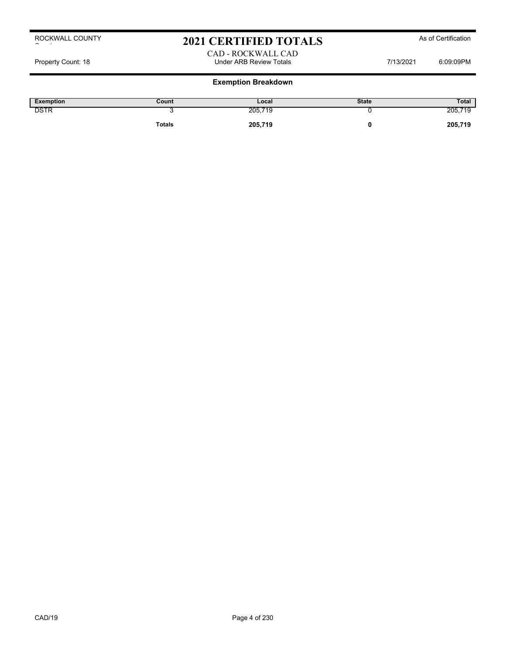# 2021 CERTIFIED TOTALS As of Certification

## CAD - ROCKWALL CAD Property Count: 18 Under ARB Review Totals 7/13/2021 6:09:09PM

## **Exemption Breakdown**

| Exemption   | Count         | Local   | <b>State</b> | Total     |
|-------------|---------------|---------|--------------|-----------|
| <b>DSTR</b> |               | 205,719 |              | 205<br>15 |
|             | <b>Totals</b> | 205,719 |              | 205,719   |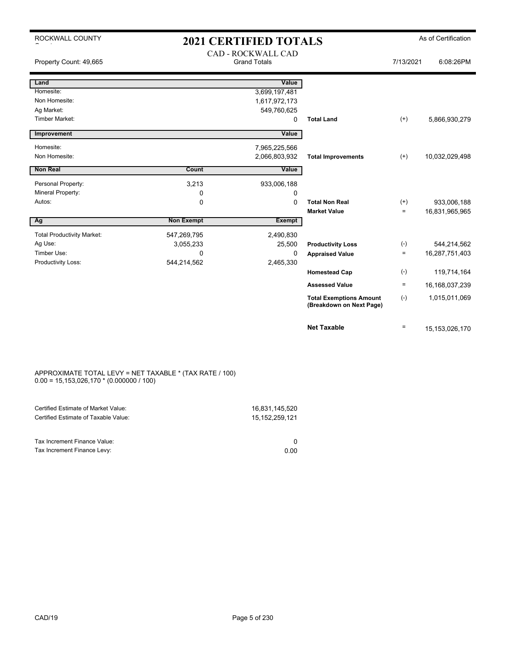| ROCKWALL COUNTY                              | <b>2021 CERTIFIED TOTALS</b> |                                                  |                                                            |           | As of Certification |
|----------------------------------------------|------------------------------|--------------------------------------------------|------------------------------------------------------------|-----------|---------------------|
| Property Count: 49,665                       |                              | <b>CAD - ROCKWALL CAD</b><br><b>Grand Totals</b> |                                                            | 7/13/2021 | 6:08:26PM           |
| Land                                         |                              | Value                                            |                                                            |           |                     |
| Homesite:                                    |                              | 3,699,197,481                                    |                                                            |           |                     |
| Non Homesite:                                |                              | 1,617,972,173                                    |                                                            |           |                     |
| Ag Market:                                   |                              | 549,760,625                                      |                                                            |           |                     |
| <b>Timber Market:</b>                        |                              | 0                                                | <b>Total Land</b>                                          | $(+)$     | 5,866,930,279       |
| Improvement                                  |                              | Value                                            |                                                            |           |                     |
| Homesite:                                    |                              | 7,965,225,566                                    |                                                            |           |                     |
| Non Homesite:                                |                              | 2,066,803,932                                    | <b>Total Improvements</b>                                  | $(+)$     | 10,032,029,498      |
| <b>Non Real</b>                              | Count                        | Value                                            |                                                            |           |                     |
|                                              |                              |                                                  |                                                            |           |                     |
| Personal Property:                           | 3,213                        | 933,006,188                                      |                                                            |           |                     |
| Mineral Property:<br>Autos:                  | 0<br>0                       | 0<br>$\mathbf 0$                                 | <b>Total Non Real</b>                                      | $(+)$     | 933,006,188         |
|                                              |                              |                                                  | <b>Market Value</b>                                        | $\equiv$  | 16,831,965,965      |
| Ag                                           | <b>Non Exempt</b>            | <b>Exempt</b>                                    |                                                            |           |                     |
|                                              |                              |                                                  |                                                            |           |                     |
| <b>Total Productivity Market:</b><br>Ag Use: | 547,269,795<br>3,055,233     | 2,490,830<br>25,500                              | <b>Productivity Loss</b>                                   | $(-)$     | 544,214,562         |
| Timber Use:                                  | $\Omega$                     | 0                                                | <b>Appraised Value</b>                                     | $\equiv$  | 16,287,751,403      |
| Productivity Loss:                           | 544,214,562                  | 2,465,330                                        |                                                            |           |                     |
|                                              |                              |                                                  | <b>Homestead Cap</b>                                       | $(-)$     | 119,714,164         |
|                                              |                              |                                                  | <b>Assessed Value</b>                                      | $\equiv$  | 16,168,037,239      |
|                                              |                              |                                                  | <b>Total Exemptions Amount</b><br>(Breakdown on Next Page) | $(-)$     | 1,015,011,069       |
|                                              |                              |                                                  | <b>Net Taxable</b>                                         | $\equiv$  | 15,153,026,170      |

#### APPROXIMATE TOTAL LEVY = NET TAXABLE \* (TAX RATE / 100) 0.00 = 15,153,026,170 \* (0.000000 / 100)

| Certified Estimate of Market Value:<br>Certified Estimate of Taxable Value: | 16.831.145.520<br>15.152.259.121 |
|-----------------------------------------------------------------------------|----------------------------------|
| Tax Increment Finance Value:                                                | <sup>0</sup>                     |
| Tax Increment Finance Levy:                                                 | 0.00                             |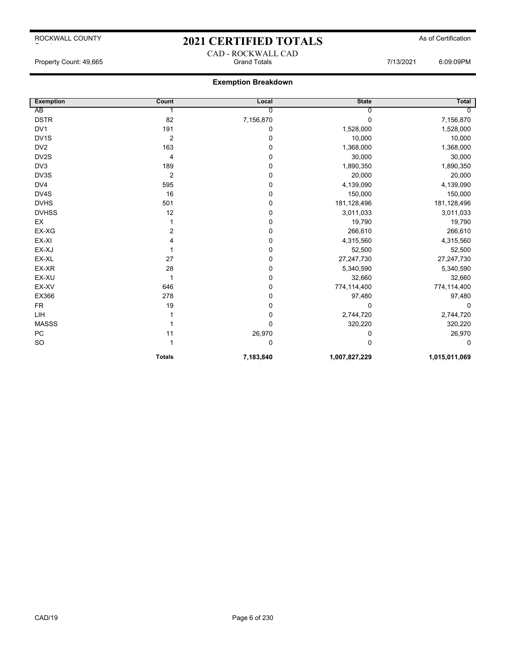## 2021 CERTIFIED TOTALS As of Certification CAD - ROCKWALL CAD

## **Exemption Breakdown**

| <b>Exemption</b>  | Count            | Local       | <b>State</b>  | Total         |
|-------------------|------------------|-------------|---------------|---------------|
| AB                |                  | 0           | Ω             |               |
| <b>DSTR</b>       | 82               | 7,156,870   | 0             | 7,156,870     |
| DV1               | 191              | 0           | 1,528,000     | 1,528,000     |
| DV <sub>1</sub> S | $\overline{2}$   | $\mathbf 0$ | 10,000        | 10,000        |
| DV <sub>2</sub>   | 163              | 0           | 1,368,000     | 1,368,000     |
| DV2S              | 4                | 0           | 30,000        | 30,000        |
| DV3               | 189              | $\mathbf 0$ | 1,890,350     | 1,890,350     |
| DV3S              | $\boldsymbol{2}$ | 0           | 20,000        | 20,000        |
| DV4               | 595              | $\mathbf 0$ | 4,139,090     | 4,139,090     |
| DV4S              | 16               | $\mathbf 0$ | 150,000       | 150,000       |
| <b>DVHS</b>       | 501              | 0           | 181,128,496   | 181,128,496   |
| <b>DVHSS</b>      | 12               | 0           | 3,011,033     | 3,011,033     |
| EX                |                  | 0           | 19,790        | 19,790        |
| EX-XG             | 2                | 0           | 266,610       | 266,610       |
| EX-XI             | 4                | $\mathbf 0$ | 4,315,560     | 4,315,560     |
| EX-XJ             |                  | 0           | 52,500        | 52,500        |
| EX-XL             | 27               | $\mathbf 0$ | 27,247,730    | 27,247,730    |
| EX-XR             | 28               | 0           | 5,340,590     | 5,340,590     |
| EX-XU             |                  | 0           | 32,660        | 32,660        |
| EX-XV             | 646              | $\mathbf 0$ | 774,114,400   | 774,114,400   |
| EX366             | 278              | 0           | 97,480        | 97,480        |
| <b>FR</b>         | 19               | 0           | 0             | $\Omega$      |
| LIH               |                  | $\mathbf 0$ | 2,744,720     | 2,744,720     |
| <b>MASSS</b>      |                  | 0           | 320,220       | 320,220       |
| PC                | 11               | 26,970      | 0             | 26,970        |
| SO                |                  | 0           | 0             | 0             |
|                   | <b>Totals</b>    | 7,183,840   | 1,007,827,229 | 1,015,011,069 |

Property Count: 49,665 Grand Totals 7/13/2021 6:09:09PM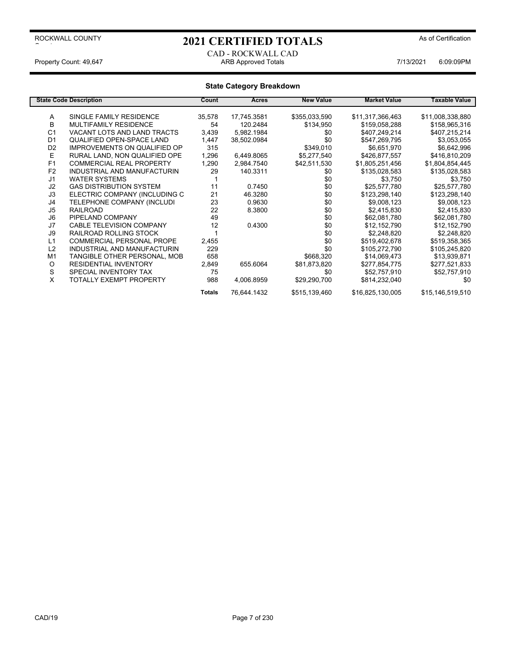# 2021 CERTIFIED TOTALS As of Certification

## CAD - ROCKWALL CAD Property Count: 49,647 ARE Approved Totals 7/13/2021 6:09:09PM

|                | <b>State Code Description</b>       | Count         | Acres       | <b>New Value</b> | <b>Market Value</b> | <b>Taxable Value</b> |
|----------------|-------------------------------------|---------------|-------------|------------------|---------------------|----------------------|
|                |                                     |               |             |                  |                     |                      |
| Α              | SINGLE FAMILY RESIDENCE             | 35,578        | 17,745.3581 | \$355,033,590    | \$11,317,366,463    | \$11,008,338,880     |
| B              | <b>MULTIFAMILY RESIDENCE</b>        | 54            | 120.2484    | \$134,950        | \$159,058,288       | \$158,965,316        |
| C <sub>1</sub> | VACANT LOTS AND LAND TRACTS         | 3,439         | 5,982.1984  | \$0              | \$407,249,214       | \$407,215,214        |
| D <sub>1</sub> | QUALIFIED OPEN-SPACE LAND           | 1,447         | 38,502.0984 | \$0              | \$547,269,795       | \$3,053,055          |
| D <sub>2</sub> | <b>IMPROVEMENTS ON QUALIFIED OP</b> | 315           |             | \$349,010        | \$6,651,970         | \$6,642,996          |
| E              | RURAL LAND. NON QUALIFIED OPE       | 1,296         | 6,449.8065  | \$5,277,540      | \$426,877,557       | \$416,810,209        |
| F1             | <b>COMMERCIAL REAL PROPERTY</b>     | 1,290         | 2,984.7540  | \$42,511,530     | \$1,805,251,456     | \$1,804,854,445      |
| F <sub>2</sub> | INDUSTRIAL AND MANUFACTURIN         | 29            | 140.3311    | \$0              | \$135,028,583       | \$135,028,583        |
| J <sub>1</sub> | <b>WATER SYSTEMS</b>                |               |             | \$0              | \$3,750             | \$3,750              |
| J2             | <b>GAS DISTRIBUTION SYSTEM</b>      | 11            | 0.7450      | \$0              | \$25.577.780        | \$25,577,780         |
| J3             | ELECTRIC COMPANY (INCLUDING C       | 21            | 46.3280     | \$0              | \$123,298,140       | \$123,298,140        |
| J4             | TELEPHONE COMPANY (INCLUDI          | 23            | 0.9630      | \$0              | \$9,008,123         | \$9,008,123          |
| J5             | <b>RAILROAD</b>                     | 22            | 8.3800      | \$0              | \$2,415,830         | \$2,415,830          |
| J6             | PIPELAND COMPANY                    | 49            |             | \$0              | \$62,081,780        | \$62,081,780         |
| J7             | CABLE TELEVISION COMPANY            | 12            | 0.4300      | \$0              | \$12,152,790        | \$12,152,790         |
| J9             | RAILROAD ROLLING STOCK              |               |             | \$0              | \$2,248,820         | \$2,248,820          |
| L1             | <b>COMMERCIAL PERSONAL PROPE</b>    | 2,455         |             | \$0              | \$519,402,678       | \$519,358,365        |
| L2             | INDUSTRIAL AND MANUFACTURIN         | 229           |             | \$0              | \$105,272,790       | \$105,245,820        |
| M <sub>1</sub> | TANGIBLE OTHER PERSONAL, MOB        | 658           |             | \$668,320        | \$14,069,473        | \$13,939,871         |
| O              | <b>RESIDENTIAL INVENTORY</b>        | 2,849         | 655.6064    | \$81,873,820     | \$277,854,775       | \$277,521,833        |
| S              | SPECIAL INVENTORY TAX               | 75            |             | \$0              | \$52,757,910        | \$52,757,910         |
| X              | TOTALLY EXEMPT PROPERTY             | 988           | 4,006.8959  | \$29,290,700     | \$814,232,040       | \$0                  |
|                |                                     | <b>Totals</b> | 76,644.1432 | \$515,139,460    | \$16,825,130,005    | \$15,146,519,510     |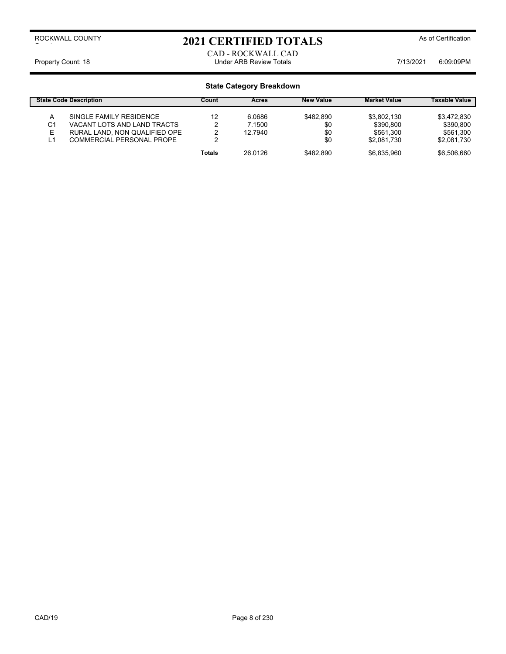# 2021 CERTIFIED TOTALS As of Certification

CAD - ROCKWALL CAD Property Count: 18 **Property Count: 18** COUNTER TO LOTE TO MALL Under ARB Review Totals **7/13/2021** 6:09:09PM

|                     | <b>State Code Description</b>                          | Count  | <b>Acres</b>     | <b>New Value</b> | <b>Market Value</b>        | <b>Taxable Value</b>       |
|---------------------|--------------------------------------------------------|--------|------------------|------------------|----------------------------|----------------------------|
| A<br>C <sub>1</sub> | SINGLE FAMILY RESIDENCE<br>VACANT LOTS AND LAND TRACTS | 12     | 6.0686<br>7.1500 | \$482.890<br>\$0 | \$3.802.130<br>\$390.800   | \$3.472.830<br>\$390.800   |
| E.                  | RURAL LAND, NON QUALIFIED OPE                          | ◠      | 12.7940          | \$0              | \$561.300                  | \$561.300                  |
| L1                  | COMMERCIAL PERSONAL PROPE                              | Totals | 26 0126          | \$0<br>\$482.890 | \$2.081.730<br>\$6.835.960 | \$2.081.730<br>\$6,506,660 |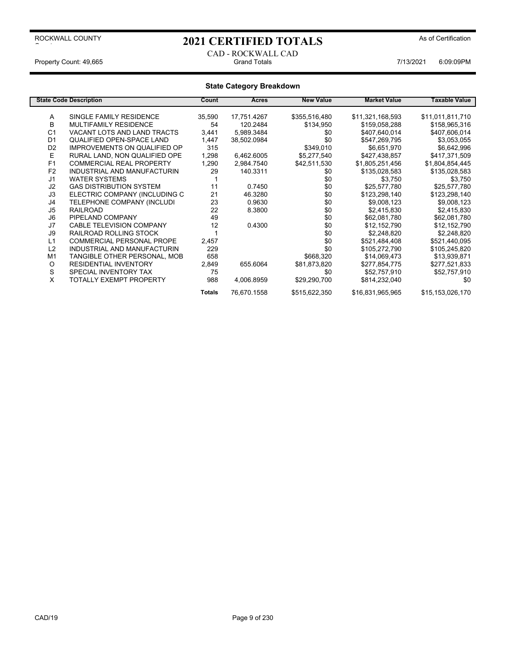# 2021 CERTIFIED TOTALS As of Certification

## CAD - ROCKWALL CAD Property Count: 49,665 Grand Totals 7/13/2021 6:09:09PM

|                | <b>State Code Description</b>       | Count         | Acres       | <b>New Value</b> | <b>Market Value</b> | Taxable Value    |
|----------------|-------------------------------------|---------------|-------------|------------------|---------------------|------------------|
|                |                                     |               |             |                  |                     |                  |
| Α              | SINGLE FAMILY RESIDENCE             | 35,590        | 17,751.4267 | \$355,516,480    | \$11,321,168,593    | \$11,011,811,710 |
| B              | <b>MULTIFAMILY RESIDENCE</b>        | 54            | 120.2484    | \$134,950        | \$159,058,288       | \$158,965,316    |
| C <sub>1</sub> | VACANT LOTS AND LAND TRACTS         | 3,441         | 5,989.3484  | \$0              | \$407,640,014       | \$407,606,014    |
| D <sub>1</sub> | QUALIFIED OPEN-SPACE LAND           | 1,447         | 38,502.0984 | \$0              | \$547,269,795       | \$3,053,055      |
| D <sub>2</sub> | <b>IMPROVEMENTS ON QUALIFIED OP</b> | 315           |             | \$349,010        | \$6,651,970         | \$6,642,996      |
| E              | RURAL LAND, NON QUALIFIED OPE       | 1,298         | 6,462.6005  | \$5,277,540      | \$427,438,857       | \$417,371,509    |
| F1             | <b>COMMERCIAL REAL PROPERTY</b>     | 1,290         | 2,984.7540  | \$42,511,530     | \$1,805,251,456     | \$1,804,854,445  |
| F <sub>2</sub> | INDUSTRIAL AND MANUFACTURIN         | 29            | 140.3311    | \$0              | \$135,028,583       | \$135,028,583    |
| J <sub>1</sub> | <b>WATER SYSTEMS</b>                |               |             | \$0              | \$3,750             | \$3,750          |
| J2             | <b>GAS DISTRIBUTION SYSTEM</b>      | 11            | 0.7450      | \$0              | \$25,577,780        | \$25,577,780     |
| J3             | ELECTRIC COMPANY (INCLUDING C       | 21            | 46.3280     | \$0              | \$123,298,140       | \$123,298,140    |
| J4             | TELEPHONE COMPANY (INCLUDI          | 23            | 0.9630      | \$0              | \$9,008,123         | \$9,008,123      |
| J <sub>5</sub> | <b>RAILROAD</b>                     | 22            | 8.3800      | \$0              | \$2,415,830         | \$2,415,830      |
| J6             | PIPELAND COMPANY                    | 49            |             | \$0              | \$62,081,780        | \$62,081,780     |
| J7             | CABLE TELEVISION COMPANY            | 12            | 0.4300      | \$0              | \$12,152,790        | \$12,152,790     |
| J9             | RAILROAD ROLLING STOCK              |               |             | \$0              | \$2,248,820         | \$2,248,820      |
| L1             | <b>COMMERCIAL PERSONAL PROPE</b>    | 2,457         |             | \$0              | \$521,484,408       | \$521,440,095    |
| L2             | INDUSTRIAL AND MANUFACTURIN         | 229           |             | \$0              | \$105,272,790       | \$105,245,820    |
| M <sub>1</sub> | TANGIBLE OTHER PERSONAL, MOB        | 658           |             | \$668,320        | \$14,069,473        | \$13,939,871     |
| O              | <b>RESIDENTIAL INVENTORY</b>        | 2,849         | 655.6064    | \$81,873,820     | \$277,854,775       | \$277,521,833    |
| S              | SPECIAL INVENTORY TAX               | 75            |             | \$0              | \$52,757,910        | \$52,757,910     |
| X              | TOTALLY EXEMPT PROPERTY             | 988           | 4,006.8959  | \$29,290,700     | \$814,232,040       | \$0              |
|                |                                     | <b>Totals</b> | 76,670.1558 | \$515,622,350    | \$16,831,965,965    | \$15,153,026,170 |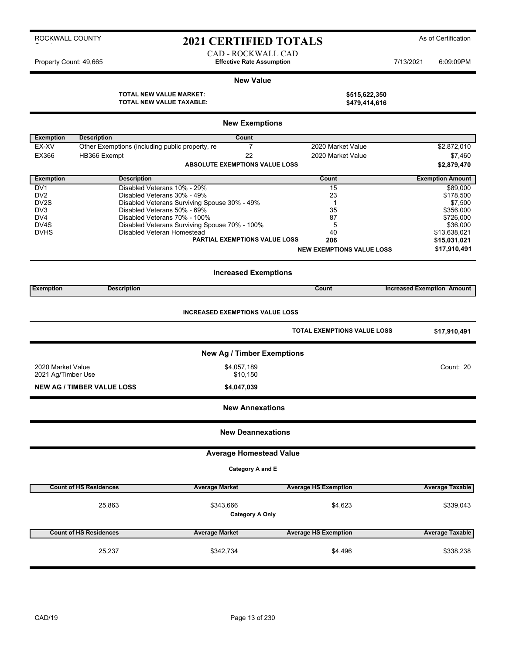# 2021 CERTIFIED TOTALS As of Certification

CAD - ROCKWALL CAD Property Count: 49,665 **Effective Rate Assumption Effective Rate Assumption** 7/13/2021 6:09:09PM

### **New Value**

**TOTAL NEW VALUE MARKET: TOTAL NEW VALUE TAXABLE: \$479,414,616**

| \$515,622,350 |
|---------------|
| \$479,414,616 |

|                         | <b>New Exemptions</b>                           |                                               |                                    |                                   |  |  |
|-------------------------|-------------------------------------------------|-----------------------------------------------|------------------------------------|-----------------------------------|--|--|
| <b>Exemption</b>        | <b>Description</b>                              | Count                                         |                                    |                                   |  |  |
| EX-XV                   | Other Exemptions (including public property, re | $\overline{7}$                                | 2020 Market Value                  | \$2,872,010                       |  |  |
| EX366                   | HB366 Exempt                                    | 22                                            | 2020 Market Value                  | \$7,460                           |  |  |
|                         |                                                 | <b>ABSOLUTE EXEMPTIONS VALUE LOSS</b>         |                                    | \$2,879,470                       |  |  |
| <b>Exemption</b>        | <b>Description</b>                              |                                               | Count                              | <b>Exemption Amount</b>           |  |  |
| DV <sub>1</sub>         | Disabled Veterans 10% - 29%                     |                                               | 15                                 | \$89,000                          |  |  |
| DV <sub>2</sub>         | Disabled Veterans 30% - 49%                     |                                               | 23                                 | \$178,500                         |  |  |
| DV2S<br>DV <sub>3</sub> | Disabled Veterans 50% - 69%                     | Disabled Veterans Surviving Spouse 30% - 49%  | 1<br>35                            | \$7,500<br>\$356,000              |  |  |
| DV4                     | Disabled Veterans 70% - 100%                    |                                               | 87                                 | \$726,000                         |  |  |
| DV <sub>4</sub> S       |                                                 | Disabled Veterans Surviving Spouse 70% - 100% | 5                                  | \$36,000                          |  |  |
| <b>DVHS</b>             | Disabled Veteran Homestead                      |                                               | 40                                 | \$13,638,021                      |  |  |
|                         |                                                 | <b>PARTIAL EXEMPTIONS VALUE LOSS</b>          | 206                                | \$15,031,021                      |  |  |
|                         |                                                 |                                               | <b>NEW EXEMPTIONS VALUE LOSS</b>   | \$17,910,491                      |  |  |
|                         |                                                 | <b>Increased Exemptions</b>                   |                                    |                                   |  |  |
| <b>Exemption</b>        | <b>Description</b>                              |                                               | Count                              | <b>Increased Exemption Amount</b> |  |  |
|                         |                                                 |                                               |                                    |                                   |  |  |
|                         |                                                 | <b>INCREASED EXEMPTIONS VALUE LOSS</b>        |                                    |                                   |  |  |
|                         |                                                 |                                               | <b>TOTAL EXEMPTIONS VALUE LOSS</b> | \$17,910,491                      |  |  |
|                         |                                                 | <b>New Ag / Timber Exemptions</b>             |                                    |                                   |  |  |
| 2020 Market Value       |                                                 | \$4,057,189                                   |                                    | Count: 20                         |  |  |
| 2021 Ag/Timber Use      |                                                 | \$10,150                                      |                                    |                                   |  |  |
|                         | <b>NEW AG / TIMBER VALUE LOSS</b>               | \$4,047,039                                   |                                    |                                   |  |  |
|                         |                                                 | <b>New Annexations</b>                        |                                    |                                   |  |  |
|                         |                                                 | <b>New Deannexations</b>                      |                                    |                                   |  |  |
|                         |                                                 | <b>Average Homestead Value</b>                |                                    |                                   |  |  |
|                         |                                                 | Category A and E                              |                                    |                                   |  |  |
|                         | <b>Count of HS Residences</b>                   | <b>Average Market</b>                         | <b>Average HS Exemption</b>        | <b>Average Taxable</b>            |  |  |
|                         | 25,863                                          | \$343,666                                     | \$4,623                            | \$339,043                         |  |  |
|                         |                                                 | <b>Category A Only</b>                        |                                    |                                   |  |  |
|                         | <b>Count of HS Residences</b>                   | <b>Average Market</b>                         | <b>Average HS Exemption</b>        | <b>Average Taxable</b>            |  |  |
|                         |                                                 |                                               |                                    |                                   |  |  |
|                         | 25,237                                          | \$342,734                                     | \$4,496                            | \$338,238                         |  |  |
|                         |                                                 |                                               |                                    |                                   |  |  |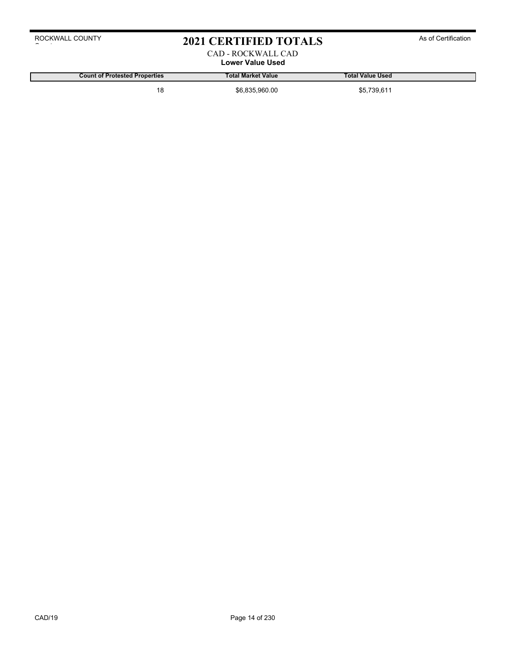# 2021 CERTIFIED TOTALS As of Certification

## CAD - ROCKWALL CAD **Lower Value Used**

**Count of Protested Properties Total Market Value Total Value Used**

18 \$6,835,960.00 \$6,835,960.00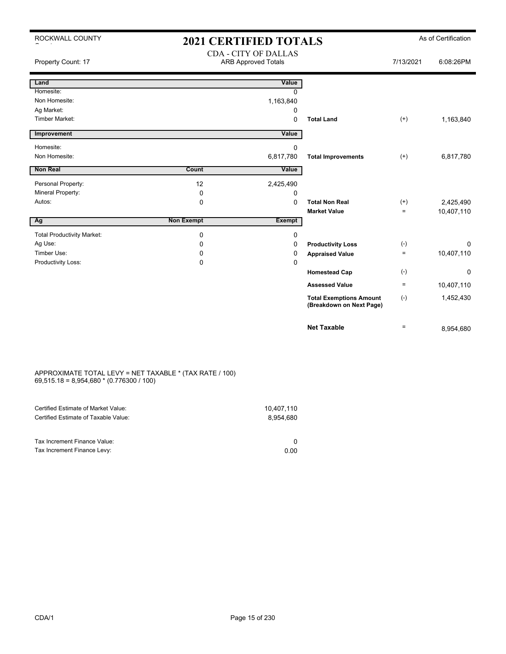| ROCKWALL COUNTY                   | <b>2021 CERTIFIED TOTALS</b> |                                                           |                                                            |           | As of Certification |
|-----------------------------------|------------------------------|-----------------------------------------------------------|------------------------------------------------------------|-----------|---------------------|
| Property Count: 17                |                              | <b>CDA - CITY OF DALLAS</b><br><b>ARB Approved Totals</b> |                                                            | 7/13/2021 | 6:08:26PM           |
| Land                              |                              | Value                                                     |                                                            |           |                     |
| Homesite:                         |                              | <sup>0</sup>                                              |                                                            |           |                     |
| Non Homesite:                     |                              | 1,163,840                                                 |                                                            |           |                     |
| Ag Market:                        |                              | 0                                                         |                                                            |           |                     |
| <b>Timber Market:</b>             |                              | 0                                                         | <b>Total Land</b>                                          | $(+)$     | 1,163,840           |
| Improvement                       |                              | Value                                                     |                                                            |           |                     |
| Homesite:                         |                              | 0                                                         |                                                            |           |                     |
| Non Homesite:                     |                              | 6,817,780                                                 | <b>Total Improvements</b>                                  | $(+)$     | 6,817,780           |
| Non Real                          | Count                        | Value                                                     |                                                            |           |                     |
| Personal Property:                | 12                           | 2,425,490                                                 |                                                            |           |                     |
| Mineral Property:                 | $\mathbf 0$                  | 0                                                         |                                                            |           |                     |
| Autos:                            | $\mathbf 0$                  | $\Omega$                                                  | <b>Total Non Real</b>                                      | $(+)$     | 2,425,490           |
|                                   |                              |                                                           | <b>Market Value</b>                                        | $=$       | 10,407,110          |
| Ag                                | <b>Non Exempt</b>            | Exempt                                                    |                                                            |           |                     |
| <b>Total Productivity Market:</b> | $\mathbf 0$                  | 0                                                         |                                                            |           |                     |
| Ag Use:                           | $\Omega$                     | 0                                                         | <b>Productivity Loss</b>                                   | $(-)$     | $\Omega$            |
| Timber Use:                       | $\Omega$                     | 0                                                         | <b>Appraised Value</b>                                     | $=$       | 10,407,110          |
| Productivity Loss:                | 0                            | 0                                                         |                                                            |           |                     |
|                                   |                              |                                                           | <b>Homestead Cap</b>                                       | $(-)$     | 0                   |
|                                   |                              |                                                           | <b>Assessed Value</b>                                      | $\equiv$  | 10,407,110          |
|                                   |                              |                                                           | <b>Total Exemptions Amount</b><br>(Breakdown on Next Page) | $(-)$     | 1,452,430           |
|                                   |                              |                                                           | <b>Net Taxable</b>                                         | $\equiv$  | 8,954,680           |

### APPROXIMATE TOTAL LEVY = NET TAXABLE \* (TAX RATE / 100) 69,515.18 = 8,954,680 \* (0.776300 / 100)

| Certified Estimate of Market Value:                         | 10,407,110 |
|-------------------------------------------------------------|------------|
| Certified Estimate of Taxable Value:                        | 8.954.680  |
| Tax Increment Finance Value:<br>Tax Increment Finance Levy: | 0.00       |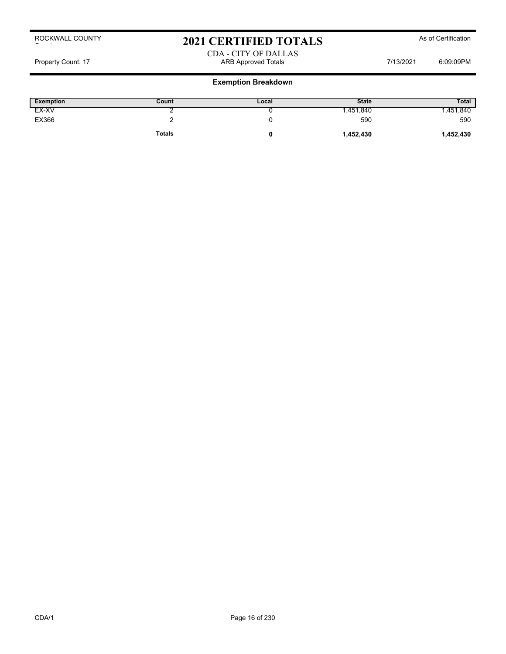# 2021 CERTIFIED TOTALS As of Certification

## CDA - CITY OF DALLAS Property Count: 17 ARB Approved Totals 7/13/2021 6:09:09PM 6:09:09PM

## **Exemption Breakdown**

| Exemption | Count         | Local | <b>State</b> | <b>Total</b> |
|-----------|---------------|-------|--------------|--------------|
| EX-XV     |               |       | .451,840     | ,451,840     |
| EX366     |               |       | 590          | 590          |
|           | <b>Totals</b> |       | 1,452,430    | 1,452,430    |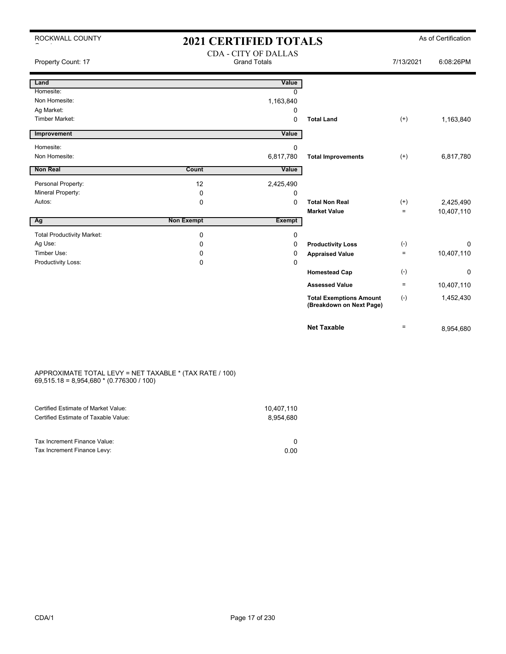| ROCKWALL COUNTY                                | <b>2021 CERTIFIED TOTALS</b>                       |               |                                                            |           | As of Certification |
|------------------------------------------------|----------------------------------------------------|---------------|------------------------------------------------------------|-----------|---------------------|
| Property Count: 17                             | <b>CDA - CITY OF DALLAS</b><br><b>Grand Totals</b> |               |                                                            | 7/13/2021 | 6:08:26PM           |
| Land                                           |                                                    | Value         |                                                            |           |                     |
| Homesite:                                      |                                                    | 0             |                                                            |           |                     |
| Non Homesite:                                  |                                                    | 1,163,840     |                                                            |           |                     |
| Ag Market:                                     |                                                    | 0             |                                                            |           |                     |
| <b>Timber Market:</b>                          |                                                    | 0             | <b>Total Land</b>                                          | $^{(+)}$  | 1,163,840           |
| Improvement                                    |                                                    | Value         |                                                            |           |                     |
| Homesite:                                      |                                                    | 0             |                                                            |           |                     |
| Non Homesite:                                  |                                                    | 6,817,780     | <b>Total Improvements</b>                                  | $(+)$     | 6,817,780           |
| <b>Non Real</b>                                | Count                                              | Value         |                                                            |           |                     |
|                                                |                                                    |               |                                                            |           |                     |
| Personal Property:<br><b>Mineral Property:</b> | 12                                                 | 2,425,490     |                                                            |           |                     |
| Autos:                                         | 0<br>0                                             | 0<br>$\Omega$ | <b>Total Non Real</b>                                      | $(+)$     | 2,425,490           |
|                                                |                                                    |               | <b>Market Value</b>                                        | $=$       | 10,407,110          |
| Ag                                             | <b>Non Exempt</b>                                  | <b>Exempt</b> |                                                            |           |                     |
| <b>Total Productivity Market:</b>              | 0                                                  | 0             |                                                            |           |                     |
| Ag Use:                                        | 0                                                  | 0             | <b>Productivity Loss</b>                                   | $(-)$     | 0                   |
| Timber Use:                                    | 0                                                  | 0             | <b>Appraised Value</b>                                     | $=$       | 10,407,110          |
| Productivity Loss:                             | 0                                                  | 0             |                                                            |           |                     |
|                                                |                                                    |               | <b>Homestead Cap</b>                                       | $(-)$     | 0                   |
|                                                |                                                    |               | <b>Assessed Value</b>                                      | $\equiv$  | 10,407,110          |
|                                                |                                                    |               | <b>Total Exemptions Amount</b><br>(Breakdown on Next Page) | $(-)$     | 1,452,430           |
|                                                |                                                    |               | <b>Net Taxable</b>                                         | $=$       | 8,954,680           |

### APPROXIMATE TOTAL LEVY = NET TAXABLE \* (TAX RATE / 100) 69,515.18 = 8,954,680 \* (0.776300 / 100)

| Certified Estimate of Market Value:                         | 10,407,110 |
|-------------------------------------------------------------|------------|
| Certified Estimate of Taxable Value:                        | 8.954.680  |
| Tax Increment Finance Value:<br>Tax Increment Finance Levy: | 0.00       |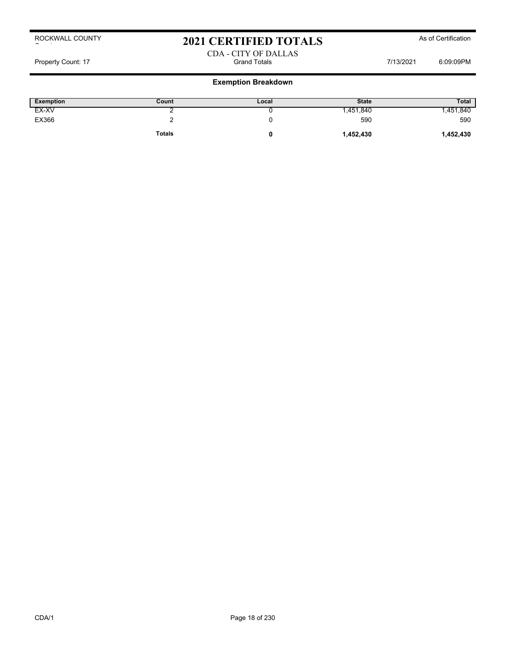# 2021 CERTIFIED TOTALS As of Certification

## CDA - CITY OF DALLAS Property Count: 17 **Figure 2018** Grand Totals **Count: 17** 6:09:09PM

## **Exemption Breakdown**

| Exemption | Count         | Local | <b>State</b> | <b>Total</b> |
|-----------|---------------|-------|--------------|--------------|
| EX-XV     |               |       | .451,840     | ,451,840     |
| EX366     |               |       | 590          | 590          |
|           | <b>Totals</b> |       | 1,452,430    | 1,452,430    |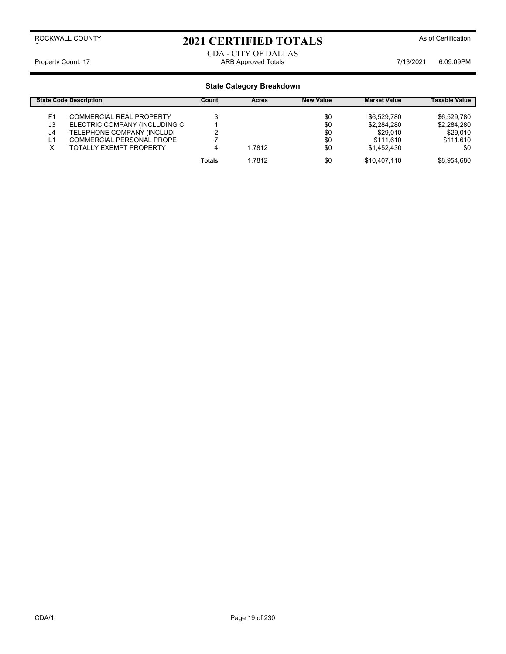# 2021 CERTIFIED TOTALS As of Certification

CDA - CITY OF DALLAS Property Count: 17 **ARB Approved Totals ARB Approved Totals** 7/13/2021 6:09:09PM

|    | <b>State Code Description</b>   | Count         | Acres  | <b>New Value</b> | <b>Market Value</b> | Taxable Value |
|----|---------------------------------|---------------|--------|------------------|---------------------|---------------|
| F1 | <b>COMMERCIAL REAL PROPERTY</b> |               |        | \$0              | \$6.529.780         | \$6,529,780   |
| J3 | ELECTRIC COMPANY (INCLUDING C   |               |        | \$0              | \$2,284,280         | \$2,284,280   |
| J4 | TELEPHONE COMPANY (INCLUDI      |               |        | \$0              | \$29,010            | \$29,010      |
| ∟1 | COMMERCIAL PERSONAL PROPE       |               |        | \$0              | \$111.610           | \$111,610     |
|    | TOTALLY EXEMPT PROPERTY         |               | 1.7812 | \$0              | \$1.452.430         | \$0           |
|    |                                 | <b>Totals</b> | 1.7812 | \$0              | \$10.407.110        | \$8.954.680   |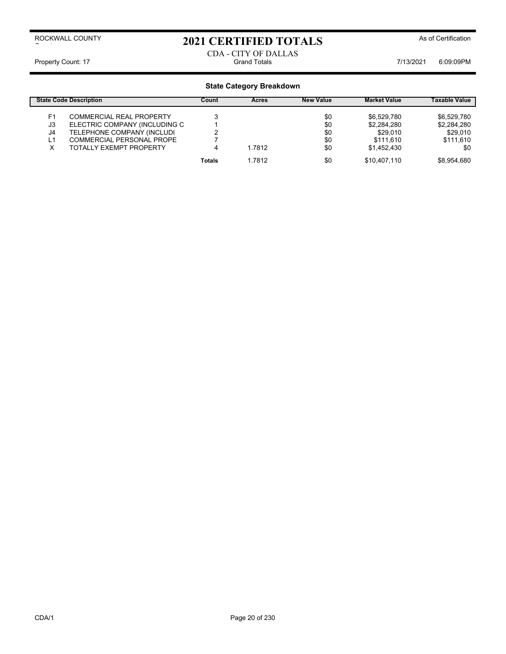# 2021 CERTIFIED TOTALS As of Certification

## CDA - CITY OF DALLAS Property Count: 17 **Figure 2018** Grand Totals **Count: 17** Grand Totals **7/13/2021** 6:09:09PM

|    | <b>State Code Description</b>   | Count  | <b>Acres</b> | <b>New Value</b> | <b>Market Value</b> | Taxable Value |
|----|---------------------------------|--------|--------------|------------------|---------------------|---------------|
| F1 | <b>COMMERCIAL REAL PROPERTY</b> |        |              | \$0              | \$6.529.780         | \$6.529.780   |
| J3 | ELECTRIC COMPANY (INCLUDING C   |        |              | \$0              | \$2,284,280         | \$2,284,280   |
| J4 | TELEPHONE COMPANY (INCLUDI      |        |              | \$0              | \$29,010            | \$29,010      |
| ∟1 | COMMERCIAL PERSONAL PROPE       |        |              | \$0              | \$111.610           | \$111,610     |
|    | TOTALLY EXEMPT PROPERTY         | 4      | 1.7812       | \$0              | \$1,452,430         | \$0           |
|    |                                 | Totals | 1.7812       | \$0              | \$10,407,110        | \$8.954.680   |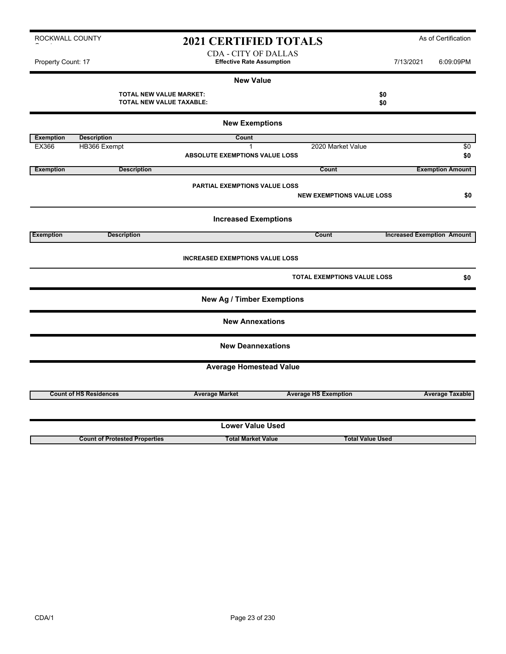# 2021 CERTIFIED TOTALS As of Certification

CDA - CITY OF DALLAS Property Count: 17 **Effective Rate Assumption Effective Rate Assumption** 7/13/2021 6:09:09PM

ROCKWALL COUNTY

|                  |                                                            | <b>New Value</b>                       |                                    |                                   |                        |
|------------------|------------------------------------------------------------|----------------------------------------|------------------------------------|-----------------------------------|------------------------|
|                  | <b>TOTAL NEW VALUE MARKET:</b><br>TOTAL NEW VALUE TAXABLE: |                                        | \$0<br>\$0                         |                                   |                        |
|                  |                                                            | <b>New Exemptions</b>                  |                                    |                                   |                        |
| <b>Exemption</b> | <b>Description</b>                                         | Count                                  |                                    |                                   |                        |
| EX366            | HB366 Exempt                                               | $\mathbf{1}$                           | 2020 Market Value                  |                                   | \$0                    |
|                  |                                                            | <b>ABSOLUTE EXEMPTIONS VALUE LOSS</b>  |                                    |                                   | \$0                    |
| <b>Exemption</b> | <b>Description</b>                                         |                                        | <b>Count</b>                       | <b>Exemption Amount</b>           |                        |
|                  |                                                            |                                        |                                    |                                   |                        |
|                  |                                                            | <b>PARTIAL EXEMPTIONS VALUE LOSS</b>   |                                    |                                   | \$0                    |
|                  |                                                            |                                        | <b>NEW EXEMPTIONS VALUE LOSS</b>   |                                   |                        |
|                  |                                                            | <b>Increased Exemptions</b>            |                                    |                                   |                        |
| <b>Exemption</b> | <b>Description</b>                                         |                                        | Count                              | <b>Increased Exemption Amount</b> |                        |
|                  |                                                            | <b>INCREASED EXEMPTIONS VALUE LOSS</b> | <b>TOTAL EXEMPTIONS VALUE LOSS</b> |                                   | \$0                    |
|                  |                                                            | <b>New Ag / Timber Exemptions</b>      |                                    |                                   |                        |
|                  |                                                            | <b>New Annexations</b>                 |                                    |                                   |                        |
|                  |                                                            | <b>New Deannexations</b>               |                                    |                                   |                        |
|                  |                                                            | <b>Average Homestead Value</b>         |                                    |                                   |                        |
|                  | <b>Count of HS Residences</b>                              | <b>Average Market</b>                  | <b>Average HS Exemption</b>        |                                   | <b>Average Taxable</b> |
|                  |                                                            |                                        |                                    |                                   |                        |
|                  |                                                            | <b>Lower Value Used</b>                |                                    |                                   |                        |
|                  | <b>Count of Protested Properties</b>                       | <b>Total Market Value</b>              | <b>Total Value Used</b>            |                                   |                        |

 $\sim$  to the set of the set of the set of the set of the set of the set of the set of the set of the set of the set of the set of the set of the set of the set of the set of the set of the set of the set of the set of the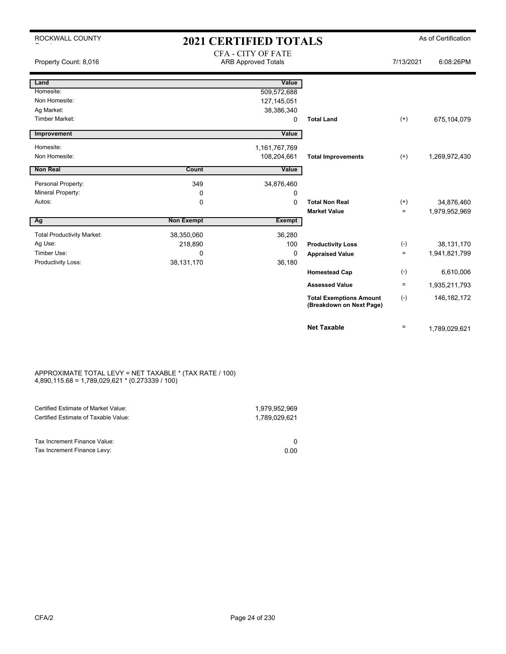| ROCKWALL COUNTY                   |                   | <b>2021 CERTIFIED TOTALS</b>                            |                                                            |           | As of Certification |
|-----------------------------------|-------------------|---------------------------------------------------------|------------------------------------------------------------|-----------|---------------------|
| Property Count: 8,016             |                   | <b>CFA - CITY OF FATE</b><br><b>ARB Approved Totals</b> |                                                            | 7/13/2021 | 6:08:26PM           |
| Land                              |                   | Value                                                   |                                                            |           |                     |
| Homesite:                         |                   | 509,572,688                                             |                                                            |           |                     |
| Non Homesite:                     |                   | 127, 145, 051                                           |                                                            |           |                     |
| Ag Market:                        |                   | 38,386,340                                              |                                                            |           |                     |
| <b>Timber Market:</b>             |                   | 0                                                       | <b>Total Land</b>                                          | $^{(+)}$  | 675,104,079         |
| Improvement                       |                   | Value                                                   |                                                            |           |                     |
| Homesite:                         |                   | 1,161,767,769                                           |                                                            |           |                     |
| Non Homesite:                     |                   | 108,204,661                                             | <b>Total Improvements</b>                                  | $(+)$     | 1,269,972,430       |
|                                   |                   |                                                         |                                                            |           |                     |
| <b>Non Real</b>                   | Count             | Value                                                   |                                                            |           |                     |
| Personal Property:                | 349               | 34,876,460                                              |                                                            |           |                     |
| Mineral Property:                 | 0                 | 0                                                       |                                                            |           |                     |
| Autos:                            | $\Omega$          | 0                                                       | <b>Total Non Real</b>                                      | $(+)$     | 34,876,460          |
|                                   |                   |                                                         | <b>Market Value</b>                                        | $=$       | 1,979,952,969       |
| Ag                                | <b>Non Exempt</b> | <b>Exempt</b>                                           |                                                            |           |                     |
| <b>Total Productivity Market:</b> | 38,350,060        | 36,280                                                  |                                                            |           |                     |
| Ag Use:                           | 218,890           | 100                                                     | <b>Productivity Loss</b>                                   | $(-)$     | 38,131,170          |
| Timber Use:                       | 0                 | 0                                                       | <b>Appraised Value</b>                                     | $\equiv$  | 1,941,821,799       |
| Productivity Loss:                | 38,131,170        | 36,180                                                  |                                                            |           |                     |
|                                   |                   |                                                         | <b>Homestead Cap</b>                                       | $(-)$     | 6,610,006           |
|                                   |                   |                                                         | <b>Assessed Value</b>                                      | $\equiv$  | 1,935,211,793       |
|                                   |                   |                                                         | <b>Total Exemptions Amount</b><br>(Breakdown on Next Page) | $(-)$     | 146, 182, 172       |
|                                   |                   |                                                         | <b>Net Taxable</b>                                         | $\equiv$  | 1,789,029,621       |

### APPROXIMATE TOTAL LEVY = NET TAXABLE \* (TAX RATE / 100) 4,890,115.68 = 1,789,029,621 \* (0.273339 / 100)

| Certified Estimate of Market Value:                         | 1.979.952.969 |
|-------------------------------------------------------------|---------------|
| Certified Estimate of Taxable Value:                        | 1,789,029,621 |
| Tax Increment Finance Value:<br>Tax Increment Finance Levy: | 0.00          |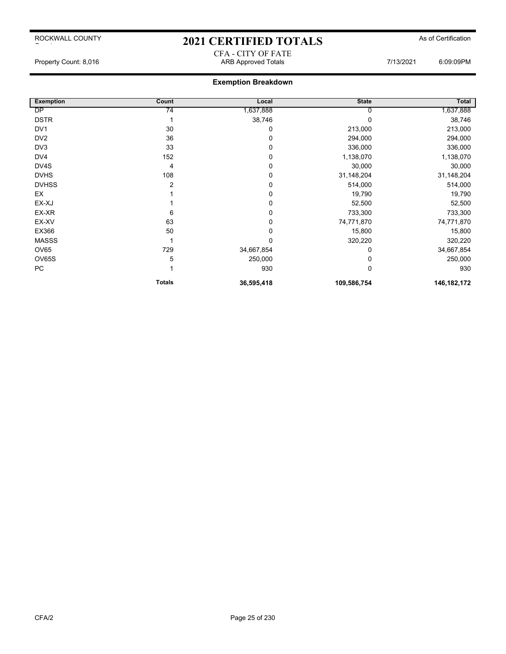ROCKWALL COUNTY

## 2021 CERTIFIED TOTALS As of Certification CFA - CITY OF FATE

## **Exemption Breakdown**

| <b>Exemption</b> | Count         | Local      | <b>State</b> | Total       |
|------------------|---------------|------------|--------------|-------------|
| DP               | 74            | 1,637,888  |              | 1,637,888   |
| <b>DSTR</b>      |               | 38,746     |              | 38,746      |
| DV <sub>1</sub>  | 30            | 0          | 213,000      | 213,000     |
| DV <sub>2</sub>  | 36            | 0          | 294,000      | 294,000     |
| DV <sub>3</sub>  | 33            | 0          | 336,000      | 336,000     |
| DV4              | 152           | 0          | 1,138,070    | 1,138,070   |
| DV4S             | 4             | 0          | 30,000       | 30,000      |
| <b>DVHS</b>      | 108           | 0          | 31,148,204   | 31,148,204  |
| <b>DVHSS</b>     | 2             | 0          | 514,000      | 514,000     |
| EX               |               | 0          | 19,790       | 19,790      |
| EX-XJ            |               | 0          | 52,500       | 52,500      |
| EX-XR            | 6             | 0          | 733,300      | 733,300     |
| EX-XV            | 63            | 0          | 74,771,870   | 74,771,870  |
| EX366            | 50            | 0          | 15,800       | 15,800      |
| <b>MASSS</b>     |               | 0          | 320,220      | 320,220     |
| OV65             | 729           | 34,667,854 | 0            | 34,667,854  |
| OV65S            | 5             | 250,000    | 0            | 250,000     |
| PC               |               | 930        | 0            | 930         |
|                  | <b>Totals</b> | 36,595,418 | 109,586,754  | 146,182,172 |

 $\sim$  to the set of the set of the set of the set of the set of the set of the set of the set of the set of the set of the set of the set of the set of the set of the set of the set of the set of the set of the set of the

Property Count: 8,016 **ARB Approved Totals** ARB Approved Totals 7/13/2021 6:09:09PM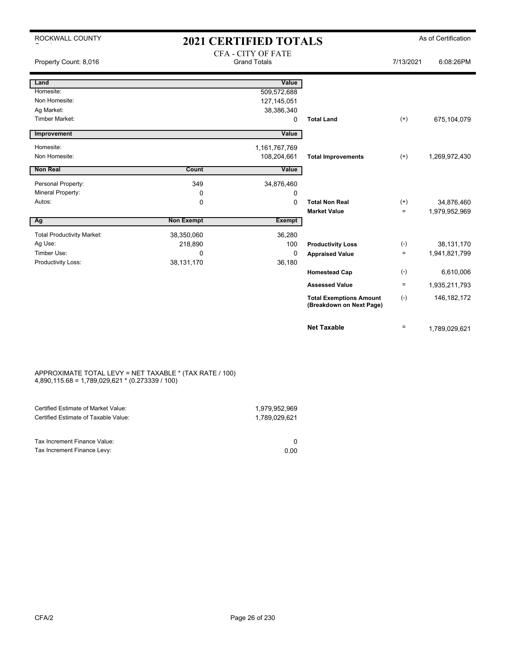| ROCKWALL COUNTY                   |                   | <b>2021 CERTIFIED TOTALS</b>                     |                                                            |           | As of Certification |
|-----------------------------------|-------------------|--------------------------------------------------|------------------------------------------------------------|-----------|---------------------|
| Property Count: 8,016             |                   | <b>CFA - CITY OF FATE</b><br><b>Grand Totals</b> |                                                            | 7/13/2021 | 6:08:26PM           |
| Land                              |                   | Value                                            |                                                            |           |                     |
| Homesite:                         |                   | 509,572,688                                      |                                                            |           |                     |
| Non Homesite:                     |                   | 127,145,051                                      |                                                            |           |                     |
| Ag Market:                        |                   | 38,386,340                                       |                                                            |           |                     |
| Timber Market:                    |                   | 0                                                | <b>Total Land</b>                                          | $(+)$     | 675,104,079         |
| Improvement                       |                   | Value                                            |                                                            |           |                     |
| Homesite:                         |                   | 1,161,767,769                                    |                                                            |           |                     |
| Non Homesite:                     |                   | 108,204,661                                      | <b>Total Improvements</b>                                  | $(+)$     | 1,269,972,430       |
| <b>Non Real</b>                   | Count             |                                                  |                                                            |           |                     |
|                                   |                   | Value                                            |                                                            |           |                     |
| Personal Property:                | 349               | 34,876,460                                       |                                                            |           |                     |
| Mineral Property:                 | 0                 | 0                                                |                                                            |           |                     |
| Autos:                            | $\mathbf 0$       | $\mathbf 0$                                      | <b>Total Non Real</b>                                      | $(+)$     | 34,876,460          |
|                                   |                   |                                                  | <b>Market Value</b>                                        | $=$       | 1,979,952,969       |
| $\overline{Ag}$                   | <b>Non Exempt</b> | Exempt                                           |                                                            |           |                     |
| <b>Total Productivity Market:</b> | 38,350,060        | 36,280                                           |                                                            |           |                     |
| Ag Use:                           | 218,890           | 100                                              | <b>Productivity Loss</b>                                   | $(-)$     | 38,131,170          |
| Timber Use:                       | $\Omega$          | $\mathbf 0$                                      | <b>Appraised Value</b>                                     | $\equiv$  | 1,941,821,799       |
| Productivity Loss:                | 38, 131, 170      | 36,180                                           |                                                            |           |                     |
|                                   |                   |                                                  | <b>Homestead Cap</b>                                       | $(-)$     | 6,610,006           |
|                                   |                   |                                                  | <b>Assessed Value</b>                                      | $=$       | 1,935,211,793       |
|                                   |                   |                                                  | <b>Total Exemptions Amount</b><br>(Breakdown on Next Page) | $(-)$     | 146, 182, 172       |
|                                   |                   |                                                  | <b>Net Taxable</b>                                         | $=$       | 1,789,029,621       |

### APPROXIMATE TOTAL LEVY = NET TAXABLE \* (TAX RATE / 100) 4,890,115.68 = 1,789,029,621 \* (0.273339 / 100)

| Certified Estimate of Market Value:                         | 1.979.952.969 |
|-------------------------------------------------------------|---------------|
| Certified Estimate of Taxable Value:                        | 1.789.029.621 |
| Tax Increment Finance Value:<br>Tax Increment Finance Levy: | 0.00          |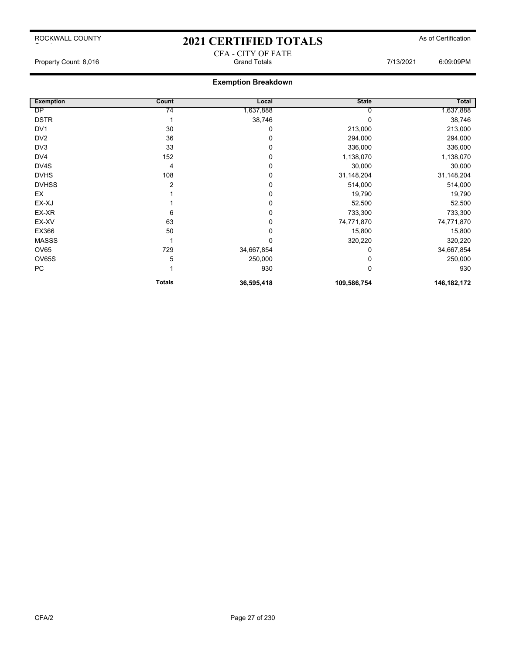## ROCKWALL COUNTY

## 2021 CERTIFIED TOTALS As of Certification CFA - CITY OF FATE

## **Exemption Breakdown**

| <b>Exemption</b> | Count         | Local      | <b>State</b> | Total         |
|------------------|---------------|------------|--------------|---------------|
| DP               | 74            | 1,637,888  |              | 1,637,888     |
| <b>DSTR</b>      |               | 38,746     |              | 38,746        |
| DV <sub>1</sub>  | 30            | 0          | 213,000      | 213,000       |
| DV <sub>2</sub>  | 36            | 0          | 294,000      | 294,000       |
| DV3              | 33            | 0          | 336,000      | 336,000       |
| DV4              | 152           | 0          | 1,138,070    | 1,138,070     |
| DV4S             | 4             | 0          | 30,000       | 30,000        |
| <b>DVHS</b>      | 108           | 0          | 31,148,204   | 31,148,204    |
| <b>DVHSS</b>     | 2             | 0          | 514,000      | 514,000       |
| EX               |               | 0          | 19,790       | 19,790        |
| EX-XJ            |               | 0          | 52,500       | 52,500        |
| EX-XR            | 6             | 0          | 733,300      | 733,300       |
| EX-XV            | 63            | 0          | 74,771,870   | 74,771,870    |
| EX366            | 50            | 0          | 15,800       | 15,800        |
| <b>MASSS</b>     |               | 0          | 320,220      | 320,220       |
| <b>OV65</b>      | 729           | 34,667,854 | 0            | 34,667,854    |
| OV65S            | 5             | 250,000    |              | 250,000       |
| PC               |               | 930        | 0            | 930           |
|                  | <b>Totals</b> | 36,595,418 | 109,586,754  | 146, 182, 172 |

 $\sim$  to the set of the set of the set of the set of the set of the set of the set of the set of the set of the set of the set of the set of the set of the set of the set of the set of the set of the set of the set of the

Property Count: 8,016 Grand Totals 7/13/2021 6:09:09PM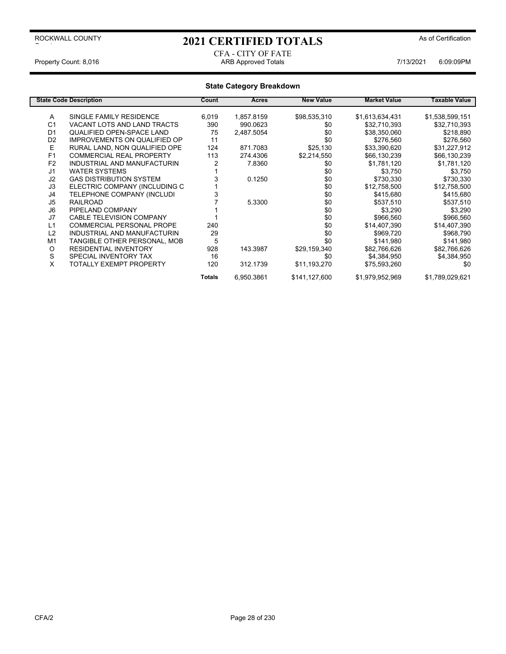# 2021 CERTIFIED TOTALS As of Certification

## CFA - CITY OF FATE Property Count: 8,016 **ARB Approved Totals** ARB Approved Totals **ARB Approved Totals** 7/13/2021 6:09:09PM

|                | <b>State Code Description</b>       | Count  | <b>Acres</b> | <b>New Value</b> | <b>Market Value</b> | Taxable Value   |
|----------------|-------------------------------------|--------|--------------|------------------|---------------------|-----------------|
| A              | SINGLE FAMILY RESIDENCE             | 6,019  | 1,857.8159   | \$98,535,310     | \$1,613,634,431     | \$1,538,599,151 |
| C <sub>1</sub> | VACANT LOTS AND LAND TRACTS         | 390    | 990.0623     | \$0              | \$32,710,393        | \$32,710,393    |
| D <sub>1</sub> | QUALIFIED OPEN-SPACE LAND           | 75     | 2,487.5054   | \$0              | \$38,350,060        | \$218,890       |
| D <sub>2</sub> | <b>IMPROVEMENTS ON QUALIFIED OP</b> | 11     |              | \$0              | \$276,560           | \$276,560       |
| Е              | RURAL LAND, NON QUALIFIED OPE       | 124    | 871.7083     | \$25,130         | \$33,390,620        | \$31,227,912    |
| F <sub>1</sub> | <b>COMMERCIAL REAL PROPERTY</b>     | 113    | 274.4306     | \$2,214,550      | \$66,130,239        | \$66,130,239    |
| F <sub>2</sub> | INDUSTRIAL AND MANUFACTURIN         |        | 7.8360       | \$0              | \$1,781,120         | \$1,781,120     |
| J <sub>1</sub> | <b>WATER SYSTEMS</b>                |        |              | \$0              | \$3,750             | \$3,750         |
| J2             | <b>GAS DISTRIBUTION SYSTEM</b>      |        | 0.1250       | \$0              | \$730,330           | \$730,330       |
| J3             | ELECTRIC COMPANY (INCLUDING C       |        |              | \$0              | \$12,758,500        | \$12,758,500    |
| J4             | TELEPHONE COMPANY (INCLUDI          |        |              | \$0              | \$415,680           | \$415,680       |
| J5             | <b>RAILROAD</b>                     |        | 5.3300       | \$0              | \$537,510           | \$537,510       |
| J6             | PIPELAND COMPANY                    |        |              | \$0              | \$3,290             | \$3,290         |
| J7             | <b>CABLE TELEVISION COMPANY</b>     |        |              | \$0              | \$966,560           | \$966,560       |
| L1             | <b>COMMERCIAL PERSONAL PROPE</b>    | 240    |              | \$0              | \$14,407,390        | \$14,407,390    |
| L2             | INDUSTRIAL AND MANUFACTURIN         | 29     |              | \$0              | \$969,720           | \$968,790       |
| M <sub>1</sub> | TANGIBLE OTHER PERSONAL, MOB        | 5      |              | \$0              | \$141,980           | \$141,980       |
| O              | <b>RESIDENTIAL INVENTORY</b>        | 928    | 143.3987     | \$29,159,340     | \$82,766,626        | \$82,766,626    |
| S              | SPECIAL INVENTORY TAX               | 16     |              | \$0              | \$4,384,950         | \$4,384,950     |
| X              | TOTALLY EXEMPT PROPERTY             | 120    | 312.1739     | \$11,193,270     | \$75,593,260        | \$0             |
|                |                                     | Totals | 6,950.3861   | \$141,127,600    | \$1,979,952,969     | \$1,789,029,621 |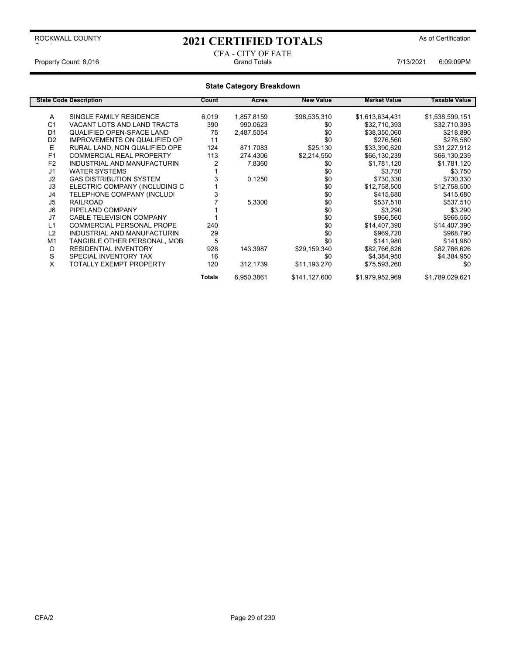# 2021 CERTIFIED TOTALS As of Certification

# CFA - CITY OF FATE

Property Count: 8,016 Grand Totals 7/13/2021 6:09:09PM

|                | <b>State Code Description</b>       | Count         | Acres      | <b>New Value</b> | <b>Market Value</b> | Taxable Value   |
|----------------|-------------------------------------|---------------|------------|------------------|---------------------|-----------------|
| A              | SINGLE FAMILY RESIDENCE             | 6,019         | 1,857.8159 | \$98,535,310     | \$1,613,634,431     | \$1,538,599,151 |
| C <sub>1</sub> | VACANT LOTS AND LAND TRACTS         | 390           | 990.0623   | \$0              | \$32,710,393        | \$32,710,393    |
| D <sub>1</sub> | QUALIFIED OPEN-SPACE LAND           | 75            | 2,487.5054 | \$0              | \$38,350,060        | \$218,890       |
| D <sub>2</sub> | <b>IMPROVEMENTS ON QUALIFIED OP</b> | 11            |            | \$0              | \$276,560           | \$276,560       |
| Е              | RURAL LAND, NON QUALIFIED OPE       | 124           | 871.7083   | \$25,130         | \$33,390,620        | \$31,227,912    |
| F1             | <b>COMMERCIAL REAL PROPERTY</b>     | 113           | 274.4306   | \$2,214,550      | \$66,130,239        | \$66,130,239    |
| F <sub>2</sub> | INDUSTRIAL AND MANUFACTURIN         |               | 7.8360     | \$0              | \$1,781,120         | \$1,781,120     |
| J <sub>1</sub> | <b>WATER SYSTEMS</b>                |               |            | \$0              | \$3,750             | \$3,750         |
| J2             | <b>GAS DISTRIBUTION SYSTEM</b>      |               | 0.1250     | \$0              | \$730,330           | \$730,330       |
| J3             | ELECTRIC COMPANY (INCLUDING C       |               |            | \$0              | \$12,758,500        | \$12,758,500    |
| J4             | TELEPHONE COMPANY (INCLUDI          |               |            | \$0              | \$415,680           | \$415,680       |
| J5             | <b>RAILROAD</b>                     |               | 5.3300     | \$0              | \$537,510           | \$537,510       |
| J6             | PIPELAND COMPANY                    |               |            | \$0              | \$3,290             | \$3,290         |
| J7             | <b>CABLE TELEVISION COMPANY</b>     |               |            | \$0              | \$966,560           | \$966,560       |
| L1             | <b>COMMERCIAL PERSONAL PROPE</b>    | 240           |            | \$0              | \$14,407,390        | \$14,407,390    |
| L2             | INDUSTRIAL AND MANUFACTURIN         | 29            |            | \$0              | \$969,720           | \$968,790       |
| M <sub>1</sub> | TANGIBLE OTHER PERSONAL, MOB        | 5             |            | \$0              | \$141,980           | \$141,980       |
| O              | <b>RESIDENTIAL INVENTORY</b>        | 928           | 143.3987   | \$29,159,340     | \$82,766,626        | \$82,766,626    |
| S              | SPECIAL INVENTORY TAX               | 16            |            | \$0              | \$4,384,950         | \$4,384,950     |
| X              | TOTALLY EXEMPT PROPERTY             | 120           | 312.1739   | \$11,193,270     | \$75,593,260        | \$0             |
|                |                                     | <b>Totals</b> | 6,950.3861 | \$141,127,600    | \$1,979,952,969     | \$1,789,029,621 |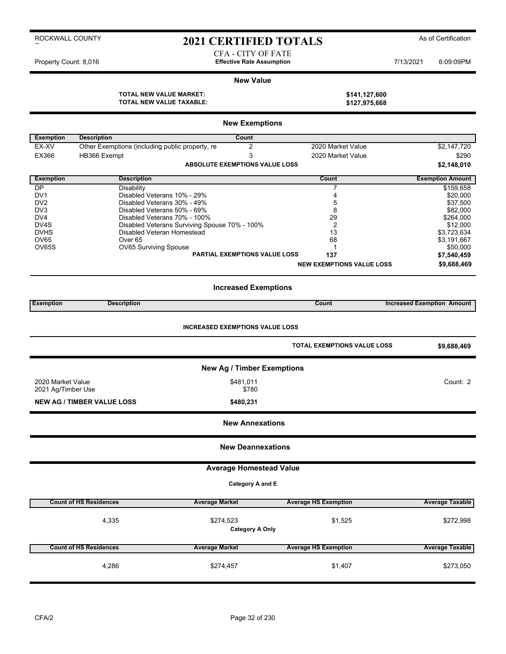# 2021 CERTIFIED TOTALS As of Certification

CFA - CITY OF FATE

Property Count: 8,016 **Effective Rate Assumption Effective Rate Assumption** 7/13/2021 6:09:09PM

## **New Value**

| TOTAL NEW VALUE MARKET:  | \$141,127,600 |
|--------------------------|---------------|
| TOTAL NEW VALUE TAXABLE: | \$127,975,668 |

|                     |                                                 | <b>New Exemptions</b>                         |                                  |                                   |
|---------------------|-------------------------------------------------|-----------------------------------------------|----------------------------------|-----------------------------------|
| <b>Exemption</b>    | <b>Description</b>                              | Count                                         |                                  |                                   |
| EX-XV               | Other Exemptions (including public property, re | 2                                             | 2020 Market Value                | \$2,147,720                       |
| EX366               | HB366 Exempt                                    | 3                                             | 2020 Market Value                | \$290                             |
|                     |                                                 | <b>ABSOLUTE EXEMPTIONS VALUE LOSS</b>         |                                  | \$2,148,010                       |
| <b>Exemption</b>    | <b>Description</b>                              |                                               | Count                            | <b>Exemption Amount</b>           |
| <b>DP</b>           | Disability                                      |                                               | 7                                | \$159,658                         |
| DV <sub>1</sub>     | Disabled Veterans 10% - 29%                     |                                               | 4                                | \$20,000                          |
| DV2                 | Disabled Veterans 30% - 49%                     |                                               | 5                                | \$37,500                          |
| DV <sub>3</sub>     | Disabled Veterans 50% - 69%                     |                                               | 8                                | \$82,000                          |
| DV <sub>4</sub>     | Disabled Veterans 70% - 100%                    |                                               | 29                               | \$264,000                         |
| DV4S                | Disabled Veteran Homestead                      | Disabled Veterans Surviving Spouse 70% - 100% | $\overline{2}$                   | \$12,000                          |
| <b>DVHS</b><br>OV65 | Over <sub>65</sub>                              |                                               | 13<br>68                         | \$3,723,634<br>\$3,191,667        |
| OV65S               | OV65 Surviving Spouse                           |                                               | 1                                | \$50,000                          |
|                     |                                                 | <b>PARTIAL EXEMPTIONS VALUE LOSS</b>          | 137                              | \$7,540,459                       |
|                     |                                                 |                                               | <b>NEW EXEMPTIONS VALUE LOSS</b> | \$9,688,469                       |
|                     |                                                 |                                               |                                  |                                   |
|                     |                                                 | <b>Increased Exemptions</b>                   |                                  |                                   |
| <b>Exemption</b>    | <b>Description</b>                              |                                               | <b>Count</b>                     | <b>Increased Exemption Amount</b> |
|                     |                                                 | <b>INCREASED EXEMPTIONS VALUE LOSS</b>        |                                  |                                   |
|                     |                                                 |                                               |                                  |                                   |
|                     |                                                 |                                               | TOTAL EXEMPTIONS VALUE LOSS      | \$9,688,469                       |
|                     |                                                 | <b>New Ag / Timber Exemptions</b>             |                                  |                                   |
| 2020 Market Value   |                                                 | \$481,011                                     |                                  | Count: 2                          |
| 2021 Ag/Timber Use  |                                                 | \$780                                         |                                  |                                   |
|                     | <b>NEW AG / TIMBER VALUE LOSS</b>               | \$480,231                                     |                                  |                                   |
|                     |                                                 | <b>New Annexations</b>                        |                                  |                                   |
|                     |                                                 | <b>New Deannexations</b>                      |                                  |                                   |
|                     |                                                 | <b>Average Homestead Value</b>                |                                  |                                   |
|                     |                                                 | Category A and E                              |                                  |                                   |
|                     | <b>Count of HS Residences</b>                   | <b>Average Market</b>                         | <b>Average HS Exemption</b>      | <b>Average Taxable</b>            |
|                     | 4,335                                           |                                               | \$1,525                          |                                   |
|                     |                                                 | \$274,523<br><b>Category A Only</b>           |                                  | \$272,998                         |
|                     |                                                 |                                               |                                  |                                   |
|                     | <b>Count of HS Residences</b>                   | <b>Average Market</b>                         | <b>Average HS Exemption</b>      | <b>Average Taxable</b>            |
|                     | 4,286                                           | \$274,457                                     | \$1,407                          | \$273,050                         |
|                     |                                                 |                                               |                                  |                                   |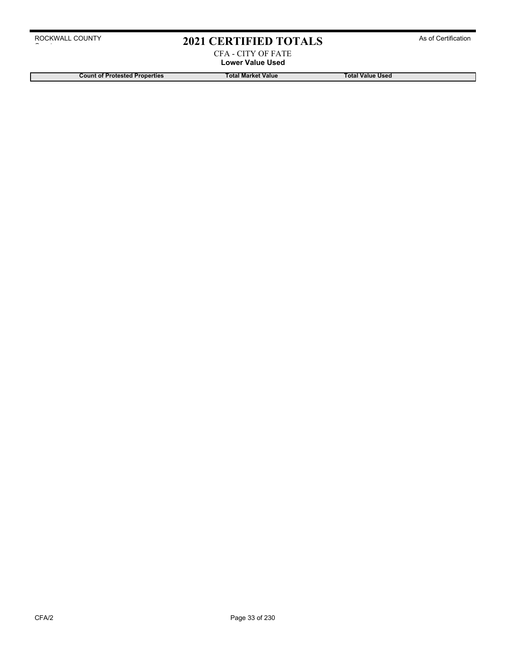# 2021 CERTIFIED TOTALS As of Certification

CFA - CITY OF FATE **Lower Value Used**

**Count of Protested Properties Total Market Value Total Value Used**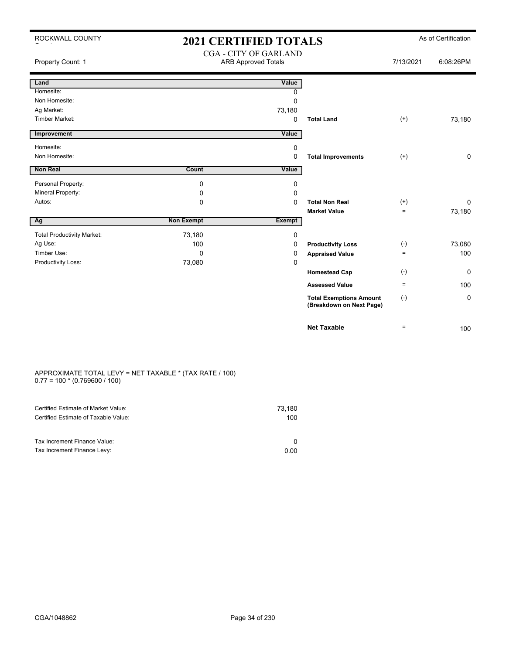|  | ROCKWALL COUNTY |  |
|--|-----------------|--|
|  |                 |  |

## 2021 CERTIFIED TOTALS As of Certification CGA - CITY OF GARLAND

| Property Count: 1                 |                   | CUA - CITT UF UANLAND<br><b>ARB Approved Totals</b> |                                                            | 7/13/2021 | 6:08:26PM    |
|-----------------------------------|-------------------|-----------------------------------------------------|------------------------------------------------------------|-----------|--------------|
| Land                              |                   | Value                                               |                                                            |           |              |
| Homesite:                         |                   | 0                                                   |                                                            |           |              |
| Non Homesite:                     |                   | 0                                                   |                                                            |           |              |
| Ag Market:                        |                   | 73,180                                              |                                                            |           |              |
| <b>Timber Market:</b>             |                   | $\mathbf 0$                                         | <b>Total Land</b>                                          | $^{(+)}$  | 73,180       |
| Improvement                       |                   | Value                                               |                                                            |           |              |
| Homesite:                         |                   | 0                                                   |                                                            |           |              |
| Non Homesite:                     |                   | 0                                                   | <b>Total Improvements</b>                                  | $^{(+)}$  | $\mathbf 0$  |
| <b>Non Real</b>                   | Count             | <b>Value</b>                                        |                                                            |           |              |
| Personal Property:                | 0                 | 0                                                   |                                                            |           |              |
| Mineral Property:                 | 0                 | 0                                                   |                                                            |           |              |
| Autos:                            | 0                 | 0                                                   | <b>Total Non Real</b>                                      | $^{(+)}$  | $\mathbf{0}$ |
|                                   |                   |                                                     | <b>Market Value</b>                                        | $\equiv$  | 73,180       |
| Ag                                | <b>Non Exempt</b> | <b>Exempt</b>                                       |                                                            |           |              |
| <b>Total Productivity Market:</b> | 73,180            | 0                                                   |                                                            |           |              |
| Ag Use:                           | 100               | 0                                                   | <b>Productivity Loss</b>                                   | $(-)$     | 73,080       |
| Timber Use:                       | $\Omega$          | 0                                                   | <b>Appraised Value</b>                                     | $\equiv$  | 100          |
| Productivity Loss:                | 73,080            | 0                                                   |                                                            |           |              |
|                                   |                   |                                                     | <b>Homestead Cap</b>                                       | $(-)$     | $\mathbf{0}$ |
|                                   |                   |                                                     | <b>Assessed Value</b>                                      | $\equiv$  | 100          |
|                                   |                   |                                                     | <b>Total Exemptions Amount</b><br>(Breakdown on Next Page) | $(-)$     | $\mathbf 0$  |
|                                   |                   |                                                     | <b>Net Taxable</b>                                         | $\equiv$  | 100          |

#### APPROXIMATE TOTAL LEVY = NET TAXABLE \* (TAX RATE / 100) 0.77 = 100 \* (0.769600 / 100)

| Certified Estimate of Market Value:                         | 73,180 |
|-------------------------------------------------------------|--------|
| Certified Estimate of Taxable Value:                        | 100    |
| Tax Increment Finance Value:<br>Tax Increment Finance Levy: | 0.00   |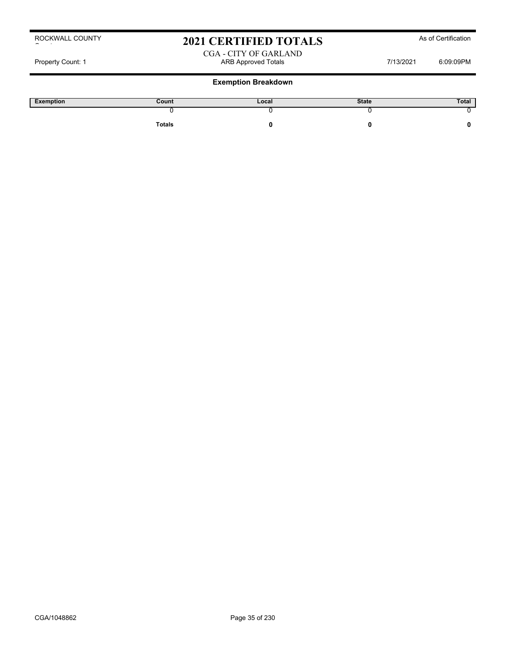# 2021 CERTIFIED TOTALS As of Certification

## CGA - CITY OF GARLAND Property Count: 1 **ARB Approved Totals ARB Approved Totals** 7/13/2021 6:09:09PM

## **Exemption Breakdown**

| Exemption | Count  | Local | <b>State</b> | Total |
|-----------|--------|-------|--------------|-------|
|           |        |       |              |       |
|           | Totals |       |              |       |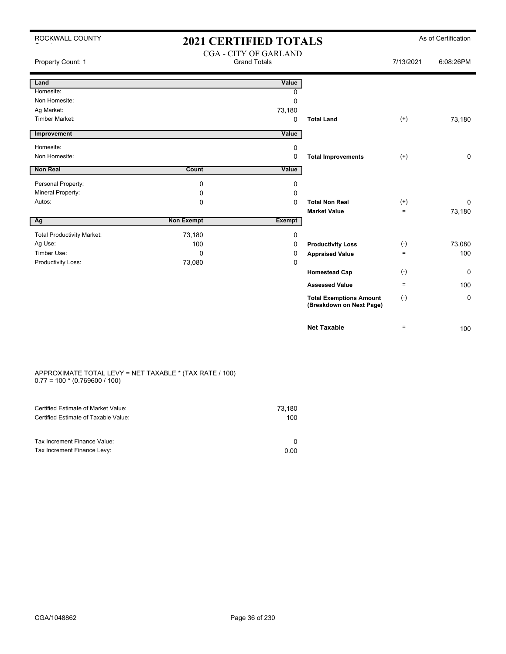## 2021 CERTIFIED TOTALS As of Certification CGA - CITY OF GARLAND

| Property Count: 1                 |                   | CUA - CITT OF UANLAIND<br><b>Grand Totals</b> |                                                            | 7/13/2021          | 6:08:26PM   |
|-----------------------------------|-------------------|-----------------------------------------------|------------------------------------------------------------|--------------------|-------------|
| Land                              |                   | Value                                         |                                                            |                    |             |
| Homesite:                         |                   | 0                                             |                                                            |                    |             |
| Non Homesite:                     |                   | $\mathbf 0$                                   |                                                            |                    |             |
| Ag Market:                        |                   | 73,180                                        |                                                            |                    |             |
| <b>Timber Market:</b>             |                   | $\mathbf 0$                                   | <b>Total Land</b>                                          | $^{(+)}$           | 73,180      |
| Improvement                       |                   | Value                                         |                                                            |                    |             |
| Homesite:                         |                   | $\mathbf 0$                                   |                                                            |                    |             |
| Non Homesite:                     |                   | $\mathbf 0$                                   | <b>Total Improvements</b>                                  | $^{(+)}$           | $\mathbf 0$ |
| <b>Non Real</b>                   | Count             | Value                                         |                                                            |                    |             |
| Personal Property:                | 0                 | 0                                             |                                                            |                    |             |
| Mineral Property:                 | 0                 | 0                                             |                                                            |                    |             |
| Autos:                            | $\mathbf 0$       | $\Omega$                                      | <b>Total Non Real</b>                                      | $^{(+)}$           | $\Omega$    |
|                                   |                   |                                               | <b>Market Value</b>                                        | $=$                | 73,180      |
| Ag                                | <b>Non Exempt</b> | <b>Exempt</b>                                 |                                                            |                    |             |
| <b>Total Productivity Market:</b> | 73,180            | 0                                             |                                                            |                    |             |
| Ag Use:                           | 100               | 0                                             | <b>Productivity Loss</b>                                   | $(\textnormal{-})$ | 73,080      |
| Timber Use:                       | $\Omega$          | 0                                             | <b>Appraised Value</b>                                     | $=$                | 100         |
| Productivity Loss:                | 73,080            | $\mathbf 0$                                   |                                                            |                    |             |
|                                   |                   |                                               | <b>Homestead Cap</b>                                       | $(\textnormal{-})$ | $\mathbf 0$ |
|                                   |                   |                                               | <b>Assessed Value</b>                                      | $\equiv$           | 100         |
|                                   |                   |                                               | <b>Total Exemptions Amount</b><br>(Breakdown on Next Page) | $(\text{-})$       | 0           |
|                                   |                   |                                               | <b>Net Taxable</b>                                         | $=$                | 100         |

#### APPROXIMATE TOTAL LEVY = NET TAXABLE \* (TAX RATE / 100) 0.77 = 100 \* (0.769600 / 100)

| Certified Estimate of Market Value:<br>Certified Estimate of Taxable Value: | 73,180<br>100 |
|-----------------------------------------------------------------------------|---------------|
| Tax Increment Finance Value:<br>Tax Increment Finance Levy:                 | 0.00          |
|                                                                             |               |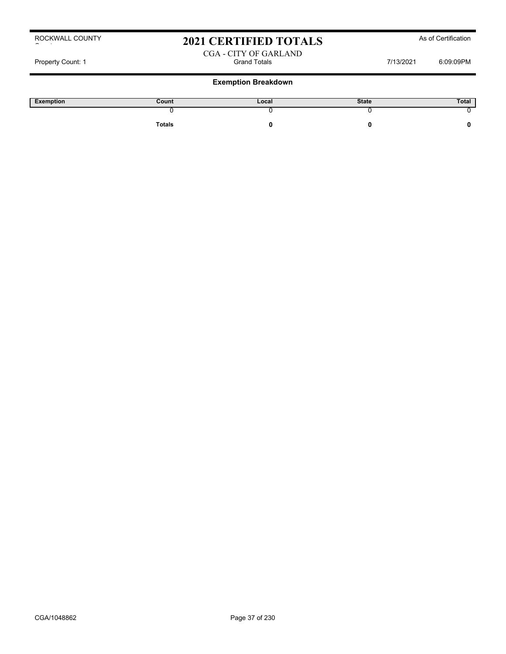# 2021 CERTIFIED TOTALS As of Certification

## CGA - CITY OF GARLAND Property Count: 1 Count: 1 Count: 1 Count: 1 Count: 1 Count: 1 Count: 1 Count: 1 Count: 1 Count: 1 Count: 1 Count: 1 Count: 0 Count: 0 Count: 0 Count: 0 Count: 0 Count: 0 Count: 0 Count: 0 Count: 0 Count: 0 Count: 0 Count:

## **Exemption Breakdown**

| Exemption | Count         | Local | <b>State</b> | Total |
|-----------|---------------|-------|--------------|-------|
|           |               |       |              |       |
|           | <b>Totals</b> |       |              |       |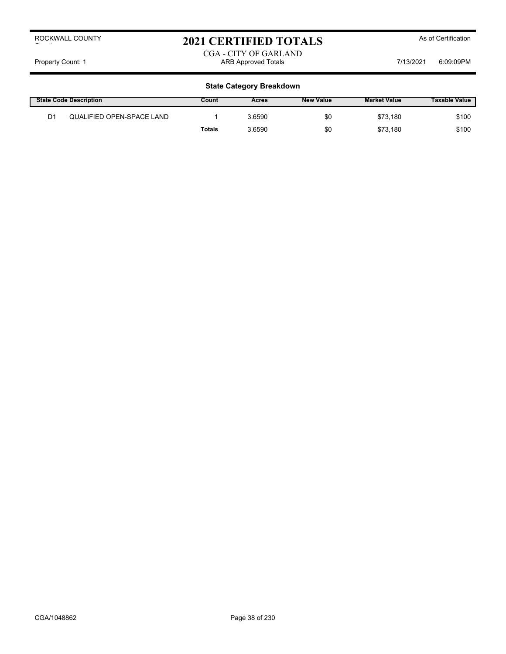# 2021 CERTIFIED TOTALS As of Certification

## CGA - CITY OF GARLAND Property Count: 1 **ARB Approved Totals** ARB Approved Totals **1**7/13/2021 6:09:09PM

|                | <b>State Code Description</b> | Count  | Acres  | <b>New Value</b> | <b>Market Value</b> | <b>Taxable Value</b> |
|----------------|-------------------------------|--------|--------|------------------|---------------------|----------------------|
| D <sub>1</sub> | QUALIFIED OPEN-SPACE LAND     |        | 3.6590 | \$0              | \$73.180            | \$100                |
|                |                               | Totals | 3.6590 | \$0              | \$73.180            | \$100                |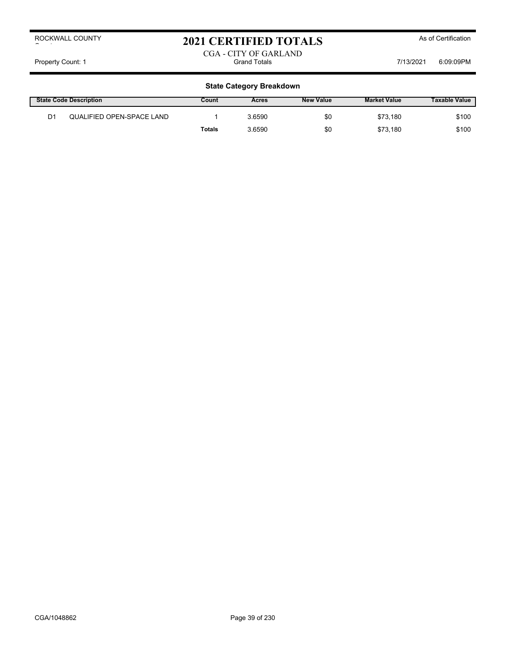# 2021 CERTIFIED TOTALS As of Certification

CGA - CITY OF GARLAND Property Count: 1 Count: 1 Count: 1 Count: 1 Count: 1 Count: 1 Count: 1 Count: 1 Count: 1 Count: 1 Count: 1 Count: 1 Count: 0 Count: 0 Count: 1 Count: 0 Count: 0 Count: 0 Count: 0 Count: 0 Count: 0 Count: 0 Count: 0 Count:

|                | <b>State Code Description</b> | Count  | Acres  | <b>New Value</b> | <b>Market Value</b> | <b>Taxable Value</b> |
|----------------|-------------------------------|--------|--------|------------------|---------------------|----------------------|
| D <sub>1</sub> | QUALIFIED OPEN-SPACE LAND     |        | 3.6590 | \$0              | \$73.180            | \$100                |
|                |                               | Totals | 3.6590 | \$0              | \$73.180            | \$100                |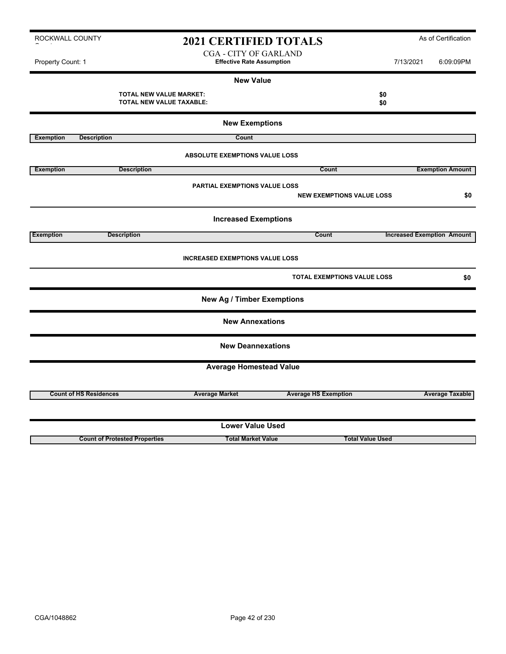# 2021 CERTIFIED TOTALS As of Certification

CGA - CITY OF GARLAND Property Count: 1 **Effective Rate Assumption Effective Rate Assumption** 7/13/2021 6:09:09PM

## **New Value**

|                  | <b>TOTAL NEW VALUE MARKET:</b><br><b>TOTAL NEW VALUE TAXABLE:</b> |                                        |                             | \$0<br>\$0                         |                                   |
|------------------|-------------------------------------------------------------------|----------------------------------------|-----------------------------|------------------------------------|-----------------------------------|
|                  |                                                                   | <b>New Exemptions</b>                  |                             |                                    |                                   |
| <b>Exemption</b> | <b>Description</b>                                                | Count                                  |                             |                                    |                                   |
|                  |                                                                   | <b>ABSOLUTE EXEMPTIONS VALUE LOSS</b>  |                             |                                    |                                   |
| <b>Exemption</b> | <b>Description</b>                                                |                                        | Count                       |                                    | <b>Exemption Amount</b>           |
|                  |                                                                   | <b>PARTIAL EXEMPTIONS VALUE LOSS</b>   |                             | <b>NEW EXEMPTIONS VALUE LOSS</b>   | \$0                               |
|                  |                                                                   | <b>Increased Exemptions</b>            |                             |                                    |                                   |
| <b>Exemption</b> | <b>Description</b>                                                |                                        | Count                       |                                    | <b>Increased Exemption Amount</b> |
|                  |                                                                   | <b>INCREASED EXEMPTIONS VALUE LOSS</b> |                             |                                    |                                   |
|                  |                                                                   |                                        |                             | <b>TOTAL EXEMPTIONS VALUE LOSS</b> | \$0                               |
|                  |                                                                   | <b>New Ag / Timber Exemptions</b>      |                             |                                    |                                   |
|                  |                                                                   | <b>New Annexations</b>                 |                             |                                    |                                   |
|                  |                                                                   | <b>New Deannexations</b>               |                             |                                    |                                   |
|                  |                                                                   | <b>Average Homestead Value</b>         |                             |                                    |                                   |
|                  |                                                                   |                                        |                             |                                    |                                   |
|                  | <b>Count of HS Residences</b>                                     | <b>Average Market</b>                  | <b>Average HS Exemption</b> |                                    | <b>Average Taxable</b>            |
|                  |                                                                   |                                        |                             |                                    |                                   |
|                  |                                                                   | <b>Lower Value Used</b>                |                             |                                    |                                   |
|                  | <b>Count of Protested Properties</b>                              | <b>Total Market Value</b>              |                             | <b>Total Value Used</b>            |                                   |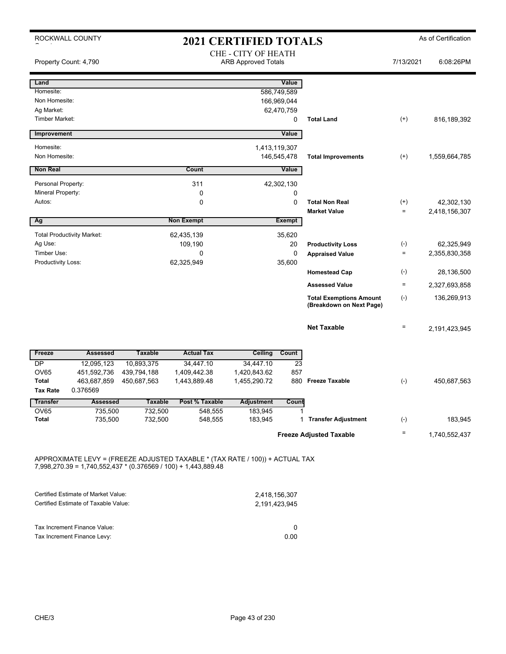|                                     | ROCKWALL COUNTY                   |                           |                           | <b>2021 CERTIFIED TOTALS</b>                      |                 |                                                            |                   | As of Certification |
|-------------------------------------|-----------------------------------|---------------------------|---------------------------|---------------------------------------------------|-----------------|------------------------------------------------------------|-------------------|---------------------|
|                                     | Property Count: 4,790             |                           |                           | CHE - CITY OF HEATH<br><b>ARB Approved Totals</b> |                 |                                                            | 7/13/2021         | 6:08:26PM           |
| Land                                |                                   |                           |                           |                                                   | Value           |                                                            |                   |                     |
| Homesite:                           |                                   |                           |                           |                                                   | 586,749,589     |                                                            |                   |                     |
| Non Homesite:                       |                                   |                           |                           |                                                   | 166,969,044     |                                                            |                   |                     |
| Ag Market:<br><b>Timber Market:</b> |                                   |                           |                           |                                                   | 62,470,759<br>0 | <b>Total Land</b>                                          | $^{(+)}$          | 816, 189, 392       |
|                                     |                                   |                           |                           |                                                   |                 |                                                            |                   |                     |
| Improvement                         |                                   |                           |                           |                                                   | Value           |                                                            |                   |                     |
| Homesite:                           |                                   |                           |                           | 1,413,119,307                                     |                 |                                                            |                   |                     |
| Non Homesite:                       |                                   |                           |                           |                                                   | 146,545,478     | <b>Total Improvements</b>                                  | $^{(+)}$          | 1,559,664,785       |
| <b>Non Real</b>                     |                                   |                           | Count                     |                                                   | Value           |                                                            |                   |                     |
| Personal Property:                  |                                   |                           | 311                       |                                                   | 42,302,130      |                                                            |                   |                     |
| Mineral Property:                   |                                   |                           | $\mathbf 0$               |                                                   | 0               |                                                            |                   |                     |
| Autos:                              |                                   |                           | 0                         |                                                   | 0               | <b>Total Non Real</b>                                      | $^{(+)}$          | 42,302,130          |
|                                     |                                   |                           |                           |                                                   |                 | <b>Market Value</b>                                        | $\equiv$          | 2,418,156,307       |
| Ag                                  |                                   |                           | <b>Non Exempt</b>         |                                                   | <b>Exempt</b>   |                                                            |                   |                     |
|                                     | <b>Total Productivity Market:</b> |                           | 62,435,139                |                                                   | 35,620          |                                                            |                   |                     |
| Ag Use:                             |                                   |                           | 109,190                   |                                                   | 20              | <b>Productivity Loss</b>                                   | $(\text{-})$      | 62,325,949          |
| Timber Use:                         |                                   |                           | 0                         |                                                   | $\mathbf 0$     | <b>Appraised Value</b>                                     | $\equiv$          | 2,355,830,358       |
| Productivity Loss:                  |                                   |                           | 62,325,949                |                                                   | 35,600          |                                                            |                   |                     |
|                                     |                                   |                           |                           |                                                   |                 | <b>Homestead Cap</b>                                       | $(\cdot)$         | 28,136,500          |
|                                     |                                   |                           |                           |                                                   |                 | <b>Assessed Value</b>                                      | $\equiv$          | 2,327,693,858       |
|                                     |                                   |                           |                           |                                                   |                 | <b>Total Exemptions Amount</b><br>(Breakdown on Next Page) | $(-)$             | 136,269,913         |
|                                     |                                   |                           |                           |                                                   |                 | <b>Net Taxable</b>                                         | $\equiv$          | 2,191,423,945       |
| Freeze                              | <b>Assessed</b>                   | <b>Taxable</b>            | <b>Actual Tax</b>         | Ceiling                                           | Count           |                                                            |                   |                     |
| <b>DP</b>                           | $\overline{12}$ , 095, 123        | 10,893,375                | 34,447.10                 | 34,447.10                                         | 23              |                                                            |                   |                     |
| <b>OV65</b>                         | 451,592,736                       | 439,794,188               | 1,409,442.38              | 1,420,843.62                                      | 857             |                                                            |                   |                     |
| <b>Total</b>                        | 463,687,859                       | 450,687,563               | 1,443,889.48              | 1,455,290.72                                      | 880             | <b>Freeze Taxable</b>                                      | $(-)$             | 450,687,563         |
| <b>Tax Rate</b>                     | 0.376569                          |                           |                           |                                                   |                 |                                                            |                   |                     |
| <b>Transfer</b><br><b>OV65</b>      | <b>Assessed</b><br>735,500        | <b>Taxable</b><br>732,500 | Post % Taxable<br>548,555 | <b>Adjustment</b><br>183,945                      | Count           |                                                            |                   |                     |
| <b>Total</b>                        | 735,500                           | 732,500                   | 548,555                   | 183,945                                           | 1               | <b>Transfer Adjustment</b>                                 | $(-)$             | 183,945             |
|                                     |                                   |                           |                           |                                                   |                 |                                                            |                   |                     |
|                                     |                                   |                           |                           |                                                   |                 | <b>Freeze Adjusted Taxable</b>                             | $\qquad \qquad =$ | 1,740,552,437       |

APPROXIMATE LEVY = (FREEZE ADJUSTED TAXABLE \* (TAX RATE / 100)) + ACTUAL TAX 7,998,270.39 = 1,740,552,437 \* (0.376569 / 100) + 1,443,889.48

| Certified Estimate of Market Value:                         | 2,418,156,307 |
|-------------------------------------------------------------|---------------|
| Certified Estimate of Taxable Value:                        | 2.191.423.945 |
| Tax Increment Finance Value:<br>Tax Increment Finance Levy: | 0.OO          |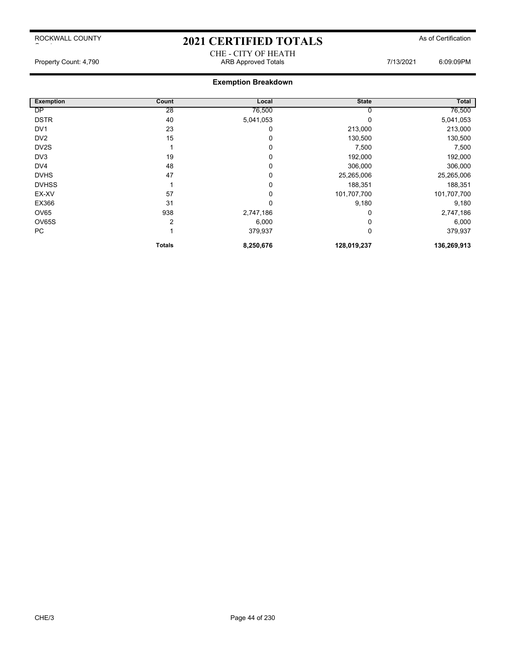## 2021 CERTIFIED TOTALS As of Certification CHE - CITY OF HEATH

Property Count: 4,790 ARB Approved Totals 7/13/2021 6:09:09PM

## **Exemption Breakdown**

| <b>Exemption</b>  | Count  | Local     | <b>State</b> | Total       |
|-------------------|--------|-----------|--------------|-------------|
| <b>DP</b>         | 28     | 76,500    |              | 76,500      |
| <b>DSTR</b>       | 40     | 5,041,053 |              | 5,041,053   |
| DV <sub>1</sub>   | 23     | 0         | 213,000      | 213,000     |
| DV <sub>2</sub>   | 15     | 0         | 130,500      | 130,500     |
| DV <sub>2</sub> S |        | 0         | 7,500        | 7,500       |
| DV <sub>3</sub>   | 19     | 0         | 192,000      | 192,000     |
| DV4               | 48     | 0         | 306,000      | 306,000     |
| <b>DVHS</b>       | 47     | 0         | 25,265,006   | 25,265,006  |
| <b>DVHSS</b>      |        | 0         | 188,351      | 188,351     |
| EX-XV             | 57     | 0         | 101,707,700  | 101,707,700 |
| EX366             | 31     | 0         | 9,180        | 9,180       |
| OV65              | 938    | 2,747,186 |              | 2,747,186   |
| OV65S             | 2      | 6,000     |              | 6,000       |
| PC                |        | 379,937   | 0            | 379,937     |
|                   | Totals | 8,250,676 | 128,019,237  | 136,269,913 |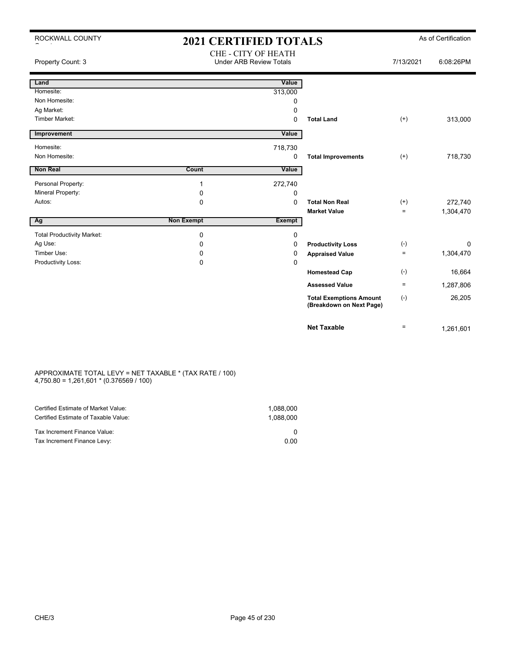| ROCKWALL COUNTY                   | <b>2021 CERTIFIED TOTALS</b> |                                                       |                                                            |              | As of Certification |
|-----------------------------------|------------------------------|-------------------------------------------------------|------------------------------------------------------------|--------------|---------------------|
| Property Count: 3                 |                              | CHE - CITY OF HEATH<br><b>Under ARB Review Totals</b> |                                                            | 7/13/2021    | 6:08:26PM           |
| Land                              |                              | Value                                                 |                                                            |              |                     |
| Homesite:                         |                              | 313,000                                               |                                                            |              |                     |
| Non Homesite:                     |                              | 0                                                     |                                                            |              |                     |
| Ag Market:                        |                              | 0                                                     |                                                            |              |                     |
| Timber Market:                    |                              | 0                                                     | <b>Total Land</b>                                          | $(+)$        | 313,000             |
| Improvement                       |                              | Value                                                 |                                                            |              |                     |
| Homesite:                         |                              | 718,730                                               |                                                            |              |                     |
| Non Homesite:                     |                              | 0                                                     | <b>Total Improvements</b>                                  | $(+)$        | 718,730             |
| <b>Non Real</b>                   | <b>Count</b>                 | Value                                                 |                                                            |              |                     |
| Personal Property:                | $\mathbf 1$                  | 272,740                                               |                                                            |              |                     |
| Mineral Property:                 | 0                            | 0                                                     |                                                            |              |                     |
| Autos:                            | $\mathbf 0$                  | $\Omega$                                              | <b>Total Non Real</b>                                      | $^{(+)}$     | 272,740             |
|                                   |                              |                                                       | <b>Market Value</b>                                        | $=$          | 1,304,470           |
| $\overline{Ag}$                   | <b>Non Exempt</b>            | <b>Exempt</b>                                         |                                                            |              |                     |
| <b>Total Productivity Market:</b> | $\mathbf 0$                  | 0                                                     |                                                            |              |                     |
| Ag Use:                           | $\Omega$                     | 0                                                     | <b>Productivity Loss</b>                                   | $(\text{-})$ | 0                   |
| Timber Use:                       | 0                            | 0                                                     | <b>Appraised Value</b>                                     | $\equiv$     | 1,304,470           |
| Productivity Loss:                | 0                            | $\mathbf 0$                                           |                                                            |              |                     |
|                                   |                              |                                                       | <b>Homestead Cap</b>                                       | $(-)$        | 16,664              |
|                                   |                              |                                                       | <b>Assessed Value</b>                                      | $\equiv$     | 1,287,806           |
|                                   |                              |                                                       | <b>Total Exemptions Amount</b><br>(Breakdown on Next Page) | $(-)$        | 26,205              |
|                                   |                              |                                                       | <b>Net Taxable</b>                                         | $\equiv$     | 1.261.601           |

### APPROXIMATE TOTAL LEVY = NET TAXABLE \* (TAX RATE / 100) 4,750.80 = 1,261,601 \* (0.376569 / 100)

| Certified Estimate of Market Value:<br>Certified Estimate of Taxable Value: | 1.088.000<br>1.088.000 |
|-----------------------------------------------------------------------------|------------------------|
| Tax Increment Finance Value:                                                |                        |
| Tax Increment Finance Levy:                                                 | 0.00                   |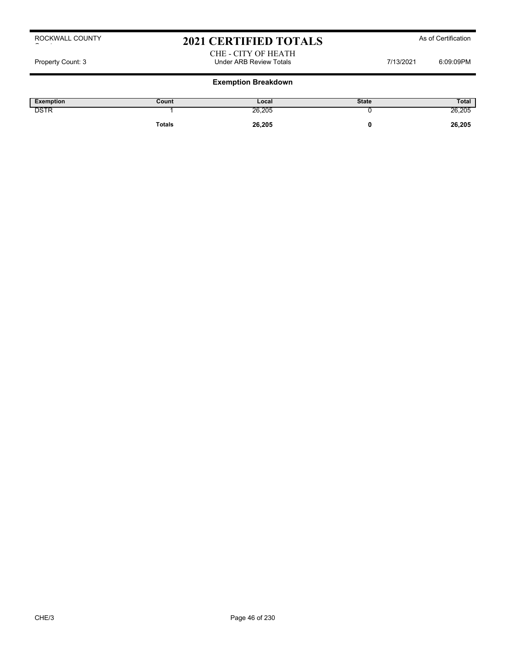## 2021 CERTIFIED TOTALS As of Certification

#### CHE - CITY OF HEATH Property Count: 3 **Property Count: 3** CO9:09PM

| Exemption   | Count         | Local  | <b>State</b> | Total  |
|-------------|---------------|--------|--------------|--------|
| <b>DSTR</b> |               | 26,205 |              | 26,205 |
|             | <b>Totals</b> | 26,205 |              | 26,205 |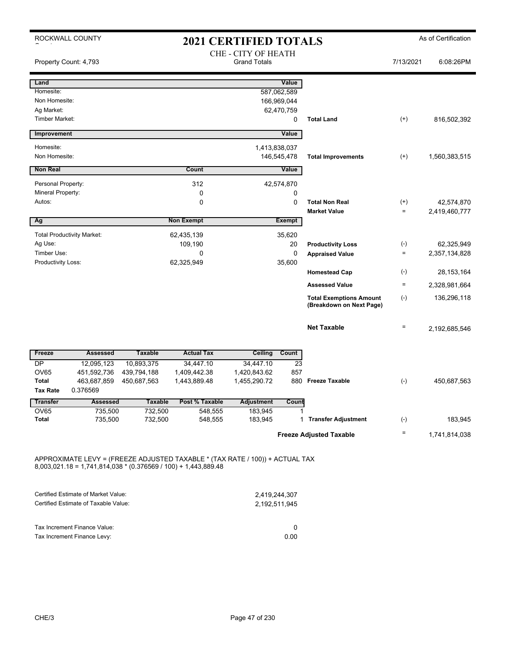|                                   | ROCKWALL COUNTY                   |                |                   | <b>2021 CERTIFIED TOTALS</b>                      |                           |                                                            |                          | As of Certification |
|-----------------------------------|-----------------------------------|----------------|-------------------|---------------------------------------------------|---------------------------|------------------------------------------------------------|--------------------------|---------------------|
| Property Count: 4,793             |                                   |                |                   | <b>CHE - CITY OF HEATH</b><br><b>Grand Totals</b> |                           |                                                            | 7/13/2021                | 6:08:26PM           |
| Land                              |                                   |                |                   |                                                   | Value                     |                                                            |                          |                     |
| Homesite:                         |                                   |                |                   |                                                   | 587,062,589               |                                                            |                          |                     |
| Non Homesite:<br>Ag Market:       |                                   |                |                   |                                                   | 166,969,044<br>62,470,759 |                                                            |                          |                     |
| <b>Timber Market:</b>             |                                   |                |                   |                                                   | 0                         | <b>Total Land</b>                                          | $^{(+)}$                 | 816,502,392         |
| Improvement                       |                                   |                |                   |                                                   | Value                     |                                                            |                          |                     |
| Homesite:                         |                                   |                |                   | 1,413,838,037                                     |                           |                                                            |                          |                     |
| Non Homesite:                     |                                   |                |                   |                                                   | 146,545,478               | <b>Total Improvements</b>                                  | $^{(+)}$                 | 1,560,383,515       |
| <b>Non Real</b>                   |                                   |                | Count             |                                                   | Value                     |                                                            |                          |                     |
| Personal Property:                |                                   |                | 312               |                                                   | 42,574,870                |                                                            |                          |                     |
| Mineral Property:                 |                                   |                | 0                 |                                                   | 0                         |                                                            |                          |                     |
| Autos:                            |                                   |                | 0                 |                                                   | $\mathbf 0$               | <b>Total Non Real</b>                                      | $^{(+)}$                 | 42,574,870          |
|                                   |                                   |                |                   |                                                   |                           | <b>Market Value</b>                                        | $\equiv$                 | 2,419,460,777       |
| Ag                                |                                   |                | <b>Non Exempt</b> |                                                   | Exempt                    |                                                            |                          |                     |
|                                   | <b>Total Productivity Market:</b> |                | 62,435,139        |                                                   | 35,620                    |                                                            |                          |                     |
| Ag Use:                           |                                   |                | 109,190           |                                                   | 20                        | <b>Productivity Loss</b>                                   | $(\text{-})$<br>$\equiv$ | 62,325,949          |
| Timber Use:<br>Productivity Loss: |                                   |                | 0<br>62,325,949   |                                                   | 0<br>35,600               | <b>Appraised Value</b>                                     |                          | 2,357,134,828       |
|                                   |                                   |                |                   |                                                   |                           | <b>Homestead Cap</b>                                       | $(-)$                    | 28, 153, 164        |
|                                   |                                   |                |                   |                                                   |                           | <b>Assessed Value</b>                                      | $\equiv$                 | 2,328,981,664       |
|                                   |                                   |                |                   |                                                   |                           | <b>Total Exemptions Amount</b><br>(Breakdown on Next Page) | $(-)$                    | 136,296,118         |
|                                   |                                   |                |                   |                                                   |                           | <b>Net Taxable</b>                                         | $\equiv$                 | 2,192,685,546       |
| Freeze                            | <b>Assessed</b>                   | <b>Taxable</b> | <b>Actual Tax</b> | Ceiling                                           | Count                     |                                                            |                          |                     |
| DP                                | 12.095.123                        | 10.893.375     | 34.447.10         | 34.447.10                                         | 23                        |                                                            |                          |                     |
| <b>OV65</b>                       | 451,592,736                       | 439,794,188    | 1,409,442.38      | 1,420,843.62                                      | 857                       |                                                            |                          |                     |
| <b>Total</b><br><b>Tax Rate</b>   | 463,687,859<br>0.376569           | 450,687,563    | 1,443,889.48      | 1,455,290.72                                      | 880                       | <b>Freeze Taxable</b>                                      | $(-)$                    | 450,687,563         |
| <b>Transfer</b>                   | <b>Assessed</b>                   | <b>Taxable</b> | Post % Taxable    | <b>Adjustment</b>                                 | Count                     |                                                            |                          |                     |
| <b>OV65</b>                       | 735,500                           | 732,500        | 548,555           | 183,945                                           | 1                         |                                                            |                          |                     |
| <b>Total</b>                      | 735,500                           | 732,500        | 548,555           | 183,945                                           | 1                         | <b>Transfer Adjustment</b>                                 | $(-)$                    | 183,945             |
|                                   |                                   |                |                   |                                                   |                           | <b>Freeze Adjusted Taxable</b>                             | $\equiv$                 | 1,741,814,038       |

APPROXIMATE LEVY = (FREEZE ADJUSTED TAXABLE \* (TAX RATE / 100)) + ACTUAL TAX 8,003,021.18 = 1,741,814,038 \* (0.376569 / 100) + 1,443,889.48

| Certified Estimate of Market Value:                         | 2.419.244.307 |
|-------------------------------------------------------------|---------------|
| Certified Estimate of Taxable Value:                        | 2.192.511.945 |
| Tax Increment Finance Value:<br>Tax Increment Finance Levy: | 0.00          |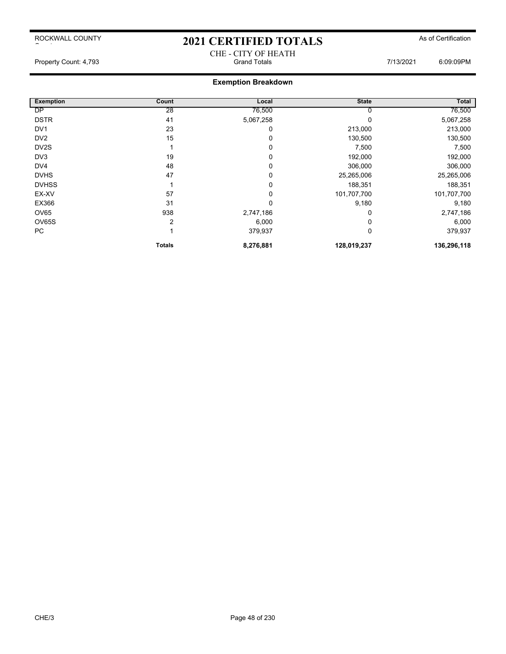# 2021 CERTIFIED TOTALS As of Certification CHE - CITY OF HEATH<br>Grand Totals

Property Count: 4,793 **Count: 4,793** Grand Totals **Grand Totals** 6:09:09PM

| <b>Exemption</b>  | Count  | Local     | <b>State</b> | Total       |
|-------------------|--------|-----------|--------------|-------------|
| <b>DP</b>         | 28     | 76,500    |              | 76,500      |
| <b>DSTR</b>       | 41     | 5,067,258 |              | 5,067,258   |
| DV <sub>1</sub>   | 23     | 0         | 213,000      | 213,000     |
| DV <sub>2</sub>   | 15     | 0         | 130,500      | 130,500     |
| DV <sub>2</sub> S |        | 0         | 7,500        | 7,500       |
| DV <sub>3</sub>   | 19     | 0         | 192,000      | 192,000     |
| DV4               | 48     | 0         | 306,000      | 306,000     |
| <b>DVHS</b>       | 47     | 0         | 25,265,006   | 25,265,006  |
| <b>DVHSS</b>      |        | 0         | 188,351      | 188,351     |
| EX-XV             | 57     | 0         | 101,707,700  | 101,707,700 |
| EX366             | 31     | 0         | 9,180        | 9,180       |
| OV65              | 938    | 2,747,186 |              | 2,747,186   |
| OV65S             | 2      | 6,000     |              | 6,000       |
| PC                |        | 379,937   | 0            | 379,937     |
|                   | Totals | 8,276,881 | 128,019,237  | 136,296,118 |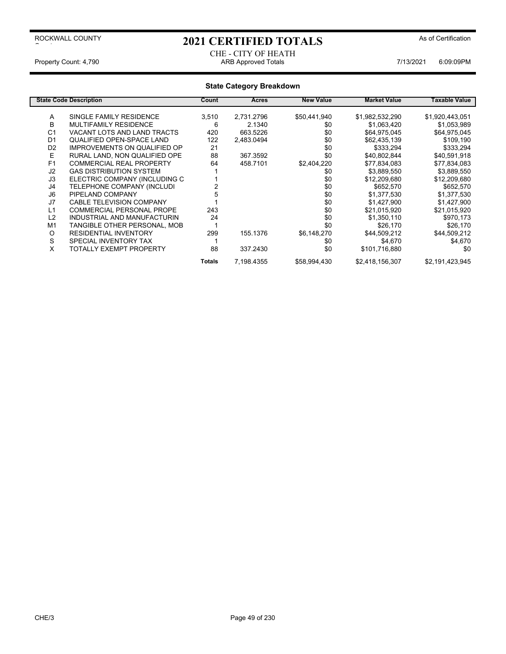### 2021 CERTIFIED TOTALS As of Certification

#### CHE - CITY OF HEATH Property Count: 4,790 **ARB Approved Totals ARB Approved Totals** 7/13/2021 6:09:09PM

|                | <b>State Code Description</b>       | Count  | Acres      | <b>New Value</b> | <b>Market Value</b> | Taxable Value   |
|----------------|-------------------------------------|--------|------------|------------------|---------------------|-----------------|
| A              | SINGLE FAMILY RESIDENCE             |        |            | \$50,441,940     |                     |                 |
|                |                                     | 3,510  | 2,731.2796 |                  | \$1,982,532,290     | \$1,920,443,051 |
| B              | MULTIFAMILY RESIDENCE               | 6      | 2.1340     | \$0              | \$1,063,420         | \$1,053,989     |
| C <sub>1</sub> | VACANT LOTS AND LAND TRACTS         | 420    | 663.5226   | \$0              | \$64,975,045        | \$64,975,045    |
| D <sub>1</sub> | QUALIFIED OPEN-SPACE LAND           | 122    | 2,483.0494 | \$0              | \$62,435,139        | \$109,190       |
| D <sub>2</sub> | <b>IMPROVEMENTS ON QUALIFIED OP</b> | 21     |            | \$0              | \$333,294           | \$333,294       |
| E              | RURAL LAND. NON QUALIFIED OPE       | 88     | 367.3592   | \$0              | \$40,802,844        | \$40,591,918    |
| F1             | <b>COMMERCIAL REAL PROPERTY</b>     | 64     | 458.7101   | \$2,404,220      | \$77,834,083        | \$77,834,083    |
| J2             | <b>GAS DISTRIBUTION SYSTEM</b>      |        |            | \$0              | \$3,889,550         | \$3,889,550     |
| J3             | ELECTRIC COMPANY (INCLUDING C       |        |            | \$0              | \$12,209,680        | \$12,209,680    |
| J4             | TELEPHONE COMPANY (INCLUDI          |        |            | \$0              | \$652,570           | \$652,570       |
| J6             | PIPELAND COMPANY                    |        |            | \$0              | \$1,377,530         | \$1,377,530     |
| J7             | <b>CABLE TELEVISION COMPANY</b>     |        |            | \$0              | \$1,427,900         | \$1,427,900     |
| L1             | <b>COMMERCIAL PERSONAL PROPE</b>    | 243    |            | \$0              | \$21,015,920        | \$21,015,920    |
| L2             | INDUSTRIAL AND MANUFACTURIN         | 24     |            | \$0              | \$1,350,110         | \$970,173       |
| M <sub>1</sub> | TANGIBLE OTHER PERSONAL, MOB        |        |            | \$0              | \$26.170            | \$26,170        |
| O              | <b>RESIDENTIAL INVENTORY</b>        | 299    | 155.1376   | \$6,148,270      | \$44,509,212        | \$44,509,212    |
| S              | SPECIAL INVENTORY TAX               |        |            | \$0              | \$4,670             | \$4,670         |
| X              | TOTALLY EXEMPT PROPERTY             | 88     | 337.2430   | \$0              | \$101,716,880       | \$0             |
|                |                                     | Totals | 7,198.4355 | \$58,994,430     | \$2,418,156,307     | \$2,191,423,945 |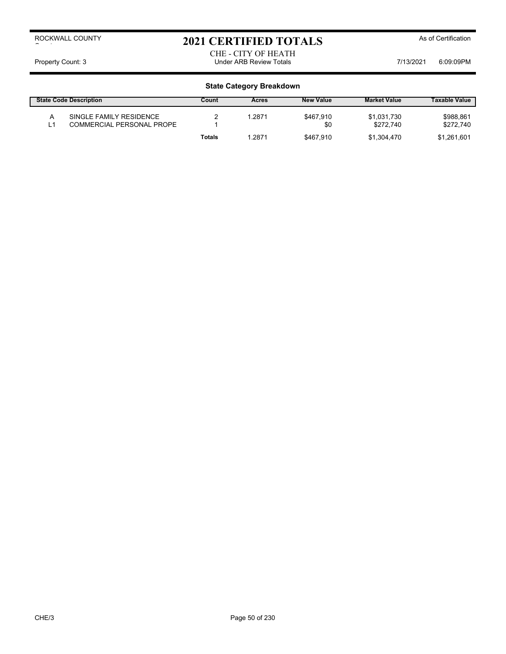## 2021 CERTIFIED TOTALS As of Certification

#### CHE - CITY OF HEATH Property Count: 3 **Property Count: 3** COUNTER TOTAL STATE Review Totals **Property Count: 3** COSCOPM

| <b>State Code Description</b>                        | Count  | Acres | <b>New Value</b> | <b>Market Value</b>      | <b>Taxable Value</b>   |
|------------------------------------------------------|--------|-------|------------------|--------------------------|------------------------|
| SINGLE FAMILY RESIDENCE<br>COMMERCIAL PERSONAL PROPE |        | .2871 | \$467.910<br>\$0 | \$1.031.730<br>\$272.740 | \$988,861<br>\$272.740 |
|                                                      | Totals | .2871 | \$467.910        | \$1.304.470              | \$1.261.601            |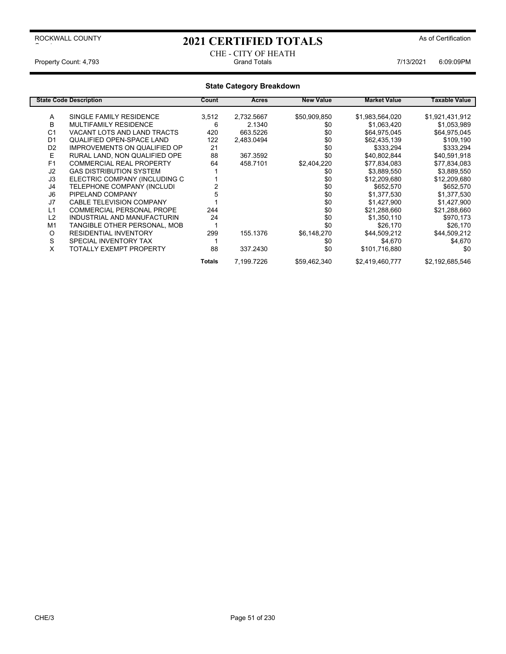### 2021 CERTIFIED TOTALS As of Certification

#### CHE - CITY OF HEATH<br>Grand Totals Property Count: 4,793 **Count: 4,793** Grand Totals **Grand Totals Controller 10 and Totals** 7/13/2021 6:09:09PM

|                | <b>State Code Description</b>       | Count         | Acres      | <b>New Value</b> | <b>Market Value</b> | Taxable Value   |
|----------------|-------------------------------------|---------------|------------|------------------|---------------------|-----------------|
|                |                                     |               |            |                  |                     |                 |
| Α              | SINGLE FAMILY RESIDENCE             | 3,512         | 2,732.5667 | \$50,909,850     | \$1,983,564,020     | \$1,921,431,912 |
| B              | <b>MULTIFAMILY RESIDENCE</b>        | 6             | 2.1340     | \$0              | \$1,063,420         | \$1,053,989     |
| C <sub>1</sub> | VACANT LOTS AND LAND TRACTS         | 420           | 663.5226   | \$0              | \$64,975,045        | \$64,975,045    |
| D <sub>1</sub> | QUALIFIED OPEN-SPACE LAND           | 122           | 2,483.0494 | \$0              | \$62,435,139        | \$109,190       |
| D <sub>2</sub> | <b>IMPROVEMENTS ON QUALIFIED OP</b> | 21            |            | \$0              | \$333,294           | \$333,294       |
| E              | RURAL LAND. NON QUALIFIED OPE       | 88            | 367.3592   | \$0              | \$40,802,844        | \$40,591,918    |
| F <sub>1</sub> | <b>COMMERCIAL REAL PROPERTY</b>     | 64            | 458.7101   | \$2,404,220      | \$77,834,083        | \$77,834,083    |
| J <sub>2</sub> | <b>GAS DISTRIBUTION SYSTEM</b>      |               |            | \$0              | \$3,889,550         | \$3,889,550     |
| J3             | ELECTRIC COMPANY (INCLUDING C       |               |            | \$0              | \$12,209,680        | \$12,209,680    |
| J4             | TELEPHONE COMPANY (INCLUDI          |               |            | \$0              | \$652,570           | \$652,570       |
| J6             | PIPELAND COMPANY                    |               |            | \$0              | \$1,377,530         | \$1,377,530     |
| J7             | <b>CABLE TELEVISION COMPANY</b>     |               |            | \$0              | \$1,427,900         | \$1,427,900     |
| L1             | <b>COMMERCIAL PERSONAL PROPE</b>    | 244           |            | \$0              | \$21,288,660        | \$21,288,660    |
| L2             | INDUSTRIAL AND MANUFACTURIN         | 24            |            | \$0              | \$1,350,110         | \$970,173       |
| M <sub>1</sub> | TANGIBLE OTHER PERSONAL, MOB        |               |            | \$0              | \$26,170            | \$26,170        |
| O              | <b>RESIDENTIAL INVENTORY</b>        | 299           | 155.1376   | \$6,148,270      | \$44,509,212        | \$44,509,212    |
| S              | SPECIAL INVENTORY TAX               |               |            | \$0              | \$4,670             | \$4,670         |
| X              | TOTALLY EXEMPT PROPERTY             | 88            | 337.2430   | \$0              | \$101,716,880       | \$0             |
|                |                                     | <b>Totals</b> | 7,199.7226 | \$59,462,340     | \$2,419,460,777     | \$2,192,685,546 |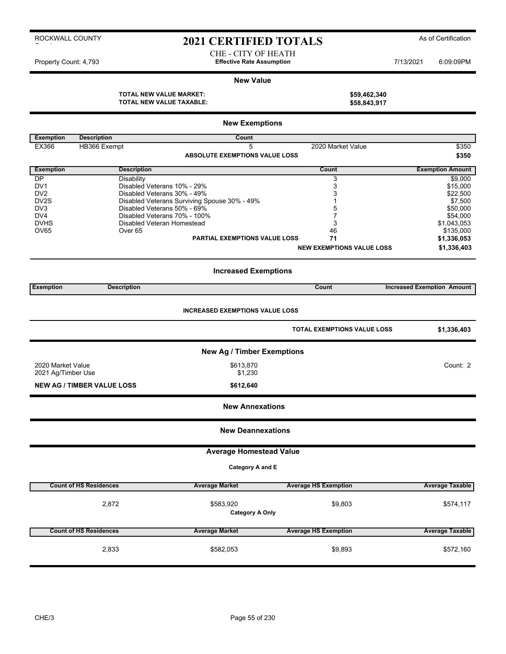### 2021 CERTIFIED TOTALS As of Certification

CHE - CITY OF HEATH Property Count: 4,793 **Effective Rate Assumption Effective Rate Assumption** 7/13/2021 6:09:09PM

#### **New Value**

**TOTAL NEW VALUE MARKET: \$59,462,340 TOTAL NEW VALUE TAXABLE: \$58,843,917**

|                    |                                   | <b>New Exemptions</b>                        |                                    |                                   |
|--------------------|-----------------------------------|----------------------------------------------|------------------------------------|-----------------------------------|
| <b>Exemption</b>   | <b>Description</b>                | Count                                        |                                    |                                   |
| EX366              | HB366 Exempt                      | 5                                            | 2020 Market Value                  | \$350                             |
|                    |                                   | <b>ABSOLUTE EXEMPTIONS VALUE LOSS</b>        |                                    | \$350                             |
| <b>Exemption</b>   | <b>Description</b>                |                                              | Count                              | <b>Exemption Amount</b>           |
| <b>DP</b><br>DV1   | Disability                        | Disabled Veterans 10% - 29%                  | 3                                  | \$9,000                           |
| DV <sub>2</sub>    |                                   | Disabled Veterans 30% - 49%                  | 3<br>3                             | \$15,000<br>\$22,500              |
| DV2S               |                                   | Disabled Veterans Surviving Spouse 30% - 49% | 1                                  | \$7,500                           |
| DV3                |                                   | Disabled Veterans 50% - 69%                  | 5                                  | \$50,000                          |
| DV4<br><b>DVHS</b> |                                   | Disabled Veterans 70% - 100%                 | 7                                  | \$54,000                          |
| OV65               | Over <sub>65</sub>                | Disabled Veteran Homestead                   | 3<br>46                            | \$1,043,053<br>\$135,000          |
|                    |                                   | <b>PARTIAL EXEMPTIONS VALUE LOSS</b>         | 71                                 | \$1,336,053                       |
|                    |                                   |                                              | <b>NEW EXEMPTIONS VALUE LOSS</b>   | \$1,336,403                       |
|                    |                                   |                                              |                                    |                                   |
|                    |                                   | <b>Increased Exemptions</b>                  |                                    |                                   |
| <b>Exemption</b>   | <b>Description</b>                |                                              | Count                              | <b>Increased Exemption Amount</b> |
|                    |                                   |                                              |                                    |                                   |
|                    |                                   | <b>INCREASED EXEMPTIONS VALUE LOSS</b>       |                                    |                                   |
|                    |                                   |                                              | <b>TOTAL EXEMPTIONS VALUE LOSS</b> | \$1,336,403                       |
|                    |                                   |                                              |                                    |                                   |
|                    |                                   | <b>New Ag / Timber Exemptions</b>            |                                    |                                   |
| 2020 Market Value  |                                   | \$613,870                                    |                                    | Count: 2                          |
| 2021 Ag/Timber Use |                                   | \$1,230                                      |                                    |                                   |
|                    | <b>NEW AG / TIMBER VALUE LOSS</b> | \$612,640                                    |                                    |                                   |
|                    |                                   | <b>New Annexations</b>                       |                                    |                                   |
|                    |                                   |                                              |                                    |                                   |
|                    |                                   | <b>New Deannexations</b>                     |                                    |                                   |
|                    |                                   | <b>Average Homestead Value</b>               |                                    |                                   |
|                    |                                   | Category A and E                             |                                    |                                   |
|                    |                                   |                                              |                                    |                                   |
|                    | <b>Count of HS Residences</b>     | <b>Average Market</b>                        | <b>Average HS Exemption</b>        | <b>Average Taxable</b>            |
|                    | 2,872                             | \$583,920                                    | \$9,803                            | \$574,117                         |
|                    |                                   | <b>Category A Only</b>                       |                                    |                                   |
|                    | <b>Count of HS Residences</b>     | <b>Average Market</b>                        | <b>Average HS Exemption</b>        | <b>Average Taxable</b>            |
|                    |                                   |                                              |                                    |                                   |
|                    | 2,833                             | \$582,053                                    | \$9,893                            | \$572,160                         |
|                    |                                   |                                              |                                    |                                   |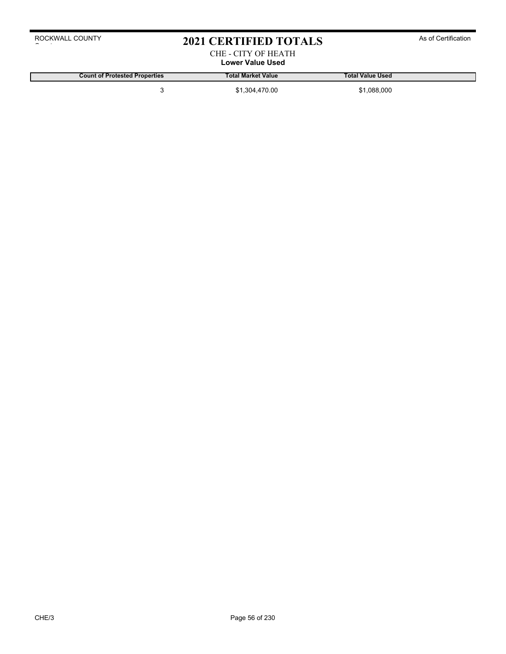### 2021 CERTIFIED TOTALS As of Certification

#### CHE - CITY OF HEATH **Lower Value Used**

**Count of Protested Properties Total Market Value Total Value Used**

3 \$1,304,470.00 \$1,088,000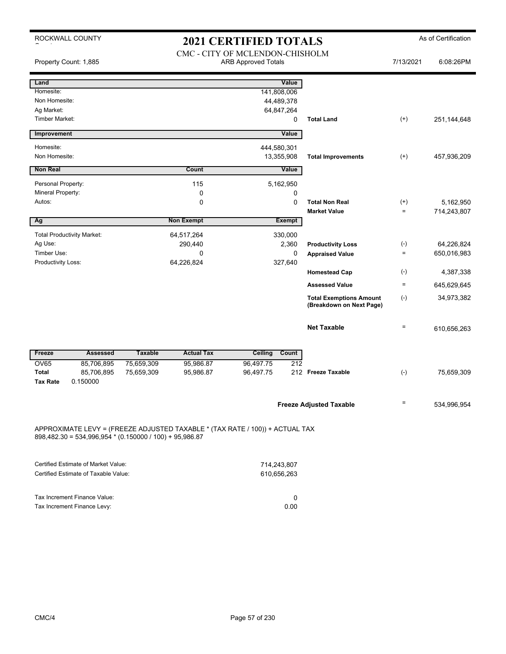ROCKWALL COUNTY

# 2021 CERTIFIED TOTALS As of Certification

| Property Count: 1,885                                                                                                                   |                          | 2021 CERTIFIED TOTALD<br>CMC - CITY OF MCLENDON-CHISHOLM<br><b>ARB Approved Totals</b> |                        |                                                       |                                                            |                            | 6:08:26PM                 |
|-----------------------------------------------------------------------------------------------------------------------------------------|--------------------------|----------------------------------------------------------------------------------------|------------------------|-------------------------------------------------------|------------------------------------------------------------|----------------------------|---------------------------|
| Land<br>Homesite:<br>Non Homesite:<br>Ag Market:<br><b>Timber Market:</b>                                                               |                          |                                                                                        |                        | Value<br>141,808,006<br>44,489,378<br>64,847,264<br>0 | <b>Total Land</b>                                          | $^{(+)}$                   | 251,144,648               |
| Improvement                                                                                                                             |                          |                                                                                        |                        | Value                                                 |                                                            |                            |                           |
| Homesite:<br>Non Homesite:                                                                                                              |                          |                                                                                        | 444,580,301            | 13,355,908                                            | <b>Total Improvements</b>                                  | $^{(+)}$                   | 457,936,209               |
| Non Real                                                                                                                                |                          | Count                                                                                  |                        | Value                                                 |                                                            |                            |                           |
| Personal Property:<br>Mineral Property:<br>Autos:                                                                                       |                          | 115<br>0<br>0                                                                          |                        | 5,162,950<br>0<br>0                                   | <b>Total Non Real</b><br><b>Market Value</b>               | $^{(+)}$<br>$=$            | 5,162,950                 |
| Ag                                                                                                                                      |                          | <b>Non Exempt</b>                                                                      |                        | <b>Exempt</b>                                         |                                                            |                            | 714,243,807               |
| <b>Total Productivity Market:</b><br>Ag Use:<br>Timber Use:<br>Productivity Loss:                                                       |                          | 64,517,264<br>290,440<br>0<br>64,226,824                                               |                        | 330,000<br>2,360<br>0<br>327,640                      | <b>Productivity Loss</b><br><b>Appraised Value</b>         | $(-)$<br>$\qquad \qquad =$ | 64,226,824<br>650,016,983 |
|                                                                                                                                         |                          |                                                                                        |                        |                                                       | <b>Homestead Cap</b>                                       | $(-)$                      | 4,387,338                 |
|                                                                                                                                         |                          |                                                                                        |                        |                                                       | <b>Assessed Value</b>                                      | $\equiv$                   | 645,629,645               |
|                                                                                                                                         |                          |                                                                                        |                        |                                                       | <b>Total Exemptions Amount</b><br>(Breakdown on Next Page) | $(-)$                      | 34,973,382                |
|                                                                                                                                         |                          |                                                                                        |                        |                                                       | <b>Net Taxable</b>                                         | $\quad \  \  =$            | 610,656,263               |
| <b>Assessed</b><br>Freeze                                                                                                               | <b>Taxable</b>           | <b>Actual Tax</b>                                                                      | <b>Ceiling</b>         | Count                                                 |                                                            |                            |                           |
| <b>OV65</b><br>85,706,895<br><b>Total</b><br>85,706,895<br><b>Tax Rate</b><br>0.150000                                                  | 75,659,309<br>75,659,309 | 95,986.87<br>95,986.87                                                                 | 96,497.75<br>96,497.75 | 212                                                   | 212 Freeze Taxable                                         | $(-)$                      | 75,659,309                |
|                                                                                                                                         |                          |                                                                                        |                        |                                                       | <b>Freeze Adjusted Taxable</b>                             | $\equiv$                   | 534,996,954               |
| APPROXIMATE LEVY = (FREEZE ADJUSTED TAXABLE * (TAX RATE / 100)) + ACTUAL TAX<br>898,482.30 = 534,996,954 * (0.150000 / 100) + 95,986.87 |                          |                                                                                        |                        |                                                       |                                                            |                            |                           |
| Certified Estimate of Market Value:<br>Certified Estimate of Taxable Value:                                                             |                          |                                                                                        |                        | 714,243,807<br>610,656,263                            |                                                            |                            |                           |

| Tax Increment Finance Value: |      |
|------------------------------|------|
| Tax Increment Finance Levy:  | 0.00 |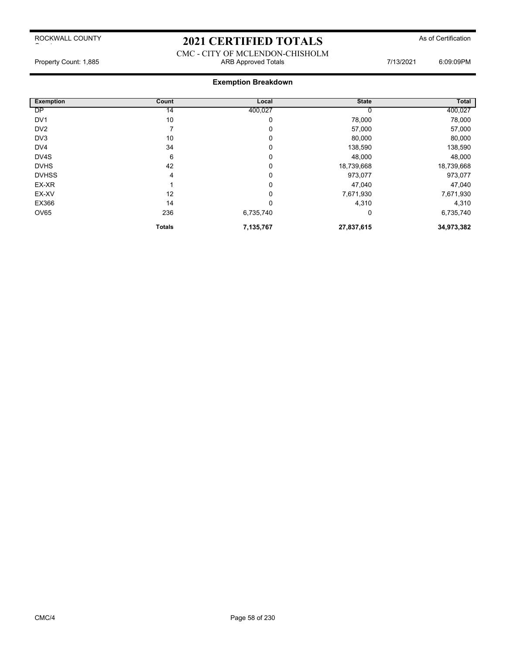### 2021 CERTIFIED TOTALS As of Certification

CMC - CITY OF MCLENDON-CHISHOLM Property Count: 1,885 **ARB Approved Totals** ARB Approved Totals 7/13/2021 6:09:09PM

| <b>Exemption</b> | Count         | Local     | <b>State</b> | <b>Total</b> |
|------------------|---------------|-----------|--------------|--------------|
| <b>DP</b>        | 14            | 400,027   |              | 400,027      |
| DV <sub>1</sub>  | 10            | 0         | 78,000       | 78,000       |
| DV <sub>2</sub>  | 7             | 0         | 57,000       | 57,000       |
| DV3              | 10            | 0         | 80,000       | 80,000       |
| DV4              | 34            | 0         | 138,590      | 138,590      |
| DV4S             | 6             | 0         | 48,000       | 48,000       |
| <b>DVHS</b>      | 42            | 0         | 18,739,668   | 18,739,668   |
| <b>DVHSS</b>     | 4             | 0         | 973,077      | 973,077      |
| EX-XR            |               | 0         | 47,040       | 47,040       |
| EX-XV            | 12            | 0         | 7,671,930    | 7,671,930    |
| EX366            | 14            | 0         | 4,310        | 4,310        |
| OV65             | 236           | 6,735,740 | 0            | 6,735,740    |
|                  | <b>Totals</b> | 7,135,767 | 27,837,615   | 34,973,382   |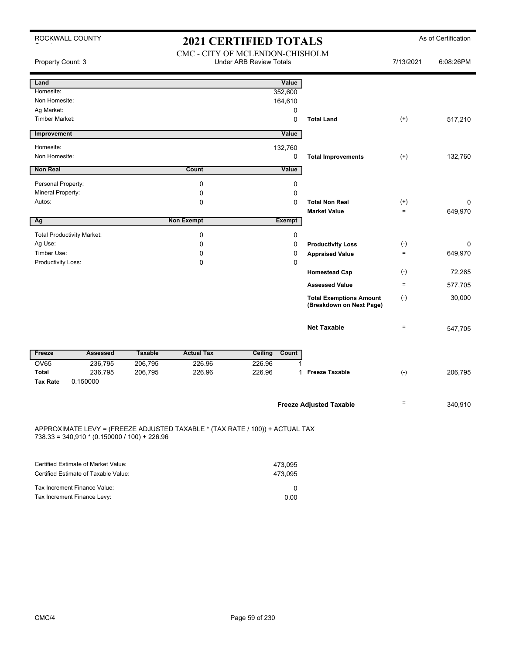| ROCKWALL COUNTY                                                                                                                | <b>2021 CERTIFIED TOTALS</b> |                   |                                                                   | As of Certification                                        |           |           |
|--------------------------------------------------------------------------------------------------------------------------------|------------------------------|-------------------|-------------------------------------------------------------------|------------------------------------------------------------|-----------|-----------|
| Property Count: 3                                                                                                              |                              |                   | CMC - CITY OF MCLENDON-CHISHOLM<br><b>Under ARB Review Totals</b> |                                                            | 7/13/2021 | 6:08:26PM |
| Land                                                                                                                           |                              |                   | Value                                                             |                                                            |           |           |
| Homesite:                                                                                                                      |                              |                   | 352,600                                                           |                                                            |           |           |
| Non Homesite:                                                                                                                  |                              |                   | 164,610                                                           |                                                            |           |           |
| Ag Market:                                                                                                                     |                              |                   | 0                                                                 |                                                            |           |           |
| <b>Timber Market:</b>                                                                                                          |                              |                   | $\mathbf 0$                                                       | <b>Total Land</b>                                          | $^{(+)}$  | 517,210   |
| Improvement                                                                                                                    |                              |                   | Value                                                             |                                                            |           |           |
| Homesite:                                                                                                                      |                              |                   | 132,760                                                           |                                                            |           |           |
| Non Homesite:                                                                                                                  |                              |                   | 0                                                                 | <b>Total Improvements</b>                                  | $^{(+)}$  | 132,760   |
| <b>Non Real</b>                                                                                                                |                              | Count             | Value                                                             |                                                            |           |           |
| Personal Property:                                                                                                             |                              | $\mathbf 0$       | 0                                                                 |                                                            |           |           |
| Mineral Property:                                                                                                              |                              | 0                 | $\mathbf 0$                                                       |                                                            |           |           |
| Autos:                                                                                                                         |                              | 0                 | 0                                                                 | <b>Total Non Real</b>                                      | $^{(+)}$  | 0         |
|                                                                                                                                |                              |                   |                                                                   | <b>Market Value</b>                                        | $\equiv$  | 649,970   |
| Ag                                                                                                                             |                              | <b>Non Exempt</b> | <b>Exempt</b>                                                     |                                                            |           |           |
| <b>Total Productivity Market:</b>                                                                                              |                              | $\mathbf 0$       | 0                                                                 |                                                            |           |           |
| Ag Use:                                                                                                                        |                              | 0                 | 0                                                                 | <b>Productivity Loss</b>                                   | $(-)$     | $\Omega$  |
| Timber Use:                                                                                                                    |                              | 0                 | 0                                                                 | <b>Appraised Value</b>                                     | $\equiv$  | 649,970   |
| Productivity Loss:                                                                                                             |                              | $\mathbf 0$       | 0                                                                 |                                                            |           |           |
|                                                                                                                                |                              |                   |                                                                   | <b>Homestead Cap</b>                                       | $(-)$     | 72,265    |
|                                                                                                                                |                              |                   |                                                                   | <b>Assessed Value</b>                                      | $\equiv$  | 577,705   |
|                                                                                                                                |                              |                   |                                                                   | <b>Total Exemptions Amount</b><br>(Breakdown on Next Page) | $(-)$     | 30,000    |
|                                                                                                                                |                              |                   |                                                                   | <b>Net Taxable</b>                                         | $\equiv$  | 547,705   |
| Freeze<br><b>Assessed</b>                                                                                                      | <b>Taxable</b>               | <b>Actual Tax</b> | Count<br><b>Ceiling</b>                                           |                                                            |           |           |
| <b>OV65</b><br>236,795                                                                                                         | 206,795                      | 226.96            | 226.96                                                            |                                                            |           |           |
| Total<br>236,795                                                                                                               | 206,795                      | 226.96            | 226.96                                                            | 1 Freeze Taxable                                           | $(-)$     | 206,795   |
| <b>Tax Rate</b><br>0.150000                                                                                                    |                              |                   |                                                                   |                                                            |           |           |
|                                                                                                                                |                              |                   |                                                                   | <b>Freeze Adjusted Taxable</b>                             | $=$       | 340,910   |
|                                                                                                                                |                              |                   |                                                                   |                                                            |           |           |
| APPROXIMATE LEVY = (FREEZE ADJUSTED TAXABLE * (TAX RATE / 100)) + ACTUAL TAX<br>$738.33 = 340,910 * (0.150000 / 100) + 226.96$ |                              |                   |                                                                   |                                                            |           |           |
| Certified Estimate of Market Value:                                                                                            |                              |                   | 473,095                                                           |                                                            |           |           |
| Certified Estimate of Taxable Value:                                                                                           |                              |                   | 473,095                                                           |                                                            |           |           |
|                                                                                                                                |                              |                   |                                                                   |                                                            |           |           |

| +≀ ບ.ບວບ |
|----------|
|          |
| 0.00     |
|          |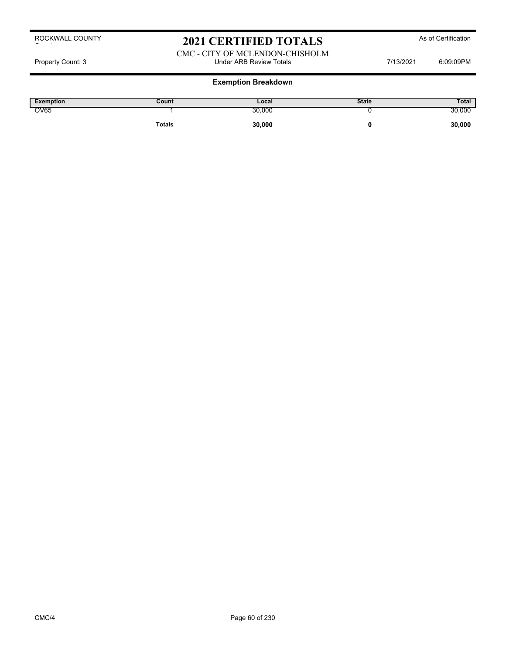### 2021 CERTIFIED TOTALS As of Certification

### CMC - CITY OF MCLENDON-CHISHOLM Property Count: 3 **Property Count: 3** CO9:09PM

| Exemption   | Count         | Local  | <b>State</b> | Total  |
|-------------|---------------|--------|--------------|--------|
| <b>OV65</b> |               | 30,000 |              | 30,000 |
|             | <b>Totals</b> | 30,000 |              | 30,000 |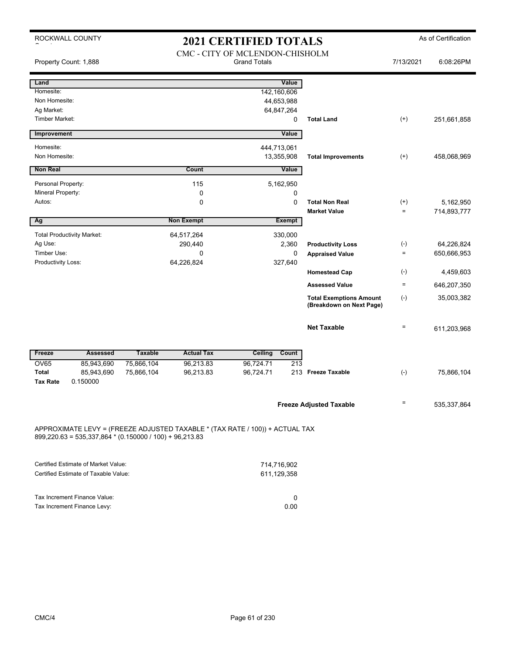ROCKWALL COUNTY

# 2021 CERTIFIED TOTALS As of Certification

|                                                                                                                                           |                                     | 2021 CEINTHEID TOTALD           |                                                            |                            |             |
|-------------------------------------------------------------------------------------------------------------------------------------------|-------------------------------------|---------------------------------|------------------------------------------------------------|----------------------------|-------------|
|                                                                                                                                           |                                     | CMC - CITY OF MCLENDON-CHISHOLM |                                                            |                            |             |
| Property Count: 1,888                                                                                                                     |                                     | <b>Grand Totals</b>             |                                                            | 7/13/2021                  | 6:08:26PM   |
|                                                                                                                                           |                                     |                                 |                                                            |                            |             |
| Land                                                                                                                                      |                                     | Value                           |                                                            |                            |             |
| Homesite:                                                                                                                                 |                                     | 142,160,606                     |                                                            |                            |             |
| Non Homesite:                                                                                                                             |                                     | 44,653,988                      |                                                            |                            |             |
| Ag Market:                                                                                                                                |                                     | 64,847,264                      |                                                            |                            |             |
| Timber Market:                                                                                                                            |                                     | 0                               | <b>Total Land</b>                                          | $^{(+)}$                   | 251,661,858 |
| Improvement                                                                                                                               |                                     | Value                           |                                                            |                            |             |
| Homesite:                                                                                                                                 |                                     | 444,713,061                     |                                                            |                            |             |
| Non Homesite:                                                                                                                             |                                     | 13,355,908                      | <b>Total Improvements</b>                                  | $^{(+)}$                   | 458,068,969 |
| <b>Non Real</b>                                                                                                                           | Count                               | Value                           |                                                            |                            |             |
| Personal Property:                                                                                                                        | 115                                 | 5,162,950                       |                                                            |                            |             |
| Mineral Property:                                                                                                                         | 0                                   | 0                               |                                                            |                            |             |
| Autos:                                                                                                                                    | 0                                   | 0                               | <b>Total Non Real</b>                                      | $^{(+)}$                   | 5,162,950   |
|                                                                                                                                           |                                     |                                 | <b>Market Value</b>                                        | $\equiv$                   | 714,893,777 |
| Ag                                                                                                                                        | <b>Non Exempt</b>                   | <b>Exempt</b>                   |                                                            |                            |             |
| <b>Total Productivity Market:</b>                                                                                                         | 64,517,264                          | 330,000                         |                                                            |                            |             |
| Ag Use:                                                                                                                                   | 290,440                             | 2,360                           | <b>Productivity Loss</b>                                   | $(-)$                      | 64,226,824  |
| Timber Use:                                                                                                                               | 0                                   | 0                               | <b>Appraised Value</b>                                     | $\equiv$                   | 650,666,953 |
| Productivity Loss:                                                                                                                        | 64,226,824                          | 327,640                         |                                                            |                            |             |
|                                                                                                                                           |                                     |                                 | <b>Homestead Cap</b>                                       | $(-)$                      | 4,459,603   |
|                                                                                                                                           |                                     |                                 | <b>Assessed Value</b>                                      | $\equiv$                   | 646,207,350 |
|                                                                                                                                           |                                     |                                 | <b>Total Exemptions Amount</b><br>(Breakdown on Next Page) | $(-)$                      | 35,003,382  |
|                                                                                                                                           |                                     |                                 | <b>Net Taxable</b>                                         | $\quad \  \, =\quad \  \,$ | 611,203,968 |
|                                                                                                                                           |                                     |                                 |                                                            |                            |             |
| <b>Assessed</b><br>Freeze                                                                                                                 | <b>Taxable</b><br><b>Actual Tax</b> | <b>Ceiling</b><br>Count         |                                                            |                            |             |
| <b>OV65</b><br>85,943,690<br><b>Total</b><br>85,943,690                                                                                   | 96,213.83<br>75,866,104             | 96,724.71                       | 213                                                        |                            |             |
|                                                                                                                                           | 75,866,104<br>96,213.83             | 96,724.71                       | 213 Freeze Taxable                                         | $(-)$                      | 75,866,104  |
|                                                                                                                                           |                                     |                                 |                                                            |                            |             |
| <b>Tax Rate</b><br>0.150000                                                                                                               |                                     |                                 |                                                            |                            |             |
|                                                                                                                                           |                                     |                                 | <b>Freeze Adjusted Taxable</b>                             | $\equiv$                   | 535,337,864 |
|                                                                                                                                           |                                     |                                 |                                                            |                            |             |
| APPROXIMATE LEVY = (FREEZE ADJUSTED TAXABLE * (TAX RATE / 100)) + ACTUAL TAX<br>$899,220.63 = 535,337,864 * (0.150000 / 100) + 96,213.83$ |                                     |                                 |                                                            |                            |             |
|                                                                                                                                           |                                     |                                 |                                                            |                            |             |
|                                                                                                                                           |                                     | 714,716,902                     |                                                            |                            |             |
| Certified Estimate of Market Value:<br>Certified Estimate of Taxable Value:                                                               |                                     | 611,129,358                     |                                                            |                            |             |

Tax Increment Finance Levy: 0.00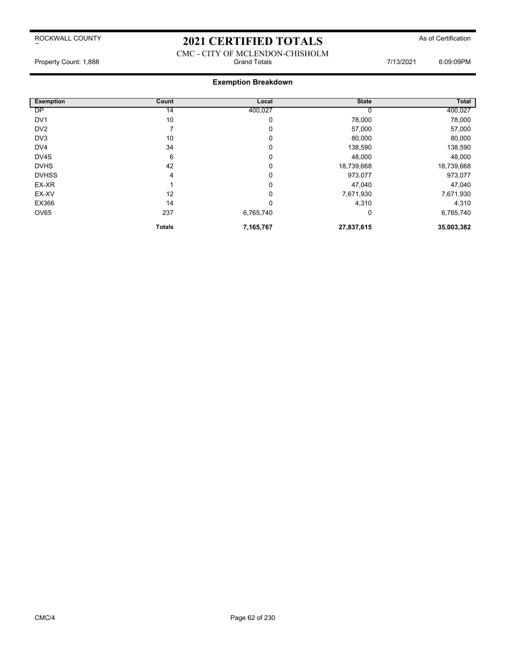### 2021 CERTIFIED TOTALS As of Certification

#### CMC - CITY OF MCLENDON-CHISHOLM Property Count: 1,888 **Fig. 2008** Grand Totals **Grand Totals** 7/13/2021 6:09:09PM

| Exemption       | Count         | Local     | <b>State</b> | <b>Total</b> |
|-----------------|---------------|-----------|--------------|--------------|
| DP              | 14            | 400,027   |              | 400,027      |
| DV <sub>1</sub> | 10            | 0         | 78,000       | 78,000       |
| DV <sub>2</sub> |               | 0         | 57,000       | 57,000       |
| DV3             | 10            | 0         | 80,000       | 80,000       |
| DV <sub>4</sub> | 34            | 0         | 138,590      | 138,590      |
| DV4S            | 6             | 0         | 48,000       | 48,000       |
| <b>DVHS</b>     | 42            | 0         | 18,739,668   | 18,739,668   |
| <b>DVHSS</b>    | 4             | 0         | 973,077      | 973,077      |
| EX-XR           |               | 0         | 47,040       | 47,040       |
| EX-XV           | 12            | 0         | 7,671,930    | 7,671,930    |
| EX366           | 14            | 0         | 4,310        | 4,310        |
| <b>OV65</b>     | 237           | 6,765,740 | 0            | 6,765,740    |
|                 | <b>Totals</b> | 7,165,767 | 27,837,615   | 35,003,382   |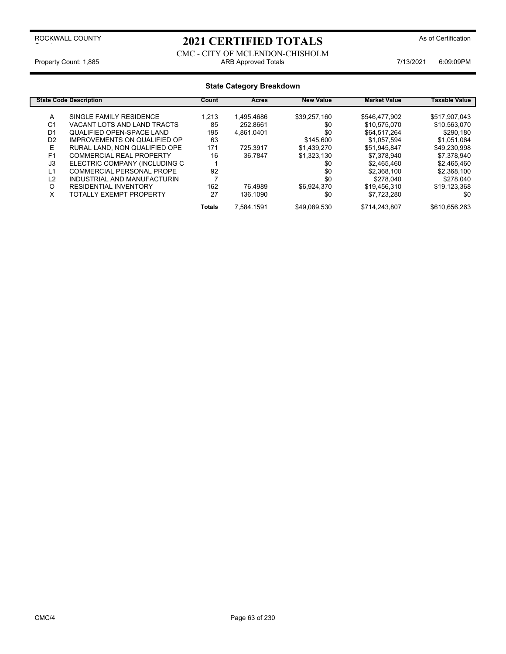### 2021 CERTIFIED TOTALS<sup>As of Certification</sup>

CMC - CITY OF MCLENDON-CHISHOLM Property Count: 1,885 **ARB Approved Totals ARB Approved Totals** 7/13/2021 6:09:09PM

#### **State Category Breakdown State Code Description Count Count Acres New Value Market Value Taxable Value** A SINGLE FAMILY RESIDENCE 1,213 1,495.4686 \$39,257,160 \$546,477,902 \$517,907,043<br>C1 VACANT LOTS AND LAND TRACTS 85 252.8661 \$10,575,070 \$10,563,070 VACANT LOTS AND LAND TRACTS  $85$   $252.8661$   $30$   $30,575,070$   $310,563,070$ D1 QUALIFIED OPEN-SPACE LAND 195 4,861.0401 \$0 \$64,517,264 \$290,180<br>D2 IMPROVEMENTS ON QUALIFIED OP 63 \$145,600 \$1,057,594 \$1,051,064 IMPROVEMENTS ON QUALIFIED OP E RURAL LAND, NON QUALIFIED OPE 171 725.3917 \$1,439,270 \$51,945,847 \$49,230,998<br>F1 COMMERCIAL REAL PROPERTY 16 36.7847 \$1.323.130 \$7.378.940 \$7.378.940 F1 COMMERCIAL REAL PROPERTY 16 36.7847 \$1,323,130 \$7,378,940 \$7,378,940<br>J3 ELECTRIC COMPANY (INCLUDING C 1 ELECTRIC COMPANY (INCLUDING C 1 L1 COMMERCIAL PERSONAL PROPE 92 \$0 \$2,368,100 \$2,368,100 INDUSTRIAL AND MANUFACTURIN 7<br>RESIDENTIAL INVENTORY 162 76.4989 O RESIDENTIAL INVENTORY 162 \$6,924,370 \$19,456,310 \$19,123,368 76.4989 TOTALLY EXEMPT PROPERTY 27 136.1090 \$0 **Totals** 7,584.1591 \$49,089,530 \$714,243,807 \$610,656,263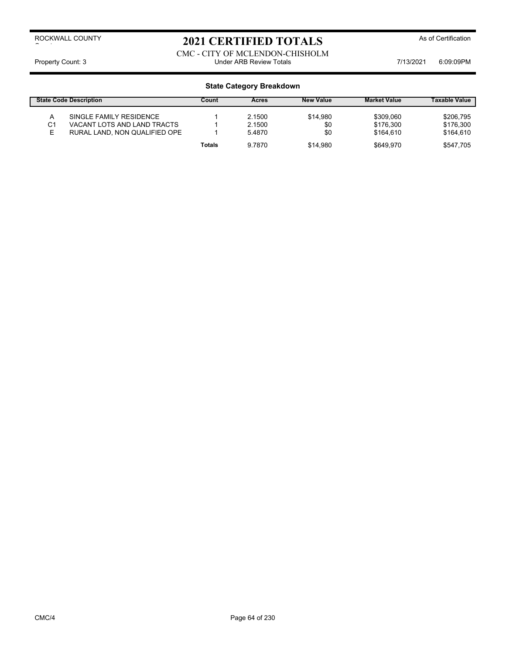## 2021 CERTIFIED TOTALS As of Certification

CMC - CITY OF MCLENDON-CHISHOLM Property Count: 3 **Property Count: 3** COUNTER TOTAL STATE Review Totals **Property Count: 3** COSCOPM

|    | <b>State Code Description</b> | Count         | Acres  | <b>New Value</b> | <b>Market Value</b> | <b>Taxable Value</b> |
|----|-------------------------------|---------------|--------|------------------|---------------------|----------------------|
|    | SINGLE FAMILY RESIDENCE       |               | 2.1500 | \$14.980         | \$309.060           | \$206.795            |
| C1 | VACANT LOTS AND LAND TRACTS   |               | 2.1500 | \$0              | \$176.300           | \$176.300            |
| E  | RURAL LAND, NON QUALIFIED OPE |               | 5.4870 | \$0              | \$164.610           | \$164.610            |
|    |                               | <b>Totals</b> | 9.7870 | \$14.980         | \$649.970           | \$547.705            |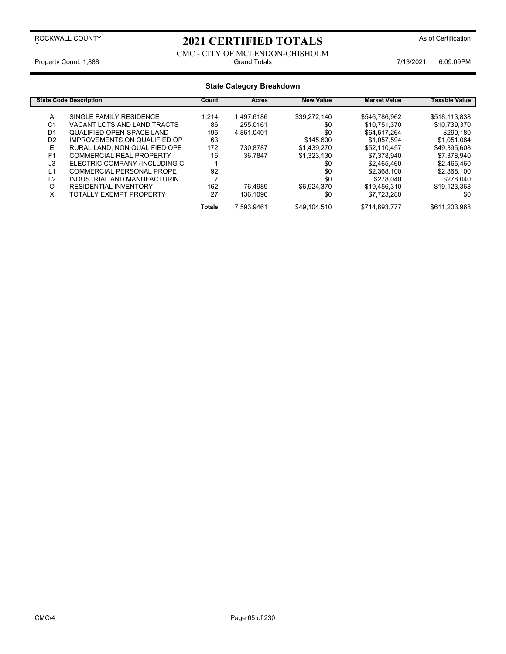### 2021 CERTIFIED TOTALS As of Certification

#### CMC - CITY OF MCLENDON-CHISHOLM Property Count: 1,888 **Fig. 2018** Grand Totals **Grand Totals Count: 1,888** 6:09:09PM

| <b>State Category Breakdown</b> |                                     |               |              |                  |                     |                      |
|---------------------------------|-------------------------------------|---------------|--------------|------------------|---------------------|----------------------|
|                                 | <b>State Code Description</b>       | Count         | <b>Acres</b> | <b>New Value</b> | <b>Market Value</b> | <b>Taxable Value</b> |
| A                               | SINGLE FAMILY RESIDENCE             | 1.214         | 1.497.6186   | \$39.272.140     | \$546,786,962       | \$518,113,838        |
| C <sub>1</sub>                  | VACANT LOTS AND LAND TRACTS         | 86            | 255.0161     | \$0              | \$10,751,370        | \$10,739,370         |
| D1                              | <b>QUALIFIED OPEN-SPACE LAND</b>    | 195           | 4,861.0401   | \$0              | \$64,517,264        | \$290,180            |
| D <sub>2</sub>                  | <b>IMPROVEMENTS ON QUALIFIED OP</b> | 63            |              | \$145,600        | \$1.057.594         | \$1,051,064          |
| E                               | RURAL LAND, NON QUALIFIED OPE       | 172           | 730.8787     | \$1,439,270      | \$52,110,457        | \$49,395,608         |
| F <sub>1</sub>                  | <b>COMMERCIAL REAL PROPERTY</b>     | 16            | 36.7847      | \$1.323.130      | \$7.378.940         | \$7.378.940          |
| J3                              | ELECTRIC COMPANY (INCLUDING C       |               |              | \$0              | \$2,465,460         | \$2,465,460          |
| L1                              | COMMERCIAL PERSONAL PROPE           | 92            |              | \$0              | \$2,368,100         | \$2,368,100          |
| L2                              | INDUSTRIAL AND MANUFACTURIN         |               |              | \$0              | \$278.040           | \$278,040            |
| O                               | <b>RESIDENTIAL INVENTORY</b>        | 162           | 76.4989      | \$6,924,370      | \$19,456,310        | \$19,123,368         |
| X                               | TOTALLY EXEMPT PROPERTY             | 27            | 136.1090     | \$0              | \$7,723,280         | \$0                  |
|                                 |                                     | <b>Totals</b> | 7.593.9461   | \$49,104,510     | \$714,893,777       | \$611,203,968        |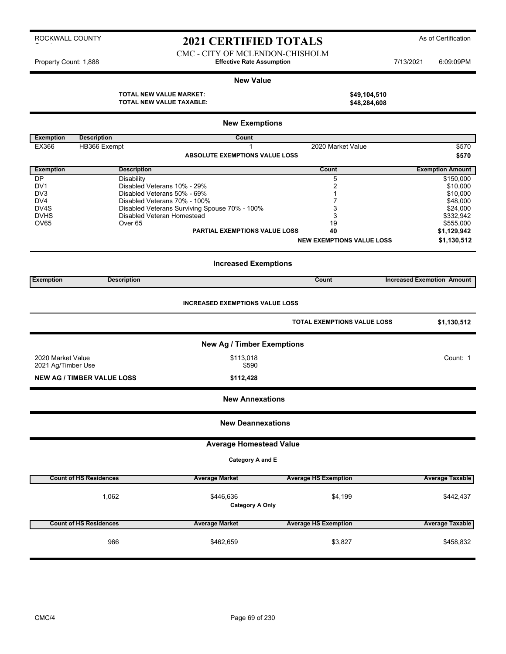### 2021 CERTIFIED TOTALS As of Certification

CMC - CITY OF MCLENDON-CHISHOLM Property Count: 1,888 **Effective Rate Assumption Effective Rate Assumption** 7/13/2021 6:09:09PM

#### **New Value**

**TOTAL NEW VALUE MARKET: \$49,104,510 TOTAL NEW VALUE TAXABLE:** 

|                            | <b>New Exemptions</b>             |                                                                             |                                    |                                   |  |  |
|----------------------------|-----------------------------------|-----------------------------------------------------------------------------|------------------------------------|-----------------------------------|--|--|
| <b>Exemption</b>           | <b>Description</b>                | Count                                                                       |                                    |                                   |  |  |
| EX366                      | HB366 Exempt                      | 1                                                                           | 2020 Market Value                  | \$570                             |  |  |
|                            |                                   | <b>ABSOLUTE EXEMPTIONS VALUE LOSS</b>                                       |                                    | \$570                             |  |  |
| <b>Exemption</b>           | <b>Description</b>                |                                                                             | Count                              | <b>Exemption Amount</b>           |  |  |
| DP                         | Disability                        |                                                                             | 5                                  | \$150,000                         |  |  |
| DV <sub>1</sub>            |                                   | Disabled Veterans 10% - 29%                                                 | $\boldsymbol{2}$                   | \$10,000                          |  |  |
| DV <sub>3</sub>            |                                   | Disabled Veterans 50% - 69%                                                 | 1                                  | \$10,000                          |  |  |
| DV4                        |                                   | Disabled Veterans 70% - 100%                                                | 7                                  | \$48,000                          |  |  |
| DV <sub>4</sub> S          |                                   | Disabled Veterans Surviving Spouse 70% - 100%<br>Disabled Veteran Homestead | 3                                  | \$24,000                          |  |  |
| <b>DVHS</b><br><b>OV65</b> | Over <sub>65</sub>                |                                                                             | 3<br>19                            | \$332,942<br>\$555,000            |  |  |
|                            |                                   | PARTIAL EXEMPTIONS VALUE LOSS                                               | 40                                 | \$1,129,942                       |  |  |
|                            |                                   |                                                                             | <b>NEW EXEMPTIONS VALUE LOSS</b>   | \$1,130,512                       |  |  |
|                            |                                   |                                                                             |                                    |                                   |  |  |
|                            |                                   | <b>Increased Exemptions</b>                                                 |                                    |                                   |  |  |
| <b>Exemption</b>           | <b>Description</b>                |                                                                             | Count                              | <b>Increased Exemption Amount</b> |  |  |
|                            |                                   |                                                                             |                                    |                                   |  |  |
|                            |                                   | <b>INCREASED EXEMPTIONS VALUE LOSS</b>                                      |                                    |                                   |  |  |
|                            |                                   |                                                                             | <b>TOTAL EXEMPTIONS VALUE LOSS</b> | \$1,130,512                       |  |  |
|                            |                                   |                                                                             |                                    |                                   |  |  |
|                            |                                   | <b>New Ag / Timber Exemptions</b>                                           |                                    |                                   |  |  |
| 2020 Market Value          |                                   | \$113,018                                                                   |                                    | Count: 1                          |  |  |
| 2021 Ag/Timber Use         |                                   | \$590                                                                       |                                    |                                   |  |  |
|                            | <b>NEW AG / TIMBER VALUE LOSS</b> | \$112,428                                                                   |                                    |                                   |  |  |
|                            |                                   | <b>New Annexations</b>                                                      |                                    |                                   |  |  |
|                            |                                   | <b>New Deannexations</b>                                                    |                                    |                                   |  |  |
|                            |                                   |                                                                             |                                    |                                   |  |  |
|                            |                                   | <b>Average Homestead Value</b>                                              |                                    |                                   |  |  |
|                            |                                   | Category A and E                                                            |                                    |                                   |  |  |
|                            | <b>Count of HS Residences</b>     | <b>Average Market</b>                                                       | <b>Average HS Exemption</b>        | <b>Average Taxable</b>            |  |  |
|                            |                                   |                                                                             |                                    |                                   |  |  |
|                            | 1,062                             | \$446,636                                                                   | \$4,199                            | \$442,437                         |  |  |
|                            |                                   | <b>Category A Only</b>                                                      |                                    |                                   |  |  |
|                            | <b>Count of HS Residences</b>     | <b>Average Market</b>                                                       | <b>Average HS Exemption</b>        | <b>Average Taxable</b>            |  |  |
|                            |                                   |                                                                             |                                    |                                   |  |  |
|                            | 966                               | \$462,659                                                                   | \$3,827                            | \$458,832                         |  |  |
|                            |                                   |                                                                             |                                    |                                   |  |  |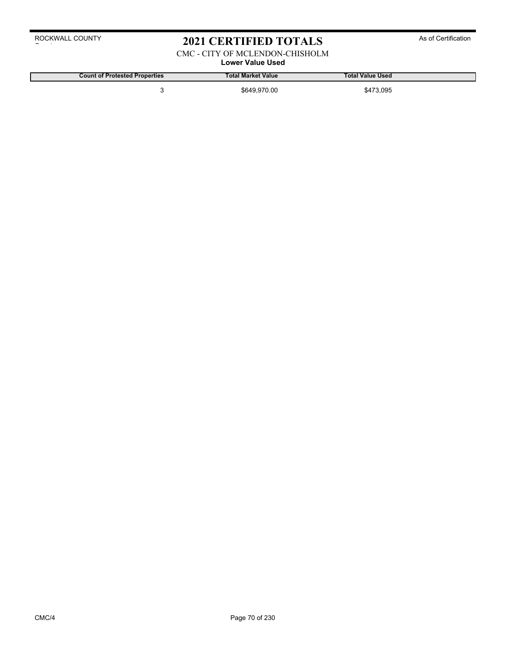### 2021 CERTIFIED TOTALS As of Certification

CMC - CITY OF MCLENDON-CHISHOLM

### **Lower Value Used**

**Count of Protested Properties Total Market Value Total Value Used**

3 \$649,970.00 \$473,095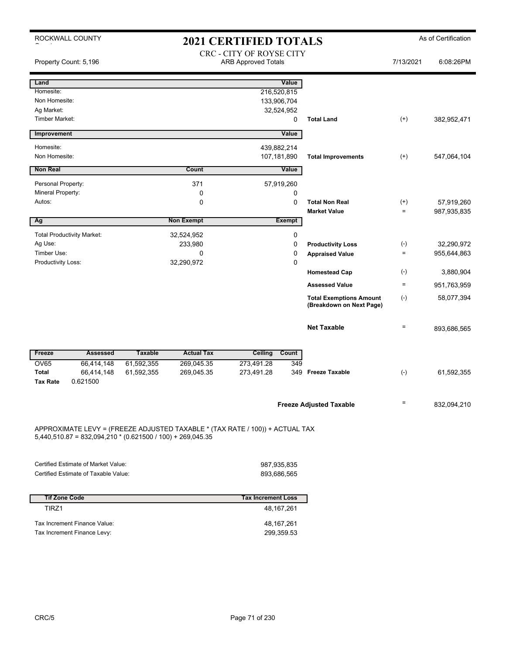|                                   | ROCKWALL COUNTY                                              |                |                   | <b>2021 CERTIFIED TOTALS</b>                                                 |               |                                |           | As of Certification |
|-----------------------------------|--------------------------------------------------------------|----------------|-------------------|------------------------------------------------------------------------------|---------------|--------------------------------|-----------|---------------------|
|                                   | Property Count: 5,196                                        |                |                   | CRC - CITY OF ROYSE CITY<br><b>ARB Approved Totals</b>                       |               |                                | 7/13/2021 | 6:08:26PM           |
| Land                              |                                                              |                |                   |                                                                              | Value         |                                |           |                     |
| Homesite:                         |                                                              |                |                   | 216,520,815                                                                  |               |                                |           |                     |
| Non Homesite:                     |                                                              |                |                   | 133,906,704                                                                  |               |                                |           |                     |
| Ag Market:                        |                                                              |                |                   | 32,524,952                                                                   |               |                                |           |                     |
| <b>Timber Market:</b>             |                                                              |                |                   |                                                                              | $\mathbf 0$   | <b>Total Land</b>              | $^{(+)}$  | 382,952,471         |
| Improvement                       |                                                              |                |                   |                                                                              | Value         |                                |           |                     |
| Homesite:                         |                                                              |                |                   | 439,882,214                                                                  |               |                                |           |                     |
| Non Homesite:                     |                                                              |                |                   | 107,181,890                                                                  |               | <b>Total Improvements</b>      | $^{(+)}$  | 547,064,104         |
| <b>Non Real</b>                   |                                                              |                | Count             |                                                                              | Value         |                                |           |                     |
| Personal Property:                |                                                              |                | 371               | 57,919,260                                                                   |               |                                |           |                     |
| Mineral Property:                 |                                                              |                | 0                 |                                                                              | $\Omega$      |                                |           |                     |
| Autos:                            |                                                              |                | 0                 |                                                                              | $\Omega$      | <b>Total Non Real</b>          | $^{(+)}$  | 57,919,260          |
|                                   |                                                              |                |                   |                                                                              |               | <b>Market Value</b>            | $\equiv$  | 987,935,835         |
| Ag                                |                                                              |                | <b>Non Exempt</b> | <b>Exempt</b>                                                                |               |                                |           |                     |
|                                   | <b>Total Productivity Market:</b>                            |                | 32,524,952        |                                                                              | $\mathbf 0$   |                                |           |                     |
| Ag Use:                           |                                                              |                | 233,980           |                                                                              | 0             | <b>Productivity Loss</b>       | $(-)$     | 32,290,972          |
| Timber Use:<br>Productivity Loss: |                                                              |                | 0<br>32,290,972   |                                                                              | 0<br>$\Omega$ | <b>Appraised Value</b>         | $\equiv$  | 955,644,863         |
|                                   |                                                              |                |                   |                                                                              |               | <b>Homestead Cap</b>           | $(-)$     | 3,880,904           |
|                                   |                                                              |                |                   |                                                                              |               | <b>Assessed Value</b>          | $=$       | 951,763,959         |
|                                   |                                                              |                |                   |                                                                              |               | <b>Total Exemptions Amount</b> | $(-)$     | 58,077,394          |
|                                   |                                                              |                |                   |                                                                              |               | (Breakdown on Next Page)       |           |                     |
|                                   |                                                              |                |                   |                                                                              |               | <b>Net Taxable</b>             | $=$       | 893,686,565         |
| Freeze                            | <b>Assessed</b>                                              | <b>Taxable</b> | <b>Actual Tax</b> | Ceiling                                                                      | Count         |                                |           |                     |
| OV65                              | 66.414.148                                                   | 61,592,355     | 269,045.35        | 273,491.28                                                                   | 349           |                                |           |                     |
| <b>Total</b><br><b>Tax Rate</b>   | 66,414,148<br>0.621500                                       | 61,592,355     | 269,045.35        | 273,491.28                                                                   | 349           | <b>Freeze Taxable</b>          | $(-)$     | 61,592,355          |
|                                   |                                                              |                |                   |                                                                              |               | <b>Freeze Adjusted Taxable</b> | $=$       | 832,094,210         |
|                                   | $5,440,510.87 = 832,094,210 * (0.621500 / 100) + 269,045.35$ |                |                   | APPROXIMATE LEVY = (FREEZE ADJUSTED TAXABLE * (TAX RATE / 100)) + ACTUAL TAX |               |                                |           |                     |
|                                   |                                                              |                |                   |                                                                              |               |                                |           |                     |
|                                   | Certified Estimate of Market Value:                          |                |                   | 987,935,835                                                                  |               |                                |           |                     |
|                                   | Certified Estimate of Taxable Value:                         |                |                   | 893,686,565                                                                  |               |                                |           |                     |
|                                   |                                                              |                |                   |                                                                              |               |                                |           |                     |
| <b>Tif Zone Code</b>              |                                                              |                |                   | <b>Tax Increment Loss</b>                                                    |               |                                |           |                     |
| TIRZ1                             |                                                              |                |                   | 48, 167, 261                                                                 |               |                                |           |                     |
|                                   | Tax Increment Finance Value:                                 |                |                   | 48, 167, 261                                                                 |               |                                |           |                     |
|                                   | Tax Increment Finance Levy:                                  |                |                   | 299,359.53                                                                   |               |                                |           |                     |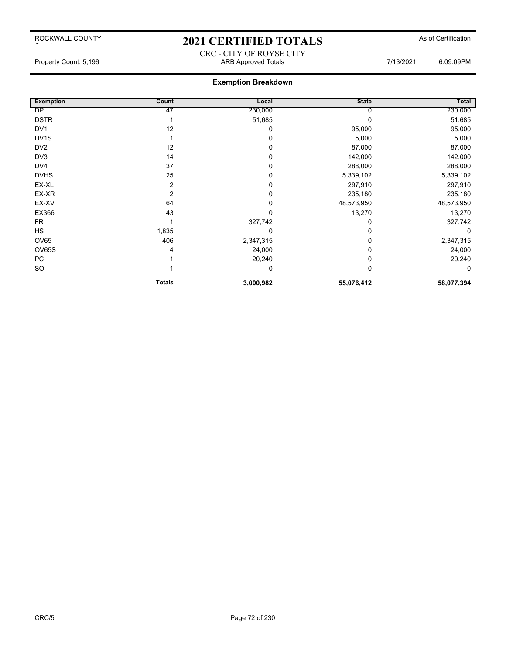### 2021 CERTIFIED TOTALS As of Certification

CRC - CITY OF ROYSE CITY Property Count: 5,196 **ARB Approved Totals** ARB Approved Totals **1998** 7/13/2021 6:09:09PM

| <b>Exemption</b>  | Count          | Local     | <b>State</b> | Total      |
|-------------------|----------------|-----------|--------------|------------|
| <b>DP</b>         | 47             | 230,000   |              | 230,000    |
| <b>DSTR</b>       |                | 51,685    |              | 51,685     |
| DV <sub>1</sub>   | 12             | 0         | 95,000       | 95,000     |
| DV <sub>1</sub> S |                | 0         | 5,000        | 5,000      |
| DV <sub>2</sub>   | 12             | 0         | 87,000       | 87,000     |
| DV3               | 14             | 0         | 142,000      | 142,000    |
| DV4               | 37             | 0         | 288,000      | 288,000    |
| <b>DVHS</b>       | 25             | 0         | 5,339,102    | 5,339,102  |
| EX-XL             | $\overline{2}$ | 0         | 297,910      | 297,910    |
| EX-XR             | 2              | 0         | 235,180      | 235,180    |
| EX-XV             | 64             | 0         | 48,573,950   | 48,573,950 |
| EX366             | 43             | 0         | 13,270       | 13,270     |
| FR                |                | 327,742   | 0            | 327,742    |
| <b>HS</b>         | 1,835          | 0         |              | 0          |
| <b>OV65</b>       | 406            | 2,347,315 |              | 2,347,315  |
| <b>OV65S</b>      | 4              | 24,000    | 0            | 24,000     |
| <b>PC</b>         |                | 20,240    | 0            | 20,240     |
| SO                |                | 0         | 0            | 0          |
|                   | <b>Totals</b>  | 3,000,982 | 55,076,412   | 58,077,394 |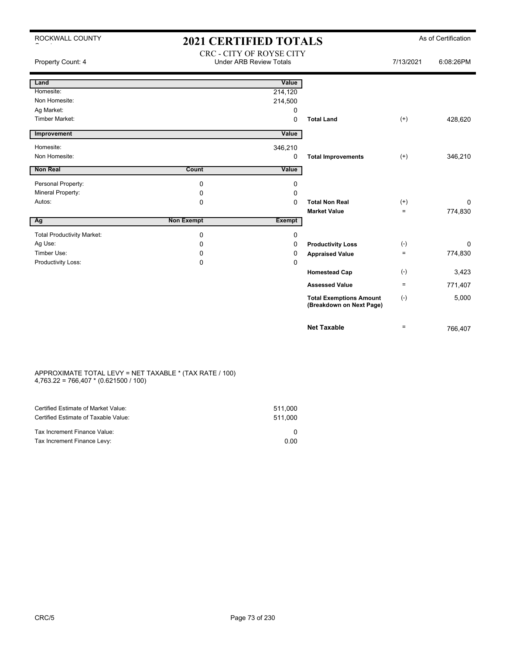| ROCKWALL COUNTY                   | <b>2021 CERTIFIED TOTALS</b> |                                                            |                                                            |           | As of Certification |
|-----------------------------------|------------------------------|------------------------------------------------------------|------------------------------------------------------------|-----------|---------------------|
| Property Count: 4                 |                              | CRC - CITY OF ROYSE CITY<br><b>Under ARB Review Totals</b> |                                                            | 7/13/2021 | 6:08:26PM           |
| Land                              |                              | Value                                                      |                                                            |           |                     |
| Homesite:                         |                              | 214,120                                                    |                                                            |           |                     |
| Non Homesite:                     |                              | 214,500                                                    |                                                            |           |                     |
| Ag Market:                        |                              | 0                                                          |                                                            |           |                     |
| <b>Timber Market:</b>             |                              | $\Omega$                                                   | <b>Total Land</b>                                          | $^{(+)}$  | 428,620             |
| Improvement                       |                              | Value                                                      |                                                            |           |                     |
| Homesite:                         |                              | 346,210                                                    |                                                            |           |                     |
| Non Homesite:                     |                              | 0                                                          | <b>Total Improvements</b>                                  | $^{(+)}$  | 346,210             |
| Non Real                          | Count                        | Value                                                      |                                                            |           |                     |
| Personal Property:                | 0                            | 0                                                          |                                                            |           |                     |
| Mineral Property:                 | 0                            | 0                                                          |                                                            |           |                     |
| Autos:                            | $\mathbf 0$                  | $\Omega$                                                   | <b>Total Non Real</b>                                      | $(+)$     | 0                   |
|                                   |                              |                                                            | <b>Market Value</b>                                        | $=$       | 774,830             |
| Ag                                | <b>Non Exempt</b>            | <b>Exempt</b>                                              |                                                            |           |                     |
| <b>Total Productivity Market:</b> | 0                            | 0                                                          |                                                            |           |                     |
| Ag Use:                           | $\Omega$                     | $\Omega$                                                   | <b>Productivity Loss</b>                                   | $(-)$     | $\Omega$            |
| Timber Use:                       | 0                            | 0                                                          | <b>Appraised Value</b>                                     | $=$       | 774,830             |
| Productivity Loss:                | $\mathbf 0$                  | 0                                                          |                                                            |           |                     |
|                                   |                              |                                                            | <b>Homestead Cap</b>                                       | $(-)$     | 3,423               |
|                                   |                              |                                                            | <b>Assessed Value</b>                                      | $=$       | 771,407             |
|                                   |                              |                                                            | <b>Total Exemptions Amount</b><br>(Breakdown on Next Page) | $(-)$     | 5,000               |
|                                   |                              |                                                            | <b>Net Taxable</b>                                         | $\equiv$  | 766.407             |

#### APPROXIMATE TOTAL LEVY = NET TAXABLE \* (TAX RATE / 100) 4,763.22 = 766,407 \* (0.621500 / 100)

| Certified Estimate of Market Value:<br>Certified Estimate of Taxable Value: | 511.000<br>511.000 |
|-----------------------------------------------------------------------------|--------------------|
| Tax Increment Finance Value:                                                |                    |
| Tax Increment Finance Levy:                                                 | 0.00               |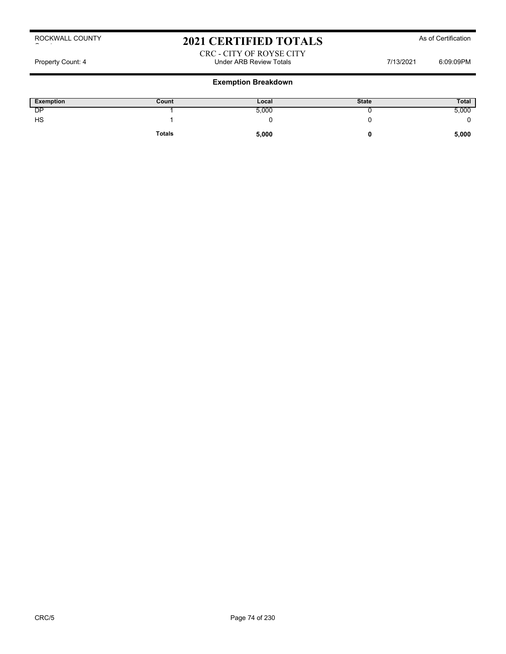### 2021 CERTIFIED TOTALS As of Certification

#### CRC - CITY OF ROYSE CITY Property Count: 4 Count: 4 Count: 4 Count: 4 Count: 4 Count: 4 Count: 4 Count: 4 Count: 4 Count: 4 Count: 4 Count: 4 Count: 4 Count: 0 Count: 4 Count: 0 Count: 0 Count: 0 Count: 0 Count: 0 Count: 0 Count: 0 Count: 0 Count:

| <b>Exemption</b> | Count         | Local | <b>State</b> | <b>Total</b> |
|------------------|---------------|-------|--------------|--------------|
| DP               |               | 5,000 |              | 5,000        |
| HS               |               |       |              |              |
|                  | <b>Totals</b> | 5,000 |              | 5,000        |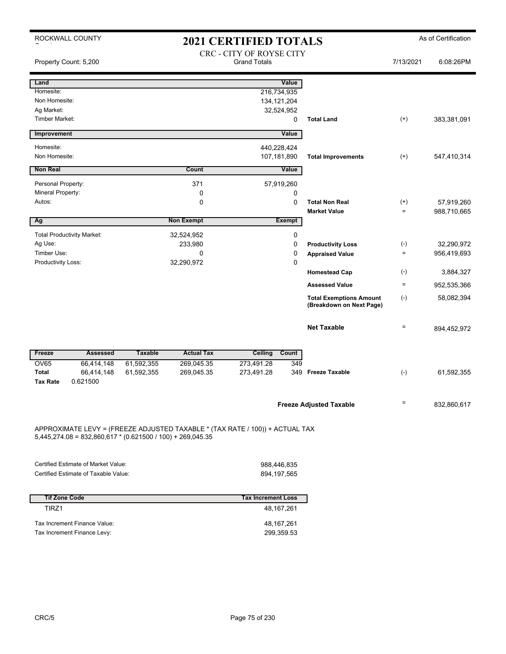|                                 | ROCKWALL COUNTY                                              |                |                                                                              | <b>2021 CERTIFIED TOTALS</b>                    |               |                                              |                   | As of Certification       |
|---------------------------------|--------------------------------------------------------------|----------------|------------------------------------------------------------------------------|-------------------------------------------------|---------------|----------------------------------------------|-------------------|---------------------------|
|                                 | Property Count: 5,200                                        |                |                                                                              | CRC - CITY OF ROYSE CITY<br><b>Grand Totals</b> |               |                                              | 7/13/2021         | 6:08:26PM                 |
| Land                            |                                                              |                |                                                                              |                                                 | Value         |                                              |                   |                           |
| Homesite:                       |                                                              |                |                                                                              | 216,734,935                                     |               |                                              |                   |                           |
| Non Homesite:                   |                                                              |                |                                                                              | 134, 121, 204                                   |               |                                              |                   |                           |
| Ag Market:                      |                                                              |                |                                                                              |                                                 | 32,524,952    |                                              |                   |                           |
| <b>Timber Market:</b>           |                                                              |                |                                                                              |                                                 | $\mathbf 0$   | <b>Total Land</b>                            | $^{(+)}$          | 383,381,091               |
| Improvement                     |                                                              |                |                                                                              |                                                 | Value         |                                              |                   |                           |
| Homesite:                       |                                                              |                |                                                                              | 440,228,424                                     |               |                                              |                   |                           |
| Non Homesite:                   |                                                              |                |                                                                              | 107,181,890                                     |               | <b>Total Improvements</b>                    | $^{(+)}$          | 547,410,314               |
| <b>Non Real</b>                 |                                                              |                | Count                                                                        |                                                 | Value         |                                              |                   |                           |
| Personal Property:              |                                                              |                | 371                                                                          |                                                 | 57,919,260    |                                              |                   |                           |
| Mineral Property:               |                                                              |                | 0                                                                            |                                                 | 0             |                                              |                   |                           |
| Autos:                          |                                                              |                | 0                                                                            |                                                 | $\Omega$      | <b>Total Non Real</b><br><b>Market Value</b> | $^{(+)}$<br>$=$   | 57,919,260<br>988,710,665 |
| Ag                              |                                                              |                | <b>Non Exempt</b>                                                            |                                                 | <b>Exempt</b> |                                              |                   |                           |
|                                 |                                                              |                |                                                                              |                                                 |               |                                              |                   |                           |
| Ag Use:                         | <b>Total Productivity Market:</b>                            |                | 32,524,952<br>233,980                                                        |                                                 | 0<br>0        |                                              |                   | 32,290,972                |
| Timber Use:                     |                                                              |                | 0                                                                            |                                                 | 0             | <b>Productivity Loss</b>                     | $(-)$<br>$\equiv$ | 956,419,693               |
| Productivity Loss:              |                                                              |                | 32,290,972                                                                   |                                                 | $\Omega$      | <b>Appraised Value</b>                       |                   |                           |
|                                 |                                                              |                |                                                                              |                                                 |               | <b>Homestead Cap</b>                         | $(-)$             | 3,884,327                 |
|                                 |                                                              |                |                                                                              |                                                 |               | <b>Assessed Value</b>                        | $=$               | 952,535,366               |
|                                 |                                                              |                |                                                                              |                                                 |               | <b>Total Exemptions Amount</b>               | $(-)$             | 58,082,394                |
|                                 |                                                              |                |                                                                              |                                                 |               | (Breakdown on Next Page)                     |                   |                           |
|                                 |                                                              |                |                                                                              |                                                 |               | <b>Net Taxable</b>                           | $\equiv$          | 894,452,972               |
| Freeze                          | <b>Assessed</b>                                              | <b>Taxable</b> | <b>Actual Tax</b>                                                            | Ceiling                                         | Count         |                                              |                   |                           |
| <b>OV65</b>                     | 66,414,148                                                   | 61,592,355     | 269,045.35                                                                   | 273,491.28                                      | 349           |                                              |                   |                           |
| <b>Total</b><br><b>Tax Rate</b> | 66,414,148<br>0.621500                                       | 61,592,355     | 269,045.35                                                                   | 273,491.28                                      | 349           | <b>Freeze Taxable</b>                        | $(-)$             | 61,592,355                |
|                                 |                                                              |                |                                                                              |                                                 |               | <b>Freeze Adjusted Taxable</b>               | $=$               | 832,860,617               |
|                                 | $5,445,274.08 = 832,860,617 * (0.621500 / 100) + 269,045.35$ |                | APPROXIMATE LEVY = (FREEZE ADJUSTED TAXABLE * (TAX RATE / 100)) + ACTUAL TAX |                                                 |               |                                              |                   |                           |
|                                 |                                                              |                |                                                                              |                                                 |               |                                              |                   |                           |
|                                 | Certified Estimate of Market Value:                          |                |                                                                              |                                                 | 988,446,835   |                                              |                   |                           |
|                                 | Certified Estimate of Taxable Value:                         |                |                                                                              | 894, 197, 565                                   |               |                                              |                   |                           |
|                                 |                                                              |                |                                                                              |                                                 |               |                                              |                   |                           |
| <b>Tif Zone Code</b>            |                                                              |                |                                                                              | <b>Tax Increment Loss</b>                       |               |                                              |                   |                           |
| TIRZ1                           |                                                              |                |                                                                              |                                                 | 48,167,261    |                                              |                   |                           |
|                                 | Tax Increment Finance Value:                                 |                |                                                                              |                                                 | 48, 167, 261  |                                              |                   |                           |
|                                 | Tax Increment Finance Levy:                                  |                |                                                                              |                                                 | 299,359.53    |                                              |                   |                           |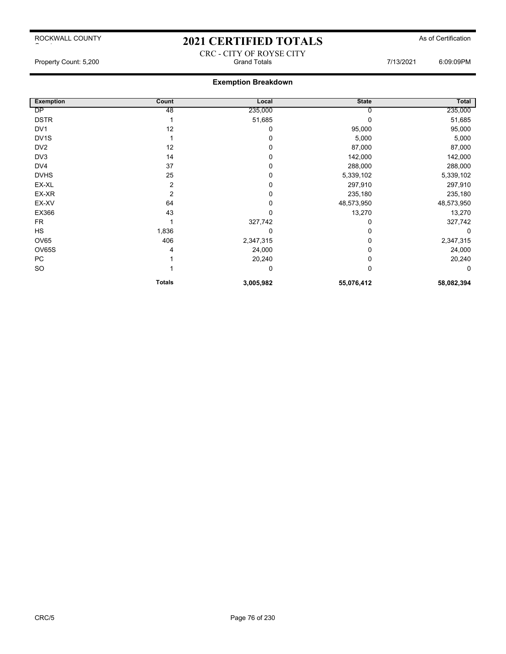# 2021 CERTIFIED TOTALS As of Certification CRC - CITY OF ROYSE CITY

### **Exemption Breakdown**

| <b>Exemption</b>  | Count         | Local     | <b>State</b> | Total      |
|-------------------|---------------|-----------|--------------|------------|
| DP                | 48            | 235,000   | O            | 235,000    |
| <b>DSTR</b>       |               | 51,685    | 0            | 51,685     |
| DV <sub>1</sub>   | 12            | 0         | 95,000       | 95,000     |
| DV <sub>1</sub> S |               | $\Omega$  | 5,000        | 5,000      |
| DV <sub>2</sub>   | 12            | $\Omega$  | 87,000       | 87,000     |
| DV3               | 14            | $\Omega$  | 142,000      | 142,000    |
| DV4               | 37            | 0         | 288,000      | 288,000    |
| <b>DVHS</b>       | 25            | 0         | 5,339,102    | 5,339,102  |
| EX-XL             | 2             | 0         | 297,910      | 297,910    |
| EX-XR             | 2             | 0         | 235,180      | 235,180    |
| EX-XV             | 64            | 0         | 48,573,950   | 48,573,950 |
| EX366             | 43            | 0         | 13,270       | 13,270     |
| <b>FR</b>         |               | 327,742   | 0            | 327,742    |
| HS                | 1,836         | 0         | 0            | $\Omega$   |
| <b>OV65</b>       | 406           | 2,347,315 | 0            | 2,347,315  |
| OV65S             | 4             | 24,000    | 0            | 24,000     |
| PC                |               | 20,240    | 0            | 20,240     |
| SO                |               | 0         | 0            | 0          |
|                   | <b>Totals</b> | 3,005,982 | 55,076,412   | 58,082,394 |

Property Count: 5,200 **Stand Totals** Grand Totals **Connection** Count: 5,200 6:09:09PM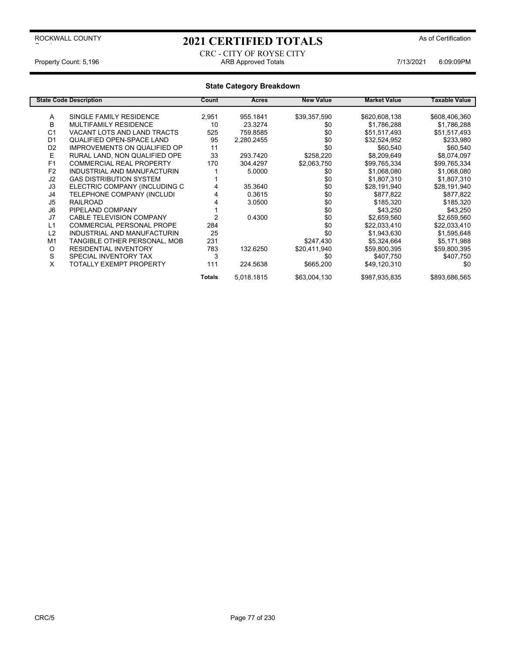ROCKWALL COUNTY

## 2021 CERTIFIED TOTALS As of Certification

#### CRC - CITY OF ROYSE CITY Property Count: 5,196 **ARB Approved Totals** ARB Approved Totals **ARB Approved Totals** 7/13/2021 6:09:09PM

### **State Category Breakdown**

|                | <b>State Code Description</b>       | Count         | Acres      | <b>New Value</b> | <b>Market Value</b> | Taxable Value |
|----------------|-------------------------------------|---------------|------------|------------------|---------------------|---------------|
| Α              | SINGLE FAMILY RESIDENCE             | 2,951         | 955.1841   | \$39,357,590     | \$620,608,138       | \$608,406,360 |
| B              | <b>MULTIFAMILY RESIDENCE</b>        | 10            | 23.3274    | \$0              | \$1,786,288         | \$1,786,288   |
| C <sub>1</sub> | VACANT LOTS AND LAND TRACTS         | 525           | 759.8585   | \$0              | \$51,517,493        | \$51,517,493  |
| D <sub>1</sub> | <b>QUALIFIED OPEN-SPACE LAND</b>    | 95            | 2,280.2455 | \$0              | \$32,524,952        | \$233,980     |
| D <sub>2</sub> | <b>IMPROVEMENTS ON QUALIFIED OP</b> | 11            |            | \$0              |                     |               |
|                |                                     |               |            |                  | \$60,540            | \$60,540      |
| Е              | RURAL LAND, NON QUALIFIED OPE       | 33            | 293.7420   | \$258,220        | \$8,209,649         | \$8,074,097   |
| F <sub>1</sub> | <b>COMMERCIAL REAL PROPERTY</b>     | 170           | 304.4297   | \$2,063,750      | \$99,765,334        | \$99,765,334  |
| F <sub>2</sub> | INDUSTRIAL AND MANUFACTURIN         |               | 5.0000     | \$0              | \$1,068,080         | \$1,068,080   |
| J2             | <b>GAS DISTRIBUTION SYSTEM</b>      |               |            | \$0              | \$1,807,310         | \$1,807,310   |
| J3             | ELECTRIC COMPANY (INCLUDING C       |               | 35.3640    | \$0              | \$28,191,940        | \$28,191,940  |
| J4             | TELEPHONE COMPANY (INCLUDI          |               | 0.3615     | \$0              | \$877,822           | \$877,822     |
| J5             | <b>RAILROAD</b>                     |               | 3.0500     | \$0              | \$185,320           | \$185,320     |
| J6             | PIPELAND COMPANY                    |               |            | \$0              | \$43,250            | \$43,250      |
| J7             | <b>CABLE TELEVISION COMPANY</b>     | 2             | 0.4300     | \$0              | \$2,659,560         | \$2,659,560   |
| L1             | <b>COMMERCIAL PERSONAL PROPE</b>    | 284           |            | \$0              | \$22,033,410        | \$22,033,410  |
| L2             | INDUSTRIAL AND MANUFACTURIN         | 25            |            | \$0              | \$1,943,630         | \$1,595,648   |
| M1             | TANGIBLE OTHER PERSONAL, MOB        | 231           |            | \$247,430        | \$5,324,664         | \$5,171,988   |
| O              | <b>RESIDENTIAL INVENTORY</b>        | 783           | 132.6250   | \$20,411,940     | \$59,800,395        | \$59,800,395  |
| S              | SPECIAL INVENTORY TAX               | 3             |            | \$0              | \$407,750           | \$407,750     |
| X              | TOTALLY EXEMPT PROPERTY             | 111           | 224.5638   | \$665,200        | \$49,120,310        | \$0           |
|                |                                     | <b>Totals</b> | 5,018.1815 | \$63,004,130     | \$987,935,835       | \$893,686,565 |

 $\sim$  to the set of  $\sim$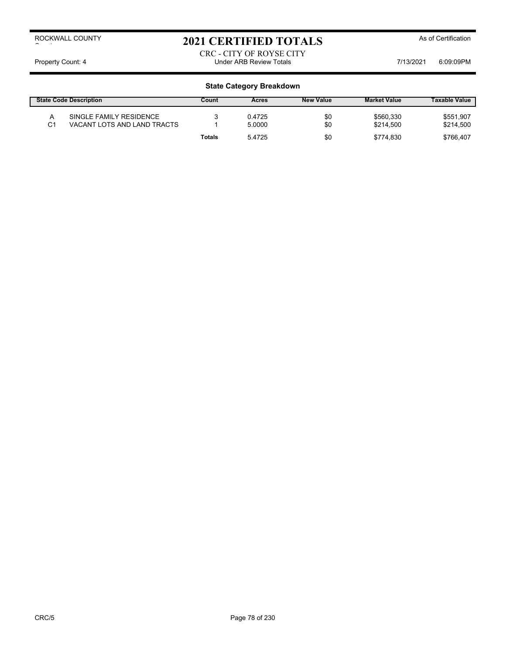## 2021 CERTIFIED TOTALS As of Certification

CRC - CITY OF ROYSE CITY Property Count: 4 Count: 4 Count: 4 Count: 4 Count: 4 Count: 4 Count: 4 Count: 4 Count: 4 Count: 4 Count: 4 Count: 4 Count: 0 Count: 0 Count: 0 Count: 0 Count: 0 Count: 0 Count: 0 Count: 0 Count: 0 Count: 0 Count: 0 Count:

| <b>State Code Description</b> |                                                        | Count  | Acres            | <b>New Value</b> | <b>Market Value</b>    | <b>Taxable Value</b>   |
|-------------------------------|--------------------------------------------------------|--------|------------------|------------------|------------------------|------------------------|
| C1                            | SINGLE FAMILY RESIDENCE<br>VACANT LOTS AND LAND TRACTS |        | 0.4725<br>5.0000 | \$0<br>\$0       | \$560,330<br>\$214.500 | \$551,907<br>\$214,500 |
|                               |                                                        | Totals | 5.4725           | \$0              | \$774.830              | \$766.407              |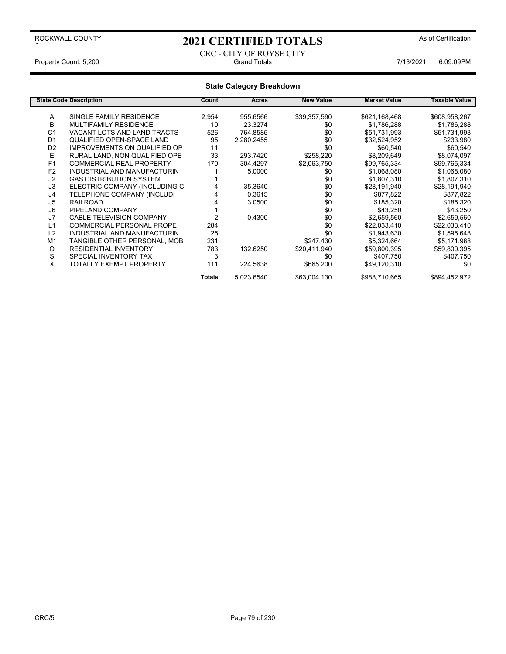## 2021 CERTIFIED TOTALS As of Certification

CRC - CITY OF ROYSE CITY Property Count: 5,200 **Fig. 200** Grand Totals Grand Totals **7/13/2021** 6:09:09PM

|                | <b>State Code Description</b>       | Count  | Acres      | <b>New Value</b> | <b>Market Value</b> | Taxable Value |
|----------------|-------------------------------------|--------|------------|------------------|---------------------|---------------|
| Α              | SINGLE FAMILY RESIDENCE             | 2,954  | 955.6566   | \$39,357,590     | \$621,168,468       | \$608,958,267 |
| B              | <b>MULTIFAMILY RESIDENCE</b>        | 10     | 23.3274    | \$0              | \$1,786,288         | \$1,786,288   |
| C <sub>1</sub> | VACANT LOTS AND LAND TRACTS         | 526    | 764.8585   | \$0              | \$51,731,993        | \$51,731,993  |
| D <sub>1</sub> | QUALIFIED OPEN-SPACE LAND           | 95     | 2,280.2455 | \$0              | \$32,524,952        | \$233,980     |
| D <sub>2</sub> | <b>IMPROVEMENTS ON QUALIFIED OP</b> | 11     |            | \$0              | \$60,540            | \$60,540      |
| Е              | RURAL LAND, NON QUALIFIED OPE       | 33     | 293.7420   | \$258,220        | \$8,209,649         | \$8,074,097   |
| F <sub>1</sub> | <b>COMMERCIAL REAL PROPERTY</b>     | 170    | 304.4297   | \$2,063,750      | \$99,765,334        | \$99,765,334  |
| F <sub>2</sub> | INDUSTRIAL AND MANUFACTURIN         |        | 5.0000     | \$0              | \$1,068,080         | \$1,068,080   |
| J2             | <b>GAS DISTRIBUTION SYSTEM</b>      |        |            | \$0              | \$1,807,310         | \$1,807,310   |
| J3             | ELECTRIC COMPANY (INCLUDING C       |        | 35.3640    | \$0              | \$28,191,940        | \$28,191,940  |
| J4             | TELEPHONE COMPANY (INCLUDI          |        | 0.3615     | \$0              | \$877,822           | \$877,822     |
| J5             | <b>RAILROAD</b>                     |        | 3.0500     | \$0              | \$185,320           | \$185,320     |
| J6             | PIPELAND COMPANY                    |        |            | \$0              | \$43,250            | \$43,250      |
| J7             | <b>CABLE TELEVISION COMPANY</b>     |        | 0.4300     | \$0              | \$2,659,560         | \$2,659,560   |
| L1             | <b>COMMERCIAL PERSONAL PROPE</b>    | 284    |            | \$0              | \$22,033,410        | \$22,033,410  |
| L2             | INDUSTRIAL AND MANUFACTURIN         | 25     |            | \$0              | \$1,943,630         | \$1,595,648   |
| M <sub>1</sub> | TANGIBLE OTHER PERSONAL, MOB        | 231    |            | \$247,430        | \$5,324,664         | \$5,171,988   |
| O              | <b>RESIDENTIAL INVENTORY</b>        | 783    | 132.6250   | \$20,411,940     | \$59,800,395        | \$59,800,395  |
| S              | SPECIAL INVENTORY TAX               | 3      |            | \$0              | \$407,750           | \$407,750     |
| X              | TOTALLY EXEMPT PROPERTY             | 111    | 224.5638   | \$665,200        | \$49,120,310        | \$0           |
|                |                                     | Totals | 5,023.6540 | \$63,004,130     | \$988,710,665       | \$894,452,972 |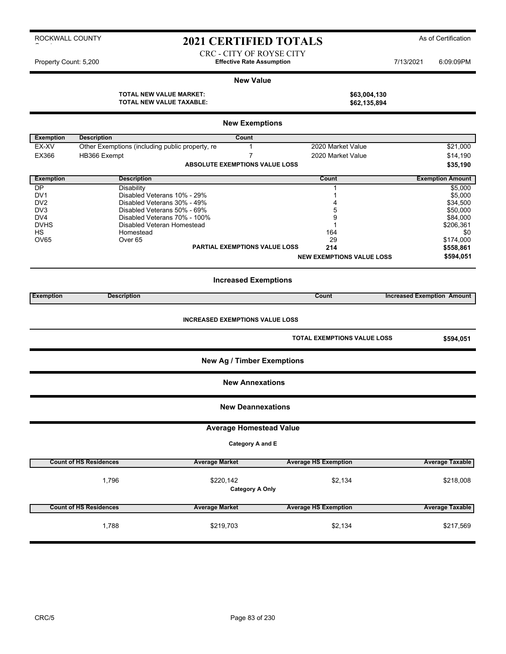### 2021 CERTIFIED TOTALS As of Certification

CRC - CITY OF ROYSE CITY Property Count: 5,200 **Effective Rate Assumption Effective Rate Assumption** 7/13/2021 6:09:09PM

#### **New Value**

**TOTAL NEW VALUE MARKET: \$63,004,130 TOTAL NEW VALUE TAXABLE:**  $$62,135,894$ 

| \$63,004,130 |  |
|--------------|--|
| \$62,135,894 |  |

|                  | <b>New Exemptions</b>                           |                                        |                                    |                                   |  |  |  |
|------------------|-------------------------------------------------|----------------------------------------|------------------------------------|-----------------------------------|--|--|--|
| <b>Exemption</b> | <b>Description</b>                              | Count                                  |                                    |                                   |  |  |  |
| EX-XV            | Other Exemptions (including public property, re | $\mathbf{1}$                           | 2020 Market Value                  | \$21,000                          |  |  |  |
| EX366            | HB366 Exempt                                    | $\overline{7}$                         | 2020 Market Value                  | \$14,190                          |  |  |  |
|                  |                                                 | <b>ABSOLUTE EXEMPTIONS VALUE LOSS</b>  |                                    | \$35,190                          |  |  |  |
| <b>Exemption</b> | <b>Description</b>                              |                                        | Count                              | <b>Exemption Amount</b>           |  |  |  |
| $\overline{DP}$  | Disability                                      |                                        | 1                                  | \$5,000                           |  |  |  |
| DV <sub>1</sub>  | Disabled Veterans 10% - 29%                     |                                        | $\mathbf{1}$                       | \$5,000                           |  |  |  |
| DV <sub>2</sub>  | Disabled Veterans 30% - 49%                     |                                        | 4                                  | \$34,500                          |  |  |  |
| DV3              | Disabled Veterans 50% - 69%                     |                                        | 5                                  | \$50,000                          |  |  |  |
| DV <sub>4</sub>  | Disabled Veterans 70% - 100%                    |                                        | 9                                  | \$84,000                          |  |  |  |
| <b>DVHS</b>      | Disabled Veteran Homestead                      |                                        | $\mathbf{1}$                       | \$206,361                         |  |  |  |
| HS               | Homestead                                       |                                        | 164                                | \$0                               |  |  |  |
| <b>OV65</b>      | Over <sub>65</sub>                              |                                        | 29                                 | \$174,000                         |  |  |  |
|                  |                                                 | PARTIAL EXEMPTIONS VALUE LOSS          | 214                                | \$558,861                         |  |  |  |
|                  |                                                 |                                        | <b>NEW EXEMPTIONS VALUE LOSS</b>   | \$594,051                         |  |  |  |
|                  |                                                 | <b>Increased Exemptions</b>            |                                    |                                   |  |  |  |
| <b>Exemption</b> | <b>Description</b>                              |                                        | Count                              | <b>Increased Exemption Amount</b> |  |  |  |
|                  |                                                 | <b>INCREASED EXEMPTIONS VALUE LOSS</b> | <b>TOTAL EXEMPTIONS VALUE LOSS</b> | \$594,051                         |  |  |  |
|                  |                                                 | <b>New Ag / Timber Exemptions</b>      |                                    |                                   |  |  |  |
|                  |                                                 | <b>New Annexations</b>                 |                                    |                                   |  |  |  |
|                  |                                                 | <b>New Deannexations</b>               |                                    |                                   |  |  |  |
|                  |                                                 | <b>Average Homestead Value</b>         |                                    |                                   |  |  |  |
|                  |                                                 | Category A and E                       |                                    |                                   |  |  |  |
|                  | <b>Count of HS Residences</b>                   | <b>Average Market</b>                  | <b>Average HS Exemption</b>        | <b>Average Taxable</b>            |  |  |  |
|                  | 1,796                                           | \$220,142                              | \$2,134                            | \$218,008                         |  |  |  |
|                  |                                                 | <b>Category A Only</b>                 |                                    |                                   |  |  |  |
|                  | <b>Count of HS Residences</b>                   | <b>Average Market</b>                  | <b>Average HS Exemption</b>        | <b>Average Taxable</b>            |  |  |  |
|                  | 1,788                                           | \$219,703                              | \$2,134                            | \$217,569                         |  |  |  |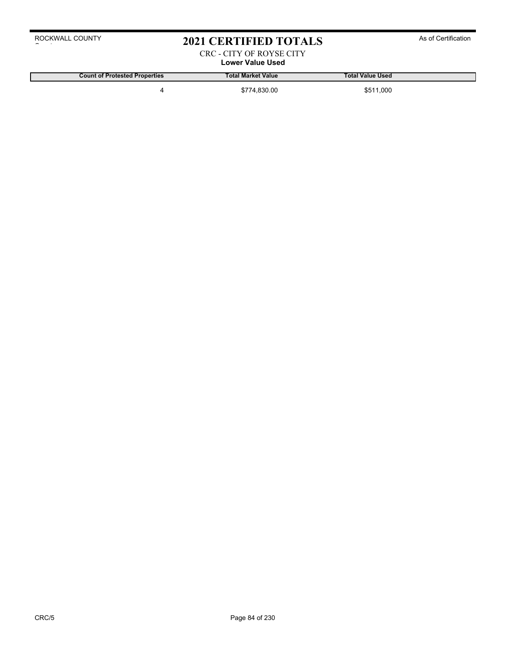### 2021 CERTIFIED TOTALS As of Certification

#### CRC - CITY OF ROYSE CITY **Lower Value Used**

**Count of Protested Properties Total Market Value Total Value Used**

4 \$774,830.00 \$511,000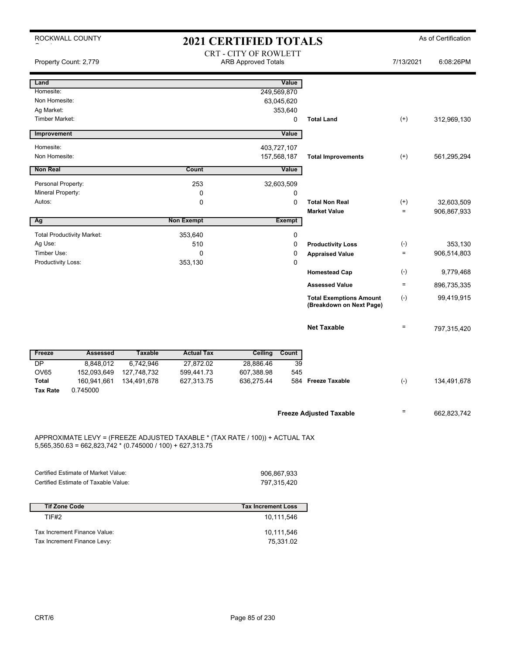| ROCKWALL COUNTY<br>2021 CERTIFIED TOTALS |                                                                                                                                              |                |                   |                                                            |               |                                                            |           | As of Certification |  |
|------------------------------------------|----------------------------------------------------------------------------------------------------------------------------------------------|----------------|-------------------|------------------------------------------------------------|---------------|------------------------------------------------------------|-----------|---------------------|--|
|                                          | Property Count: 2,779                                                                                                                        |                |                   | <b>CRT - CITY OF ROWLETT</b><br><b>ARB Approved Totals</b> |               |                                                            | 7/13/2021 | 6:08:26PM           |  |
| Land                                     |                                                                                                                                              |                |                   |                                                            | Value         |                                                            |           |                     |  |
| Homesite:                                |                                                                                                                                              |                |                   | 249,569,870                                                |               |                                                            |           |                     |  |
| Non Homesite:                            |                                                                                                                                              |                |                   |                                                            | 63,045,620    |                                                            |           |                     |  |
| Ag Market:                               |                                                                                                                                              |                |                   |                                                            | 353,640       |                                                            |           |                     |  |
| <b>Timber Market:</b>                    |                                                                                                                                              |                |                   |                                                            | 0             | <b>Total Land</b>                                          | $^{(+)}$  | 312,969,130         |  |
| Improvement                              |                                                                                                                                              |                |                   |                                                            | Value         |                                                            |           |                     |  |
| Homesite:                                |                                                                                                                                              |                |                   | 403,727,107                                                |               |                                                            |           |                     |  |
| Non Homesite:                            |                                                                                                                                              |                |                   | 157,568,187                                                |               | <b>Total Improvements</b>                                  | $^{(+)}$  | 561,295,294         |  |
| <b>Non Real</b>                          |                                                                                                                                              |                | Count             |                                                            | Value         |                                                            |           |                     |  |
| Personal Property:                       |                                                                                                                                              |                | 253               |                                                            | 32,603,509    |                                                            |           |                     |  |
| Mineral Property:                        |                                                                                                                                              |                | 0                 |                                                            | 0             |                                                            |           |                     |  |
| Autos:                                   |                                                                                                                                              |                | $\mathbf 0$       |                                                            | 0             | <b>Total Non Real</b>                                      | $^{(+)}$  | 32,603,509          |  |
|                                          |                                                                                                                                              |                |                   |                                                            |               | <b>Market Value</b>                                        | $\equiv$  | 906,867,933         |  |
| Ag                                       |                                                                                                                                              |                | <b>Non Exempt</b> |                                                            | <b>Exempt</b> |                                                            |           |                     |  |
|                                          | <b>Total Productivity Market:</b>                                                                                                            |                | 353,640           |                                                            | 0             |                                                            |           |                     |  |
| Ag Use:                                  |                                                                                                                                              |                | 510               |                                                            | 0             | <b>Productivity Loss</b>                                   | $(-)$     | 353,130             |  |
| Timber Use:                              |                                                                                                                                              |                | $\mathbf 0$       |                                                            | 0             | <b>Appraised Value</b>                                     | $\equiv$  | 906,514,803         |  |
| Productivity Loss:                       |                                                                                                                                              |                | 353,130           |                                                            | 0             |                                                            |           |                     |  |
|                                          |                                                                                                                                              |                |                   |                                                            |               | <b>Homestead Cap</b>                                       | $(-)$     | 9,779,468           |  |
|                                          |                                                                                                                                              |                |                   |                                                            |               | <b>Assessed Value</b>                                      | $\equiv$  | 896,735,335         |  |
|                                          |                                                                                                                                              |                |                   |                                                            |               | <b>Total Exemptions Amount</b><br>(Breakdown on Next Page) | $(-)$     | 99,419,915          |  |
|                                          |                                                                                                                                              |                |                   |                                                            |               | <b>Net Taxable</b>                                         | $\equiv$  | 797,315,420         |  |
| Freeze                                   | <b>Assessed</b>                                                                                                                              | <b>Taxable</b> | <b>Actual Tax</b> | Ceiling                                                    | Count         |                                                            |           |                     |  |
| DP                                       | 8,848,012                                                                                                                                    | 6,742,946      | 27,872.02         | 28,886.46                                                  | 39            |                                                            |           |                     |  |
| <b>OV65</b>                              | 152,093,649                                                                                                                                  | 127,748,732    | 599,441.73        | 607,388.98                                                 | 545           |                                                            |           |                     |  |
| Total                                    | 160,941,661                                                                                                                                  | 134,491,678    | 627,313.75        | 636,275.44                                                 | 584           | <b>Freeze Taxable</b>                                      | $(-)$     | 134,491,678         |  |
| <b>Tax Rate</b>                          | 0.745000                                                                                                                                     |                |                   |                                                            |               |                                                            |           |                     |  |
|                                          |                                                                                                                                              |                |                   |                                                            |               | <b>Freeze Adjusted Taxable</b>                             | Ξ         | 662,823,742         |  |
|                                          | APPROXIMATE LEVY = (FREEZE ADJUSTED TAXABLE * (TAX RATE / 100)) + ACTUAL TAX<br>$5,565,350.63 = 662,823,742 * (0.745000 / 100) + 627,313.75$ |                |                   |                                                            |               |                                                            |           |                     |  |

| Certified Estimate of Market Value:  | 906.867.933 |
|--------------------------------------|-------------|
| Certified Estimate of Taxable Value: | 797.315.420 |

| <b>Tif Zone Code</b>         | <b>Tax Increment Loss</b> |
|------------------------------|---------------------------|
| TIF#2                        | 10,111,546                |
| Tax Increment Finance Value: | 10,111,546                |
| Tax Increment Finance Levy:  | 75.331.02                 |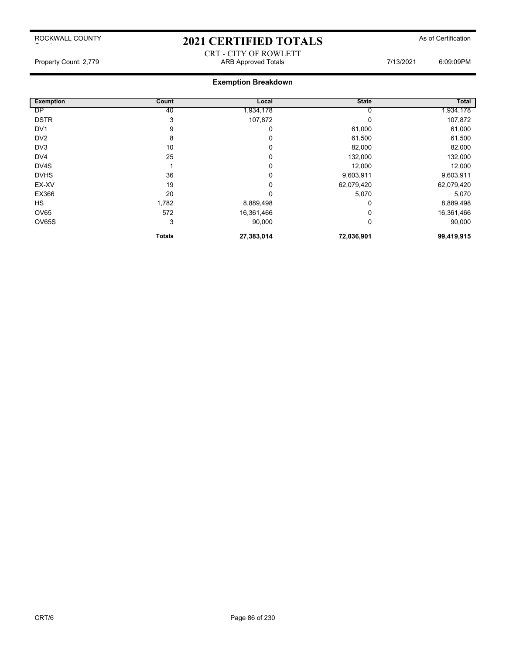### 2021 CERTIFIED TOTALS As of Certification

# CRT - CITY OF ROWLETT

Property Count: 2,779 **ARB Approved Totals ARB Approved Totals** 7/13/2021 6:09:09PM

| <b>Exemption</b> | Count         | Local      | <b>State</b> | <b>Total</b> |
|------------------|---------------|------------|--------------|--------------|
| <b>DP</b>        | 40            | ,934,178   | 0            | 1,934,178    |
| <b>DSTR</b>      | 3             | 107,872    | 0            | 107,872      |
| DV <sub>1</sub>  | 9             | 0          | 61,000       | 61,000       |
| DV <sub>2</sub>  | 8             | 0          | 61,500       | 61,500       |
| DV3              | 10            | 0          | 82,000       | 82,000       |
| DV4              | 25            | 0          | 132,000      | 132,000      |
| DV4S             |               | 0          | 12,000       | 12,000       |
| <b>DVHS</b>      | 36            | 0          | 9,603,911    | 9,603,911    |
| EX-XV            | 19            | 0          | 62,079,420   | 62,079,420   |
| EX366            | 20            | $\Omega$   | 5,070        | 5,070        |
| <b>HS</b>        | 1,782         | 8,889,498  | 0            | 8,889,498    |
| <b>OV65</b>      | 572           | 16,361,466 | $\Omega$     | 16,361,466   |
| OV65S            | 3             | 90,000     | 0            | 90,000       |
|                  | <b>Totals</b> | 27,383,014 | 72,036,901   | 99,419,915   |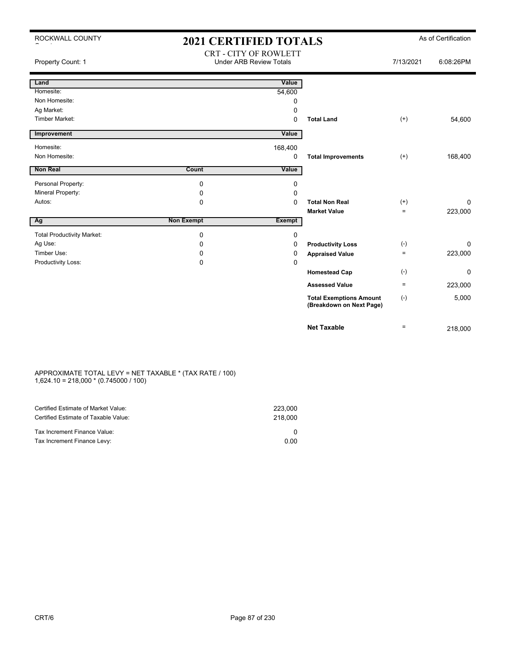| ROCKWALL COUNTY                   | <b>2021 CERTIFIED TOTALS</b>                                   |             |                                                            | As of Certification |           |
|-----------------------------------|----------------------------------------------------------------|-------------|------------------------------------------------------------|---------------------|-----------|
| Property Count: 1                 | <b>CRT - CITY OF ROWLETT</b><br><b>Under ARB Review Totals</b> |             |                                                            | 7/13/2021           | 6:08:26PM |
| Land                              |                                                                | Value       |                                                            |                     |           |
| Homesite:                         |                                                                | 54,600      |                                                            |                     |           |
| Non Homesite:                     |                                                                | 0           |                                                            |                     |           |
| Ag Market:                        |                                                                | 0           |                                                            |                     |           |
| <b>Timber Market:</b>             |                                                                | $\mathbf 0$ | <b>Total Land</b>                                          | $^{(+)}$            | 54,600    |
| Improvement                       |                                                                | Value       |                                                            |                     |           |
| Homesite:                         |                                                                | 168,400     |                                                            |                     |           |
| Non Homesite:                     |                                                                | 0           | <b>Total Improvements</b>                                  | $(+)$               | 168,400   |
| <b>Non Real</b>                   | Count                                                          | Value       |                                                            |                     |           |
| Personal Property:                | 0                                                              | 0           |                                                            |                     |           |
| Mineral Property:                 | 0                                                              | 0           |                                                            |                     |           |
| Autos:                            | 0                                                              | $\Omega$    | <b>Total Non Real</b>                                      | $^{(+)}$            | $\Omega$  |
|                                   |                                                                |             | <b>Market Value</b>                                        | $=$                 | 223,000   |
| Ag                                | <b>Non Exempt</b>                                              | Exempt      |                                                            |                     |           |
| <b>Total Productivity Market:</b> | 0                                                              | 0           |                                                            |                     |           |
| Ag Use:                           | 0                                                              | 0           | <b>Productivity Loss</b>                                   | $(-)$               | $\Omega$  |
| Timber Use:                       | 0                                                              | 0           | <b>Appraised Value</b>                                     | $=$                 | 223,000   |
| Productivity Loss:                | 0                                                              | 0           |                                                            |                     |           |
|                                   |                                                                |             | <b>Homestead Cap</b>                                       | $(-)$               | 0         |
|                                   |                                                                |             | <b>Assessed Value</b>                                      | $=$                 | 223,000   |
|                                   |                                                                |             | <b>Total Exemptions Amount</b><br>(Breakdown on Next Page) | $(-)$               | 5,000     |
|                                   |                                                                |             | <b>Net Taxable</b>                                         | $=$                 | 218,000   |

#### APPROXIMATE TOTAL LEVY = NET TAXABLE \* (TAX RATE / 100) 1,624.10 = 218,000 \* (0.745000 / 100)

| Certified Estimate of Market Value:<br>Certified Estimate of Taxable Value: | 223,000<br>218,000 |
|-----------------------------------------------------------------------------|--------------------|
| Tax Increment Finance Value:                                                |                    |
| Tax Increment Finance Levy:                                                 | 0.00               |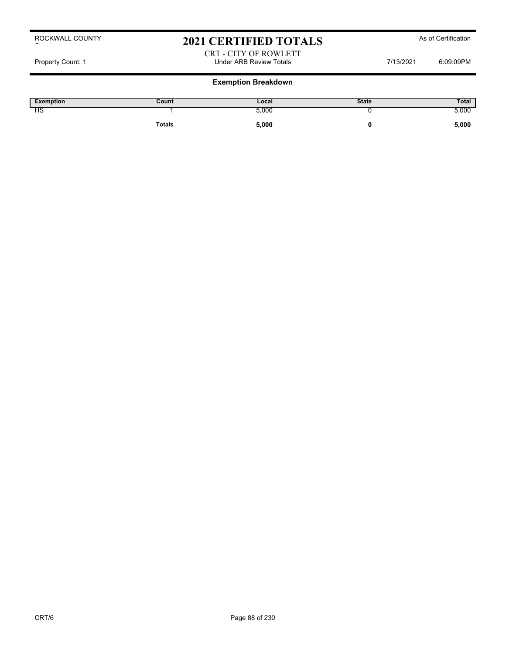### 2021 CERTIFIED TOTALS As of Certification

### CRT - CITY OF ROWLETT Property Count: 1 **Property Count: 1** COUNTER TOTAL STATE Review Totals **Property Count: 1** 6:09:09PM

| <b>Exemption</b> | Count  | Local | <b>State</b> | Total |
|------------------|--------|-------|--------------|-------|
| НS               |        | 5,000 |              | 5,000 |
|                  | Totals | 5,000 |              | 5,000 |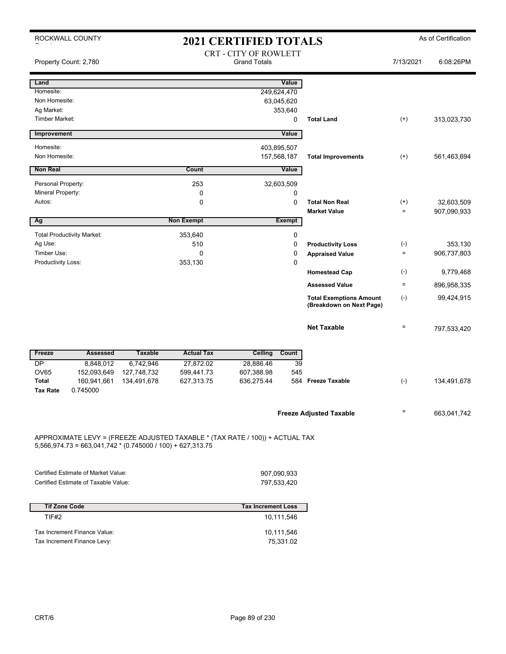|                                 | ROCKWALL COUNTY<br><b>2021 CERTIFIED TOTALS</b>                                                                                            |                                                     |                   | As of Certification |               |                                                            |                   |             |
|---------------------------------|--------------------------------------------------------------------------------------------------------------------------------------------|-----------------------------------------------------|-------------------|---------------------|---------------|------------------------------------------------------------|-------------------|-------------|
|                                 | Property Count: 2,780                                                                                                                      | <b>CRT - CITY OF ROWLETT</b><br><b>Grand Totals</b> |                   |                     | 7/13/2021     | 6:08:26PM                                                  |                   |             |
| Land                            |                                                                                                                                            |                                                     |                   |                     | Value         |                                                            |                   |             |
| Homesite:                       |                                                                                                                                            |                                                     |                   | 249,624,470         |               |                                                            |                   |             |
| Non Homesite:                   |                                                                                                                                            |                                                     |                   |                     | 63,045,620    |                                                            |                   |             |
| Ag Market:                      |                                                                                                                                            |                                                     |                   |                     | 353,640       |                                                            |                   |             |
| <b>Timber Market:</b>           |                                                                                                                                            |                                                     |                   |                     | 0             | <b>Total Land</b>                                          | $(+)$             | 313,023,730 |
| Improvement                     |                                                                                                                                            |                                                     |                   |                     | Value         |                                                            |                   |             |
| Homesite:                       |                                                                                                                                            |                                                     |                   | 403,895,507         |               |                                                            |                   |             |
| Non Homesite:                   |                                                                                                                                            |                                                     |                   | 157,568,187         |               | <b>Total Improvements</b>                                  | $^{(+)}$          | 561,463,694 |
| <b>Non Real</b>                 |                                                                                                                                            |                                                     | Count             |                     | Value         |                                                            |                   |             |
| Personal Property:              |                                                                                                                                            |                                                     | 253               |                     | 32,603,509    |                                                            |                   |             |
| Mineral Property:               |                                                                                                                                            |                                                     | 0                 |                     | 0             |                                                            |                   |             |
| Autos:                          |                                                                                                                                            |                                                     | $\mathbf 0$       |                     | 0             | <b>Total Non Real</b>                                      | $^{(+)}$          | 32,603,509  |
|                                 |                                                                                                                                            |                                                     |                   |                     |               | <b>Market Value</b>                                        | $\qquad \qquad =$ | 907,090,933 |
| Ag                              |                                                                                                                                            |                                                     | <b>Non Exempt</b> |                     | <b>Exempt</b> |                                                            |                   |             |
|                                 | <b>Total Productivity Market:</b>                                                                                                          |                                                     | 353,640           |                     | 0             |                                                            |                   |             |
| Ag Use:                         |                                                                                                                                            |                                                     | 510               |                     | 0             | <b>Productivity Loss</b>                                   | $(\cdot)$         | 353,130     |
| Timber Use:                     |                                                                                                                                            |                                                     | $\Omega$          |                     | 0             | <b>Appraised Value</b>                                     | $\qquad \qquad =$ | 906,737,803 |
| Productivity Loss:              |                                                                                                                                            |                                                     | 353,130           |                     | $\Omega$      |                                                            |                   |             |
|                                 |                                                                                                                                            |                                                     |                   |                     |               | <b>Homestead Cap</b>                                       | $(-)$             | 9,779,468   |
|                                 |                                                                                                                                            |                                                     |                   |                     |               | <b>Assessed Value</b>                                      | $=$               | 896,958,335 |
|                                 |                                                                                                                                            |                                                     |                   |                     |               | <b>Total Exemptions Amount</b><br>(Breakdown on Next Page) | $(-)$             | 99,424,915  |
|                                 |                                                                                                                                            |                                                     |                   |                     |               | <b>Net Taxable</b>                                         | $=$               | 797,533,420 |
| Freeze                          | <b>Assessed</b>                                                                                                                            | <b>Taxable</b>                                      | <b>Actual Tax</b> | Ceiling             | Count         |                                                            |                   |             |
| <b>DP</b>                       | 8,848,012                                                                                                                                  | 6,742,946                                           | 27,872.02         | 28,886.46           | 39            |                                                            |                   |             |
| <b>OV65</b>                     | 152,093,649                                                                                                                                | 127,748,732                                         | 599,441.73        | 607,388.98          | 545           |                                                            |                   |             |
| <b>Total</b><br><b>Tax Rate</b> | 160,941,661<br>0.745000                                                                                                                    | 134,491,678                                         | 627,313.75        | 636,275.44          | 584           | <b>Freeze Taxable</b>                                      | $(-)$             | 134,491,678 |
|                                 |                                                                                                                                            |                                                     |                   |                     |               |                                                            |                   |             |
|                                 |                                                                                                                                            |                                                     |                   |                     |               | <b>Freeze Adjusted Taxable</b>                             | Ξ                 | 663,041,742 |
|                                 | APPROXIMATE LEVY = (FREEZE ADJUSTED TAXABLE * (TAX RATE / 100)) + ACTUAL TAX<br>5,566,974.73 = 663,041,742 * (0.745000 / 100) + 627,313.75 |                                                     |                   |                     |               |                                                            |                   |             |

| Certified Estimate of Market Value:  | 907.090.933 |
|--------------------------------------|-------------|
| Certified Estimate of Taxable Value: | 797.533.420 |

| <b>Tif Zone Code</b>         | <b>Tax Increment Loss</b> |
|------------------------------|---------------------------|
| TIF#2                        | 10,111,546                |
| Tax Increment Finance Value: | 10,111,546                |
| Tax Increment Finance Levy:  | 75.331.02                 |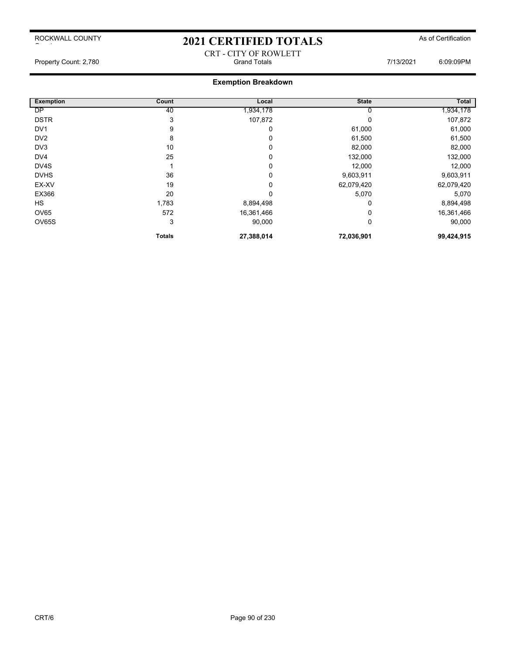# 2021 CERTIFIED TOTALS As of Certification CRT - CITY OF ROWLETT

Property Count: 2,780 **Stand Totals** Grand Totals **Connection** Count: 2,780 6:09:09PM

| <b>Exemption</b> | Count         | Local      | <b>State</b> | <b>Total</b> |
|------------------|---------------|------------|--------------|--------------|
| <b>DP</b>        | 40            | .934,178   | U            | 1,934,178    |
| <b>DSTR</b>      | 3             | 107,872    | 0            | 107,872      |
| DV <sub>1</sub>  | 9             | 0          | 61,000       | 61,000       |
| DV <sub>2</sub>  | 8             | 0          | 61,500       | 61,500       |
| DV <sub>3</sub>  | 10            | 0          | 82,000       | 82,000       |
| DV4              | 25            | 0          | 132,000      | 132,000      |
| DV4S             |               | 0          | 12,000       | 12,000       |
| <b>DVHS</b>      | 36            | 0          | 9,603,911    | 9,603,911    |
| EX-XV            | 19            | 0          | 62,079,420   | 62,079,420   |
| EX366            | 20            | 0          | 5,070        | 5,070        |
| <b>HS</b>        | 1,783         | 8,894,498  | $\Omega$     | 8,894,498    |
| OV65             | 572           | 16,361,466 | 0            | 16,361,466   |
| OV65S            | 3             | 90,000     | 0            | 90,000       |
|                  | <b>Totals</b> | 27,388,014 | 72,036,901   | 99,424,915   |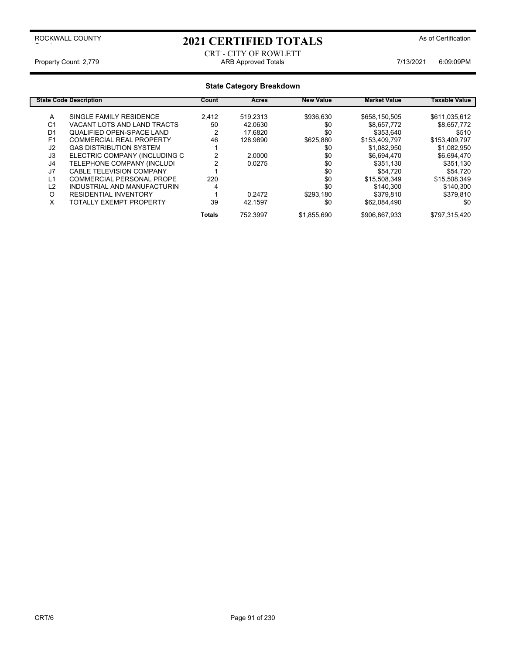# 2021 CERTIFIED TOTALS As of Certification

#### CRT - CITY OF ROWLETT Property Count: 2,779 **ARB Approved Totals ARB Approved Totals** 7/13/2021 6:09:09PM

| <b>State Code Description</b> |                                  | Count         | <b>Acres</b> | <b>New Value</b> | <b>Market Value</b> | Taxable Value |
|-------------------------------|----------------------------------|---------------|--------------|------------------|---------------------|---------------|
| A                             | SINGLE FAMILY RESIDENCE          | 2.412         | 519.2313     | \$936,630        | \$658,150,505       | \$611,035,612 |
| C <sub>1</sub>                | VACANT LOTS AND LAND TRACTS      | 50            | 42.0630      | \$0              | \$8,657,772         | \$8,657,772   |
| D <sub>1</sub>                | <b>QUALIFIED OPEN-SPACE LAND</b> | າ             | 17.6820      | \$0              | \$353.640           | \$510         |
| F <sub>1</sub>                | <b>COMMERCIAL REAL PROPERTY</b>  | 46            | 128.9890     | \$625,880        | \$153,409,797       | \$153,409,797 |
| J2                            | <b>GAS DISTRIBUTION SYSTEM</b>   |               |              | \$0              | \$1,082,950         | \$1,082,950   |
| J3                            | ELECTRIC COMPANY (INCLUDING C    |               | 2.0000       | \$0              | \$6,694,470         | \$6,694,470   |
| J4                            | TELEPHONE COMPANY (INCLUDI       |               | 0.0275       | \$0              | \$351,130           | \$351,130     |
| J7                            | <b>CABLE TELEVISION COMPANY</b>  |               |              | \$0              | \$54.720            | \$54.720      |
| L1                            | COMMERCIAL PERSONAL PROPE        | 220           |              | \$0              | \$15,508,349        | \$15.508.349  |
| L2                            | INDUSTRIAL AND MANUFACTURIN      |               |              | \$0              | \$140.300           | \$140.300     |
| O                             | <b>RESIDENTIAL INVENTORY</b>     |               | 0.2472       | \$293.180        | \$379,810           | \$379.810     |
| X                             | <b>TOTALLY EXEMPT PROPERTY</b>   | 39            | 42.1597      | \$0              | \$62.084.490        | \$0           |
|                               |                                  | <b>Totals</b> | 752.3997     | \$1,855,690      | \$906,867,933       | \$797,315,420 |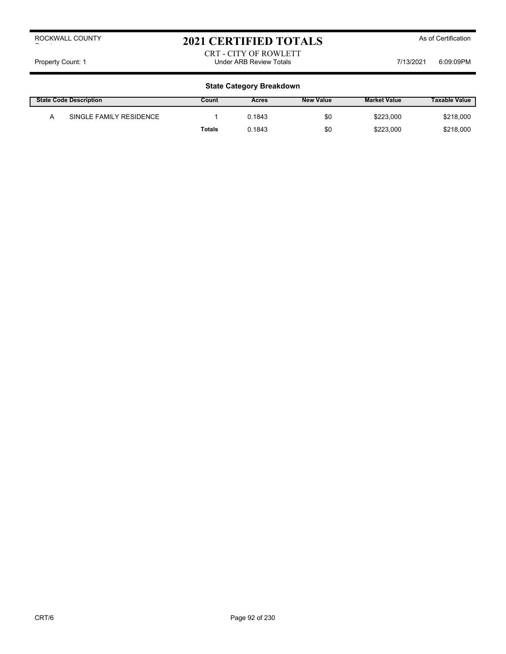# 2021 CERTIFIED TOTALS As of Certification

#### CRT - CITY OF ROWLETT Property Count: 1 **Property Count: 1** COUNTER TOTAL STATE Review Totals **Property Count: 1** COSCOPM

| <b>State Code Description</b> |                         | Count  | Acres  | <b>New Value</b> | <b>Market Value</b> | <b>Taxable Value</b> |
|-------------------------------|-------------------------|--------|--------|------------------|---------------------|----------------------|
|                               | SINGLE FAMILY RESIDENCE |        | 0.1843 | \$0              | \$223,000           | \$218,000            |
|                               |                         | Totals | 0.1843 | \$0              | \$223,000           | \$218,000            |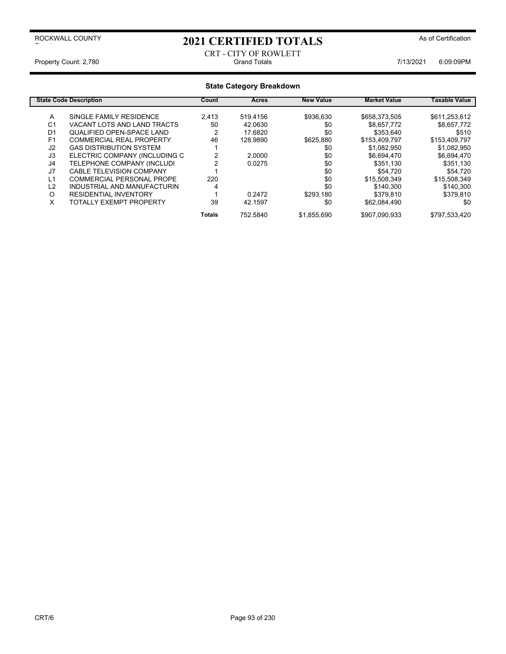### 2021 CERTIFIED TOTALS As of Certification

#### CRT - CITY OF ROWLETT Property Count: 2,780 **Count: 2,780** Crand Totals Grand Totals **7/13/2021** 6:09:09PM

| <b>State Code Description</b> |                                 | Count         | <b>Acres</b> | <b>New Value</b> | <b>Market Value</b> | Taxable Value |
|-------------------------------|---------------------------------|---------------|--------------|------------------|---------------------|---------------|
| A                             | SINGLE FAMILY RESIDENCE         | 2.413         | 519.4156     | \$936,630        | \$658,373,505       | \$611,253,612 |
| C <sub>1</sub>                | VACANT LOTS AND LAND TRACTS     | 50            | 42.0630      | \$0              | \$8,657,772         | \$8,657,772   |
| D <sub>1</sub>                | QUALIFIED OPEN-SPACE LAND       |               | 17.6820      | \$0              | \$353,640           | \$510         |
| F <sub>1</sub>                | <b>COMMERCIAL REAL PROPERTY</b> | 46            | 128.9890     | \$625,880        | \$153,409,797       | \$153,409,797 |
| J2                            | <b>GAS DISTRIBUTION SYSTEM</b>  |               |              | \$0              | \$1,082,950         | \$1,082,950   |
| J3                            | ELECTRIC COMPANY (INCLUDING C   |               | 2.0000       | \$0              | \$6.694.470         | \$6,694,470   |
| J <sub>4</sub>                | TELEPHONE COMPANY (INCLUDI      |               | 0.0275       | \$0              | \$351,130           | \$351,130     |
| J <sub>7</sub>                | <b>CABLE TELEVISION COMPANY</b> |               |              | \$0              | \$54,720            | \$54,720      |
| L1                            | COMMERCIAL PERSONAL PROPE       | 220           |              | \$0              | \$15,508,349        | \$15,508,349  |
| L2                            | INDUSTRIAL AND MANUFACTURIN     |               |              | \$0              | \$140.300           | \$140,300     |
| O                             | <b>RESIDENTIAL INVENTORY</b>    |               | 0.2472       | \$293.180        | \$379,810           | \$379,810     |
| X                             | <b>TOTALLY EXEMPT PROPERTY</b>  | 39            | 42.1597      | \$0              | \$62.084.490        | \$0           |
|                               |                                 | <b>Totals</b> | 752.5840     | \$1,855,690      | \$907,090,933       | \$797,533,420 |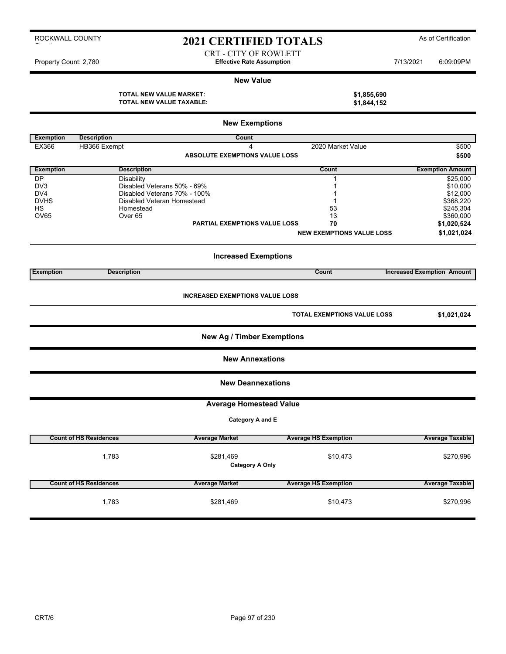### 2021 CERTIFIED TOTALS As of Certification

CRT - CITY OF ROWLETT Property Count: 2,780 **Effective Rate Assumption Effective Rate Assumption** 7/13/2021 6:09:09PM

#### **New Value**

**TOTAL NEW VALUE MARKET: \$1,855,690 TOTAL NEW VALUE TAXABLE: \$1,844,152**

|                  | <b>New Exemptions</b>           |                                        |                                    |                                   |  |  |  |
|------------------|---------------------------------|----------------------------------------|------------------------------------|-----------------------------------|--|--|--|
| <b>Exemption</b> | <b>Description</b>              | Count                                  |                                    |                                   |  |  |  |
| EX366            | HB366 Exempt                    | $\overline{4}$                         | 2020 Market Value                  | \$500                             |  |  |  |
|                  |                                 | <b>ABSOLUTE EXEMPTIONS VALUE LOSS</b>  |                                    | \$500                             |  |  |  |
| <b>Exemption</b> | <b>Description</b>              |                                        | Count                              | <b>Exemption Amount</b>           |  |  |  |
| DP               | <b>Disability</b>               |                                        | 1                                  | \$25,000                          |  |  |  |
| DV3              | Disabled Veterans 50% - 69%     |                                        | 1                                  | \$10,000                          |  |  |  |
| DV4              | Disabled Veterans 70% - 100%    |                                        | 1                                  | \$12,000                          |  |  |  |
| <b>DVHS</b>      | Disabled Veteran Homestead      |                                        | 1                                  | \$368,220<br>\$245,304            |  |  |  |
| HS<br>OV65       | Homestead<br>Over <sub>65</sub> |                                        | 53<br>13                           | \$360,000                         |  |  |  |
|                  |                                 | <b>PARTIAL EXEMPTIONS VALUE LOSS</b>   | 70                                 | \$1,020,524                       |  |  |  |
|                  |                                 |                                        | <b>NEW EXEMPTIONS VALUE LOSS</b>   | \$1,021,024                       |  |  |  |
|                  |                                 |                                        |                                    |                                   |  |  |  |
|                  |                                 | <b>Increased Exemptions</b>            |                                    |                                   |  |  |  |
| <b>Exemption</b> | <b>Description</b>              |                                        | Count                              | <b>Increased Exemption Amount</b> |  |  |  |
|                  |                                 | <b>INCREASED EXEMPTIONS VALUE LOSS</b> | <b>TOTAL EXEMPTIONS VALUE LOSS</b> | \$1,021,024                       |  |  |  |
|                  |                                 |                                        |                                    |                                   |  |  |  |
|                  |                                 | <b>New Ag / Timber Exemptions</b>      |                                    |                                   |  |  |  |
|                  |                                 | <b>New Annexations</b>                 |                                    |                                   |  |  |  |
|                  |                                 | <b>New Deannexations</b>               |                                    |                                   |  |  |  |
|                  |                                 | <b>Average Homestead Value</b>         |                                    |                                   |  |  |  |
|                  |                                 | Category A and E                       |                                    |                                   |  |  |  |
|                  | <b>Count of HS Residences</b>   | <b>Average Market</b>                  | <b>Average HS Exemption</b>        | <b>Average Taxable</b>            |  |  |  |
|                  |                                 |                                        |                                    |                                   |  |  |  |
|                  | 1,783                           | \$281,469                              | \$10,473                           | \$270,996                         |  |  |  |
|                  |                                 | <b>Category A Only</b>                 |                                    |                                   |  |  |  |
|                  | <b>Count of HS Residences</b>   | <b>Average Market</b>                  | <b>Average HS Exemption</b>        | <b>Average Taxable</b>            |  |  |  |
|                  |                                 |                                        |                                    |                                   |  |  |  |
|                  | 1,783                           | \$281,469                              | \$10,473                           | \$270,996                         |  |  |  |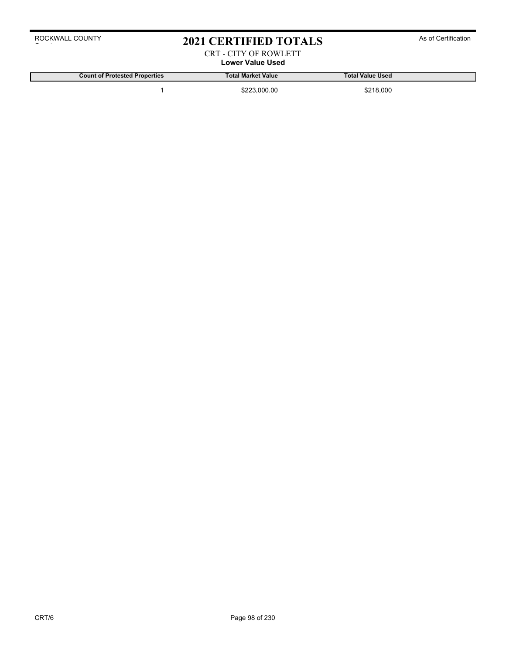### 2021 CERTIFIED TOTALS As of Certification

#### CRT - CITY OF ROWLETT **Lower Value Used**

**Count of Protested Properties Total Market Value Total Value Used**

1 \$223,000.00 \$218,000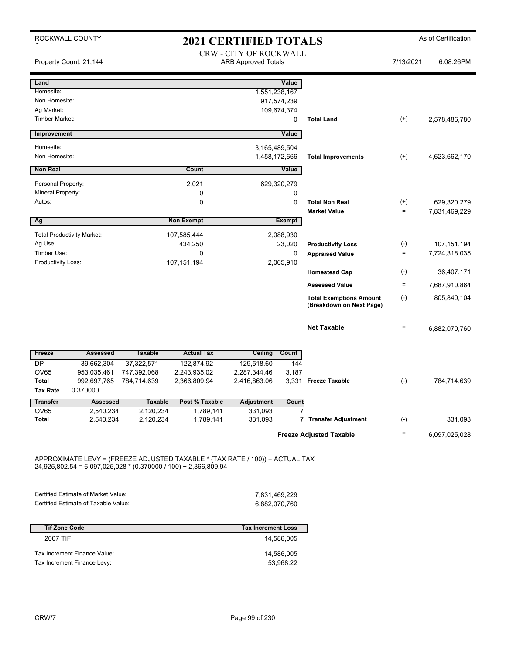|                                     | ROCKWALL COUNTY                   |                |                   | <b>2021 CERTIFIED TOTALS</b>  |               |                                                            |                   | As of Certification |
|-------------------------------------|-----------------------------------|----------------|-------------------|-------------------------------|---------------|------------------------------------------------------------|-------------------|---------------------|
|                                     |                                   |                |                   | <b>CRW - CITY OF ROCKWALL</b> |               |                                                            |                   |                     |
|                                     | Property Count: 21,144            |                |                   | <b>ARB Approved Totals</b>    |               |                                                            | 7/13/2021         | 6:08:26PM           |
| Land                                |                                   |                |                   |                               | Value         |                                                            |                   |                     |
| Homesite:                           |                                   |                |                   |                               | 1,551,238,167 |                                                            |                   |                     |
| Non Homesite:                       |                                   |                |                   |                               | 917,574,239   |                                                            |                   |                     |
| Ag Market:<br><b>Timber Market:</b> |                                   |                |                   |                               | 109,674,374   |                                                            |                   |                     |
|                                     |                                   |                |                   |                               | 0             | <b>Total Land</b>                                          | $^{(+)}$          | 2,578,486,780       |
| Improvement                         |                                   |                |                   |                               | Value         |                                                            |                   |                     |
| Homesite:                           |                                   |                |                   |                               | 3,165,489,504 |                                                            |                   |                     |
| Non Homesite:                       |                                   |                |                   |                               | 1,458,172,666 | <b>Total Improvements</b>                                  | $(+)$             | 4,623,662,170       |
| <b>Non Real</b>                     |                                   |                | Count             |                               | Value         |                                                            |                   |                     |
| Personal Property:                  |                                   |                | 2,021             |                               | 629,320,279   |                                                            |                   |                     |
| Mineral Property:                   |                                   |                | 0                 |                               | 0             |                                                            |                   |                     |
| Autos:                              |                                   |                | 0                 |                               | $\Omega$      | <b>Total Non Real</b>                                      | $^{(+)}$          | 629,320,279         |
|                                     |                                   |                |                   |                               |               | <b>Market Value</b>                                        | $\qquad \qquad =$ | 7,831,469,229       |
| Ag                                  |                                   |                | <b>Non Exempt</b> |                               | <b>Exempt</b> |                                                            |                   |                     |
|                                     | <b>Total Productivity Market:</b> |                | 107,585,444       |                               | 2,088,930     |                                                            |                   |                     |
| Ag Use:                             |                                   |                | 434,250           |                               | 23,020        | <b>Productivity Loss</b>                                   | $(-)$             | 107,151,194         |
| Timber Use:                         |                                   |                | 0                 |                               | 0             | <b>Appraised Value</b>                                     | $\qquad \qquad =$ | 7,724,318,035       |
| <b>Productivity Loss:</b>           |                                   |                | 107, 151, 194     |                               | 2,065,910     |                                                            |                   |                     |
|                                     |                                   |                |                   |                               |               | <b>Homestead Cap</b>                                       | $(-)$             | 36,407,171          |
|                                     |                                   |                |                   |                               |               | <b>Assessed Value</b>                                      | $\qquad \qquad =$ | 7,687,910,864       |
|                                     |                                   |                |                   |                               |               | <b>Total Exemptions Amount</b><br>(Breakdown on Next Page) | $(-)$             | 805,840,104         |
|                                     |                                   |                |                   |                               |               | <b>Net Taxable</b>                                         | $\quad \  \  =$   | 6,882,070,760       |
| Freeze                              | <b>Assessed</b>                   | <b>Taxable</b> | <b>Actual Tax</b> | Ceiling                       | Count         |                                                            |                   |                     |
| DP                                  | 39,662,304                        | 37,322,571     | 122,874.92        | 129,518.60                    | 144           |                                                            |                   |                     |
| <b>OV65</b>                         | 953,035,461                       | 747,392,068    | 2,243,935.02      | 2,287,344.46                  | 3,187         |                                                            |                   |                     |
| <b>Total</b>                        | 992,697,765                       | 784,714,639    | 2,366,809.94      | 2,416,863.06                  |               | 3,331 Freeze Taxable                                       | $(\text{-})$      | 784,714,639         |
| <b>Tax Rate</b>                     | 0.370000                          |                |                   |                               |               |                                                            |                   |                     |
| <b>Transfer</b>                     | <b>Assessed</b>                   | <b>Taxable</b> | Post % Taxable    | Adjustment                    | Count         |                                                            |                   |                     |
| OV65<br><b>Total</b>                | 2,540,234                         | 2,120,234      | 1,789,141         | 331,093                       |               |                                                            |                   |                     |
|                                     | 2,540,234                         | 2,120,234      | 1,789,141         | 331,093                       |               | 7 Transfer Adjustment                                      | $(-)$             | 331,093             |
|                                     |                                   |                |                   |                               |               | <b>Freeze Adjusted Taxable</b>                             | $\equiv$          | 6,097,025,028       |

APPROXIMATE LEVY = (FREEZE ADJUSTED TAXABLE \* (TAX RATE / 100)) + ACTUAL TAX 24,925,802.54 = 6,097,025,028 \* (0.370000 / 100) + 2,366,809.94

| Certified Estimate of Market Value:  | 7.831.469.229 |
|--------------------------------------|---------------|
| Certified Estimate of Taxable Value: | 6,882,070,760 |

| <b>Tif Zone Code</b>         | <b>Tax Increment Loss</b> |
|------------------------------|---------------------------|
| 2007 TIF                     | 14.586.005                |
| Tax Increment Finance Value: | 14.586.005                |
| Tax Increment Finance Levy:  | 53.968.22                 |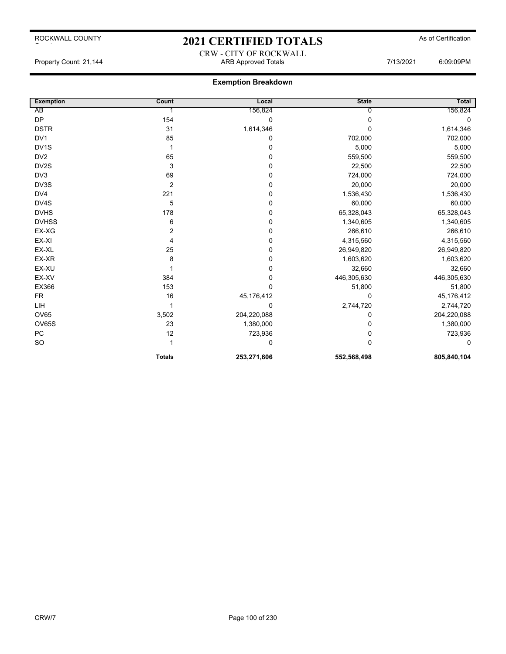# 2021 CERTIFIED TOTALS As of Certification CRW - CITY OF ROCKWALL

Property Count: 21,144 **ARB Approved Totals** ARB Approved Totals 7/13/2021 6:09:09PM

| <b>Exemption</b> | Count          | Local       | <b>State</b> | Total       |
|------------------|----------------|-------------|--------------|-------------|
| AB               |                | 156,824     | <sup>0</sup> | 156,824     |
| <b>DP</b>        | 154            | 0           | 0            | 0           |
| <b>DSTR</b>      | 31             | 1,614,346   | 0            | 1,614,346   |
| DV <sub>1</sub>  | 85             | 0           | 702,000      | 702,000     |
| DV1S             | 1              | $\pmb{0}$   | 5,000        | 5,000       |
| DV <sub>2</sub>  | 65             | $\mathbf 0$ | 559,500      | 559,500     |
| DV2S             | 3              | $\mathbf 0$ | 22,500       | 22,500      |
| DV3              | 69             | $\mathbf 0$ | 724,000      | 724,000     |
| DV3S             | 2              | 0           | 20,000       | 20,000      |
| DV4              | 221            | $\mathbf 0$ | 1,536,430    | 1,536,430   |
| DV4S             | 5              | 0           | 60,000       | 60,000      |
| <b>DVHS</b>      | 178            | $\mathbf 0$ | 65,328,043   | 65,328,043  |
| <b>DVHSS</b>     | 6              | $\pmb{0}$   | 1,340,605    | 1,340,605   |
| EX-XG            | $\overline{2}$ | $\mathbf 0$ | 266,610      | 266,610     |
| EX-XI            | 4              | $\mathbf 0$ | 4,315,560    | 4,315,560   |
| EX-XL            | 25             | $\pmb{0}$   | 26,949,820   | 26,949,820  |
| EX-XR            | 8              | $\mathbf 0$ | 1,603,620    | 1,603,620   |
| EX-XU            |                | $\mathbf 0$ | 32,660       | 32,660      |
| EX-XV            | 384            | $\mathbf 0$ | 446,305,630  | 446,305,630 |
| EX366            | 153            | $\mathbf 0$ | 51,800       | 51,800      |
| <b>FR</b>        | 16             | 45,176,412  | $\Omega$     | 45,176,412  |
| LIH              |                | $\Omega$    | 2,744,720    | 2,744,720   |
| <b>OV65</b>      | 3,502          | 204,220,088 | 0            | 204,220,088 |
| <b>OV65S</b>     | 23             | 1,380,000   | 0            | 1,380,000   |
| PC               | 12             | 723,936     | 0            | 723,936     |
| SO               |                | 0           | 0            | 0           |
|                  | <b>Totals</b>  | 253,271,606 | 552,568,498  | 805,840,104 |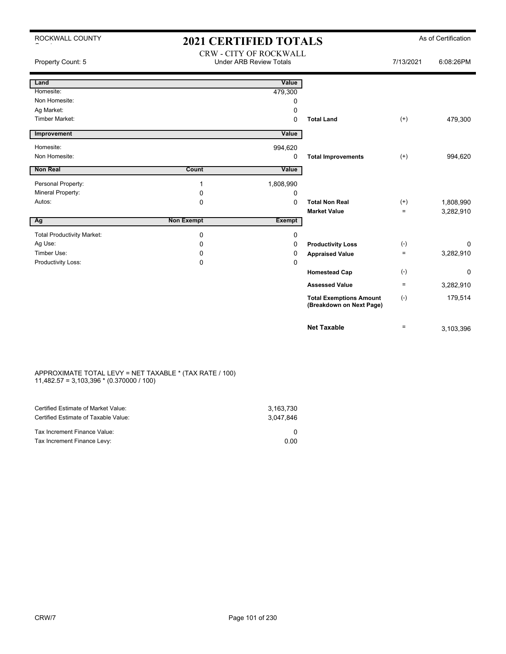| ROCKWALL COUNTY                         | <b>2021 CERTIFIED TOTALS</b> | As of Certification            |                                |           |           |
|-----------------------------------------|------------------------------|--------------------------------|--------------------------------|-----------|-----------|
|                                         |                              | <b>CRW - CITY OF ROCKWALL</b>  |                                |           |           |
| Property Count: 5                       |                              | <b>Under ARB Review Totals</b> |                                | 7/13/2021 | 6:08:26PM |
|                                         |                              |                                |                                |           |           |
| Land<br>Homesite:                       |                              | Value                          |                                |           |           |
| Non Homesite:                           |                              | 479,300<br>0                   |                                |           |           |
| Ag Market:                              |                              | 0                              |                                |           |           |
| <b>Timber Market:</b>                   |                              | 0                              | <b>Total Land</b>              | $^{(+)}$  | 479,300   |
|                                         |                              |                                |                                |           |           |
| Improvement                             |                              | Value                          |                                |           |           |
| Homesite:                               |                              | 994,620                        |                                |           |           |
| Non Homesite:                           |                              | 0                              | <b>Total Improvements</b>      | $^{(+)}$  | 994,620   |
| Non Real                                | Count                        | Value                          |                                |           |           |
|                                         |                              |                                |                                |           |           |
| Personal Property:<br>Mineral Property: | 1                            | 1,808,990                      |                                |           |           |
| Autos:                                  | 0<br>$\Omega$                | 0<br>$\Omega$                  | <b>Total Non Real</b>          | $^{(+)}$  | 1,808,990 |
|                                         |                              |                                | <b>Market Value</b>            | $\equiv$  | 3,282,910 |
| Ag                                      | <b>Non Exempt</b>            | Exempt                         |                                |           |           |
| <b>Total Productivity Market:</b>       | 0                            | 0                              |                                |           |           |
| Ag Use:                                 | 0                            | 0                              | <b>Productivity Loss</b>       | $(-)$     | 0         |
| Timber Use:                             | 0                            | 0                              | <b>Appraised Value</b>         | $=$       | 3,282,910 |
| Productivity Loss:                      | 0                            | 0                              |                                |           |           |
|                                         |                              |                                | <b>Homestead Cap</b>           | $(-)$     | 0         |
|                                         |                              |                                | <b>Assessed Value</b>          | $\equiv$  | 3,282,910 |
|                                         |                              |                                | <b>Total Exemptions Amount</b> | $(-)$     | 179,514   |
|                                         |                              |                                | (Breakdown on Next Page)       |           |           |
|                                         |                              |                                | <b>Net Taxable</b>             | $=$       | 3,103,396 |

#### APPROXIMATE TOTAL LEVY = NET TAXABLE \* (TAX RATE / 100) 11,482.57 = 3,103,396 \* (0.370000 / 100)

| Certified Estimate of Market Value:<br>Certified Estimate of Taxable Value: | 3.163.730<br>3.047.846 |
|-----------------------------------------------------------------------------|------------------------|
| Tax Increment Finance Value:                                                |                        |
| Tax Increment Finance Levy:                                                 | 0.00                   |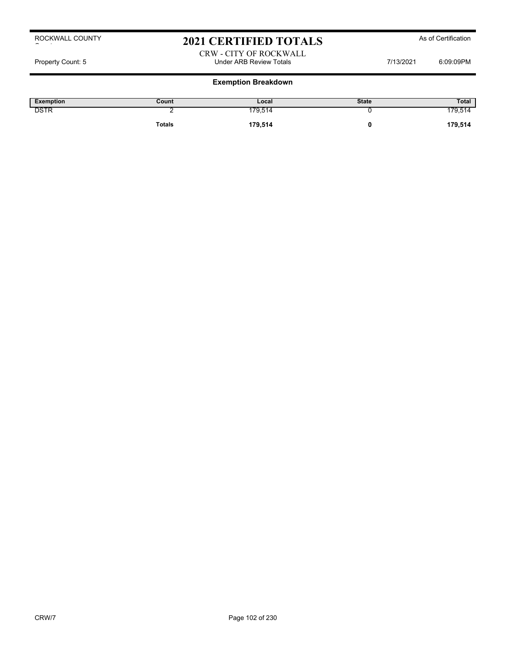### 2021 CERTIFIED TOTALS As of Certification

#### CRW - CITY OF ROCKWALL Property Count: 5 **Property Count: 5** CO9:09PM

| Exemption   | Count         | Local   | <b>State</b> | <b>Total</b> |
|-------------|---------------|---------|--------------|--------------|
| <b>DSTR</b> |               | 179,514 |              | 179,514      |
|             | <b>Totals</b> | 179,514 |              | 179,514      |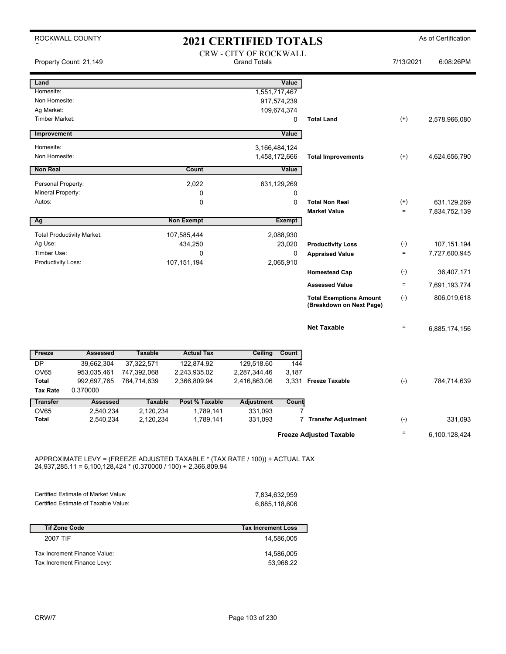| ROCKWALL COUNTY          |                                   |                |                   | <b>2021 CERTIFIED TOTALS</b>                         |               |                                                            |           | As of Certification |
|--------------------------|-----------------------------------|----------------|-------------------|------------------------------------------------------|---------------|------------------------------------------------------------|-----------|---------------------|
|                          | Property Count: 21,149            |                |                   | <b>CRW - CITY OF ROCKWALL</b><br><b>Grand Totals</b> |               |                                                            | 7/13/2021 | 6:08:26PM           |
| Land                     |                                   |                |                   |                                                      | Value         |                                                            |           |                     |
| Homesite:                |                                   |                |                   |                                                      | 1,551,717,467 |                                                            |           |                     |
| Non Homesite:            |                                   |                |                   |                                                      | 917,574,239   |                                                            |           |                     |
| Ag Market:               |                                   |                |                   |                                                      | 109,674,374   |                                                            |           |                     |
| <b>Timber Market:</b>    |                                   |                |                   |                                                      | 0             | <b>Total Land</b>                                          | $(+)$     | 2,578,966,080       |
| <b>Improvement</b>       |                                   |                |                   |                                                      | Value         |                                                            |           |                     |
| Homesite:                |                                   |                |                   |                                                      | 3,166,484,124 |                                                            |           |                     |
| Non Homesite:            |                                   |                |                   |                                                      | 1,458,172,666 | <b>Total Improvements</b>                                  | $^{(+)}$  | 4,624,656,790       |
| <b>Non Real</b>          |                                   |                | Count             |                                                      | Value         |                                                            |           |                     |
| Personal Property:       |                                   |                | 2,022             |                                                      | 631,129,269   |                                                            |           |                     |
| Mineral Property:        |                                   |                | $\mathbf 0$       |                                                      | 0             |                                                            |           |                     |
| Autos:                   |                                   |                | $\mathbf 0$       |                                                      | 0             | <b>Total Non Real</b>                                      | $^{(+)}$  | 631,129,269         |
|                          |                                   |                |                   |                                                      |               | <b>Market Value</b>                                        | $\equiv$  | 7,834,752,139       |
| Ag                       |                                   |                | <b>Non Exempt</b> |                                                      | <b>Exempt</b> |                                                            |           |                     |
|                          | <b>Total Productivity Market:</b> |                | 107,585,444       |                                                      | 2,088,930     |                                                            |           |                     |
| Ag Use:                  |                                   |                | 434,250           |                                                      | 23,020        | <b>Productivity Loss</b>                                   | $(-)$     | 107,151,194         |
| Timber Use:              |                                   |                | $\Omega$          |                                                      | 0             | <b>Appraised Value</b>                                     | $\equiv$  | 7,727,600,945       |
| Productivity Loss:       |                                   |                | 107, 151, 194     |                                                      | 2,065,910     |                                                            |           |                     |
|                          |                                   |                |                   |                                                      |               | <b>Homestead Cap</b>                                       | $(-)$     | 36,407,171          |
|                          |                                   |                |                   |                                                      |               | <b>Assessed Value</b>                                      | $\equiv$  | 7,691,193,774       |
|                          |                                   |                |                   |                                                      |               | <b>Total Exemptions Amount</b><br>(Breakdown on Next Page) | $(-)$     | 806,019,618         |
|                          |                                   |                |                   |                                                      |               | <b>Net Taxable</b>                                         | $\equiv$  | 6,885,174,156       |
| Freeze                   | <b>Assessed</b>                   | <b>Taxable</b> | <b>Actual Tax</b> | Ceiling                                              | Count         |                                                            |           |                     |
| DP                       | 39,662,304                        | 37,322,571     | 122,874.92        | 129,518.60                                           | 144           |                                                            |           |                     |
| <b>OV65</b>              | 953,035,461                       | 747,392,068    | 2,243,935.02      | 2,287,344.46                                         | 3,187         |                                                            |           |                     |
| Total<br><b>Tax Rate</b> | 992,697,765<br>0.370000           | 784,714,639    | 2,366,809.94      | 2,416,863.06                                         |               | 3,331 Freeze Taxable                                       | $(-)$     | 784,714,639         |
| <b>Transfer</b>          | <b>Assessed</b>                   | <b>Taxable</b> | Post % Taxable    | <b>Adjustment</b>                                    | Count         |                                                            |           |                     |
| OV65                     | 2,540,234                         | 2,120,234      | 1,789,141         | 331,093                                              |               |                                                            |           |                     |
| Total                    | 2,540,234                         | 2,120,234      | 1,789,141         | 331,093                                              |               | 7 Transfer Adjustment                                      | $(-)$     | 331,093             |
|                          |                                   |                |                   |                                                      |               |                                                            | $\equiv$  |                     |
|                          |                                   |                |                   |                                                      |               | <b>Freeze Adjusted Taxable</b>                             |           | 6,100,128,424       |

APPROXIMATE LEVY = (FREEZE ADJUSTED TAXABLE \* (TAX RATE / 100)) + ACTUAL TAX 24,937,285.11 = 6,100,128,424 \* (0.370000 / 100) + 2,366,809.94

| Certified Estimate of Market Value:  | 7.834.632.959 |
|--------------------------------------|---------------|
| Certified Estimate of Taxable Value: | 6,885,118,606 |

| <b>Tif Zone Code</b>         | <b>Tax Increment Loss</b> |
|------------------------------|---------------------------|
| 2007 TIF                     | 14.586.005                |
| Tax Increment Finance Value: | 14.586.005                |
| Tax Increment Finance Levy:  | 53.968.22                 |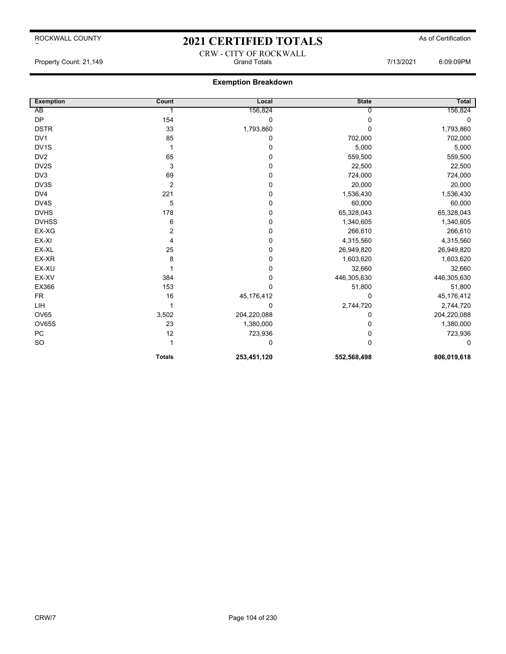# 2021 CERTIFIED TOTALS As of Certification CRW - CITY OF ROCKWALL

Property Count: 21,149 **Fig. 21,149** Grand Totals **Grand Totals** 6:09:09PM

| <b>Exemption</b> | Count          | Local       | <b>State</b> | <b>Total</b> |
|------------------|----------------|-------------|--------------|--------------|
| AB               |                | 156,824     |              | 156,824      |
| <b>DP</b>        | 154            | 0           | 0            | 0            |
| <b>DSTR</b>      | 33             | 1,793,860   | 0            | 1,793,860    |
| DV <sub>1</sub>  | 85             | 0           | 702,000      | 702,000      |
| DV1S             | 1              | 0           | 5,000        | 5,000        |
| DV <sub>2</sub>  | 65             | 0           | 559,500      | 559,500      |
| DV2S             | 3              | 0           | 22,500       | 22,500       |
| DV3              | 69             | 0           | 724,000      | 724,000      |
| DV3S             | $\overline{2}$ | 0           | 20,000       | 20,000       |
| DV4              | 221            | 0           | 1,536,430    | 1,536,430    |
| DV4S             | 5              | 0           | 60,000       | 60,000       |
| <b>DVHS</b>      | 178            | 0           | 65,328,043   | 65,328,043   |
| <b>DVHSS</b>     | 6              | 0           | 1,340,605    | 1,340,605    |
| EX-XG            | $\overline{2}$ | 0           | 266,610      | 266,610      |
| EX-XI            | 4              | 0           | 4,315,560    | 4,315,560    |
| EX-XL            | 25             | 0           | 26,949,820   | 26,949,820   |
| EX-XR            | 8              | 0           | 1,603,620    | 1,603,620    |
| EX-XU            |                | 0           | 32,660       | 32,660       |
| EX-XV            | 384            | 0           | 446,305,630  | 446,305,630  |
| EX366            | 153            | 0           | 51,800       | 51,800       |
| <b>FR</b>        | 16             | 45,176,412  | 0            | 45,176,412   |
| LIH              |                | 0           | 2,744,720    | 2,744,720    |
| <b>OV65</b>      | 3,502          | 204,220,088 | 0            | 204,220,088  |
| <b>OV65S</b>     | 23             | 1,380,000   | 0            | 1,380,000    |
| ${\sf PC}$       | 12             | 723,936     | 0            | 723,936      |
| SO               | 1              | 0           | 0            | 0            |
|                  | <b>Totals</b>  | 253,451,120 | 552,568,498  | 806,019,618  |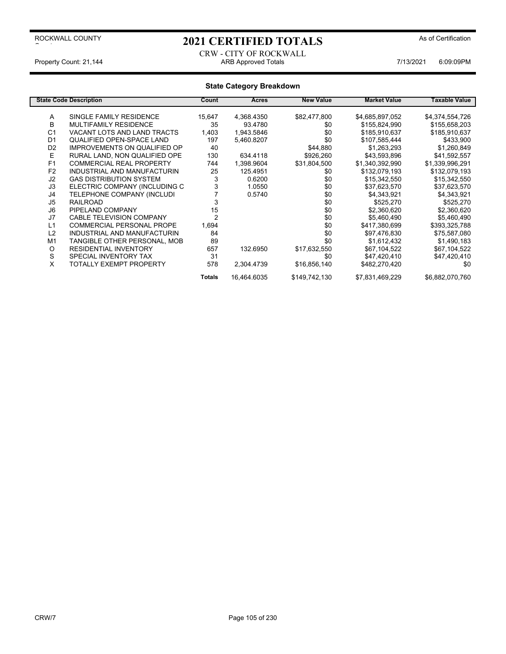# 2021 CERTIFIED TOTALS As of Certification

CRW - CITY OF ROCKWALL Property Count: 21,144 **ARB Approved Totals** ARB Approved Totals **7/13/2021** 6:09:09PM

|                | <b>State Code Description</b>       | Count          | Acres       | <b>New Value</b> | <b>Market Value</b> | Taxable Value   |
|----------------|-------------------------------------|----------------|-------------|------------------|---------------------|-----------------|
| Α              | SINGLE FAMILY RESIDENCE             | 15,647         | 4,368.4350  | \$82,477,800     | \$4,685,897,052     | \$4,374,554,726 |
| B              | <b>MULTIFAMILY RESIDENCE</b>        | 35             | 93.4780     | \$0              | \$155,824,990       | \$155,658,203   |
| C <sub>1</sub> | VACANT LOTS AND LAND TRACTS         | 1,403          | 1,943.5846  | \$0              | \$185,910,637       | \$185,910,637   |
| D <sub>1</sub> | QUALIFIED OPEN-SPACE LAND           | 197            | 5,460.8207  | \$0              | \$107,585,444       | \$433,900       |
| D <sub>2</sub> | <b>IMPROVEMENTS ON QUALIFIED OP</b> | 40             |             | \$44,880         | \$1,263,293         | \$1,260,849     |
| Е              | RURAL LAND. NON QUALIFIED OPE       | 130            | 634.4118    | \$926,260        | \$43,593,896        |                 |
|                |                                     |                |             |                  |                     | \$41,592,557    |
| F <sub>1</sub> | <b>COMMERCIAL REAL PROPERTY</b>     | 744            | 1,398.9604  | \$31,804,500     | \$1,340,392,990     | \$1,339,996,291 |
| F <sub>2</sub> | INDUSTRIAL AND MANUFACTURIN         | 25             | 125.4951    | \$0              | \$132,079,193       | \$132,079,193   |
| J2             | <b>GAS DISTRIBUTION SYSTEM</b>      | 3              | 0.6200      | \$0              | \$15,342,550        | \$15,342,550    |
| J3             | ELECTRIC COMPANY (INCLUDING C       | 3              | 1.0550      | \$0              | \$37,623,570        | \$37,623,570    |
| J4             | TELEPHONE COMPANY (INCLUDI          |                | 0.5740      | \$0              | \$4,343,921         | \$4,343,921     |
| J <sub>5</sub> | <b>RAILROAD</b>                     |                |             | \$0              | \$525,270           | \$525,270       |
| J6             | PIPELAND COMPANY                    | 15             |             | \$0              | \$2,360,620         | \$2,360,620     |
| J7             | <b>CABLE TELEVISION COMPANY</b>     | $\overline{2}$ |             | \$0              | \$5,460,490         | \$5,460,490     |
| L1             | <b>COMMERCIAL PERSONAL PROPE</b>    | 1,694          |             | \$0              | \$417,380,699       | \$393,325,788   |
| L2             | INDUSTRIAL AND MANUFACTURIN         | 84             |             | \$0              | \$97,476,830        | \$75,587,080    |
| M <sub>1</sub> | TANGIBLE OTHER PERSONAL. MOB        | 89             |             | \$0              | \$1,612,432         | \$1,490,183     |
| O              | <b>RESIDENTIAL INVENTORY</b>        | 657            | 132.6950    | \$17,632,550     | \$67,104,522        | \$67,104,522    |
| S              | SPECIAL INVENTORY TAX               | 31             |             | \$0              | \$47,420,410        | \$47,420,410    |
| X              | TOTALLY EXEMPT PROPERTY             | 578            | 2.304.4739  | \$16,856,140     | \$482,270,420       | \$0             |
|                |                                     | <b>Totals</b>  | 16,464.6035 | \$149,742,130    | \$7,831,469,229     | \$6,882,070,760 |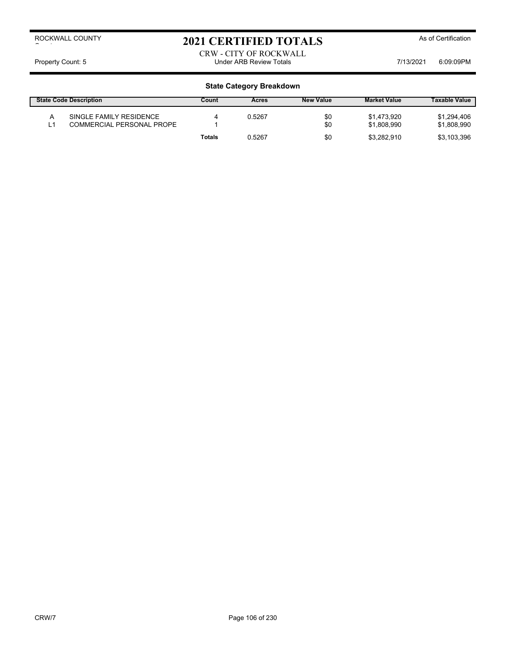# 2021 CERTIFIED TOTALS As of Certification

CRW - CITY OF ROCKWALL Property Count: 5 **Property Count: 5** CO9:09PM

| <b>State Code Description</b> |                                                      | Count  | Acres  | <b>New Value</b> | <b>Market Value</b>        | <b>Taxable Value</b>       |
|-------------------------------|------------------------------------------------------|--------|--------|------------------|----------------------------|----------------------------|
|                               | SINGLE FAMILY RESIDENCE<br>COMMERCIAL PERSONAL PROPE |        | 0.5267 | \$0<br>\$0       | \$1.473.920<br>\$1.808.990 | \$1,294,406<br>\$1,808,990 |
|                               |                                                      | Totals | 0.5267 | \$0              | \$3.282.910                | \$3,103,396                |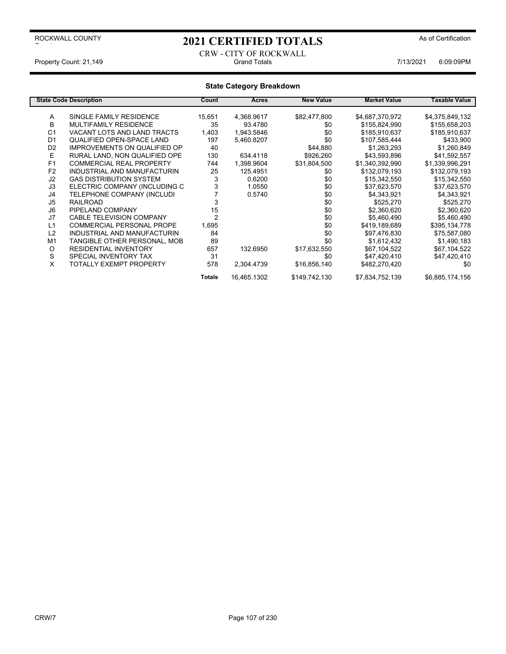# 2021 CERTIFIED TOTALS As of Certification

CRW - CITY OF ROCKWALL Property Count: 21,149 **Count: 21,149** Crand Totals Grand Totals **7/13/2021** 6:09:09PM

|                | <b>State Code Description</b>       | Count          | Acres       | <b>New Value</b> | <b>Market Value</b> | <b>Taxable Value</b> |
|----------------|-------------------------------------|----------------|-------------|------------------|---------------------|----------------------|
|                |                                     |                |             |                  |                     |                      |
| Α              | SINGLE FAMILY RESIDENCE             | 15,651         | 4,368.9617  | \$82,477,800     | \$4,687,370,972     | \$4,375,849,132      |
| B              | <b>MULTIFAMILY RESIDENCE</b>        | 35             | 93.4780     | \$0              | \$155,824,990       | \$155,658,203        |
| C <sub>1</sub> | VACANT LOTS AND LAND TRACTS         | 1,403          | 1,943.5846  | \$0              | \$185,910,637       | \$185,910,637        |
| D <sub>1</sub> | QUALIFIED OPEN-SPACE LAND           | 197            | 5,460.8207  | \$0              | \$107,585,444       | \$433,900            |
| D <sub>2</sub> | <b>IMPROVEMENTS ON QUALIFIED OP</b> | 40             |             | \$44,880         | \$1,263,293         | \$1,260,849          |
| Е              | RURAL LAND. NON QUALIFIED OPE       | 130            | 634.4118    | \$926,260        | \$43,593,896        | \$41,592,557         |
| F <sub>1</sub> | <b>COMMERCIAL REAL PROPERTY</b>     | 744            | 1,398.9604  | \$31,804,500     | \$1,340,392,990     | \$1,339,996,291      |
| F <sub>2</sub> | INDUSTRIAL AND MANUFACTURIN         | 25             | 125.4951    | \$0              | \$132,079,193       | \$132,079,193        |
| J2             | <b>GAS DISTRIBUTION SYSTEM</b>      | 3              | 0.6200      | \$0              | \$15,342,550        | \$15,342,550         |
| J3             | ELECTRIC COMPANY (INCLUDING C       | 3              | 1.0550      | \$0              | \$37,623,570        | \$37,623,570         |
| J4             | TELEPHONE COMPANY (INCLUDI          |                | 0.5740      | \$0              | \$4,343,921         | \$4,343,921          |
| J5             | <b>RAILROAD</b>                     |                |             | \$0              | \$525,270           | \$525,270            |
| J <sub>6</sub> | PIPELAND COMPANY                    | 15             |             | \$0              | \$2,360,620         | \$2,360,620          |
| J7             | <b>CABLE TELEVISION COMPANY</b>     | $\overline{2}$ |             | \$0              | \$5,460,490         | \$5,460,490          |
| L1             | <b>COMMERCIAL PERSONAL PROPE</b>    | 1,695          |             | \$0              | \$419,189,689       | \$395,134,778        |
| L2             | INDUSTRIAL AND MANUFACTURIN         | 84             |             | \$0              | \$97,476,830        | \$75,587,080         |
| M <sub>1</sub> | TANGIBLE OTHER PERSONAL, MOB        | 89             |             | \$0              | \$1,612,432         | \$1,490,183          |
| O              | <b>RESIDENTIAL INVENTORY</b>        | 657            | 132.6950    | \$17,632,550     | \$67,104,522        | \$67,104,522         |
| S              | SPECIAL INVENTORY TAX               | 31             |             | \$0              | \$47,420,410        | \$47,420,410         |
| X              | TOTALLY EXEMPT PROPERTY             | 578            | 2.304.4739  | \$16,856,140     | \$482,270,420       | \$0                  |
|                |                                     | Totals         | 16,465.1302 | \$149,742,130    | \$7,834,752,139     | \$6,885,174,156      |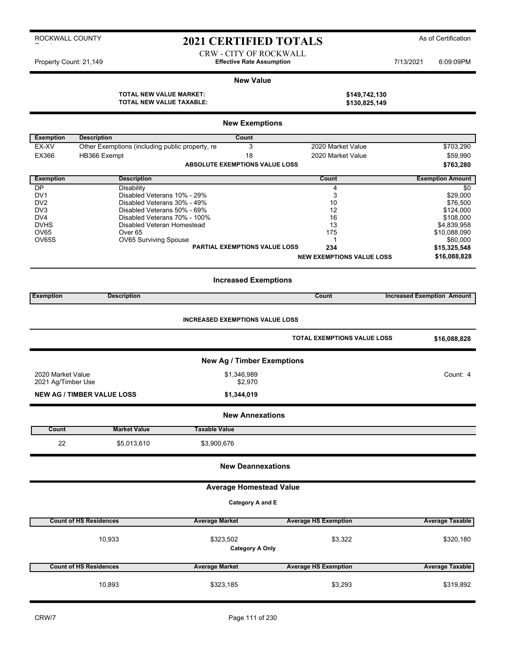### 2021 CERTIFIED TOTALS As of Certification

CRW - CITY OF ROCKWALL

#### **New Value**

**TOTAL NEW VALUE MARKET: TOTAL NEW VALUE TAXABLE: \$130,825,149**

| \$149,742,130 |  |
|---------------|--|
| \$130 825 149 |  |

|                                    |                                                                       | <b>New Exemptions</b>                  |                                    |                                   |
|------------------------------------|-----------------------------------------------------------------------|----------------------------------------|------------------------------------|-----------------------------------|
|                                    |                                                                       |                                        |                                    |                                   |
| <b>Exemption</b><br>EX-XV          | <b>Description</b><br>Other Exemptions (including public property, re | Count<br>3                             | 2020 Market Value                  | \$703,290                         |
| EX366                              | HB366 Exempt                                                          | 18                                     | 2020 Market Value                  | \$59,990                          |
|                                    |                                                                       | <b>ABSOLUTE EXEMPTIONS VALUE LOSS</b>  |                                    | \$763,280                         |
| <b>Exemption</b>                   | <b>Description</b>                                                    |                                        | Count                              | <b>Exemption Amount</b>           |
| <b>DP</b>                          | Disability                                                            |                                        | 4                                  | \$0                               |
| DV <sub>1</sub>                    | Disabled Veterans 10% - 29%                                           |                                        | 3                                  | \$29,000                          |
| DV <sub>2</sub>                    | Disabled Veterans 30% - 49%                                           |                                        | 10                                 | \$76,500                          |
| DV <sub>3</sub><br>DV <sub>4</sub> | Disabled Veterans 50% - 69%<br>Disabled Veterans 70% - 100%           |                                        | 12<br>16                           | \$124,000<br>\$108,000            |
| <b>DVHS</b>                        | Disabled Veteran Homestead                                            |                                        | 13                                 | \$4,839,958                       |
| OV65                               | Over <sub>65</sub>                                                    |                                        | 175                                | \$10,088,090                      |
| OV65S                              | OV65 Surviving Spouse                                                 |                                        | 1                                  | \$60,000                          |
|                                    |                                                                       | <b>PARTIAL EXEMPTIONS VALUE LOSS</b>   | 234                                | \$15,325,548                      |
|                                    |                                                                       |                                        | <b>NEW EXEMPTIONS VALUE LOSS</b>   | \$16,088,828                      |
|                                    |                                                                       | <b>Increased Exemptions</b>            |                                    |                                   |
| <b>Exemption</b>                   | <b>Description</b>                                                    |                                        | Count                              | <b>Increased Exemption Amount</b> |
|                                    |                                                                       |                                        |                                    |                                   |
|                                    |                                                                       | <b>INCREASED EXEMPTIONS VALUE LOSS</b> |                                    |                                   |
|                                    |                                                                       |                                        | <b>TOTAL EXEMPTIONS VALUE LOSS</b> | \$16,088,828                      |
|                                    |                                                                       | <b>New Ag / Timber Exemptions</b>      |                                    |                                   |
| 2020 Market Value                  |                                                                       | \$1,346,989                            |                                    | Count: 4                          |
| 2021 Ag/Timber Use                 |                                                                       | \$2,970                                |                                    |                                   |
|                                    | <b>NEW AG / TIMBER VALUE LOSS</b>                                     | \$1,344,019                            |                                    |                                   |
|                                    |                                                                       | <b>New Annexations</b>                 |                                    |                                   |
| Count                              | <b>Market Value</b>                                                   | <b>Taxable Value</b>                   |                                    |                                   |
| 22                                 | \$5,013,610                                                           | \$3,900,676                            |                                    |                                   |
|                                    |                                                                       | <b>New Deannexations</b>               |                                    |                                   |
|                                    |                                                                       | <b>Average Homestead Value</b>         |                                    |                                   |
|                                    |                                                                       | Category A and E                       |                                    |                                   |
|                                    |                                                                       |                                        |                                    |                                   |
|                                    | <b>Count of HS Residences</b>                                         | <b>Average Market</b>                  | <b>Average HS Exemption</b>        | <b>Average Taxable</b>            |
|                                    | 10,933                                                                | \$323,502<br><b>Category A Only</b>    | \$3,322                            | \$320,180                         |
|                                    | <b>Count of HS Residences</b>                                         | <b>Average Market</b>                  | <b>Average HS Exemption</b>        | <b>Average Taxable</b>            |
|                                    | 10,893                                                                | \$323,185                              | \$3,293                            | \$319,892                         |

Property Count: 21,149 **Effective Rate Assumption Effective Rate Assumption** 7/13/2021 6:09:09PM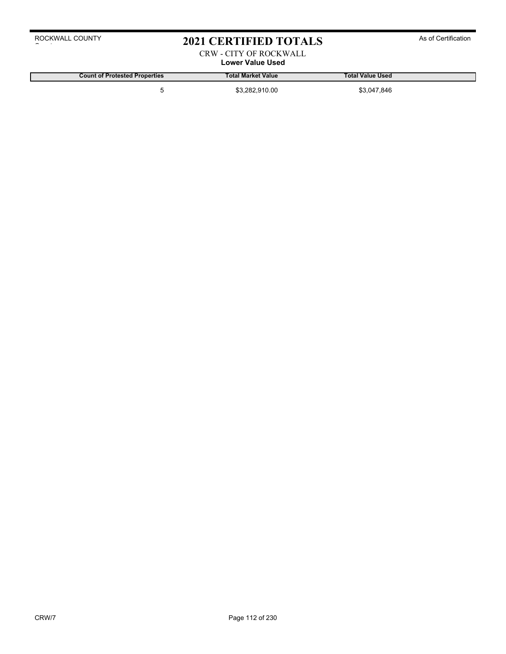### 2021 CERTIFIED TOTALS As of Certification

### CRW - CITY OF ROCKWALL

**Lower Value Used**

**Count of Protested Properties Total Market Value Total Value Used**

5 \$3,282,910.00 \$3,047,846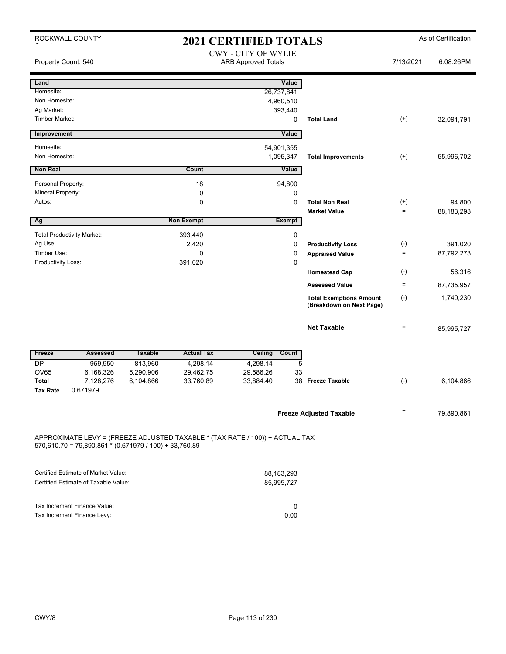| ROCKWALL COUNTY<br><b>2021 CERTIFIED TOTALS</b> |                                                          |                                                          |                   |                                                                              |               |                                                            | As of Certification |            |
|-------------------------------------------------|----------------------------------------------------------|----------------------------------------------------------|-------------------|------------------------------------------------------------------------------|---------------|------------------------------------------------------------|---------------------|------------|
| Property Count: 540                             |                                                          | <b>CWY - CITY OF WYLIE</b><br><b>ARB Approved Totals</b> |                   |                                                                              |               | 7/13/2021                                                  | 6:08:26PM           |            |
| Land                                            |                                                          |                                                          |                   |                                                                              | Value         |                                                            |                     |            |
| Homesite:                                       |                                                          |                                                          |                   | 26,737,841                                                                   |               |                                                            |                     |            |
| Non Homesite:                                   |                                                          |                                                          |                   | 4,960,510                                                                    |               |                                                            |                     |            |
| Ag Market:                                      |                                                          |                                                          |                   |                                                                              | 393,440       |                                                            |                     |            |
| <b>Timber Market:</b>                           |                                                          |                                                          |                   |                                                                              | 0             | <b>Total Land</b>                                          | $(+)$               | 32,091,791 |
| Improvement                                     |                                                          |                                                          |                   |                                                                              | Value         |                                                            |                     |            |
| Homesite:                                       |                                                          |                                                          |                   | 54,901,355                                                                   |               |                                                            |                     |            |
| Non Homesite:                                   |                                                          |                                                          |                   | 1,095,347                                                                    |               | <b>Total Improvements</b>                                  | $(+)$               | 55,996,702 |
| <b>Non Real</b>                                 |                                                          |                                                          | Count             |                                                                              | Value         |                                                            |                     |            |
| Personal Property:                              |                                                          |                                                          | 18                |                                                                              | 94,800        |                                                            |                     |            |
| Mineral Property:                               |                                                          |                                                          | $\mathbf 0$       |                                                                              | 0             |                                                            |                     |            |
| Autos:                                          |                                                          |                                                          | 0                 |                                                                              | $\mathbf 0$   | <b>Total Non Real</b>                                      | $^{(+)}$            | 94,800     |
|                                                 |                                                          |                                                          |                   |                                                                              |               | <b>Market Value</b>                                        | $\equiv$            | 88,183,293 |
| Ag                                              |                                                          |                                                          | <b>Non Exempt</b> |                                                                              | <b>Exempt</b> |                                                            |                     |            |
|                                                 | <b>Total Productivity Market:</b>                        |                                                          | 393,440           |                                                                              | $\pmb{0}$     |                                                            |                     |            |
| Ag Use:                                         |                                                          |                                                          | 2,420             |                                                                              | $\pmb{0}$     | <b>Productivity Loss</b>                                   | $(\text{-})$        | 391,020    |
| Timber Use:                                     |                                                          |                                                          | $\mathbf 0$       |                                                                              | $\mathbf 0$   | <b>Appraised Value</b>                                     | $\qquad \qquad =$   | 87,792,273 |
| Productivity Loss:                              |                                                          |                                                          | 391,020           |                                                                              | $\mathbf 0$   |                                                            |                     |            |
|                                                 |                                                          |                                                          |                   |                                                                              |               | <b>Homestead Cap</b>                                       | $(-)$               | 56,316     |
|                                                 |                                                          |                                                          |                   |                                                                              |               | <b>Assessed Value</b>                                      | $\quad =$           | 87,735,957 |
|                                                 |                                                          |                                                          |                   |                                                                              |               | <b>Total Exemptions Amount</b><br>(Breakdown on Next Page) | $(\textnormal{-})$  | 1,740,230  |
|                                                 |                                                          |                                                          |                   |                                                                              |               | <b>Net Taxable</b>                                         | $\quad \  \, =$     | 85,995,727 |
| Freeze                                          | <b>Assessed</b>                                          | <b>Taxable</b>                                           | <b>Actual Tax</b> | Ceiling                                                                      | Count         |                                                            |                     |            |
| DP                                              | 959,950                                                  | 813,960                                                  | 4,298.14          | 4,298.14                                                                     | 5             |                                                            |                     |            |
| OV65                                            | 6,168,326                                                | 5,290,906                                                | 29,462.75         | 29,586.26                                                                    | 33            |                                                            |                     |            |
| <b>Total</b>                                    | 7,128,276                                                | 6,104,866                                                | 33,760.89         | 33,884.40                                                                    |               | 38 Freeze Taxable                                          | $(-)$               | 6,104,866  |
| <b>Tax Rate</b>                                 | 0.671979                                                 |                                                          |                   |                                                                              |               |                                                            |                     |            |
|                                                 |                                                          |                                                          |                   |                                                                              |               | <b>Freeze Adjusted Taxable</b>                             | $=$                 | 79,890,861 |
|                                                 | $570,610.70 = 79,890,861 * (0.671979 / 100) + 33,760.89$ |                                                          |                   | APPROXIMATE LEVY = (FREEZE ADJUSTED TAXABLE * (TAX RATE / 100)) + ACTUAL TAX |               |                                                            |                     |            |

| Certified Estimate of Market Value:  | 88.183.293 |
|--------------------------------------|------------|
| Certified Estimate of Taxable Value: | 85.995.727 |
|                                      |            |
|                                      |            |
| Tax Increment Finance Value:         |            |
| Tax Increment Finance Levy:          | 0.00       |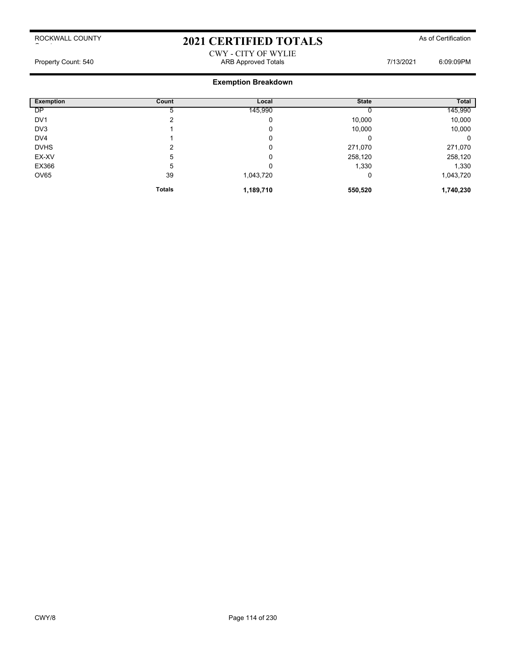# 2021 CERTIFIED TOTALS As of Certification

### CWY - CITY OF WYLIE Property Count: 540 **ARB Approved Totals** ARB Approved Totals 7/13/2021 6:09:09PM

| <b>Exemption</b> | <b>Count</b>  | Local     | <b>State</b> | Total     |
|------------------|---------------|-----------|--------------|-----------|
| DP               |               | 145,990   |              | 145,990   |
| DV <sub>1</sub>  | ົ             | 0         | 10,000       | 10,000    |
| DV3              |               | 0         | 10,000       | 10,000    |
| DV <sub>4</sub>  |               | 0         | 0            | 0         |
| <b>DVHS</b>      | ົ             | 0         | 271,070      | 271,070   |
| EX-XV            | 5             | 0         | 258,120      | 258,120   |
| EX366            | 5             | 0         | 1,330        | 1,330     |
| OV65             | 39            | 1,043,720 | 0            | 1,043,720 |
|                  | <b>Totals</b> | 1,189,710 | 550,520      | 1,740,230 |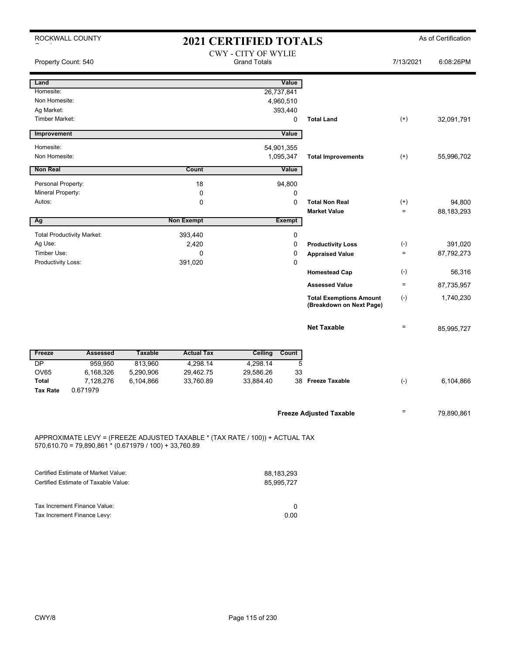| ROCKWALL COUNTY<br><b>2021 CERTIFIED TOTALS</b> |                                                               |                |                                                                              |                                                   |               | As of Certification                                        |                    |            |
|-------------------------------------------------|---------------------------------------------------------------|----------------|------------------------------------------------------------------------------|---------------------------------------------------|---------------|------------------------------------------------------------|--------------------|------------|
| Property Count: 540                             |                                                               |                |                                                                              | <b>CWY - CITY OF WYLIE</b><br><b>Grand Totals</b> |               |                                                            | 7/13/2021          | 6:08:26PM  |
| Land                                            |                                                               |                |                                                                              |                                                   | Value         |                                                            |                    |            |
| Homesite:                                       |                                                               |                |                                                                              | 26,737,841                                        |               |                                                            |                    |            |
| Non Homesite:                                   |                                                               |                |                                                                              | 4,960,510                                         |               |                                                            |                    |            |
| Ag Market:                                      |                                                               |                |                                                                              |                                                   | 393,440       |                                                            |                    |            |
| <b>Timber Market:</b>                           |                                                               |                |                                                                              |                                                   | 0             | <b>Total Land</b>                                          | $^{(+)}$           | 32,091,791 |
| Improvement                                     |                                                               |                |                                                                              |                                                   | Value         |                                                            |                    |            |
| Homesite:                                       |                                                               |                |                                                                              | 54,901,355                                        |               |                                                            |                    |            |
| Non Homesite:                                   |                                                               |                |                                                                              | 1,095,347                                         |               | <b>Total Improvements</b>                                  | $^{(+)}$           | 55,996,702 |
| <b>Non Real</b>                                 |                                                               |                | Count                                                                        |                                                   | Value         |                                                            |                    |            |
| Personal Property:                              |                                                               |                | 18                                                                           |                                                   | 94,800        |                                                            |                    |            |
| Mineral Property:                               |                                                               |                | $\mathbf 0$                                                                  |                                                   | $\mathbf 0$   |                                                            |                    |            |
| Autos:                                          |                                                               |                | $\mathbf 0$                                                                  |                                                   | $\mathbf 0$   | <b>Total Non Real</b>                                      | $^{(+)}$           | 94,800     |
|                                                 |                                                               |                |                                                                              |                                                   |               | <b>Market Value</b>                                        | $\equiv$           | 88,183,293 |
| Ag                                              |                                                               |                | <b>Non Exempt</b>                                                            |                                                   | <b>Exempt</b> |                                                            |                    |            |
|                                                 | <b>Total Productivity Market:</b>                             |                | 393,440                                                                      |                                                   | $\pmb{0}$     |                                                            |                    |            |
| Ag Use:                                         |                                                               |                | 2,420                                                                        |                                                   | $\mathbf 0$   | <b>Productivity Loss</b>                                   | $(\text{-})$       | 391,020    |
| Timber Use:                                     |                                                               |                | 0                                                                            |                                                   | $\pmb{0}$     | <b>Appraised Value</b>                                     | $\quad \  \  =$    | 87,792,273 |
| Productivity Loss:                              |                                                               |                | 391,020                                                                      |                                                   | $\pmb{0}$     |                                                            |                    |            |
|                                                 |                                                               |                |                                                                              |                                                   |               | <b>Homestead Cap</b>                                       | $(\textnormal{-})$ | 56,316     |
|                                                 |                                                               |                |                                                                              |                                                   |               | <b>Assessed Value</b>                                      | $\equiv$           | 87,735,957 |
|                                                 |                                                               |                |                                                                              |                                                   |               | <b>Total Exemptions Amount</b><br>(Breakdown on Next Page) | $(-)$              | 1,740,230  |
|                                                 |                                                               |                |                                                                              |                                                   |               | <b>Net Taxable</b>                                         | $\qquad \qquad =$  | 85,995,727 |
| Freeze                                          | <b>Assessed</b>                                               | <b>Taxable</b> | <b>Actual Tax</b>                                                            | Ceiling                                           | Count         |                                                            |                    |            |
| DP                                              | 959,950                                                       | 813,960        | 4,298.14                                                                     | 4,298.14                                          | 5             |                                                            |                    |            |
| <b>OV65</b>                                     | 6,168,326                                                     | 5,290,906      | 29,462.75                                                                    | 29,586.26                                         | 33            |                                                            |                    |            |
| <b>Total</b><br><b>Tax Rate</b>                 | 7,128,276<br>0.671979                                         | 6,104,866      | 33,760.89                                                                    | 33,884.40                                         |               | 38 Freeze Taxable                                          | $(\hbox{-})$       | 6,104,866  |
|                                                 |                                                               |                |                                                                              |                                                   |               | <b>Freeze Adjusted Taxable</b>                             | $\qquad \qquad =$  | 79,890,861 |
|                                                 | $570,610.70 = 79,890,861 \times (0.671979 / 100) + 33,760.89$ |                | APPROXIMATE LEVY = (FREEZE ADJUSTED TAXABLE * (TAX RATE / 100)) + ACTUAL TAX |                                                   |               |                                                            |                    |            |

| Certified Estimate of Market Value:  | 88.183.293 |
|--------------------------------------|------------|
| Certified Estimate of Taxable Value: | 85.995.727 |
|                                      |            |
|                                      |            |
| Tax Increment Finance Value:         |            |
| Tax Increment Finance Levy:          | 0.00       |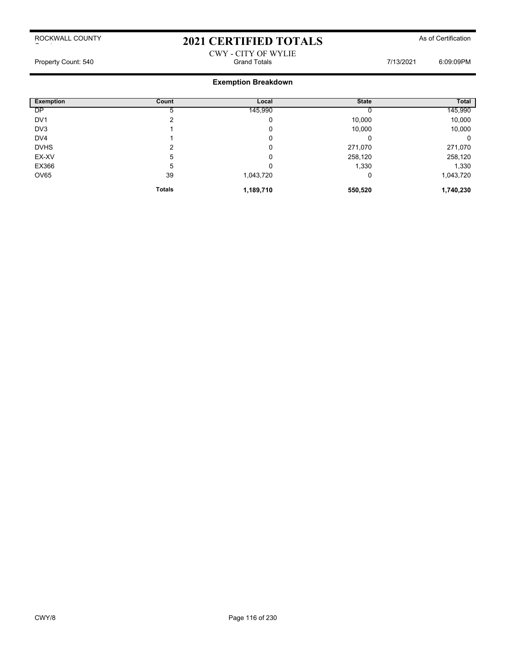### 2021 CERTIFIED TOTALS As of Certification

### CWY - CITY OF WYLIE Property Count: 540 Crand Totals Grand Totals Crand Totals 7/13/2021 6:09:09PM

| <b>Exemption</b> | <b>Count</b>  | Local     | <b>State</b> | Total     |
|------------------|---------------|-----------|--------------|-----------|
| DP               |               | 145,990   |              | 145,990   |
| DV <sub>1</sub>  | ົ             | 0         | 10,000       | 10,000    |
| DV3              |               | 0         | 10,000       | 10,000    |
| DV <sub>4</sub>  |               | 0         | 0            | 0         |
| <b>DVHS</b>      | ົ             | 0         | 271,070      | 271,070   |
| EX-XV            | 5             | 0         | 258,120      | 258,120   |
| EX366            | 5             | 0         | 1,330        | 1,330     |
| OV65             | 39            | 1,043,720 | 0            | 1,043,720 |
|                  | <b>Totals</b> | 1,189,710 | 550,520      | 1,740,230 |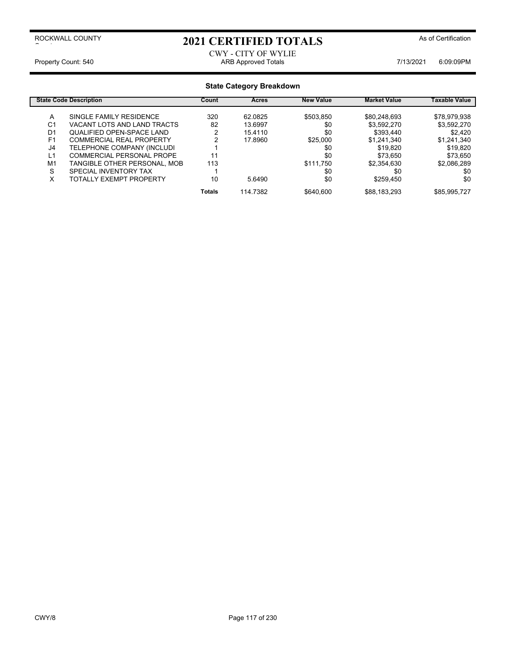### 2021 CERTIFIED TOTALS As of Certification

CWY - CITY OF WYLIE Property Count: 540 **ARB Approved Totals** ARB Approved Totals **7/13/2021** 6:09:09PM

|                | <b>State Code Description</b>    | Count         | Acres    | <b>New Value</b> | <b>Market Value</b> | Taxable Value |
|----------------|----------------------------------|---------------|----------|------------------|---------------------|---------------|
| A              | SINGLE FAMILY RESIDENCE          | 320           | 62.0825  | \$503.850        | \$80,248,693        | \$78,979,938  |
| C1             | VACANT LOTS AND LAND TRACTS      | 82            | 13.6997  | \$0              | \$3,592,270         | \$3,592,270   |
| D1             | <b>QUALIFIED OPEN-SPACE LAND</b> |               | 15.4110  | \$0              | \$393,440           | \$2,420       |
| F <sub>1</sub> | <b>COMMERCIAL REAL PROPERTY</b>  |               | 17.8960  | \$25,000         | \$1,241,340         | \$1,241,340   |
| J4             | TELEPHONE COMPANY (INCLUDI       |               |          | \$0              | \$19,820            | \$19.820      |
| L1             | <b>COMMERCIAL PERSONAL PROPE</b> |               |          | \$0              | \$73.650            | \$73,650      |
| M <sub>1</sub> | TANGIBLE OTHER PERSONAL, MOB     | 113           |          | \$111.750        | \$2,354,630         | \$2,086,289   |
| S              | SPECIAL INVENTORY TAX            |               |          | \$0              | \$0                 | \$0           |
| v<br>⋏         | <b>TOTALLY EXEMPT PROPERTY</b>   | 10            | 5.6490   | \$0              | \$259,450           | \$0           |
|                |                                  | <b>Totals</b> | 114.7382 | \$640.600        | \$88,183,293        | \$85,995,727  |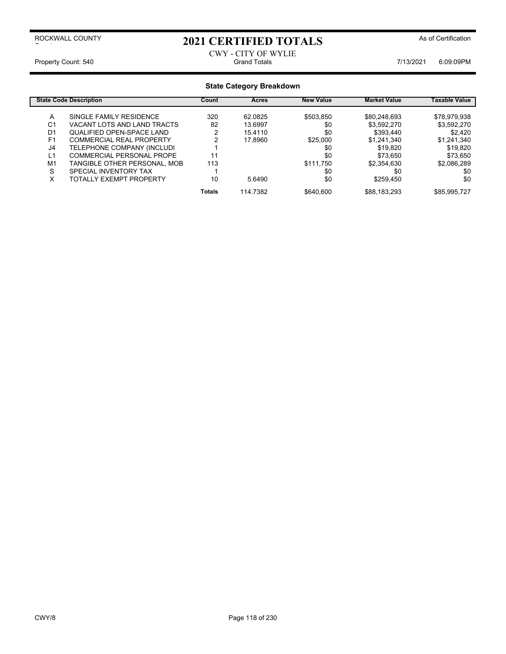### 2021 CERTIFIED TOTALS As of Certification

CWY - CITY OF WYLIE Property Count: 540 Crand Totals Grand Totals Crand Totals 7/13/2021 6:09:09PM

|                | <b>State Code Description</b>   | Count         | Acres    | <b>New Value</b> | <b>Market Value</b> | Taxable Value |
|----------------|---------------------------------|---------------|----------|------------------|---------------------|---------------|
| A              | SINGLE FAMILY RESIDENCE         | 320           | 62.0825  | \$503.850        | \$80,248,693        | \$78,979,938  |
| C1             | VACANT LOTS AND LAND TRACTS     | 82            | 13.6997  | \$0              | \$3,592,270         | \$3,592,270   |
| D1             | QUALIFIED OPEN-SPACE LAND       |               | 15.4110  | \$0              | \$393,440           | \$2,420       |
| F <sub>1</sub> | <b>COMMERCIAL REAL PROPERTY</b> |               | 17.8960  | \$25.000         | \$1,241,340         | \$1,241,340   |
| J4             | TELEPHONE COMPANY (INCLUDI      |               |          | \$0              | \$19,820            | \$19.820      |
| L1             | COMMERCIAL PERSONAL PROPE       |               |          | \$0              | \$73,650            | \$73,650      |
| M <sub>1</sub> | TANGIBLE OTHER PERSONAL, MOB    | 113           |          | \$111.750        | \$2.354.630         | \$2,086,289   |
| S              | SPECIAL INVENTORY TAX           |               |          | \$0              | \$0                 | \$0           |
| x              | <b>TOTALLY EXEMPT PROPERTY</b>  | 10            | 5.6490   | \$0              | \$259,450           | \$0           |
|                |                                 | <b>Totals</b> | 114.7382 | \$640.600        | \$88,183,293        | \$85.995.727  |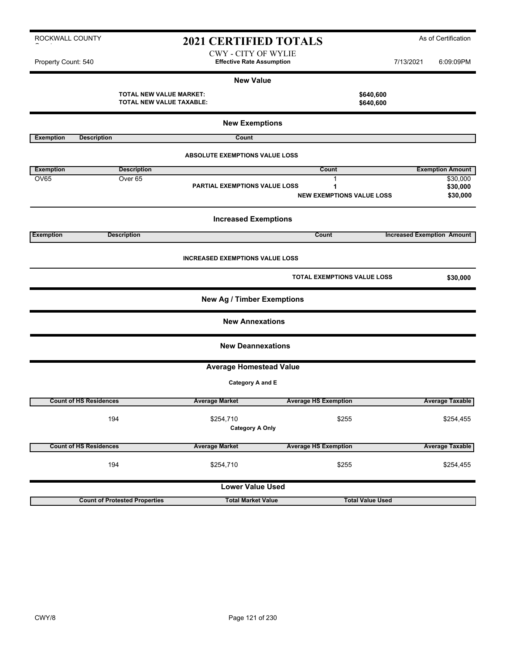| <b>Exemption</b> | <b>Description</b>            |                                        | Count                              |                                   | <b>Exemption Amount</b> |
|------------------|-------------------------------|----------------------------------------|------------------------------------|-----------------------------------|-------------------------|
| OV65             | Over <sub>65</sub>            | <b>PARTIAL EXEMPTIONS VALUE LOSS</b>   |                                    |                                   | \$30,000<br>\$30,000    |
|                  |                               |                                        | <b>NEW EXEMPTIONS VALUE LOSS</b>   |                                   | \$30,000                |
|                  |                               | <b>Increased Exemptions</b>            |                                    |                                   |                         |
| <b>Exemption</b> | <b>Description</b>            |                                        | <b>Count</b>                       | <b>Increased Exemption Amount</b> |                         |
|                  |                               | <b>INCREASED EXEMPTIONS VALUE LOSS</b> |                                    |                                   |                         |
|                  |                               |                                        | <b>TOTAL EXEMPTIONS VALUE LOSS</b> |                                   | \$30,000                |
|                  |                               | <b>New Ag / Timber Exemptions</b>      |                                    |                                   |                         |
|                  |                               | <b>New Annexations</b>                 |                                    |                                   |                         |
|                  |                               | <b>New Deannexations</b>               |                                    |                                   |                         |
|                  |                               | <b>Average Homestead Value</b>         |                                    |                                   |                         |
|                  |                               | <b>Category A and E</b>                |                                    |                                   |                         |
|                  | <b>Count of HS Residences</b> | <b>Average Market</b>                  | <b>Average HS Exemption</b>        |                                   | <b>Average Taxable</b>  |

|                                                            | <b>NEW VAIUE</b>       |
|------------------------------------------------------------|------------------------|
| <b>TOTAL NEW VALUE MARKET:</b><br>TOTAL NEW VALUE TAXABLE: | \$640,600<br>\$640,600 |
|                                                            |                        |

**Exemption Description Count** 

ROCKWALL COUNTY

 $\sim$  to the set of  $\sim$ 

|                               |                                      | <b>PARTIAL EXEMPTIONS VALUE LOSS</b>   | Ί.<br><b>NEW EXEMPTIONS VALUE LOSS</b> | \$30,000<br>\$30,000              |
|-------------------------------|--------------------------------------|----------------------------------------|----------------------------------------|-----------------------------------|
|                               |                                      | <b>Increased Exemptions</b>            |                                        |                                   |
| <b>Exemption</b>              | <b>Description</b>                   |                                        | Count                                  | <b>Increased Exemption Amount</b> |
|                               |                                      | <b>INCREASED EXEMPTIONS VALUE LOSS</b> |                                        |                                   |
|                               |                                      |                                        | <b>TOTAL EXEMPTIONS VALUE LOSS</b>     | \$30,000                          |
|                               |                                      | <b>New Ag / Timber Exemptions</b>      |                                        |                                   |
|                               |                                      | <b>New Annexations</b>                 |                                        |                                   |
|                               |                                      | <b>New Deannexations</b>               |                                        |                                   |
|                               |                                      | <b>Average Homestead Value</b>         |                                        |                                   |
|                               |                                      | Category A and E                       |                                        |                                   |
| <b>Count of HS Residences</b> |                                      | <b>Average Market</b>                  | <b>Average HS Exemption</b>            | <b>Average Taxable</b>            |
|                               | 194                                  | \$254,710<br><b>Category A Only</b>    | \$255                                  | \$254,455                         |
| <b>Count of HS Residences</b> |                                      | <b>Average Market</b>                  | <b>Average HS Exemption</b>            | <b>Average Taxable</b>            |
|                               | 194                                  | \$254,710                              | \$255                                  | \$254,455                         |
|                               |                                      | <b>Lower Value Used</b>                |                                        |                                   |
|                               | <b>Count of Protested Properties</b> | <b>Total Market Value</b>              | <b>Total Value Used</b>                |                                   |

CWY - CITY OF WYLIE Property Count: 540 **Effective Rate Assumption Effective Rate Assumption** 7/13/2021 6:09:09PM

**New Value**

**New Exemptions**

**ABSOLUTE EXEMPTIONS VALUE LOSS**

2021 CERTIFIED TOTALS As of Certification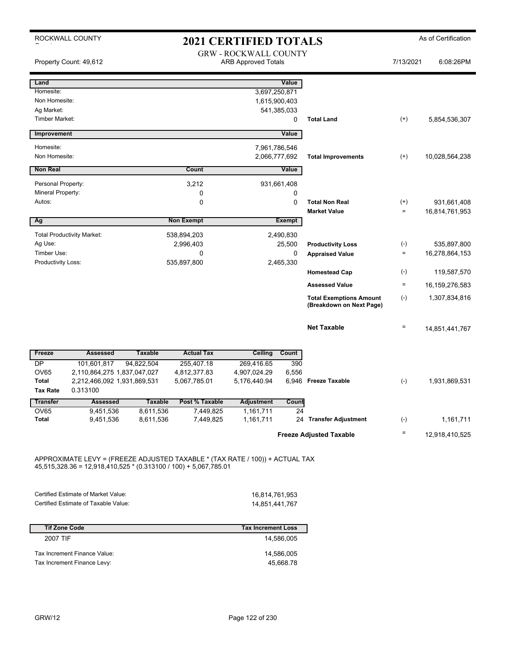|                                     | ROCKWALL COUNTY                         |                             |                                                                              | <b>2021 CERTIFIED TOTALS</b>                               |                  |                                                            |              | As of Certification |
|-------------------------------------|-----------------------------------------|-----------------------------|------------------------------------------------------------------------------|------------------------------------------------------------|------------------|------------------------------------------------------------|--------------|---------------------|
|                                     | Property Count: 49,612                  |                             |                                                                              | <b>GRW - ROCKWALL COUNTY</b><br><b>ARB Approved Totals</b> |                  |                                                            | 7/13/2021    | 6:08:26PM           |
| Land                                |                                         |                             |                                                                              |                                                            | Value            |                                                            |              |                     |
| Homesite:                           |                                         |                             |                                                                              |                                                            | 3,697,250,871    |                                                            |              |                     |
| Non Homesite:                       |                                         |                             |                                                                              |                                                            | 1,615,900,403    |                                                            |              |                     |
| Ag Market:<br><b>Timber Market:</b> |                                         |                             |                                                                              |                                                            | 541,385,033<br>0 | <b>Total Land</b>                                          | $^{(+)}$     | 5,854,536,307       |
|                                     |                                         |                             |                                                                              |                                                            |                  |                                                            |              |                     |
| Improvement                         |                                         |                             |                                                                              |                                                            | Value            |                                                            |              |                     |
| Homesite:                           |                                         |                             |                                                                              |                                                            | 7,961,786,546    |                                                            |              |                     |
| Non Homesite:                       |                                         |                             |                                                                              |                                                            | 2,066,777,692    | <b>Total Improvements</b>                                  | $^{(+)}$     | 10,028,564,238      |
| <b>Non Real</b>                     |                                         |                             | Count                                                                        |                                                            | Value            |                                                            |              |                     |
| Personal Property:                  |                                         |                             | 3,212                                                                        |                                                            | 931,661,408      |                                                            |              |                     |
| Mineral Property:                   |                                         |                             | 0                                                                            |                                                            | 0                |                                                            |              |                     |
| Autos:                              |                                         |                             | $\mathbf 0$                                                                  |                                                            | $\mathbf 0$      | <b>Total Non Real</b>                                      | $^{(+)}$     | 931,661,408         |
|                                     |                                         |                             |                                                                              |                                                            |                  | <b>Market Value</b>                                        | $\equiv$     | 16,814,761,953      |
| Ag                                  |                                         |                             | <b>Non Exempt</b>                                                            |                                                            | Exempt           |                                                            |              |                     |
|                                     | <b>Total Productivity Market:</b>       |                             | 538,894,203                                                                  |                                                            | 2,490,830        |                                                            |              |                     |
| Ag Use:                             |                                         |                             | 2,996,403                                                                    |                                                            | 25,500           | <b>Productivity Loss</b>                                   | $(\text{-})$ | 535,897,800         |
| Timber Use:                         |                                         |                             | 0                                                                            |                                                            | 0                | <b>Appraised Value</b>                                     | $\equiv$     | 16,278,864,153      |
| Productivity Loss:                  |                                         |                             | 535,897,800                                                                  |                                                            | 2,465,330        |                                                            | $(-)$        | 119,587,570         |
|                                     |                                         |                             |                                                                              |                                                            |                  | <b>Homestead Cap</b>                                       |              |                     |
|                                     |                                         |                             |                                                                              |                                                            |                  | <b>Assessed Value</b>                                      | $\equiv$     | 16,159,276,583      |
|                                     |                                         |                             |                                                                              |                                                            |                  | <b>Total Exemptions Amount</b><br>(Breakdown on Next Page) | $(-)$        | 1,307,834,816       |
|                                     |                                         |                             |                                                                              |                                                            |                  | <b>Net Taxable</b>                                         | $\equiv$     | 14,851,441,767      |
| Freeze                              | Assessed                                | <b>Taxable</b>              | <b>Actual Tax</b>                                                            | Ceiling                                                    | Count            |                                                            |              |                     |
| <b>DP</b>                           | 101,601,817                             | 94,822,504                  | 255,407.18                                                                   | 269,416.65                                                 | 390              |                                                            |              |                     |
| <b>OV65</b>                         | 2,110,864,275 1,837,047,027             |                             | 4,812,377.83                                                                 | 4,907,024.29                                               | 6,556            |                                                            |              |                     |
| <b>Total</b><br><b>Tax Rate</b>     | 2,212,466,092 1,931,869,531<br>0.313100 |                             | 5,067,785.01                                                                 | 5,176,440.94                                               | 6,946            | <b>Freeze Taxable</b>                                      | $(-)$        | 1.931.869.531       |
|                                     |                                         |                             |                                                                              |                                                            |                  |                                                            |              |                     |
| <b>Transfer</b><br>OV65             | <b>Assessed</b><br>9,451,536            | <b>Taxable</b><br>8,611,536 | Post % Taxable<br>7,449,825                                                  | <b>Adjustment</b><br>1,161,711                             | Count<br>24      |                                                            |              |                     |
| <b>Total</b>                        | 9,451,536                               | 8,611,536                   | 7,449,825                                                                    | 1,161,711                                                  |                  | 24 Transfer Adjustment                                     | $(\text{-})$ | 1,161,711           |
|                                     |                                         |                             |                                                                              |                                                            |                  | <b>Freeze Adjusted Taxable</b>                             | Ξ            | 12,918,410,525      |
|                                     |                                         |                             | APPROXIMATE LEVY = (FREEZE ADJUSTED TAXABLE * (TAX RATE / 100)) + ACTUAL TAX |                                                            |                  |                                                            |              |                     |

45,515,328.36 = 12,918,410,525 \* (0.313100 / 100) + 5,067,785.01

| Certified Estimate of Market Value:  | 16.814.761.953 |
|--------------------------------------|----------------|
| Certified Estimate of Taxable Value: | 14.851.441.767 |

| <b>Tif Zone Code</b>         | <b>Tax Increment Loss</b> |
|------------------------------|---------------------------|
| 2007 TIF                     | 14.586.005                |
| Tax Increment Finance Value: | 14,586,005                |
| Tax Increment Finance Levy:  | 45,668.78                 |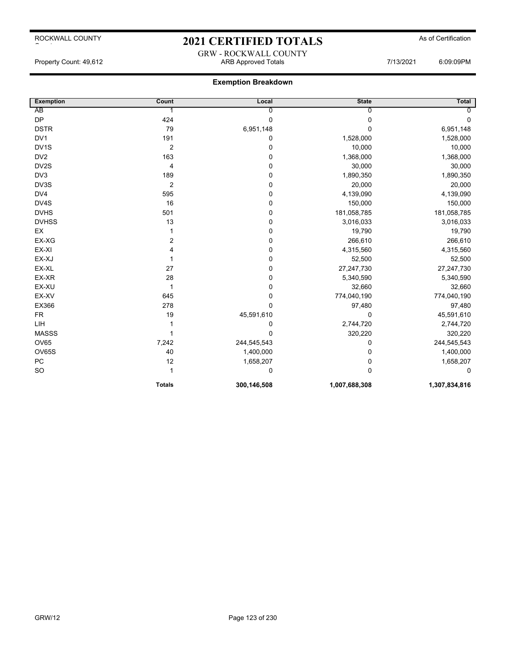### 2021 CERTIFIED TOTALS As of Certification GRW - ROCKWALL COUNTY

**Exemption Breakdown**

Property Count: 49,612 ARB Approved Totals 7/13/2021 6:09:09PM

| <b>Exemption</b>  | Count          | Local       | <b>State</b>   | Total         |
|-------------------|----------------|-------------|----------------|---------------|
| AB                |                | 0           | $\overline{0}$ | $\Omega$      |
| <b>DP</b>         | 424            | $\mathbf 0$ | 0              | $\mathbf 0$   |
| <b>DSTR</b>       | 79             | 6,951,148   | 0              | 6,951,148     |
| DV <sub>1</sub>   | 191            | 0           | 1,528,000      | 1,528,000     |
| DV <sub>1</sub> S | $\overline{2}$ | $\pmb{0}$   | 10,000         | 10,000        |
| DV <sub>2</sub>   | 163            | $\mathbf 0$ | 1,368,000      | 1,368,000     |
| DV2S              | 4              | $\pmb{0}$   | 30,000         | 30,000        |
| DV3               | 189            | $\mathbf 0$ | 1,890,350      | 1,890,350     |
| DV3S              | $\overline{2}$ | $\pmb{0}$   | 20,000         | 20,000        |
| DV4               | 595            | $\pmb{0}$   | 4,139,090      | 4,139,090     |
| DV4S              | 16             | $\mathbf 0$ | 150,000        | 150,000       |
| <b>DVHS</b>       | 501            | $\pmb{0}$   | 181,058,785    | 181,058,785   |
| <b>DVHSS</b>      | 13             | $\pmb{0}$   | 3,016,033      | 3,016,033     |
| EX                | 1              | $\mathbf 0$ | 19,790         | 19,790        |
| EX-XG             | 2              | $\pmb{0}$   | 266,610        | 266,610       |
| EX-XI             | 4              | $\pmb{0}$   | 4,315,560      | 4,315,560     |
| EX-XJ             | 1              | $\mathbf 0$ | 52,500         | 52,500        |
| EX-XL             | 27             | $\pmb{0}$   | 27,247,730     | 27,247,730    |
| EX-XR             | 28             | $\mathbf 0$ | 5,340,590      | 5,340,590     |
| EX-XU             | $\mathbf{1}$   | $\mathbf 0$ | 32,660         | 32,660        |
| EX-XV             | 645            | $\pmb{0}$   | 774,040,190    | 774,040,190   |
| EX366             | 278            | $\mathbf 0$ | 97,480         | 97,480        |
| <b>FR</b>         | 19             | 45,591,610  | $\Omega$       | 45,591,610    |
| LIH               |                | 0           | 2,744,720      | 2,744,720     |
| <b>MASSS</b>      | 1              | 0           | 320,220        | 320,220       |
| <b>OV65</b>       | 7,242          | 244,545,543 | 0              | 244,545,543   |
| <b>OV65S</b>      | 40             | 1,400,000   | 0              | 1,400,000     |
| PC                | 12             | 1,658,207   | 0              | 1,658,207     |
| SO                | 1              | 0           | $\Omega$       | 0             |
|                   | <b>Totals</b>  | 300,146,508 | 1,007,688,308  | 1,307,834,816 |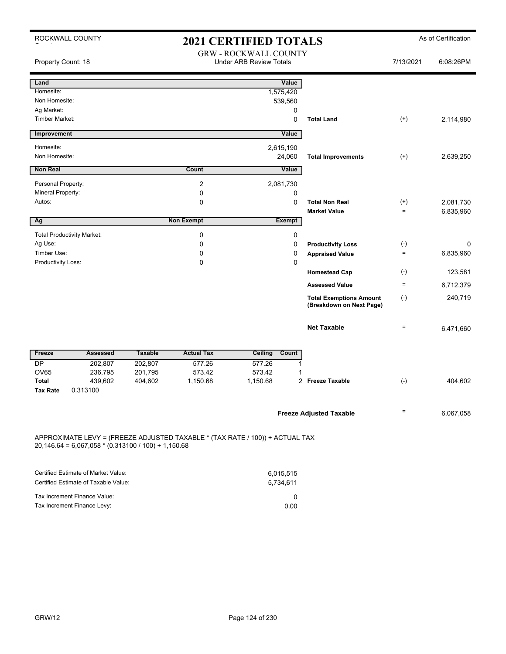| Property Count: 18                |                |                   | <b>GRW - ROCKWALL COUNTY</b><br><b>Under ARB Review Totals</b>             |             |                                                                     | 7/13/2021                                                                                                                                                  | 6:08:26PM                 |
|-----------------------------------|----------------|-------------------|----------------------------------------------------------------------------|-------------|---------------------------------------------------------------------|------------------------------------------------------------------------------------------------------------------------------------------------------------|---------------------------|
|                                   |                |                   |                                                                            |             |                                                                     |                                                                                                                                                            |                           |
|                                   |                |                   |                                                                            | Value       |                                                                     |                                                                                                                                                            |                           |
|                                   |                |                   | 1,575,420                                                                  |             |                                                                     |                                                                                                                                                            |                           |
|                                   |                |                   | 539,560                                                                    |             |                                                                     |                                                                                                                                                            |                           |
|                                   |                |                   |                                                                            | $\pmb{0}$   |                                                                     |                                                                                                                                                            |                           |
|                                   |                |                   |                                                                            | $\mathbf 0$ | <b>Total Land</b>                                                   | $(+)$                                                                                                                                                      | 2,114,980                 |
|                                   |                |                   |                                                                            | Value       |                                                                     |                                                                                                                                                            |                           |
|                                   |                |                   |                                                                            |             |                                                                     |                                                                                                                                                            |                           |
|                                   |                |                   |                                                                            |             | <b>Total Improvements</b>                                           | $(+)$                                                                                                                                                      | 2,639,250                 |
|                                   |                | Count             |                                                                            |             |                                                                     |                                                                                                                                                            |                           |
|                                   |                | 2                 |                                                                            |             |                                                                     |                                                                                                                                                            |                           |
|                                   |                | $\mathbf 0$       |                                                                            | 0           |                                                                     |                                                                                                                                                            |                           |
|                                   |                | $\pmb{0}$         |                                                                            | $\pmb{0}$   | <b>Total Non Real</b>                                               | $^{(+)}$                                                                                                                                                   | 2,081,730                 |
|                                   |                |                   |                                                                            |             | <b>Market Value</b>                                                 | $=$                                                                                                                                                        | 6,835,960                 |
|                                   |                |                   |                                                                            |             |                                                                     |                                                                                                                                                            |                           |
| <b>Total Productivity Market:</b> |                | $\pmb{0}$         |                                                                            | $\pmb{0}$   |                                                                     |                                                                                                                                                            |                           |
|                                   |                | 0                 |                                                                            | 0           | <b>Productivity Loss</b>                                            | $(\text{-})$                                                                                                                                               | 0                         |
|                                   |                | 0                 |                                                                            | $\mathbf 0$ | <b>Appraised Value</b>                                              | $=$                                                                                                                                                        | 6,835,960                 |
|                                   |                | 0                 |                                                                            | 0           |                                                                     |                                                                                                                                                            |                           |
|                                   |                |                   |                                                                            |             |                                                                     |                                                                                                                                                            | 123,581                   |
|                                   |                |                   |                                                                            |             | <b>Assessed Value</b>                                               | $=$                                                                                                                                                        | 6,712,379                 |
|                                   |                |                   |                                                                            |             | <b>Total Exemptions Amount</b><br>(Breakdown on Next Page)          | $(\cdot)$                                                                                                                                                  | 240,719                   |
|                                   |                |                   |                                                                            |             | <b>Net Taxable</b>                                                  | $\equiv$                                                                                                                                                   | 6,471,660                 |
| <b>Assessed</b>                   | <b>Taxable</b> | <b>Actual Tax</b> | Ceiling                                                                    |             |                                                                     |                                                                                                                                                            |                           |
| 202,807                           | 202,807        | 577.26            | 577.26                                                                     | 1           |                                                                     |                                                                                                                                                            |                           |
| 236,795                           | 201,795        | 573.42            | 573.42                                                                     | 1           |                                                                     |                                                                                                                                                            |                           |
| 439,602                           | 404,602        | 1,150.68          |                                                                            |             |                                                                     |                                                                                                                                                            | 404,602                   |
|                                   |                |                   |                                                                            |             |                                                                     |                                                                                                                                                            |                           |
|                                   |                |                   |                                                                            |             |                                                                     | $\equiv$                                                                                                                                                   | 6,067,058                 |
|                                   | 0.313100       |                   | <b>Non Exempt</b><br>$20,146.64 = 6,067,058 * (0.313100 / 100) + 1,150.68$ | 1,150.68    | 2,615,190<br>24,060<br>Value<br>2,081,730<br><b>Exempt</b><br>Count | <b>Homestead Cap</b><br>2 Freeze Taxable<br><b>Freeze Adjusted Taxable</b><br>APPROXIMATE LEVY = (FREEZE ADJUSTED TAXABLE * (TAX RATE / 100)) + ACTUAL TAX | $(\cdot)$<br>$(\text{-})$ |

| Certified Estimate of Market Value:  | 6.015.515 |
|--------------------------------------|-----------|
| Certified Estimate of Taxable Value: | 5.734.611 |
| Tax Increment Finance Value:         |           |
| Tax Increment Finance Levy:          | 0.00      |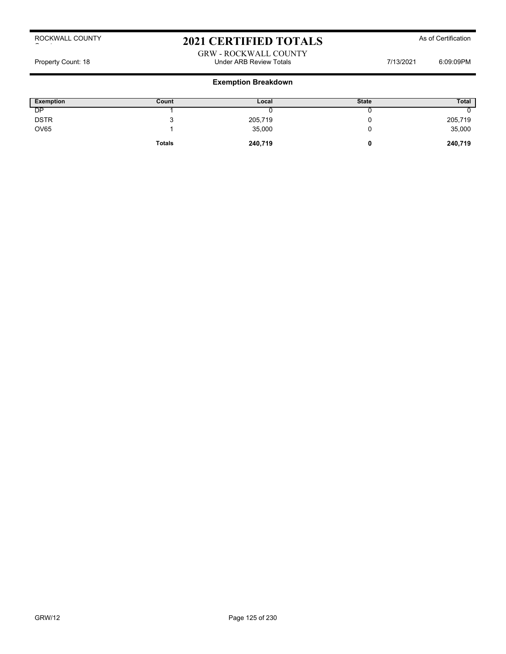### 2021 CERTIFIED TOTALS As of Certification

GRW - ROCKWALL COUNTY Property Count: 18 **Property Count: 18** COUNTER TOTAL COUNTER Review Totals **Property Count: 18** 6:09:09PM

| <b>Exemption</b> | Count         | Local   | <b>State</b> | <b>Total</b> |
|------------------|---------------|---------|--------------|--------------|
| DP               |               |         |              |              |
| <b>DSTR</b>      |               | 205,719 |              | 205,719      |
| <b>OV65</b>      |               | 35,000  |              | 35,000       |
|                  | <b>Totals</b> | 240,719 |              | 240,719      |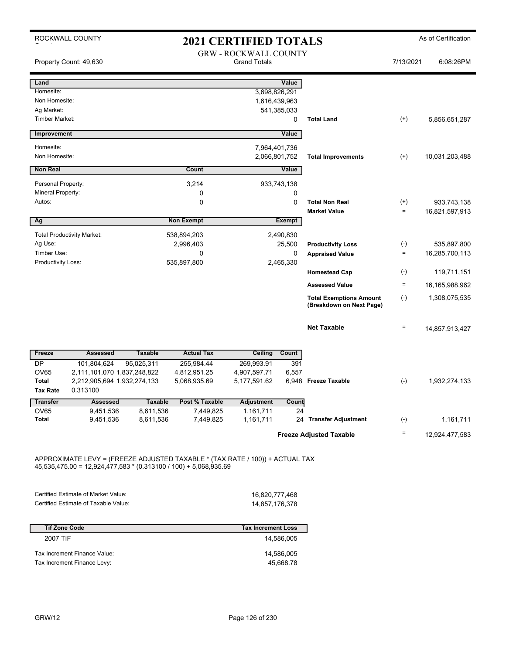|                       | ROCKWALL COUNTY<br><b>2021 CERTIFIED TOTALS</b> |                        |                        |                                                     |               |                                                            | As of Certification |                |
|-----------------------|-------------------------------------------------|------------------------|------------------------|-----------------------------------------------------|---------------|------------------------------------------------------------|---------------------|----------------|
|                       | Property Count: 49,630                          |                        |                        | <b>GRW - ROCKWALL COUNTY</b><br><b>Grand Totals</b> |               |                                                            | 7/13/2021           | 6:08:26PM      |
| Land                  |                                                 |                        |                        |                                                     | Value         |                                                            |                     |                |
| Homesite:             |                                                 |                        |                        |                                                     | 3,698,826,291 |                                                            |                     |                |
| Non Homesite:         |                                                 |                        |                        |                                                     | 1,616,439,963 |                                                            |                     |                |
| Ag Market:            |                                                 |                        |                        |                                                     | 541,385,033   |                                                            |                     |                |
| <b>Timber Market:</b> |                                                 |                        |                        |                                                     | $\mathbf 0$   | <b>Total Land</b>                                          | $(+)$               | 5,856,651,287  |
| Improvement           |                                                 |                        |                        |                                                     | Value         |                                                            |                     |                |
| Homesite:             |                                                 |                        |                        |                                                     | 7,964,401,736 |                                                            |                     |                |
| Non Homesite:         |                                                 |                        |                        |                                                     | 2,066,801,752 | <b>Total Improvements</b>                                  | $^{(+)}$            | 10,031,203,488 |
| <b>Non Real</b>       |                                                 |                        | Count                  |                                                     | Value         |                                                            |                     |                |
| Personal Property:    |                                                 |                        | 3.214                  |                                                     | 933,743,138   |                                                            |                     |                |
| Mineral Property:     |                                                 |                        | $\mathbf 0$            |                                                     | $\Omega$      |                                                            |                     |                |
| Autos:                |                                                 |                        | $\Omega$               |                                                     | $\Omega$      | <b>Total Non Real</b>                                      | $^{(+)}$            | 933,743,138    |
|                       |                                                 |                        |                        |                                                     |               | <b>Market Value</b>                                        | $=$                 | 16,821,597,913 |
| Ag                    |                                                 |                        | <b>Non Exempt</b>      |                                                     | <b>Exempt</b> |                                                            |                     |                |
|                       | <b>Total Productivity Market:</b>               |                        | 538,894,203            |                                                     | 2,490,830     |                                                            |                     |                |
| Ag Use:               |                                                 |                        | 2,996,403              |                                                     | 25,500        | <b>Productivity Loss</b>                                   | $(-)$               | 535,897,800    |
| Timber Use:           |                                                 |                        | 0                      |                                                     | $\mathbf 0$   | <b>Appraised Value</b>                                     | $\quad \  \  =$     | 16,285,700,113 |
| Productivity Loss:    |                                                 |                        | 535,897,800            |                                                     | 2,465,330     |                                                            |                     |                |
|                       |                                                 |                        |                        |                                                     |               | <b>Homestead Cap</b>                                       | $(\text{-})$        | 119,711,151    |
|                       |                                                 |                        |                        |                                                     |               | <b>Assessed Value</b>                                      | $\equiv$            | 16,165,988,962 |
|                       |                                                 |                        |                        |                                                     |               | <b>Total Exemptions Amount</b><br>(Breakdown on Next Page) | $(-)$               | 1,308,075,535  |
|                       |                                                 |                        |                        |                                                     |               | <b>Net Taxable</b>                                         | $\quad \  \, =$     | 14,857,913,427 |
| Freeze                | <b>Assessed</b>                                 | <b>Taxable</b>         | <b>Actual Tax</b>      | <b>Ceiling</b>                                      | Count         |                                                            |                     |                |
| <b>DP</b>             | 101,804,624                                     | 95,025,311             | 255.984.44             | 269.993.91                                          | 391           |                                                            |                     |                |
| <b>OV65</b>           | 2,111,101,070 1,837,248,822                     |                        | 4,812,951.25           | 4,907,597.71                                        | 6,557         |                                                            |                     |                |
| <b>Total</b>          | 2,212,905,694 1,932,274,133                     |                        | 5,068,935.69           | 5,177,591.62                                        |               | 6,948 Freeze Taxable                                       | $(-)$               | 1,932,274,133  |
| <b>Tax Rate</b>       | 0.313100                                        |                        |                        |                                                     |               |                                                            |                     |                |
| <b>Transfer</b>       | <b>Assessed</b>                                 | <b>Taxable</b>         | Post % Taxable         | <b>Adjustment</b>                                   | Count         |                                                            |                     |                |
| OV65<br>Total         | 9,451,536<br>9,451,536                          | 8,611,536<br>8,611,536 | 7.449.825<br>7,449,825 | 1,161,711<br>1,161,711                              | 24            | 24 Transfer Adjustment                                     | $(-)$               |                |
|                       |                                                 |                        |                        |                                                     |               |                                                            |                     | 1,161,711      |
|                       |                                                 |                        |                        |                                                     |               | <b>Freeze Adjusted Taxable</b>                             | $\qquad \qquad =$   | 12,924,477,583 |
|                       |                                                 |                        |                        |                                                     |               |                                                            |                     |                |

APPROXIMATE LEVY = (FREEZE ADJUSTED TAXABLE \* (TAX RATE / 100)) + ACTUAL TAX 45,535,475.00 = 12,924,477,583 \* (0.313100 / 100) + 5,068,935.69

| Certified Estimate of Market Value:  | 16.820.777.468 |
|--------------------------------------|----------------|
| Certified Estimate of Taxable Value: | 14.857.176.378 |

| <b>Tif Zone Code</b>         | <b>Tax Increment Loss</b> |
|------------------------------|---------------------------|
| 2007 TIF                     | 14.586.005                |
| Tax Increment Finance Value: | 14,586,005                |
| Tax Increment Finance Levy:  | 45,668.78                 |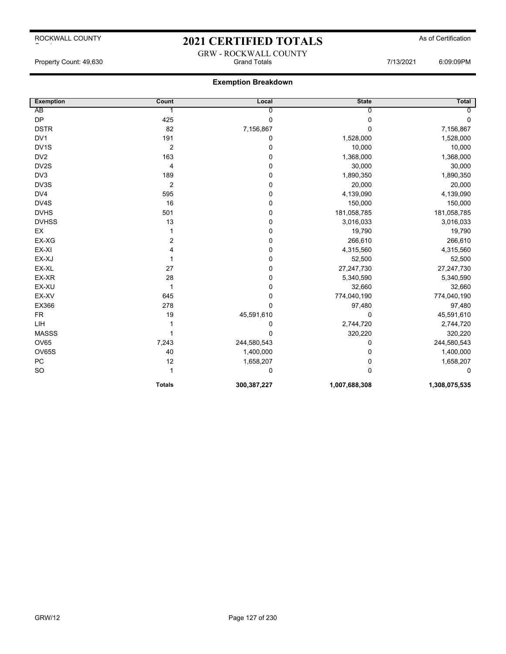### 2021 CERTIFIED TOTALS As of Certification GRW - ROCKWALL COUNTY

Property Count: 49,630 Grand Totals 7/13/2021 6:09:09PM

| <b>Exemption</b>  | Count            | Local          | <b>State</b>  | <b>Total</b>  |
|-------------------|------------------|----------------|---------------|---------------|
| AB                | 1                | $\overline{0}$ | $\Omega$      | $\Omega$      |
| <b>DP</b>         | 425              | $\pmb{0}$      | 0             | 0             |
| <b>DSTR</b>       | 82               | 7,156,867      | $\mathbf{0}$  | 7,156,867     |
| DV1               | 191              | 0              | 1,528,000     | 1,528,000     |
| DV <sub>1</sub> S | $\overline{2}$   | 0              | 10,000        | 10,000        |
| DV <sub>2</sub>   | 163              | 0              | 1,368,000     | 1,368,000     |
| DV2S              | 4                | 0              | 30,000        | 30,000        |
| DV3               | 189              | 0              | 1,890,350     | 1,890,350     |
| DV3S              | $\boldsymbol{2}$ | $\pmb{0}$      | 20,000        | 20,000        |
| DV4               | 595              | 0              | 4,139,090     | 4,139,090     |
| DV4S              | 16               | 0              | 150,000       | 150,000       |
| <b>DVHS</b>       | 501              | $\pmb{0}$      | 181,058,785   | 181,058,785   |
| <b>DVHSS</b>      | 13               | 0              | 3,016,033     | 3,016,033     |
| EX                | 1                | $\pmb{0}$      | 19,790        | 19,790        |
| EX-XG             | 2                | $\mathbf 0$    | 266,610       | 266,610       |
| EX-XI             | 4                | 0              | 4,315,560     | 4,315,560     |
| EX-XJ             |                  | 0              | 52,500        | 52,500        |
| EX-XL             | 27               | 0              | 27,247,730    | 27,247,730    |
| EX-XR             | 28               | 0              | 5,340,590     | 5,340,590     |
| EX-XU             | 1                | 0              | 32,660        | 32,660        |
| EX-XV             | 645              | 0              | 774,040,190   | 774,040,190   |
| EX366             | 278              | $\mathbf 0$    | 97,480        | 97,480        |
| <b>FR</b>         | 19               | 45,591,610     | 0             | 45,591,610    |
| LIH               |                  | 0              | 2,744,720     | 2,744,720     |
| <b>MASSS</b>      |                  | 0              | 320,220       | 320,220       |
| OV65              | 7,243            | 244,580,543    | 0             | 244,580,543   |
| OV65S             | 40               | 1,400,000      | 0             | 1,400,000     |
| PC                | 12               | 1,658,207      | 0             | 1,658,207     |
| <b>SO</b>         | 1                | 0              | $\mathbf{0}$  | 0             |
|                   | <b>Totals</b>    | 300,387,227    | 1,007,688,308 | 1,308,075,535 |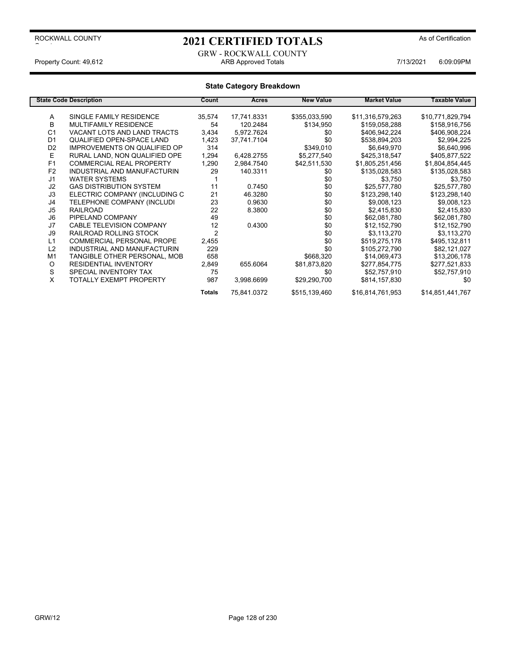### 2021 CERTIFIED TOTALS As of Certification

GRW - ROCKWALL COUNTY<br>ARB Approved Totals Property Count: 49,612 **ARB Approved Totals** ARB Approved Totals **7/13/2021** 6:09:09PM

|                | <b>State Code Description</b>       | Count          | Acres       | <b>New Value</b> | <b>Market Value</b> | <b>Taxable Value</b> |
|----------------|-------------------------------------|----------------|-------------|------------------|---------------------|----------------------|
|                | SINGLE FAMILY RESIDENCE             | 35,574         |             | \$355,033,590    | \$11,316,579,263    | \$10,771,829,794     |
| Α              |                                     |                | 17,741.8331 |                  |                     |                      |
| B              | <b>MULTIFAMILY RESIDENCE</b>        | 54             | 120.2484    | \$134,950        | \$159,058,288       | \$158,916,756        |
| C <sub>1</sub> | VACANT LOTS AND LAND TRACTS         | 3,434          | 5,972.7624  | \$0              | \$406,942,224       | \$406,908,224        |
| D <sub>1</sub> | QUALIFIED OPEN-SPACE LAND           | 1,423          | 37,741.7104 | \$0              | \$538,894,203       | \$2,994,225          |
| D <sub>2</sub> | <b>IMPROVEMENTS ON QUALIFIED OP</b> | 314            |             | \$349,010        | \$6,649,970         | \$6,640,996          |
| E              | RURAL LAND, NON QUALIFIED OPE       | 1,294          | 6,428.2755  | \$5,277,540      | \$425,318,547       | \$405,877,522        |
| F1             | <b>COMMERCIAL REAL PROPERTY</b>     | 1,290          | 2,984.7540  | \$42,511,530     | \$1,805,251,456     | \$1,804,854,445      |
| F <sub>2</sub> | INDUSTRIAL AND MANUFACTURIN         | 29             | 140.3311    | \$0              | \$135,028,583       | \$135,028,583        |
| J <sub>1</sub> | <b>WATER SYSTEMS</b>                |                |             | \$0              | \$3,750             | \$3,750              |
| J2             | <b>GAS DISTRIBUTION SYSTEM</b>      | 11             | 0.7450      | \$0              | \$25.577.780        | \$25,577,780         |
| J3             | ELECTRIC COMPANY (INCLUDING C       | 21             | 46.3280     | \$0              | \$123,298,140       | \$123,298,140        |
| J4             | TELEPHONE COMPANY (INCLUDI          | 23             | 0.9630      | \$0              | \$9,008,123         | \$9,008,123          |
| J5             | <b>RAILROAD</b>                     | 22             | 8.3800      | \$0              | \$2,415,830         | \$2,415,830          |
| J6             | PIPELAND COMPANY                    | 49             |             | \$0              | \$62,081,780        | \$62,081,780         |
| J7             | <b>CABLE TELEVISION COMPANY</b>     | 12             | 0.4300      | \$0              | \$12,152,790        | \$12,152,790         |
| J9             | RAILROAD ROLLING STOCK              | $\overline{2}$ |             | \$0              | \$3,113,270         | \$3,113,270          |
| L1             | <b>COMMERCIAL PERSONAL PROPE</b>    | 2,455          |             | \$0              | \$519,275,178       | \$495,132,811        |
| L2             | INDUSTRIAL AND MANUFACTURIN         | 229            |             | \$0              | \$105,272,790       | \$82,121,027         |
| M <sub>1</sub> | TANGIBLE OTHER PERSONAL, MOB        | 658            |             | \$668,320        | \$14,069,473        | \$13,206,178         |
| O              | <b>RESIDENTIAL INVENTORY</b>        | 2,849          | 655.6064    | \$81,873,820     | \$277,854,775       | \$277,521,833        |
| S              | SPECIAL INVENTORY TAX               | 75             |             | \$0              | \$52,757,910        | \$52,757,910         |
| X              | TOTALLY EXEMPT PROPERTY             | 987            | 3,998.6699  | \$29,290,700     | \$814,157,830       | \$0                  |
|                |                                     | <b>Totals</b>  | 75,841.0372 | \$515,139,460    | \$16,814,761,953    | \$14,851,441,767     |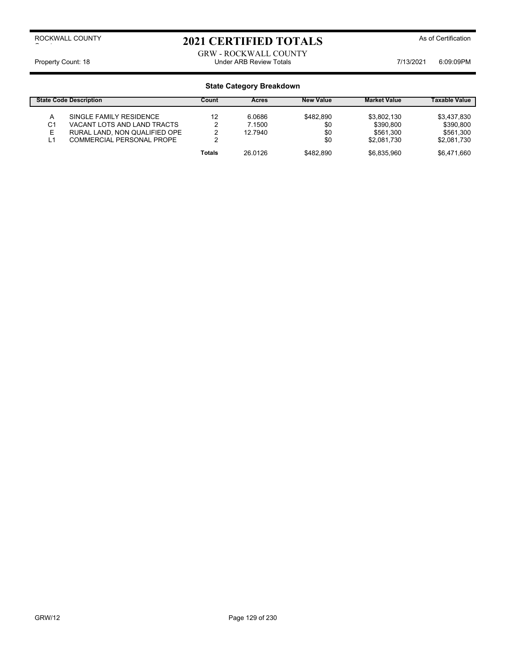# 2021 CERTIFIED TOTALS As of Certification

#### GRW - ROCKWALL COUNTY Property Count: 18 **Property Count: 18** COUNTER THE STATE Under ARB Review Totals **7/13/2021** 6:09:09PM

|               | <b>State Code Description</b>                                                           | Count  | Acres                       | <b>New Value</b>        | <b>Market Value</b>                   | <b>Taxable Value</b>                  |
|---------------|-----------------------------------------------------------------------------------------|--------|-----------------------------|-------------------------|---------------------------------------|---------------------------------------|
| A<br>C1<br>E. | SINGLE FAMILY RESIDENCE<br>VACANT LOTS AND LAND TRACTS<br>RURAL LAND, NON QUALIFIED OPE | 12     | 6.0686<br>7.1500<br>12.7940 | \$482.890<br>\$0<br>\$0 | \$3,802,130<br>\$390.800<br>\$561.300 | \$3,437,830<br>\$390,800<br>\$561.300 |
| L1            | <b>COMMERCIAL PERSONAL PROPE</b>                                                        | ◠      |                             | \$0                     | \$2.081.730                           | \$2,081,730                           |
|               |                                                                                         | Totals | 26.0126                     | \$482.890               | \$6.835.960                           | \$6.471.660                           |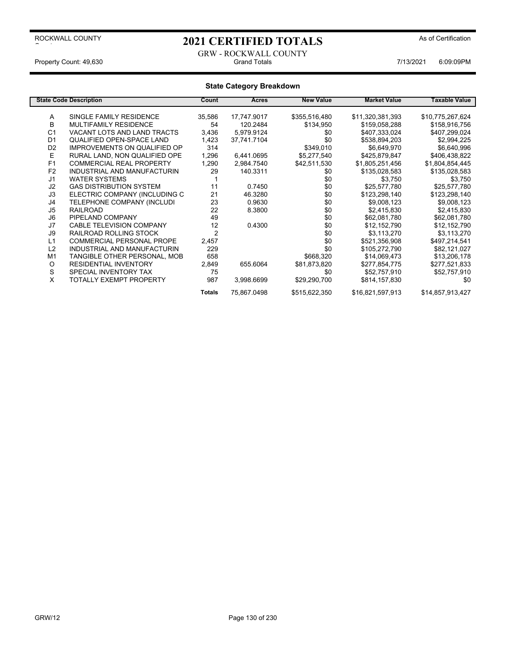# 2021 CERTIFIED TOTALS As of Certification

#### GRW - ROCKWALL COUNTY Property Count: 49,630 Grand Totals 7/13/2021 6:09:09PM

|                | <b>State Code Description</b>       | Count          | Acres       | <b>New Value</b> | <b>Market Value</b> | Taxable Value    |
|----------------|-------------------------------------|----------------|-------------|------------------|---------------------|------------------|
|                |                                     |                |             |                  |                     |                  |
| Α              | SINGLE FAMILY RESIDENCE             | 35,586         | 17,747.9017 | \$355,516,480    | \$11,320,381,393    | \$10,775,267,624 |
| B              | <b>MULTIFAMILY RESIDENCE</b>        | 54             | 120.2484    | \$134,950        | \$159,058,288       | \$158,916,756    |
| C <sub>1</sub> | VACANT LOTS AND LAND TRACTS         | 3,436          | 5,979.9124  | \$0              | \$407,333,024       | \$407,299,024    |
| D <sub>1</sub> | QUALIFIED OPEN-SPACE LAND           | 1,423          | 37,741.7104 | \$0              | \$538,894,203       | \$2,994,225      |
| D <sub>2</sub> | <b>IMPROVEMENTS ON QUALIFIED OP</b> | 314            |             | \$349,010        | \$6,649,970         | \$6,640,996      |
| E              | RURAL LAND, NON QUALIFIED OPE       | 1,296          | 6,441.0695  | \$5,277,540      | \$425,879,847       | \$406,438,822    |
| F1             | <b>COMMERCIAL REAL PROPERTY</b>     | 1,290          | 2,984.7540  | \$42,511,530     | \$1,805,251,456     | \$1,804,854,445  |
| F <sub>2</sub> | INDUSTRIAL AND MANUFACTURIN         | 29             | 140.3311    | \$0              | \$135,028,583       | \$135,028,583    |
| J <sub>1</sub> | <b>WATER SYSTEMS</b>                |                |             | \$0              | \$3,750             | \$3,750          |
| J2             | <b>GAS DISTRIBUTION SYSTEM</b>      | 11             | 0.7450      | \$0              | \$25,577,780        | \$25,577,780     |
| J3             | ELECTRIC COMPANY (INCLUDING C       | 21             | 46.3280     | \$0              | \$123,298,140       | \$123,298,140    |
| J4             | TELEPHONE COMPANY (INCLUDI          | 23             | 0.9630      | \$0              | \$9,008,123         | \$9,008,123      |
| J <sub>5</sub> | <b>RAILROAD</b>                     | 22             | 8.3800      | \$0              | \$2,415,830         | \$2,415,830      |
| J6             | PIPELAND COMPANY                    | 49             |             | \$0              | \$62,081,780        | \$62,081,780     |
| J7             | <b>CABLE TELEVISION COMPANY</b>     | 12             | 0.4300      | \$0              | \$12,152,790        | \$12,152,790     |
| J9             | RAILROAD ROLLING STOCK              | $\overline{2}$ |             | \$0              | \$3,113,270         | \$3,113,270      |
| L1             | <b>COMMERCIAL PERSONAL PROPE</b>    | 2,457          |             | \$0              | \$521,356,908       | \$497,214,541    |
| L2             | INDUSTRIAL AND MANUFACTURIN         | 229            |             | \$0              | \$105,272,790       | \$82,121,027     |
| M <sub>1</sub> | TANGIBLE OTHER PERSONAL, MOB        | 658            |             | \$668,320        | \$14,069,473        | \$13,206,178     |
| O              | <b>RESIDENTIAL INVENTORY</b>        | 2,849          | 655.6064    | \$81,873,820     | \$277,854,775       | \$277,521,833    |
| S              | SPECIAL INVENTORY TAX               | 75             |             | \$0              | \$52,757,910        | \$52,757,910     |
| X              | TOTALLY EXEMPT PROPERTY             | 987            | 3,998.6699  | \$29,290,700     | \$814,157,830       | \$0              |
|                |                                     | <b>Totals</b>  | 75,867.0498 | \$515,622,350    | \$16,821,597,913    | \$14,857,913,427 |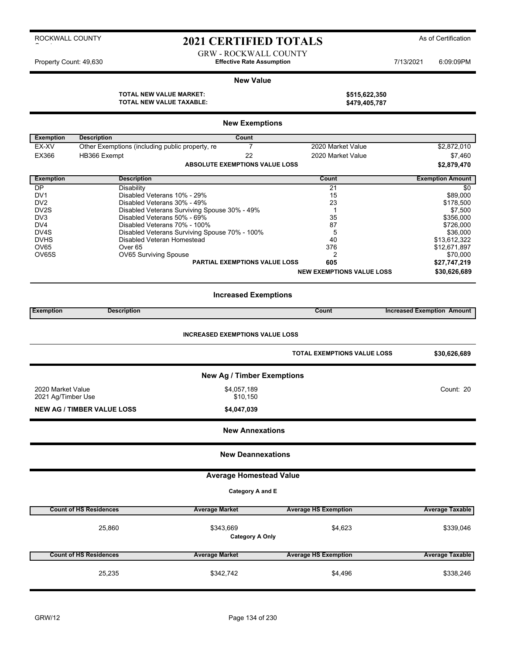### 2021 CERTIFIED TOTALS As of Certification

GRW - ROCKWALL COUNTY Property Count: 49,630 **Effective Rate Assumption Effective Rate Assumption** 7/13/2021 6:09:09PM

#### **New Value**

**TOTAL NEW VALUE MARKET: \$515,622,350 TOTAL NEW VALUE TAXABLE: \$479,405,787**

|                                    |                                                                       | <b>New Exemptions</b>                         |                                    |                                   |
|------------------------------------|-----------------------------------------------------------------------|-----------------------------------------------|------------------------------------|-----------------------------------|
|                                    |                                                                       |                                               |                                    |                                   |
| <b>Exemption</b><br>EX-XV          | <b>Description</b><br>Other Exemptions (including public property, re | Count<br>$\overline{7}$                       | 2020 Market Value                  | \$2,872,010                       |
| EX366                              | HB366 Exempt                                                          | 22                                            | 2020 Market Value                  | \$7,460                           |
|                                    |                                                                       |                                               |                                    |                                   |
|                                    |                                                                       | <b>ABSOLUTE EXEMPTIONS VALUE LOSS</b>         |                                    | \$2,879,470                       |
| <b>Exemption</b>                   | <b>Description</b>                                                    |                                               | Count                              | <b>Exemption Amount</b>           |
| DP                                 | Disability                                                            |                                               | 21                                 | \$0                               |
| DV <sub>1</sub><br>DV <sub>2</sub> | Disabled Veterans 10% - 29%<br>Disabled Veterans 30% - 49%            |                                               | 15<br>23                           | \$89,000<br>\$178,500             |
| DV2S                               |                                                                       | Disabled Veterans Surviving Spouse 30% - 49%  | 1                                  | \$7,500                           |
| DV3                                | Disabled Veterans 50% - 69%                                           |                                               | 35                                 | \$356,000                         |
| DV <sub>4</sub>                    | Disabled Veterans 70% - 100%                                          |                                               | 87                                 | \$726,000                         |
| DV4S                               |                                                                       | Disabled Veterans Surviving Spouse 70% - 100% | 5                                  | \$36,000                          |
| <b>DVHS</b>                        | Disabled Veteran Homestead                                            |                                               | 40                                 | \$13,612,322                      |
| OV65                               | Over <sub>65</sub>                                                    |                                               | 376                                | \$12,671,897                      |
| <b>OV65S</b>                       | OV65 Surviving Spouse                                                 |                                               | $\overline{\mathbf{c}}$            | \$70,000                          |
|                                    |                                                                       | <b>PARTIAL EXEMPTIONS VALUE LOSS</b>          | 605                                | \$27,747,219                      |
|                                    |                                                                       |                                               | <b>NEW EXEMPTIONS VALUE LOSS</b>   | \$30,626,689                      |
|                                    |                                                                       |                                               |                                    |                                   |
|                                    |                                                                       | <b>Increased Exemptions</b>                   |                                    |                                   |
| <b>Exemption</b>                   | <b>Description</b>                                                    |                                               | Count                              | <b>Increased Exemption Amount</b> |
|                                    |                                                                       |                                               |                                    |                                   |
|                                    |                                                                       | <b>INCREASED EXEMPTIONS VALUE LOSS</b>        |                                    |                                   |
|                                    |                                                                       |                                               | <b>TOTAL EXEMPTIONS VALUE LOSS</b> | \$30,626,689                      |
|                                    |                                                                       | <b>New Ag / Timber Exemptions</b>             |                                    |                                   |
| 2020 Market Value                  |                                                                       | \$4,057,189                                   |                                    | Count: 20                         |
| 2021 Ag/Timber Use                 |                                                                       | \$10,150                                      |                                    |                                   |
|                                    | <b>NEW AG / TIMBER VALUE LOSS</b>                                     | \$4,047,039                                   |                                    |                                   |
|                                    |                                                                       |                                               |                                    |                                   |
|                                    |                                                                       | <b>New Annexations</b>                        |                                    |                                   |
|                                    |                                                                       | <b>New Deannexations</b>                      |                                    |                                   |
|                                    |                                                                       | <b>Average Homestead Value</b>                |                                    |                                   |
|                                    |                                                                       | Category A and E                              |                                    |                                   |
|                                    |                                                                       |                                               |                                    |                                   |
|                                    | <b>Count of HS Residences</b>                                         | <b>Average Market</b>                         | <b>Average HS Exemption</b>        | <b>Average Taxable</b>            |
|                                    | 25,860                                                                | \$343,669<br><b>Category A Only</b>           | \$4,623                            | \$339,046                         |
|                                    | <b>Count of HS Residences</b>                                         | <b>Average Market</b>                         | <b>Average HS Exemption</b>        | <b>Average Taxable</b>            |
|                                    |                                                                       |                                               |                                    |                                   |
|                                    | 25,235                                                                | \$342,742                                     | \$4,496                            | \$338,246                         |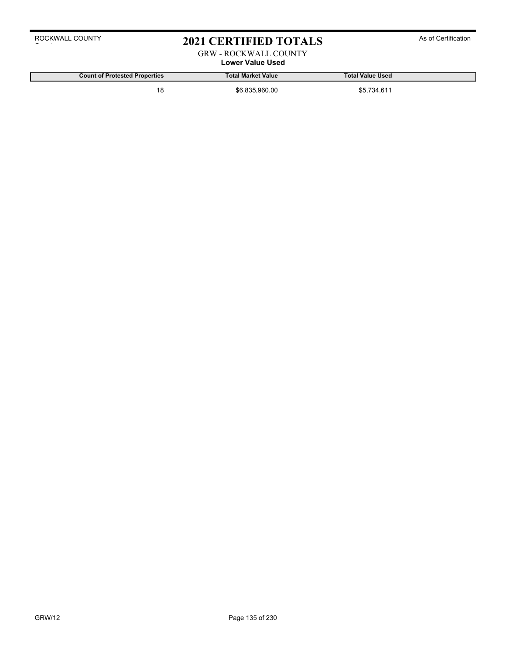### 2021 CERTIFIED TOTALS As of Certification

### GRW - ROCKWALL COUNTY

### **Lower Value Used**

**Count of Protested Properties Total Market Value Total Value Used**

18 \$6,835,960.00 \$6,835,960.00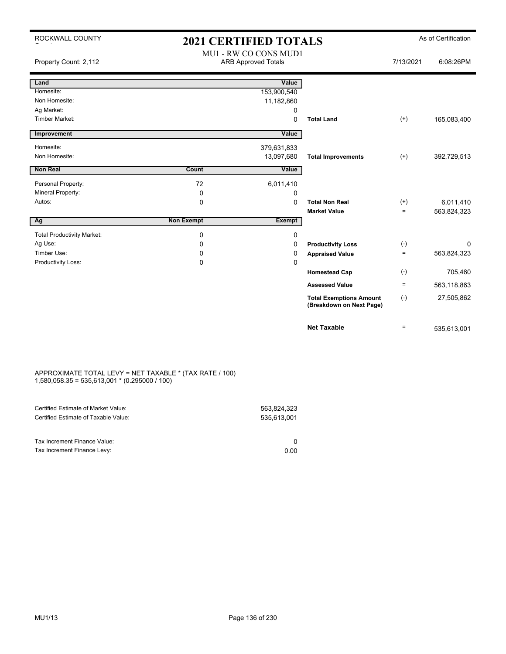| ROCKWALL COUNTY                   | <b>2021 CERTIFIED TOTALS</b> |                                                     |                                                            |           | As of Certification |
|-----------------------------------|------------------------------|-----------------------------------------------------|------------------------------------------------------------|-----------|---------------------|
| Property Count: 2,112             |                              | MU1 - RW CO CONS MUD1<br><b>ARB Approved Totals</b> |                                                            | 7/13/2021 | 6:08:26PM           |
| Land                              |                              | Value                                               |                                                            |           |                     |
| Homesite:                         |                              | 153,900,540                                         |                                                            |           |                     |
| Non Homesite:                     |                              | 11,182,860                                          |                                                            |           |                     |
| Ag Market:                        |                              | $\mathbf 0$                                         |                                                            |           |                     |
| Timber Market:                    |                              | $\mathbf 0$                                         | <b>Total Land</b>                                          | $(+)$     | 165,083,400         |
| Improvement                       |                              | Value                                               |                                                            |           |                     |
| Homesite:                         |                              | 379,631,833                                         |                                                            |           |                     |
| Non Homesite:                     |                              | 13,097,680                                          | <b>Total Improvements</b>                                  | $(+)$     | 392,729,513         |
| Non Real                          | Count                        | Value                                               |                                                            |           |                     |
| Personal Property:                | 72                           | 6,011,410                                           |                                                            |           |                     |
| Mineral Property:                 | 0                            | $\mathbf 0$                                         |                                                            |           |                     |
| Autos:                            | $\mathbf 0$                  | $\mathbf 0$                                         | <b>Total Non Real</b>                                      | $(+)$     | 6,011,410           |
|                                   |                              |                                                     | <b>Market Value</b>                                        | $=$       | 563,824,323         |
| Ag                                | <b>Non Exempt</b>            | <b>Exempt</b>                                       |                                                            |           |                     |
| <b>Total Productivity Market:</b> | 0                            | 0                                                   |                                                            |           |                     |
| Ag Use:                           | $\Omega$                     | $\mathbf 0$                                         | <b>Productivity Loss</b>                                   | $(-)$     | 0                   |
| Timber Use:                       | 0                            | 0                                                   | <b>Appraised Value</b>                                     | $=$       | 563,824,323         |
| Productivity Loss:                | 0                            | $\mathbf 0$                                         |                                                            |           |                     |
|                                   |                              |                                                     | <b>Homestead Cap</b>                                       | $(-)$     | 705,460             |
|                                   |                              |                                                     | <b>Assessed Value</b>                                      | $=$       | 563,118,863         |
|                                   |                              |                                                     | <b>Total Exemptions Amount</b><br>(Breakdown on Next Page) | $(-)$     | 27,505,862          |
|                                   |                              |                                                     | <b>Net Taxable</b>                                         | $=$       | 535,613,001         |

#### APPROXIMATE TOTAL LEVY = NET TAXABLE \* (TAX RATE / 100) 1,580,058.35 = 535,613,001 \* (0.295000 / 100)

| Certified Estimate of Market Value:<br>Certified Estimate of Taxable Value: | 563,824,323<br>535.613.001 |
|-----------------------------------------------------------------------------|----------------------------|
| Tax Increment Finance Value:                                                |                            |
| Tax Increment Finance Levy:                                                 | 0.00                       |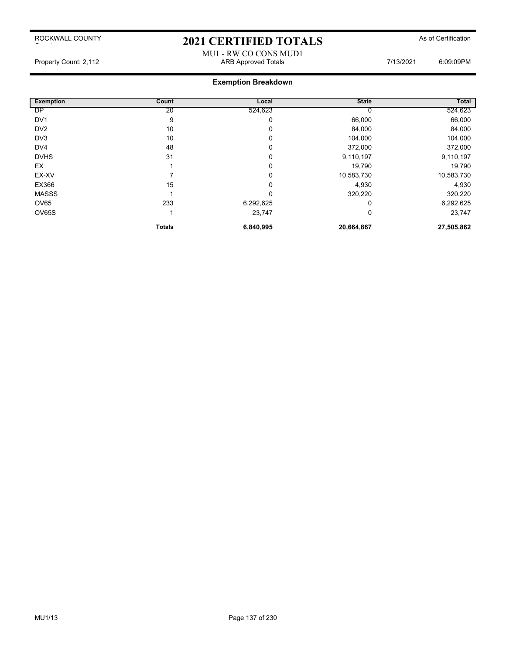### 2021 CERTIFIED TOTALS As of Certification

#### MU1 - RW CO CONS MUD1 Property Count: 2,112 ARB Approved Totals 7/13/2021 6:09:09PM

| <b>Exemption</b> | Count         | Local     | <b>State</b> | <b>Total</b> |
|------------------|---------------|-----------|--------------|--------------|
| <b>DP</b>        | 20            | 524,623   |              | 524,623      |
| DV <sub>1</sub>  | 9             | 0         | 66,000       | 66,000       |
| DV <sub>2</sub>  | 10            | 0         | 84,000       | 84,000       |
| DV3              | 10            | 0         | 104,000      | 104,000      |
| DV <sub>4</sub>  | 48            | 0         | 372,000      | 372,000      |
| <b>DVHS</b>      | 31            | 0         | 9,110,197    | 9,110,197    |
| EX               |               | 0         | 19,790       | 19,790       |
| EX-XV            |               | 0         | 10,583,730   | 10,583,730   |
| EX366            | 15            | 0         | 4,930        | 4,930        |
| <b>MASSS</b>     |               | 0         | 320,220      | 320,220      |
| OV65             | 233           | 6,292,625 |              | 6,292,625    |
| OV65S            |               | 23,747    | 0            | 23,747       |
|                  | <b>Totals</b> | 6,840,995 | 20,664,867   | 27,505,862   |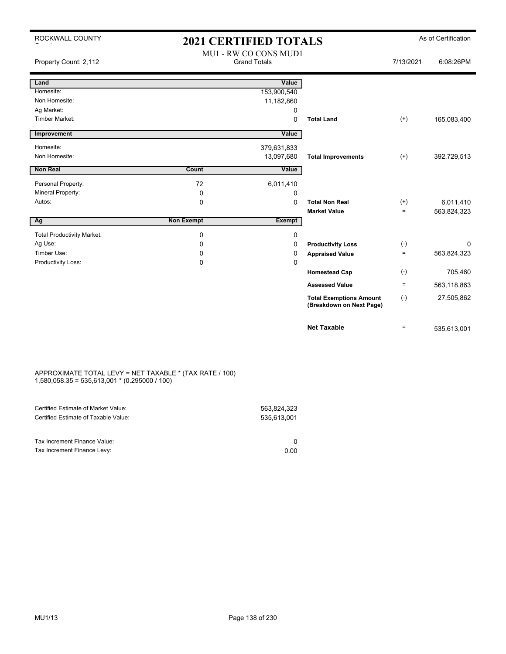| ROCKWALL COUNTY                   | <b>2021 CERTIFIED TOTALS</b>                 |             |                                                            |           | As of Certification |
|-----------------------------------|----------------------------------------------|-------------|------------------------------------------------------------|-----------|---------------------|
| Property Count: 2,112             | MU1 - RW CO CONS MUD1<br><b>Grand Totals</b> |             | 7/13/2021                                                  | 6:08:26PM |                     |
| Land                              |                                              | Value       |                                                            |           |                     |
| Homesite:                         |                                              | 153,900,540 |                                                            |           |                     |
| Non Homesite:                     |                                              | 11,182,860  |                                                            |           |                     |
| Ag Market:                        |                                              | 0           |                                                            |           |                     |
| <b>Timber Market:</b>             |                                              | 0           | <b>Total Land</b>                                          | $^{(+)}$  | 165,083,400         |
| Improvement                       |                                              | Value       |                                                            |           |                     |
| Homesite:                         |                                              | 379,631,833 |                                                            |           |                     |
| Non Homesite:                     |                                              | 13,097,680  | <b>Total Improvements</b>                                  | $^{(+)}$  | 392,729,513         |
| <b>Non Real</b>                   | Count                                        | Value       |                                                            |           |                     |
| Personal Property:                | 72                                           | 6,011,410   |                                                            |           |                     |
| Mineral Property:                 | 0                                            | 0           |                                                            |           |                     |
| Autos:                            | 0                                            | 0           | <b>Total Non Real</b>                                      | $^{(+)}$  | 6,011,410           |
|                                   |                                              |             | <b>Market Value</b>                                        | $=$       | 563,824,323         |
| Ag                                | <b>Non Exempt</b>                            | Exempt      |                                                            |           |                     |
| <b>Total Productivity Market:</b> | 0                                            | 0           |                                                            |           |                     |
| Ag Use:                           | 0                                            | 0           | <b>Productivity Loss</b>                                   | $(-)$     | $\Omega$            |
| Timber Use:                       | 0                                            | 0           | <b>Appraised Value</b>                                     | $\equiv$  | 563,824,323         |
| Productivity Loss:                | 0                                            | $\Omega$    |                                                            |           |                     |
|                                   |                                              |             | <b>Homestead Cap</b>                                       | $(-)$     | 705,460             |
|                                   |                                              |             | <b>Assessed Value</b>                                      | $=$       | 563,118,863         |
|                                   |                                              |             | <b>Total Exemptions Amount</b><br>(Breakdown on Next Page) | $(-)$     | 27,505,862          |
|                                   |                                              |             | <b>Net Taxable</b>                                         | $=$       | 535,613,001         |

#### APPROXIMATE TOTAL LEVY = NET TAXABLE \* (TAX RATE / 100) 1,580,058.35 = 535,613,001 \* (0.295000 / 100)

| 535.613.001 |
|-------------|
| 0.00        |
|             |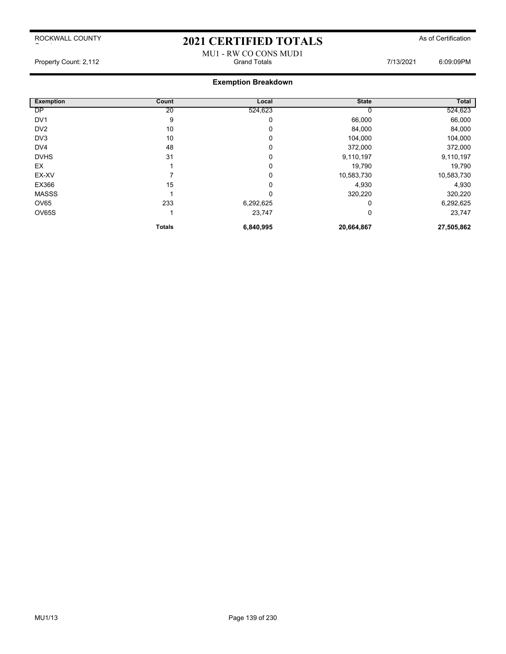ROCKWALL COUNTY  $\sim$  to the set of  $\sim$ 

# 2021 CERTIFIED TOTALS As of Certification MU1 - RW CO CONS MUD1<br>Grand Totals

Property Count: 2,112 **Accord Property Count: 2,112** Crand Totals **Count: 2,112** Crand Totals **7/13/2021** 6:09:09PM

| <b>Exemption</b> | Count         | Local     | <b>State</b> | <b>Total</b> |
|------------------|---------------|-----------|--------------|--------------|
| <b>DP</b>        | 20            | 524,623   |              | 524,623      |
| DV <sub>1</sub>  | 9             | 0         | 66,000       | 66,000       |
| DV <sub>2</sub>  | 10            | 0         | 84,000       | 84,000       |
| DV3              | 10            | 0         | 104,000      | 104,000      |
| DV4              | 48            | 0         | 372,000      | 372,000      |
| <b>DVHS</b>      | 31            | 0         | 9,110,197    | 9,110,197    |
| EX               |               | 0         | 19,790       | 19,790       |
| EX-XV            |               | 0         | 10,583,730   | 10,583,730   |
| EX366            | 15            | 0         | 4,930        | 4,930        |
| <b>MASSS</b>     |               | 0         | 320,220      | 320,220      |
| OV65             | 233           | 6,292,625 | 0            | 6,292,625    |
| OV65S            |               | 23,747    | 0            | 23,747       |
|                  | <b>Totals</b> | 6,840,995 | 20,664,867   | 27,505,862   |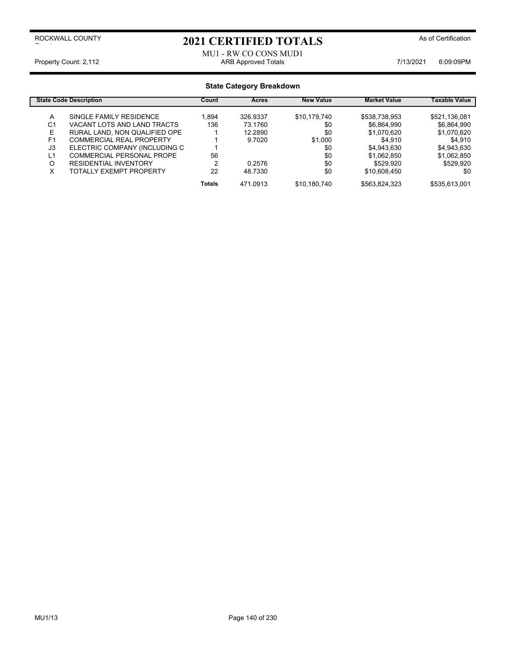# 2021 CERTIFIED TOTALS As of Certification

## MU1 - RW CO CONS MUD1 Property Count: 2,112 **ARB Approved Totals** ARB Approved Totals 7/13/2021 6:09:09PM

|                | <b>State Code Description</b>   | Count         | Acres    | <b>New Value</b> | <b>Market Value</b> | Taxable Value |
|----------------|---------------------------------|---------------|----------|------------------|---------------------|---------------|
| A              | SINGLE FAMILY RESIDENCE         | .894          | 326.9337 | \$10,179,740     | \$538,738,953       | \$521,136,081 |
| C <sub>1</sub> | VACANT LOTS AND LAND TRACTS     | 136           | 73.1760  | \$0              | \$6,864,990         | \$6,864,990   |
| E              | RURAL LAND, NON QUALIFIED OPE   |               | 12.2890  | \$0              | \$1,070,620         | \$1,070,620   |
| F <sub>1</sub> | <b>COMMERCIAL REAL PROPERTY</b> |               | 9.7020   | \$1,000          | \$4,910             | \$4.910       |
| J3             | ELECTRIC COMPANY (INCLUDING C   |               |          | \$0              | \$4,943,630         | \$4,943,630   |
| L1             | COMMERCIAL PERSONAL PROPE       | 56            |          | \$0              | \$1,062,850         | \$1,062,850   |
| O              | <b>RESIDENTIAL INVENTORY</b>    | 2             | 0.2576   | \$0              | \$529.920           | \$529.920     |
| х              | TOTALLY EXEMPT PROPERTY         | 22            | 48.7330  | \$0              | \$10,608,450        | \$0           |
|                |                                 | <b>Totals</b> | 471.0913 | \$10.180.740     | \$563,824,323       | \$535,613,001 |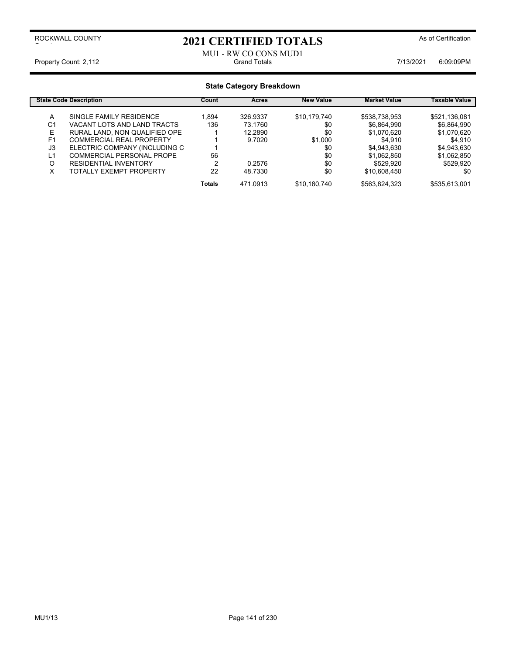# 2021 CERTIFIED TOTALS As of Certification

## MU1 - RW CO CONS MUD1<br>Grand Totals Property Count: 2,112 **Count: 2,112** Crand Totals Grand Totals **7/13/2021** 6:09:09PM

|                | <b>State Code Description</b>   | Count         | Acres    | <b>New Value</b> | <b>Market Value</b> | Taxable Value |
|----------------|---------------------------------|---------------|----------|------------------|---------------------|---------------|
| А              | SINGLE FAMILY RESIDENCE         | 1.894         | 326.9337 | \$10.179.740     | \$538,738,953       | \$521,136,081 |
| C1             | VACANT LOTS AND LAND TRACTS     | 136           | 73.1760  | \$0              | \$6,864,990         | \$6.864.990   |
| Е              | RURAL LAND, NON QUALIFIED OPE   |               | 12.2890  | \$0              | \$1.070.620         | \$1,070,620   |
| F <sub>1</sub> | <b>COMMERCIAL REAL PROPERTY</b> |               | 9.7020   | \$1,000          | \$4.910             | \$4.910       |
| J3             | ELECTRIC COMPANY (INCLUDING C   |               |          | \$0              | \$4,943,630         | \$4,943,630   |
| L1             | COMMERCIAL PERSONAL PROPE       | 56            |          | \$0              | \$1,062,850         | \$1,062,850   |
| Ω              | <b>RESIDENTIAL INVENTORY</b>    |               | 0.2576   | \$0              | \$529.920           | \$529.920     |
| x              | <b>TOTALLY EXEMPT PROPERTY</b>  | 22            | 48.7330  | \$0              | \$10,608,450        | \$0           |
|                |                                 | <b>Totals</b> | 471.0913 | \$10,180,740     | \$563,824,323       | \$535,613,001 |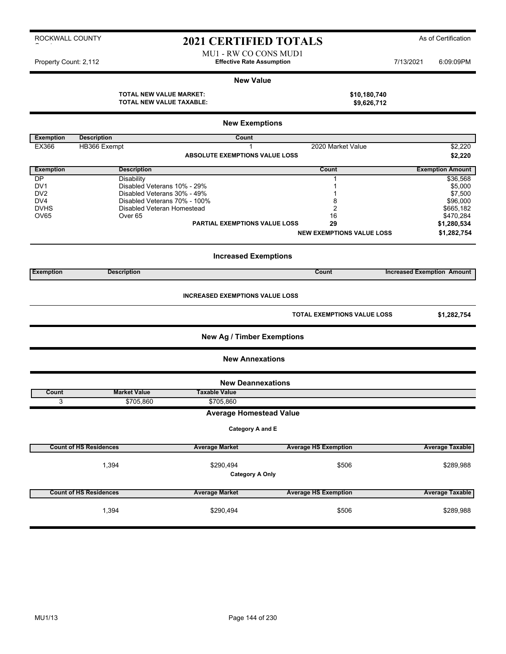# 2021 CERTIFIED TOTALS As of Certification

MU1 - RW CO CONS MUD1 Property Count: 2,112 **Effective Rate Assumption Effective Rate Assumption** 7/13/2021 6:09:09PM

#### **New Value**

**TOTAL NEW VALUE MARKET: \$10,180,740 TOTAL NEW VALUE TAXABLE: \$9,626,712**

|                  |                               | <b>New Exemptions</b>                  |                                    |                                   |
|------------------|-------------------------------|----------------------------------------|------------------------------------|-----------------------------------|
| <b>Exemption</b> | <b>Description</b>            | Count                                  |                                    |                                   |
| <b>EX366</b>     | HB366 Exempt                  | 1                                      | 2020 Market Value                  | \$2,220                           |
|                  |                               | <b>ABSOLUTE EXEMPTIONS VALUE LOSS</b>  |                                    | \$2,220                           |
| <b>Exemption</b> | <b>Description</b>            |                                        | Count                              | <b>Exemption Amount</b>           |
| DP               | Disability                    |                                        | 1                                  | \$36,568                          |
| DV <sub>1</sub>  | Disabled Veterans 10% - 29%   |                                        | 1                                  | \$5,000                           |
| DV <sub>2</sub>  | Disabled Veterans 30% - 49%   |                                        | 1                                  | \$7,500                           |
| DV4              | Disabled Veterans 70% - 100%  |                                        | 8                                  | \$96,000                          |
| <b>DVHS</b>      | Disabled Veteran Homestead    |                                        | $\overline{2}$                     | \$665,182                         |
| OV65             | Over <sub>65</sub>            |                                        | 16                                 | \$470,284                         |
|                  |                               | PARTIAL EXEMPTIONS VALUE LOSS          | 29                                 | \$1,280,534                       |
|                  |                               |                                        | <b>NEW EXEMPTIONS VALUE LOSS</b>   | \$1,282,754                       |
|                  |                               | <b>Increased Exemptions</b>            |                                    |                                   |
| <b>Exemption</b> | <b>Description</b>            |                                        | Count                              | <b>Increased Exemption Amount</b> |
|                  |                               | <b>INCREASED EXEMPTIONS VALUE LOSS</b> | <b>TOTAL EXEMPTIONS VALUE LOSS</b> | \$1,282,754                       |
|                  |                               | <b>New Ag / Timber Exemptions</b>      |                                    |                                   |
|                  |                               | <b>New Annexations</b>                 |                                    |                                   |
|                  |                               | <b>New Deannexations</b>               |                                    |                                   |
| Count            | <b>Market Value</b>           | <b>Taxable Value</b>                   |                                    |                                   |
| 3                | \$705,860                     | \$705,860                              |                                    |                                   |
|                  |                               | <b>Average Homestead Value</b>         |                                    |                                   |
|                  |                               | Category A and E                       |                                    |                                   |
|                  | <b>Count of HS Residences</b> | <b>Average Market</b>                  | <b>Average HS Exemption</b>        | <b>Average Taxable</b>            |
|                  |                               |                                        |                                    |                                   |
|                  | 1,394                         | \$290,494                              | \$506                              | \$289,988                         |
|                  |                               | <b>Category A Only</b>                 |                                    |                                   |
|                  |                               |                                        |                                    |                                   |
|                  | <b>Count of HS Residences</b> | <b>Average Market</b>                  | <b>Average HS Exemption</b>        | <b>Average Taxable</b>            |
|                  |                               |                                        |                                    |                                   |
|                  | 1,394                         | \$290,494                              | \$506                              | \$289,988                         |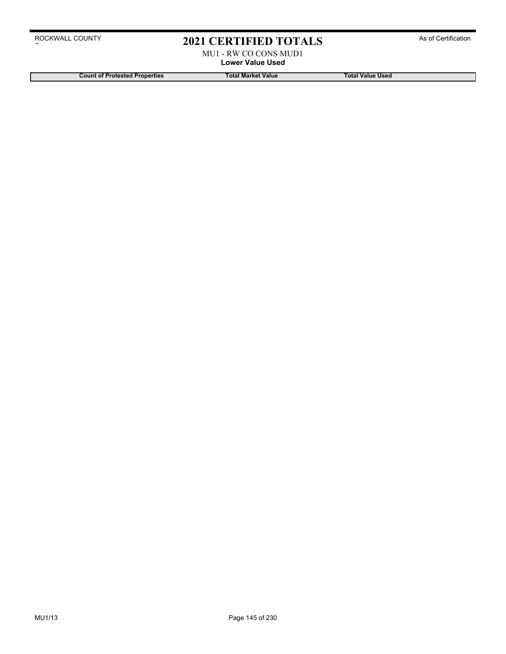# 2021 CERTIFIED TOTALS As of Certification

MU1 - RW CO CONS MUD1 **Lower Value Used**

**Count of Protested Properties Total Market Value Count of Protested Properties Count of Protested Properties**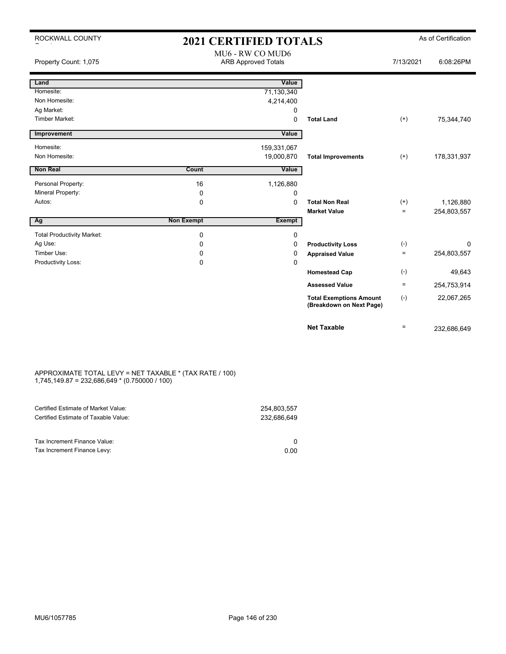| ROCKWALL COUNTY                   | <b>2021 CERTIFIED TOTALS</b>                   |                |                                                            |           | As of Certification |
|-----------------------------------|------------------------------------------------|----------------|------------------------------------------------------------|-----------|---------------------|
| Property Count: 1,075             | MU6 - RW CO MUD6<br><b>ARB Approved Totals</b> |                |                                                            | 7/13/2021 | 6:08:26PM           |
| Land                              |                                                | Value          |                                                            |           |                     |
| Homesite:                         |                                                | 71,130,340     |                                                            |           |                     |
| Non Homesite:                     |                                                | 4,214,400      |                                                            |           |                     |
| Ag Market:                        |                                                | 0              |                                                            |           |                     |
| <b>Timber Market:</b>             |                                                | $\Omega$       | <b>Total Land</b>                                          | $(+)$     | 75,344,740          |
| Improvement                       |                                                | Value          |                                                            |           |                     |
| Homesite:                         |                                                | 159,331,067    |                                                            |           |                     |
| Non Homesite:                     |                                                | 19,000,870     | <b>Total Improvements</b>                                  | $(+)$     | 178,331,937         |
| <b>Non Real</b>                   | Count                                          | Value          |                                                            |           |                     |
| Personal Property:                | 16                                             |                |                                                            |           |                     |
| Mineral Property:                 | 0                                              | 1,126,880<br>0 |                                                            |           |                     |
| Autos:                            | 0                                              | 0              | <b>Total Non Real</b>                                      | $^{(+)}$  | 1,126,880           |
|                                   |                                                |                | <b>Market Value</b>                                        | $\equiv$  | 254,803,557         |
| Ag                                | <b>Non Exempt</b>                              | <b>Exempt</b>  |                                                            |           |                     |
| <b>Total Productivity Market:</b> | 0                                              | 0              |                                                            |           |                     |
| Ag Use:                           | 0                                              | 0              | <b>Productivity Loss</b>                                   | $(-)$     | 0                   |
| Timber Use:                       | 0                                              | 0              | <b>Appraised Value</b>                                     | $\equiv$  | 254,803,557         |
| Productivity Loss:                | 0                                              | 0              |                                                            |           |                     |
|                                   |                                                |                | <b>Homestead Cap</b>                                       | $(-)$     | 49,643              |
|                                   |                                                |                | <b>Assessed Value</b>                                      | $\equiv$  | 254,753,914         |
|                                   |                                                |                | <b>Total Exemptions Amount</b><br>(Breakdown on Next Page) | $(-)$     | 22,067,265          |
|                                   |                                                |                | <b>Net Taxable</b>                                         | $\equiv$  | 232,686,649         |

#### APPROXIMATE TOTAL LEVY = NET TAXABLE \* (TAX RATE / 100) 1,745,149.87 = 232,686,649 \* (0.750000 / 100)

| Certified Estimate of Market Value:                         | 254,803,557 |
|-------------------------------------------------------------|-------------|
| Certified Estimate of Taxable Value:                        | 232.686.649 |
| Tax Increment Finance Value:<br>Tax Increment Finance Levy: | 0.00        |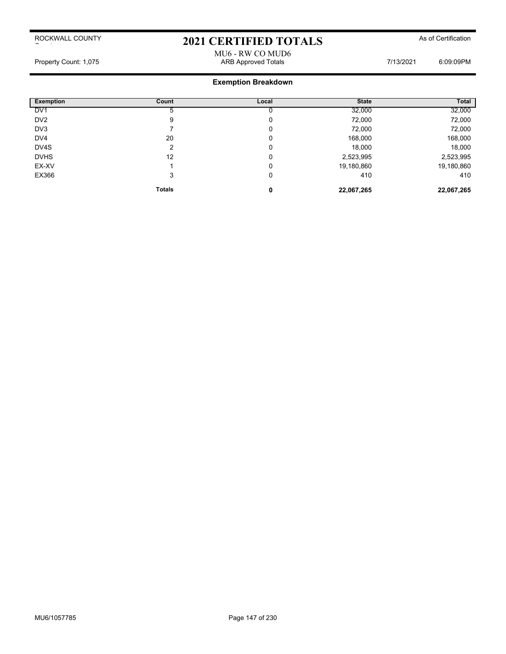# 2021 CERTIFIED TOTALS As of Certification

MU6 - RW CO MUD6 Property Count: 1,075 **ARB Approved Totals ARB Approved Totals** 7/13/2021 6:09:09PM

| <b>Exemption</b> | Count         | Local | <b>State</b> | Total      |
|------------------|---------------|-------|--------------|------------|
| DV <sub>1</sub>  |               |       | 32,000       | 32,000     |
| DV <sub>2</sub>  | 9             | 0     | 72,000       | 72,000     |
| DV3              |               | 0     | 72,000       | 72,000     |
| DV4              | 20            | 0     | 168,000      | 168,000    |
| DV4S             | ົ             | 0     | 18,000       | 18,000     |
| <b>DVHS</b>      | 12            | 0     | 2,523,995    | 2,523,995  |
| EX-XV            |               | 0     | 19,180,860   | 19,180,860 |
| EX366            | 3             | 0     | 410          | 410        |
|                  | <b>Totals</b> | 0     | 22,067,265   | 22,067,265 |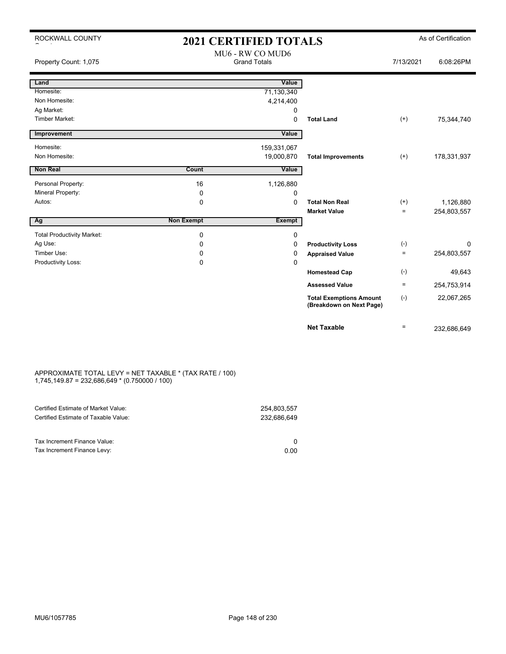| ROCKWALL COUNTY                   | <b>2021 CERTIFIED TOTALS</b>            |               |                                                            |           | As of Certification |
|-----------------------------------|-----------------------------------------|---------------|------------------------------------------------------------|-----------|---------------------|
| Property Count: 1,075             | MU6 - RW CO MUD6<br><b>Grand Totals</b> |               |                                                            | 7/13/2021 | 6:08:26PM           |
| Land                              |                                         | Value         |                                                            |           |                     |
| Homesite:                         |                                         | 71,130,340    |                                                            |           |                     |
| Non Homesite:                     |                                         | 4,214,400     |                                                            |           |                     |
| Ag Market:                        |                                         | 0             |                                                            |           |                     |
| Timber Market:                    |                                         | 0             | <b>Total Land</b>                                          | $^{(+)}$  | 75,344,740          |
| Improvement                       |                                         | Value         |                                                            |           |                     |
| Homesite:                         |                                         | 159,331,067   |                                                            |           |                     |
| Non Homesite:                     |                                         | 19,000,870    | <b>Total Improvements</b>                                  | $^{(+)}$  | 178,331,937         |
| Non Real                          | Count                                   | Value         |                                                            |           |                     |
|                                   |                                         |               |                                                            |           |                     |
| Personal Property:                | 16                                      | 1,126,880     |                                                            |           |                     |
| Mineral Property:                 | 0                                       | 0             |                                                            |           |                     |
| Autos:                            | $\mathbf 0$                             | $\Omega$      | <b>Total Non Real</b>                                      | $^{(+)}$  | 1,126,880           |
|                                   |                                         |               | <b>Market Value</b>                                        | $=$       | 254,803,557         |
| Ag                                | <b>Non Exempt</b>                       | <b>Exempt</b> |                                                            |           |                     |
| <b>Total Productivity Market:</b> | $\mathbf 0$                             | 0             |                                                            |           |                     |
| Ag Use:                           | $\Omega$                                | 0             | <b>Productivity Loss</b>                                   | $(-)$     | $\Omega$            |
| Timber Use:                       | 0                                       | 0             | <b>Appraised Value</b>                                     | $=$       | 254,803,557         |
| Productivity Loss:                | 0                                       | 0             |                                                            |           |                     |
|                                   |                                         |               | <b>Homestead Cap</b>                                       | $(-)$     | 49,643              |
|                                   |                                         |               | <b>Assessed Value</b>                                      | $\equiv$  | 254,753,914         |
|                                   |                                         |               | <b>Total Exemptions Amount</b><br>(Breakdown on Next Page) | $(-)$     | 22,067,265          |
|                                   |                                         |               | <b>Net Taxable</b>                                         | $=$       | 232,686,649         |

#### APPROXIMATE TOTAL LEVY = NET TAXABLE \* (TAX RATE / 100) 1,745,149.87 = 232,686,649 \* (0.750000 / 100)

| Certified Estimate of Market Value:                         | 254,803,557 |
|-------------------------------------------------------------|-------------|
| Certified Estimate of Taxable Value:                        | 232.686.649 |
| Tax Increment Finance Value:<br>Tax Increment Finance Levy: | 0.00        |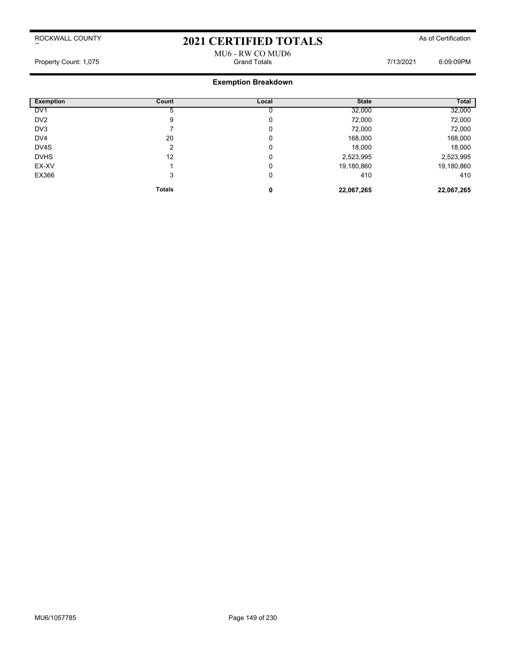# 2021 CERTIFIED TOTALS As of Certification

### MU6 - RW CO MUD6 Property Count: 1,075 Grand Totals 7/13/2021 6:09:09PM

| <b>Exemption</b> | Count         | Local | <b>State</b> | Total      |
|------------------|---------------|-------|--------------|------------|
| DV <sub>1</sub>  | $\mathbf{p}$  |       | 32,000       | 32,000     |
| DV <sub>2</sub>  | 9             | 0     | 72,000       | 72,000     |
| DV <sub>3</sub>  |               | 0     | 72,000       | 72,000     |
| DV <sub>4</sub>  | 20            | 0     | 168,000      | 168,000    |
| DV4S             | ົ             | 0     | 18,000       | 18,000     |
| <b>DVHS</b>      | 12            | 0     | 2,523,995    | 2,523,995  |
| EX-XV            |               | 0     | 19,180,860   | 19,180,860 |
| EX366            | 3             | 0     | 410          | 410        |
|                  | <b>Totals</b> | 0     | 22,067,265   | 22,067,265 |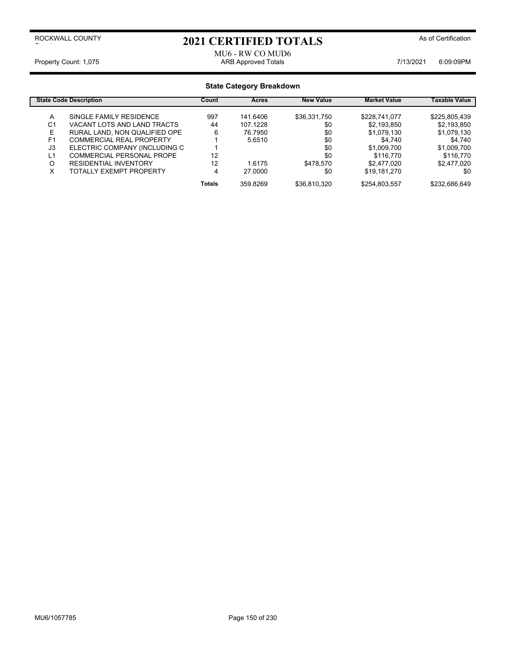## 2021 CERTIFIED TOTALS As of Certification

### MU6 - RW CO MUD6 Property Count: 1,075 **ARB Approved Totals** ARB Approved Totals **ARB Approved Totals** 7/13/2021 6:09:09PM

| <b>State Code Description</b> |                                 | Count         | <b>Acres</b> | <b>New Value</b> | <b>Market Value</b> | Taxable Value |
|-------------------------------|---------------------------------|---------------|--------------|------------------|---------------------|---------------|
| A                             | SINGLE FAMILY RESIDENCE         | 997           | 141.6406     | \$36,331,750     | \$228,741,077       | \$225,805,439 |
| C <sub>1</sub>                | VACANT LOTS AND LAND TRACTS     | 44            | 107.1228     | \$0              | \$2,193,850         | \$2,193,850   |
| E                             | RURAL LAND, NON QUALIFIED OPE   | 6             | 76.7950      | \$0              | \$1,079,130         | \$1,079,130   |
| F <sub>1</sub>                | <b>COMMERCIAL REAL PROPERTY</b> |               | 5.6510       | \$0              | \$4.740             | \$4.740       |
| J3                            | ELECTRIC COMPANY (INCLUDING C   |               |              | \$0              | \$1,009,700         | \$1,009,700   |
| L1                            | COMMERCIAL PERSONAL PROPE       | 12            |              | \$0              | \$116.770           | \$116.770     |
| O                             | <b>RESIDENTIAL INVENTORY</b>    | 12            | 1.6175       | \$478.570        | \$2,477,020         | \$2,477,020   |
| х                             | TOTALLY EXEMPT PROPERTY         | 4             | 27,0000      | \$0              | \$19,181,270        | \$0           |
|                               |                                 | <b>Totals</b> | 359.8269     | \$36,810,320     | \$254,803,557       | \$232,686,649 |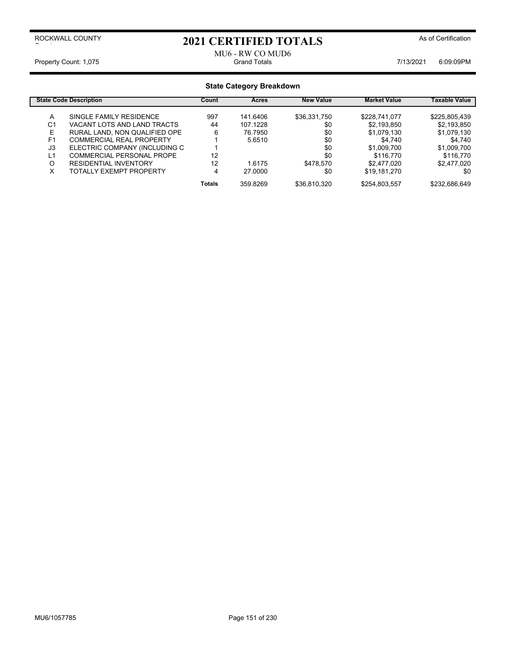## 2021 CERTIFIED TOTALS As of Certification

### MU6 - RW CO MUD6<br>Grand Totals Property Count: 1,075 Crand Totals Grand Totals Crand Totals 7/13/2021 6:09:09PM

| <b>State Code Description</b> |                                 | Count         | <b>Acres</b> | <b>New Value</b> | <b>Market Value</b> | Taxable Value |
|-------------------------------|---------------------------------|---------------|--------------|------------------|---------------------|---------------|
| A                             | SINGLE FAMILY RESIDENCE         | 997           | 141.6406     | \$36,331,750     | \$228,741,077       | \$225,805,439 |
| C <sub>1</sub>                | VACANT LOTS AND LAND TRACTS     | 44            | 107.1228     | \$0              | \$2,193,850         | \$2,193,850   |
| E                             | RURAL LAND, NON QUALIFIED OPE   | 6             | 76.7950      | \$0              | \$1,079,130         | \$1,079,130   |
| F <sub>1</sub>                | <b>COMMERCIAL REAL PROPERTY</b> |               | 5.6510       | \$0              | \$4.740             | \$4.740       |
| J3                            | ELECTRIC COMPANY (INCLUDING C   |               |              | \$0              | \$1,009,700         | \$1,009,700   |
| L1                            | COMMERCIAL PERSONAL PROPE       | 12            |              | \$0              | \$116.770           | \$116.770     |
| O                             | <b>RESIDENTIAL INVENTORY</b>    | 12            | 1.6175       | \$478.570        | \$2,477,020         | \$2,477,020   |
| х                             | TOTALLY EXEMPT PROPERTY         | 4             | 27,0000      | \$0              | \$19,181,270        | \$0           |
|                               |                                 | <b>Totals</b> | 359.8269     | \$36,810,320     | \$254,803,557       | \$232,686,649 |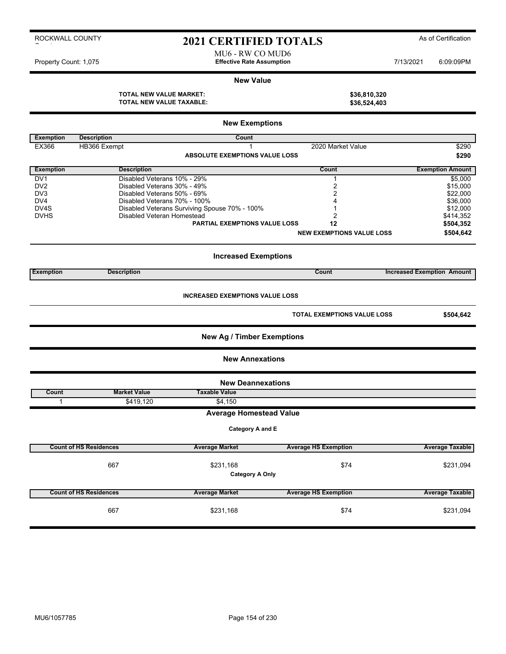## 2021 CERTIFIED TOTALS As of Certification

MU6 - RW CO MUD6 Property Count: 1,075 **Effective Rate Assumption Effective Rate Assumption** 7/13/2021 6:09:09PM

#### **New Value**

**TOTAL NEW VALUE MARKET: \$36,810,320 TOTAL NEW VALUE TAXABLE: \$36,524,403**

| <b>New Exemptions</b> |                                                                                           |                                               |                                  |                                   |  |  |  |  |
|-----------------------|-------------------------------------------------------------------------------------------|-----------------------------------------------|----------------------------------|-----------------------------------|--|--|--|--|
| <b>Exemption</b>      | <b>Description</b>                                                                        | <b>Count</b>                                  |                                  |                                   |  |  |  |  |
| EX366                 | HB366 Exempt                                                                              | 1                                             | 2020 Market Value                | \$290                             |  |  |  |  |
|                       |                                                                                           | <b>ABSOLUTE EXEMPTIONS VALUE LOSS</b>         |                                  | \$290                             |  |  |  |  |
| <b>Exemption</b>      | <b>Description</b>                                                                        |                                               | Count                            | <b>Exemption Amount</b>           |  |  |  |  |
| DV <sub>1</sub>       | Disabled Veterans 10% - 29%                                                               |                                               | $\mathbf{1}$                     | \$5,000                           |  |  |  |  |
| DV <sub>2</sub>       | Disabled Veterans 30% - 49%                                                               |                                               | $\overline{2}$                   | \$15,000                          |  |  |  |  |
| DV3                   | Disabled Veterans 50% - 69%                                                               |                                               | $\overline{2}$                   | \$22,000                          |  |  |  |  |
| DV <sub>4</sub>       | Disabled Veterans 70% - 100%                                                              |                                               | 4                                | \$36,000                          |  |  |  |  |
| DV4S                  |                                                                                           | Disabled Veterans Surviving Spouse 70% - 100% | 1                                | \$12,000                          |  |  |  |  |
| <b>DVHS</b>           | Disabled Veteran Homestead                                                                |                                               | 2                                | \$414,352                         |  |  |  |  |
|                       |                                                                                           | <b>PARTIAL EXEMPTIONS VALUE LOSS</b>          | 12                               | \$504,352                         |  |  |  |  |
|                       |                                                                                           |                                               | <b>NEW EXEMPTIONS VALUE LOSS</b> | \$504,642                         |  |  |  |  |
|                       | <b>Increased Exemptions</b>                                                               |                                               |                                  |                                   |  |  |  |  |
| <b>Exemption</b>      | <b>Description</b>                                                                        |                                               | Count                            | <b>Increased Exemption Amount</b> |  |  |  |  |
|                       | <b>INCREASED EXEMPTIONS VALUE LOSS</b><br><b>TOTAL EXEMPTIONS VALUE LOSS</b><br>\$504,642 |                                               |                                  |                                   |  |  |  |  |
|                       |                                                                                           | <b>New Ag / Timber Exemptions</b>             |                                  |                                   |  |  |  |  |
|                       |                                                                                           | <b>New Annexations</b>                        |                                  |                                   |  |  |  |  |
|                       |                                                                                           | <b>New Deannexations</b>                      |                                  |                                   |  |  |  |  |
| Count                 | <b>Market Value</b>                                                                       | <b>Taxable Value</b>                          |                                  |                                   |  |  |  |  |
| $\mathbf{1}$          | \$419,120                                                                                 | \$4,150                                       |                                  |                                   |  |  |  |  |
|                       |                                                                                           | <b>Average Homestead Value</b>                |                                  |                                   |  |  |  |  |
|                       |                                                                                           | Category A and E                              |                                  |                                   |  |  |  |  |
|                       | <b>Count of HS Residences</b>                                                             | <b>Average Market</b>                         | <b>Average HS Exemption</b>      | <b>Average Taxable</b>            |  |  |  |  |
|                       |                                                                                           |                                               |                                  |                                   |  |  |  |  |
|                       | 667                                                                                       | \$231,168                                     | \$74                             | \$231,094                         |  |  |  |  |
|                       | <b>Category A Only</b>                                                                    |                                               |                                  |                                   |  |  |  |  |
|                       | <b>Count of HS Residences</b>                                                             | <b>Average Market</b>                         | <b>Average HS Exemption</b>      | <b>Average Taxable</b>            |  |  |  |  |
|                       | 667                                                                                       | \$231,168                                     | \$74                             | \$231,094                         |  |  |  |  |

#### ROCKWALL COUNTY  $\sim$  to the set of the set of the set of the set of the set of the set of the set of the set of the set of the set of the set of the set of the set of the set of the set of the set of the set of the set of the set of the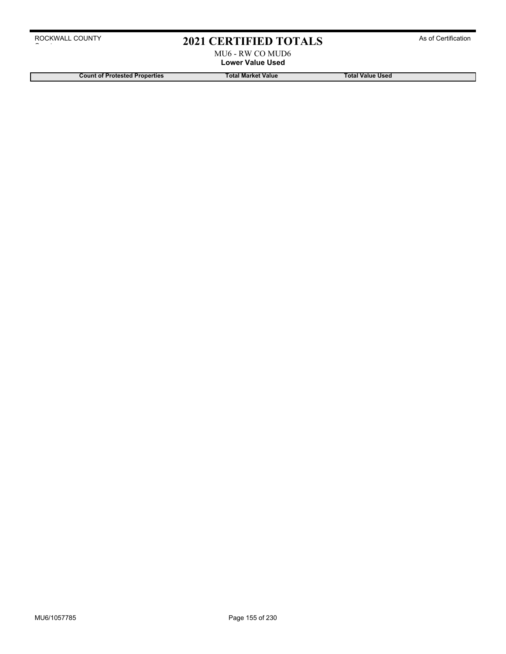# 2021 CERTIFIED TOTALS As of Certification

MU6 - RW CO MUD6 **Lower Value Used**

**Count of Protested Properties Total Market Value Total Value Used**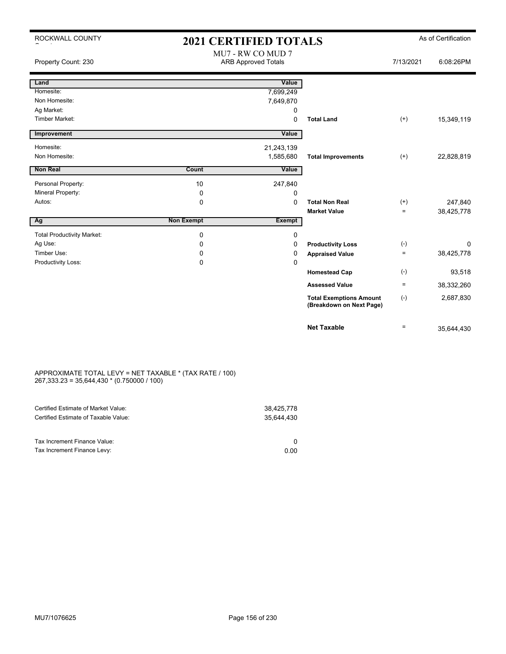| ROCKWALL COUNTY                   | <b>2021 CERTIFIED TOTALS</b> |                                                 |                                                            |                   | As of Certification |  |  |
|-----------------------------------|------------------------------|-------------------------------------------------|------------------------------------------------------------|-------------------|---------------------|--|--|
| Property Count: 230               |                              | MU7 - RW CO MUD 7<br><b>ARB Approved Totals</b> |                                                            | 7/13/2021         | 6:08:26PM           |  |  |
| Land                              |                              | Value                                           |                                                            |                   |                     |  |  |
| Homesite:                         |                              | 7,699,249                                       |                                                            |                   |                     |  |  |
| Non Homesite:                     |                              | 7,649,870                                       |                                                            |                   |                     |  |  |
| Ag Market:                        |                              | 0                                               |                                                            |                   |                     |  |  |
| Timber Market:                    |                              | 0                                               | <b>Total Land</b>                                          | $(+)$             | 15,349,119          |  |  |
| Improvement                       |                              | Value                                           |                                                            |                   |                     |  |  |
| Homesite:                         |                              | 21,243,139                                      |                                                            |                   |                     |  |  |
| Non Homesite:                     |                              | 1,585,680                                       | <b>Total Improvements</b>                                  | $(+)$             | 22,828,819          |  |  |
| <b>Non Real</b>                   | Count                        | Value                                           |                                                            |                   |                     |  |  |
|                                   |                              |                                                 |                                                            |                   |                     |  |  |
| Personal Property:                | 10                           | 247,840                                         |                                                            |                   |                     |  |  |
| Mineral Property:                 | $\mathbf 0$                  | 0                                               | <b>Total Non Real</b>                                      |                   |                     |  |  |
| Autos:                            | $\mathbf 0$                  | 0                                               | <b>Market Value</b>                                        | $(+)$<br>$\equiv$ | 247,840             |  |  |
| Ag                                | <b>Non Exempt</b>            | <b>Exempt</b>                                   |                                                            |                   | 38,425,778          |  |  |
|                                   |                              |                                                 |                                                            |                   |                     |  |  |
| <b>Total Productivity Market:</b> | $\mathbf 0$                  | 0                                               |                                                            |                   |                     |  |  |
| Ag Use:                           | $\Omega$                     | 0                                               | <b>Productivity Loss</b>                                   | $(-)$             | 0                   |  |  |
| Timber Use:                       | 0                            | 0                                               | <b>Appraised Value</b>                                     | $=$               | 38,425,778          |  |  |
| Productivity Loss:                | $\mathbf 0$                  | 0                                               |                                                            |                   |                     |  |  |
|                                   |                              |                                                 | <b>Homestead Cap</b>                                       | $(-)$             | 93,518              |  |  |
|                                   |                              |                                                 | <b>Assessed Value</b>                                      | $\equiv$          | 38,332,260          |  |  |
|                                   |                              |                                                 | <b>Total Exemptions Amount</b><br>(Breakdown on Next Page) | $(-)$             | 2,687,830           |  |  |
|                                   |                              |                                                 | <b>Net Taxable</b>                                         | $=$               | 35.644.430          |  |  |

#### APPROXIMATE TOTAL LEVY = NET TAXABLE \* (TAX RATE / 100) 267,333.23 = 35,644,430 \* (0.750000 / 100)

| 0.00 |
|------|
|      |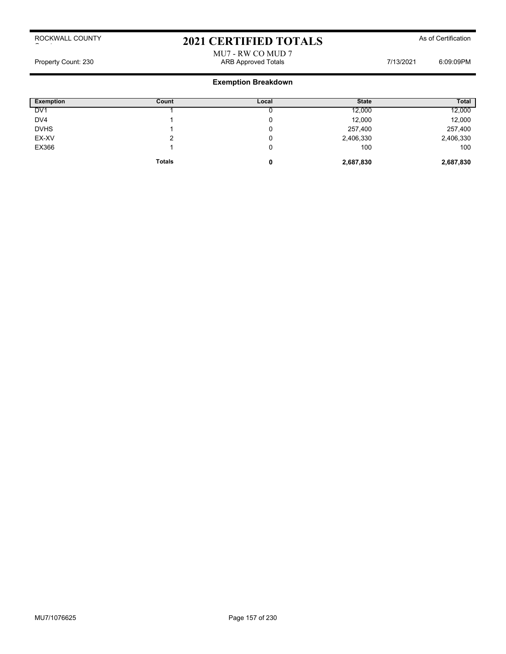# 2021 CERTIFIED TOTALS As of Certification

## MU7 - RW CO MUD 7 Property Count: 230 **ARB Approved Totals ARB Approved Totals** 7/13/2021 6:09:09PM

| <b>Exemption</b> | Count         | Local | <b>State</b> | <b>Total</b> |
|------------------|---------------|-------|--------------|--------------|
| DV <sub>1</sub>  |               |       | 12,000       | 12,000       |
| DV4              |               | υ     | 12,000       | 12,000       |
| <b>DVHS</b>      |               | 0     | 257,400      | 257,400      |
| EX-XV            | ◠             | υ     | 2,406,330    | 2,406,330    |
| EX366            |               | 0     | 100          | 100          |
|                  | <b>Totals</b> | 0     | 2,687,830    | 2,687,830    |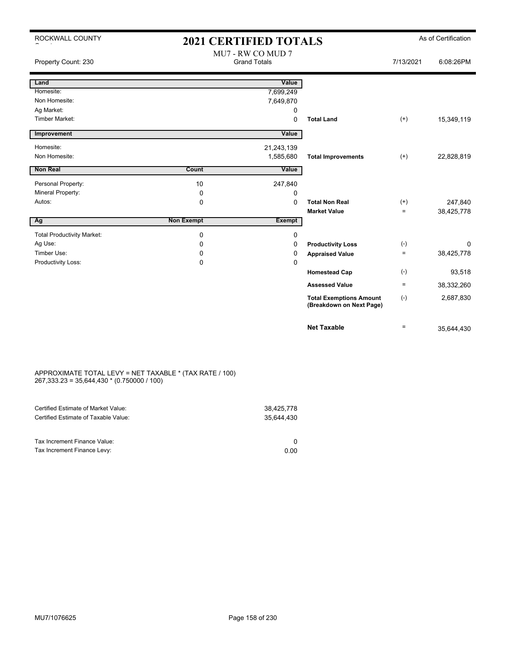| ROCKWALL COUNTY                   | <b>2021 CERTIFIED TOTALS</b> |                                          |                                                            | As of Certification |            |  |
|-----------------------------------|------------------------------|------------------------------------------|------------------------------------------------------------|---------------------|------------|--|
| Property Count: 230               |                              | MU7 - RW CO MUD 7<br><b>Grand Totals</b> |                                                            | 7/13/2021           | 6:08:26PM  |  |
| Land                              |                              | Value                                    |                                                            |                     |            |  |
| Homesite:                         |                              | 7,699,249                                |                                                            |                     |            |  |
| Non Homesite:                     |                              | 7,649,870                                |                                                            |                     |            |  |
| Ag Market:                        |                              | 0                                        |                                                            |                     |            |  |
| <b>Timber Market:</b>             |                              | $\Omega$                                 | <b>Total Land</b>                                          | $(+)$               | 15,349,119 |  |
| Improvement                       |                              | Value                                    |                                                            |                     |            |  |
| Homesite:                         |                              | 21,243,139                               |                                                            |                     |            |  |
| Non Homesite:                     |                              | 1,585,680                                | <b>Total Improvements</b>                                  | $(+)$               | 22,828,819 |  |
| <b>Non Real</b>                   | Count                        | Value                                    |                                                            |                     |            |  |
| Personal Property:                | 10                           | 247,840                                  |                                                            |                     |            |  |
| Mineral Property:                 | 0                            | 0                                        |                                                            |                     |            |  |
| Autos:                            | $\mathbf 0$                  | 0                                        | <b>Total Non Real</b>                                      | $(+)$               | 247,840    |  |
|                                   |                              |                                          | <b>Market Value</b>                                        | $\equiv$            | 38,425,778 |  |
| Ag                                | <b>Non Exempt</b>            | <b>Exempt</b>                            |                                                            |                     |            |  |
| <b>Total Productivity Market:</b> | $\mathbf 0$                  | 0                                        |                                                            |                     |            |  |
| Ag Use:                           | 0                            | 0                                        | <b>Productivity Loss</b>                                   | $(-)$               | 0          |  |
| Timber Use:                       | 0                            | 0                                        | <b>Appraised Value</b>                                     | $=$                 | 38,425,778 |  |
| Productivity Loss:                | 0                            | 0                                        |                                                            |                     |            |  |
|                                   |                              |                                          | <b>Homestead Cap</b>                                       | $(-)$               | 93,518     |  |
|                                   |                              |                                          | <b>Assessed Value</b>                                      | $\equiv$            | 38,332,260 |  |
|                                   |                              |                                          | <b>Total Exemptions Amount</b><br>(Breakdown on Next Page) | $(-)$               | 2,687,830  |  |
|                                   |                              |                                          | <b>Net Taxable</b>                                         | $\equiv$            | 35,644,430 |  |

#### APPROXIMATE TOTAL LEVY = NET TAXABLE \* (TAX RATE / 100) 267,333.23 = 35,644,430 \* (0.750000 / 100)

| Certified Estimate of Market Value:                         | 38,425,778 |
|-------------------------------------------------------------|------------|
| Certified Estimate of Taxable Value:                        | 35.644.430 |
| Tax Increment Finance Value:<br>Tax Increment Finance Levy: | 0.00       |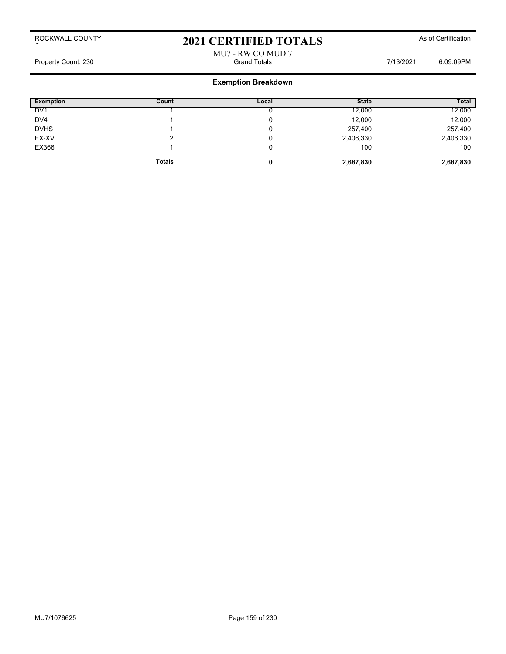## 2021 CERTIFIED TOTALS As of Certification

### MU7 - RW CO MUD 7 Property Count: 230 Grand Totals 7/13/2021 6:09:09PM

| <b>Exemption</b> | Count         | Local | <b>State</b> | <b>Total</b> |
|------------------|---------------|-------|--------------|--------------|
| DV <sub>1</sub>  |               |       | 12,000       | 12,000       |
| DV4              |               | u     | 12,000       | 12,000       |
| <b>DVHS</b>      |               | v     | 257,400      | 257,400      |
| EX-XV            |               | u     | 2,406,330    | 2,406,330    |
| EX366            |               | v     | 100          | 100          |
|                  | <b>Totals</b> | 0     | 2,687,830    | 2,687,830    |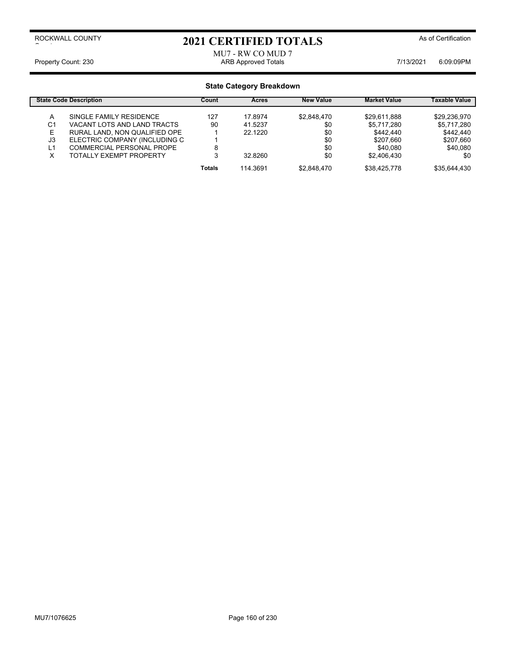# 2021 CERTIFIED TOTALS As of Certification

MU7 - RW CO MUD 7 Property Count: 230 **ARB Approved Totals ARB Approved Totals** 7/13/2021 6:09:09PM

| <b>State Code Description</b> |                                  | Count         | Acres    | <b>New Value</b> | <b>Market Value</b> | Taxable Value |
|-------------------------------|----------------------------------|---------------|----------|------------------|---------------------|---------------|
| А                             | SINGLE FAMILY RESIDENCE          | 127           | 17.8974  | \$2.848.470      | \$29.611.888        | \$29.236.970  |
| C1                            | VACANT LOTS AND LAND TRACTS      | 90            | 41.5237  | \$0              | \$5.717.280         | \$5,717,280   |
| E                             | RURAL LAND, NON QUALIFIED OPE    |               | 22.1220  | \$0              | \$442.440           | \$442,440     |
| J3                            | ELECTRIC COMPANY (INCLUDING C    |               |          | \$0              | \$207.660           | \$207,660     |
| L1                            | <b>COMMERCIAL PERSONAL PROPE</b> |               |          | \$0              | \$40.080            | \$40,080      |
| x                             | <b>TOTALLY EXEMPT PROPERTY</b>   |               | 32.8260  | \$0              | \$2.406.430         | \$0           |
|                               |                                  | <b>Totals</b> | 114.3691 | \$2.848.470      | \$38.425.778        | \$35.644.430  |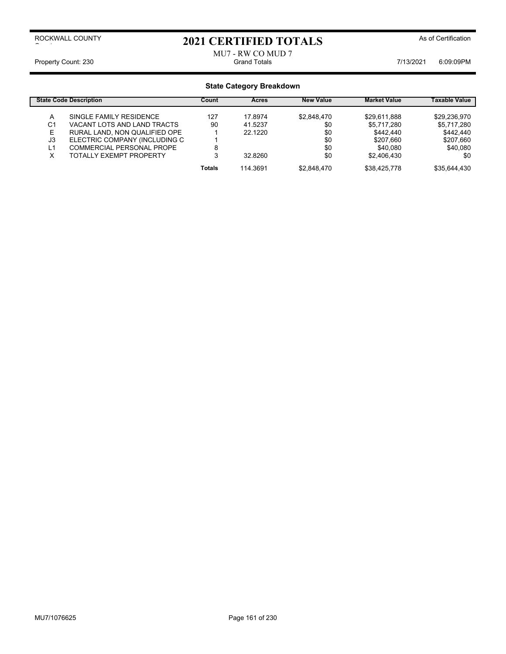## 2021 CERTIFIED TOTALS As of Certification

### MU7 - RW CO MUD 7<br>Grand Totals Property Count: 230 **Fig. 200** Grand Totals **Count: 230** Grand Totals **6:09:09PM**

| <b>State Code Description</b> |                                  | Count         | Acres    | <b>New Value</b> | <b>Market Value</b> | Taxable Value |
|-------------------------------|----------------------------------|---------------|----------|------------------|---------------------|---------------|
| А                             | SINGLE FAMILY RESIDENCE          | 127           | 17.8974  | \$2.848.470      | \$29.611.888        | \$29.236.970  |
| C1                            | VACANT LOTS AND LAND TRACTS      | 90            | 41.5237  | \$0              | \$5.717.280         | \$5,717,280   |
| E                             | RURAL LAND, NON QUALIFIED OPE    |               | 22.1220  | \$0              | \$442.440           | \$442,440     |
| J3                            | ELECTRIC COMPANY (INCLUDING C    |               |          | \$0              | \$207.660           | \$207,660     |
| L1                            | <b>COMMERCIAL PERSONAL PROPE</b> |               |          | \$0              | \$40.080            | \$40,080      |
| x                             | <b>TOTALLY EXEMPT PROPERTY</b>   |               | 32.8260  | \$0              | \$2.406.430         | \$0           |
|                               |                                  | <b>Totals</b> | 114.3691 | \$2.848.470      | \$38.425.778        | \$35.644.430  |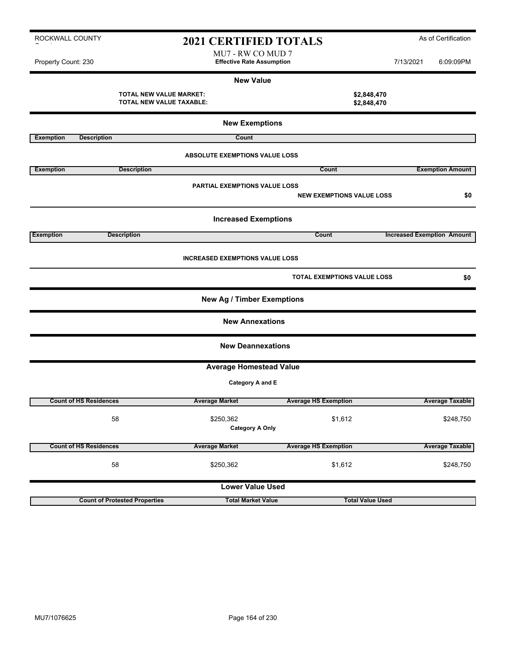| ROCKWALL COUNTY<br>2021 CERTIFIED TOTALS |                               |                                                     |                                                       |                                  | As of Certification        |           |                                   |  |  |  |
|------------------------------------------|-------------------------------|-----------------------------------------------------|-------------------------------------------------------|----------------------------------|----------------------------|-----------|-----------------------------------|--|--|--|
| Property Count: 230                      |                               |                                                     | MU7 - RW CO MUD 7<br><b>Effective Rate Assumption</b> |                                  |                            | 7/13/2021 | 6:09:09PM                         |  |  |  |
|                                          |                               |                                                     | <b>New Value</b>                                      |                                  |                            |           |                                   |  |  |  |
|                                          |                               | TOTAL NEW VALUE MARKET:<br>TOTAL NEW VALUE TAXABLE: |                                                       |                                  | \$2,848,470<br>\$2,848,470 |           |                                   |  |  |  |
|                                          | <b>New Exemptions</b>         |                                                     |                                                       |                                  |                            |           |                                   |  |  |  |
| <b>Exemption</b>                         | <b>Description</b>            |                                                     | Count                                                 |                                  |                            |           |                                   |  |  |  |
|                                          |                               |                                                     | <b>ABSOLUTE EXEMPTIONS VALUE LOSS</b>                 |                                  |                            |           |                                   |  |  |  |
| <b>Exemption</b>                         |                               | <b>Description</b>                                  |                                                       | Count                            |                            |           | <b>Exemption Amount</b>           |  |  |  |
|                                          |                               |                                                     | PARTIAL EXEMPTIONS VALUE LOSS                         | <b>NEW EXEMPTIONS VALUE LOSS</b> |                            |           | \$0                               |  |  |  |
|                                          |                               |                                                     | <b>Increased Exemptions</b>                           |                                  |                            |           |                                   |  |  |  |
| <b>Exemption</b>                         |                               | <b>Description</b>                                  |                                                       | Count                            |                            |           | <b>Increased Exemption Amount</b> |  |  |  |
|                                          |                               |                                                     | <b>INCREASED EXEMPTIONS VALUE LOSS</b>                |                                  |                            |           |                                   |  |  |  |
|                                          |                               |                                                     |                                                       | TOTAL EXEMPTIONS VALUE LOSS      |                            |           | \$0                               |  |  |  |
|                                          |                               |                                                     | <b>New Ag / Timber Exemptions</b>                     |                                  |                            |           |                                   |  |  |  |
|                                          |                               |                                                     | <b>New Annexations</b>                                |                                  |                            |           |                                   |  |  |  |
|                                          |                               |                                                     | <b>New Deannexations</b>                              |                                  |                            |           |                                   |  |  |  |
|                                          |                               |                                                     | <b>Average Homestead Value</b>                        |                                  |                            |           |                                   |  |  |  |
|                                          |                               |                                                     | Category A and E                                      |                                  |                            |           |                                   |  |  |  |
|                                          | <b>Count of HS Residences</b> |                                                     | <b>Average Market</b>                                 | <b>Average HS Exemption</b>      |                            |           | <b>Average Taxable</b>            |  |  |  |
|                                          |                               | 58                                                  | \$250,362<br><b>Category A Only</b>                   | \$1,612                          |                            |           | \$248,750                         |  |  |  |
|                                          | <b>Count of HS Residences</b> |                                                     | <b>Average Market</b>                                 | <b>Average HS Exemption</b>      |                            |           | <b>Average Taxable</b>            |  |  |  |
|                                          |                               | 58                                                  | \$250,362                                             | \$1,612                          |                            |           | \$248,750                         |  |  |  |
|                                          |                               |                                                     | <b>Lower Value Used</b>                               |                                  |                            |           |                                   |  |  |  |

**Count of Protested Properties Total Market Value Total Value Used**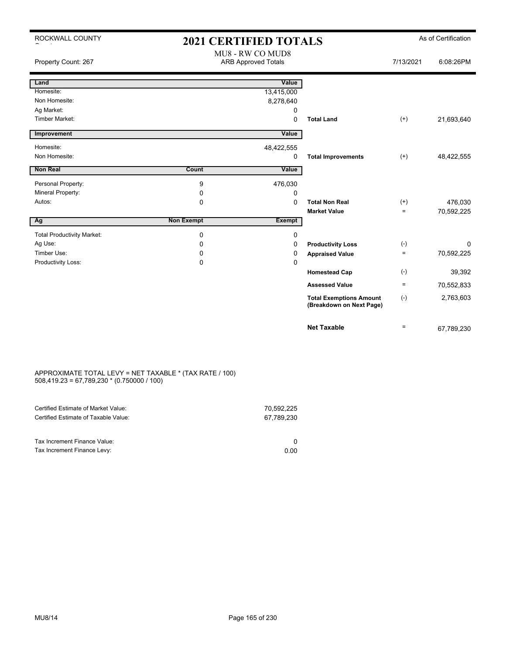| ROCKWALL COUNTY                   | <b>2021 CERTIFIED TOTALS</b> |                                                |                                                            |              | As of Certification |
|-----------------------------------|------------------------------|------------------------------------------------|------------------------------------------------------------|--------------|---------------------|
| Property Count: 267               |                              | MU8 - RW CO MUD8<br><b>ARB Approved Totals</b> |                                                            | 7/13/2021    | 6:08:26PM           |
| Land                              |                              | Value                                          |                                                            |              |                     |
| Homesite:                         |                              | 13,415,000                                     |                                                            |              |                     |
| Non Homesite:                     |                              | 8,278,640                                      |                                                            |              |                     |
| Ag Market:                        |                              | 0                                              |                                                            |              |                     |
| Timber Market:                    |                              | 0                                              | <b>Total Land</b>                                          | $(+)$        | 21,693,640          |
| Improvement                       |                              | Value                                          |                                                            |              |                     |
| Homesite:                         |                              | 48,422,555                                     |                                                            |              |                     |
| Non Homesite:                     |                              | 0                                              | <b>Total Improvements</b>                                  | $(+)$        | 48,422,555          |
| Non Real                          | <b>Count</b>                 | Value                                          |                                                            |              |                     |
| Personal Property:                | 9                            | 476,030                                        |                                                            |              |                     |
| Mineral Property:                 | 0                            | 0                                              |                                                            |              |                     |
| Autos:                            | 0                            | $\Omega$                                       | <b>Total Non Real</b>                                      | $^{(+)}$     | 476,030             |
|                                   |                              |                                                | <b>Market Value</b>                                        | $\equiv$     | 70,592,225          |
| Ag                                | <b>Non Exempt</b>            | <b>Exempt</b>                                  |                                                            |              |                     |
| <b>Total Productivity Market:</b> | 0                            | 0                                              |                                                            |              |                     |
| Ag Use:                           | $\Omega$                     | 0                                              | <b>Productivity Loss</b>                                   | $(\text{-})$ | $\Omega$            |
| Timber Use:                       | 0                            | 0                                              | <b>Appraised Value</b>                                     | $=$          | 70,592,225          |
| Productivity Loss:                | 0                            | 0                                              |                                                            |              |                     |
|                                   |                              |                                                | <b>Homestead Cap</b>                                       | $(-)$        | 39,392              |
|                                   |                              |                                                | <b>Assessed Value</b>                                      | $\equiv$     | 70,552,833          |
|                                   |                              |                                                | <b>Total Exemptions Amount</b><br>(Breakdown on Next Page) | $(-)$        | 2,763,603           |
|                                   |                              |                                                | <b>Net Taxable</b>                                         | $\equiv$     | 67.789.230          |

#### APPROXIMATE TOTAL LEVY = NET TAXABLE \* (TAX RATE / 100) 508,419.23 = 67,789,230 \* (0.750000 / 100)

| Certified Estimate of Market Value:<br>Certified Estimate of Taxable Value: | 70.592.225<br>67.789.230 |
|-----------------------------------------------------------------------------|--------------------------|
| Tax Increment Finance Value:                                                |                          |
| Tax Increment Finance Levy:                                                 | 0.00                     |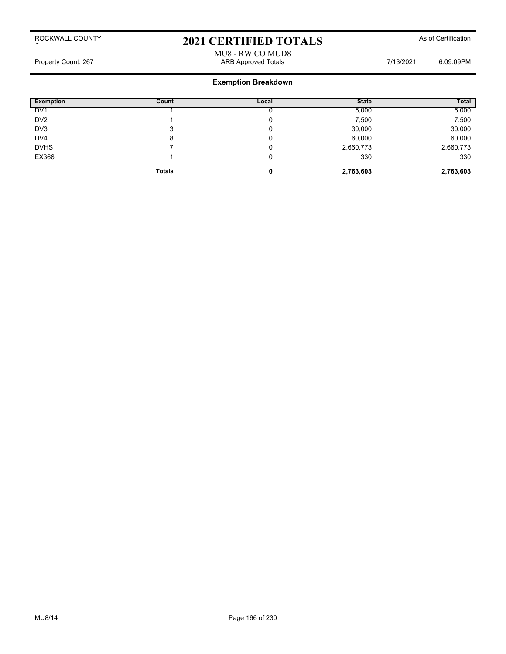# 2021 CERTIFIED TOTALS As of Certification

### MU8 - RW CO MUD8 Property Count: 267 Area and the Counterpart of the Counterpart of the ARB Approved Totals 7/13/2021 Area 5:09:09PM

| <b>Exemption</b> | Count         | Local | <b>State</b> | <b>Total</b> |
|------------------|---------------|-------|--------------|--------------|
| DV <sub>1</sub>  |               |       | 5,000        | 5,000        |
| DV <sub>2</sub>  |               | u     | 7,500        | 7,500        |
| DV <sub>3</sub>  | 3             | u     | 30,000       | 30,000       |
| DV <sub>4</sub>  | 8             | v     | 60,000       | 60,000       |
| <b>DVHS</b>      |               | v     | 2,660,773    | 2,660,773    |
| EX366            |               | υ     | 330          | 330          |
|                  | <b>Totals</b> | 0     | 2,763,603    | 2,763,603    |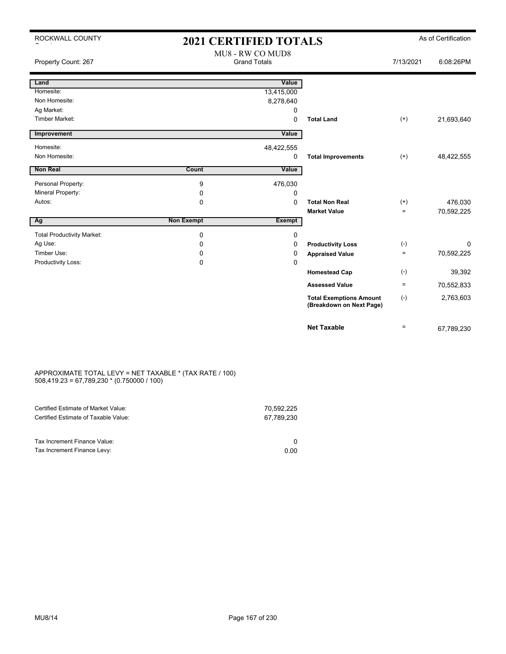| ROCKWALL COUNTY                   | <b>2021 CERTIFIED TOTALS</b> |                                         |                                                            |           | As of Certification |
|-----------------------------------|------------------------------|-----------------------------------------|------------------------------------------------------------|-----------|---------------------|
| Property Count: 267               |                              | MU8 - RW CO MUD8<br><b>Grand Totals</b> |                                                            | 7/13/2021 | 6:08:26PM           |
| Land                              |                              | Value                                   |                                                            |           |                     |
| Homesite:                         |                              | 13,415,000                              |                                                            |           |                     |
| Non Homesite:                     |                              | 8,278,640                               |                                                            |           |                     |
| Ag Market:                        |                              | 0                                       |                                                            |           |                     |
| <b>Timber Market:</b>             |                              | 0                                       | <b>Total Land</b>                                          | $^{(+)}$  | 21,693,640          |
| Improvement                       |                              | Value                                   |                                                            |           |                     |
| Homesite:                         |                              | 48,422,555                              |                                                            |           |                     |
| Non Homesite:                     |                              | 0                                       | <b>Total Improvements</b>                                  | $^{(+)}$  | 48,422,555          |
| <b>Non Real</b>                   | Count                        | Value                                   |                                                            |           |                     |
| Personal Property:                | 9                            | 476,030                                 |                                                            |           |                     |
| Mineral Property:                 | 0                            | 0                                       |                                                            |           |                     |
| Autos:                            | $\Omega$                     | $\Omega$                                | <b>Total Non Real</b>                                      | $^{(+)}$  | 476,030             |
|                                   |                              |                                         | <b>Market Value</b>                                        | $=$       | 70,592,225          |
| Ag                                | <b>Non Exempt</b>            | <b>Exempt</b>                           |                                                            |           |                     |
| <b>Total Productivity Market:</b> | 0                            | 0                                       |                                                            |           |                     |
| Ag Use:                           | 0                            | 0                                       | <b>Productivity Loss</b>                                   | $(-)$     | 0                   |
| Timber Use:                       | 0                            | 0                                       | <b>Appraised Value</b>                                     | ÷.        | 70,592,225          |
| Productivity Loss:                | 0                            | $\Omega$                                |                                                            |           |                     |
|                                   |                              |                                         | <b>Homestead Cap</b>                                       | $(-)$     | 39,392              |
|                                   |                              |                                         | <b>Assessed Value</b>                                      | $\equiv$  | 70,552,833          |
|                                   |                              |                                         | <b>Total Exemptions Amount</b><br>(Breakdown on Next Page) | $(-)$     | 2,763,603           |
|                                   |                              |                                         | <b>Net Taxable</b>                                         | $=$       | 67,789,230          |

#### APPROXIMATE TOTAL LEVY = NET TAXABLE \* (TAX RATE / 100) 508,419.23 = 67,789,230 \* (0.750000 / 100)

| Certified Estimate of Market Value:<br>Certified Estimate of Taxable Value: | 70.592.225<br>67.789.230 |
|-----------------------------------------------------------------------------|--------------------------|
| Tax Increment Finance Value:                                                |                          |
| Tax Increment Finance Levy:                                                 | 0.00                     |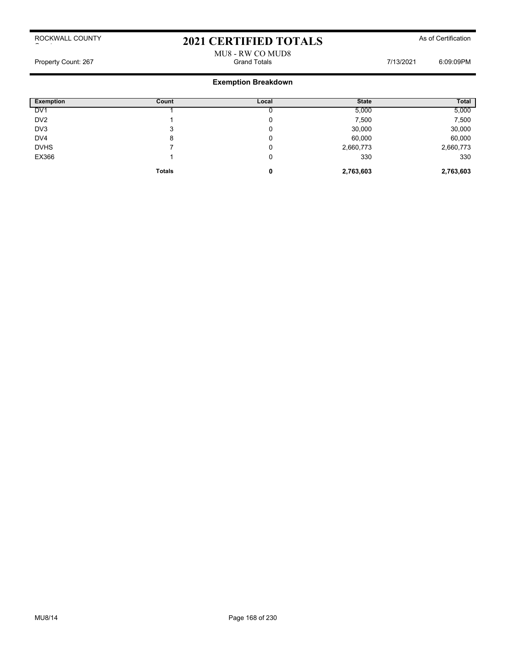# 2021 CERTIFIED TOTALS As of Certification

### MU8 - RW CO MUD8 Property Count: 267 Grand Totals 7/13/2021 6:09:09PM

| Exemption       | Count         | Local | <b>State</b> | <b>Total</b> |
|-----------------|---------------|-------|--------------|--------------|
| DV <sub>1</sub> |               |       | 5,000        | 5,000        |
| DV <sub>2</sub> |               |       | 7,500        | 7,500        |
| DV3             | 3             |       | 30,000       | 30,000       |
| DV4             | 8             |       | 60,000       | 60,000       |
| <b>DVHS</b>     |               | U     | 2,660,773    | 2,660,773    |
| EX366           |               | U     | 330          | 330          |
|                 | <b>Totals</b> | 0     | 2,763,603    | 2,763,603    |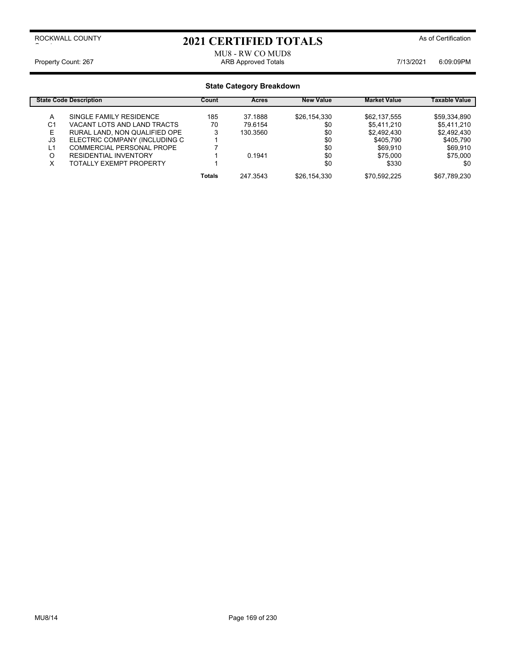# 2021 CERTIFIED TOTALS As of Certification

MU8 - RW CO MUD8 Property Count: 267 **ARB Approved Totals** ARB Approved Totals **7/13/2021** 6:09:09PM

|    | <b>State Code Description</b> | Count         | <b>Acres</b> | <b>New Value</b> | <b>Market Value</b> | Taxable Value |
|----|-------------------------------|---------------|--------------|------------------|---------------------|---------------|
| A  | SINGLE FAMILY RESIDENCE       | 185           | 37.1888      | \$26,154,330     | \$62,137,555        | \$59,334,890  |
| C1 | VACANT LOTS AND LAND TRACTS   | 70            | 79.6154      | \$0              | \$5,411,210         | \$5,411,210   |
| E. | RURAL LAND, NON QUALIFIED OPE | 3             | 130.3560     | \$0              | \$2,492,430         | \$2,492,430   |
| J3 | ELECTRIC COMPANY (INCLUDING C |               |              | \$0              | \$405,790           | \$405,790     |
| L1 | COMMERCIAL PERSONAL PROPE     |               |              | \$0              | \$69.910            | \$69,910      |
| O  | <b>RESIDENTIAL INVENTORY</b>  |               | 0.1941       | \$0              | \$75,000            | \$75,000      |
| x  | TOTALLY EXEMPT PROPERTY       |               |              | \$0              | \$330               | \$0           |
|    |                               | <b>Totals</b> | 247.3543     | \$26,154,330     | \$70,592,225        | \$67,789,230  |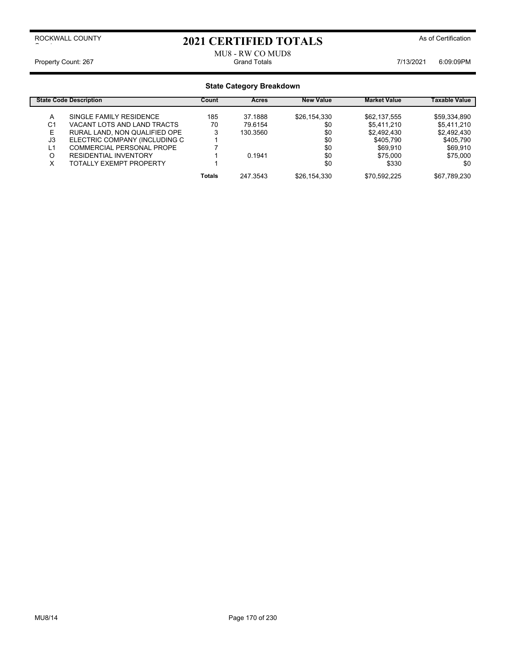# 2021 CERTIFIED TOTALS As of Certification

### MU8 - RW CO MUD8<br>Grand Totals Property Count: 267 Count: 267 Count: 267 Count: 267 Count: 267 Count: 267 Count: 267 Count: 267 Count: 267 Count: 267 Count: 267 Count: 267 Count: 267 Count: 267 Count: 267 Count: 267 Count: 267 Count: 267 Count: 267 Coun

|    | <b>State Code Description</b>  | Count         | <b>Acres</b> | <b>New Value</b> | <b>Market Value</b> | Taxable Value |
|----|--------------------------------|---------------|--------------|------------------|---------------------|---------------|
| А  | SINGLE FAMILY RESIDENCE        | 185           | 37.1888      | \$26,154,330     | \$62,137,555        | \$59,334,890  |
| C1 | VACANT LOTS AND LAND TRACTS    | 70            | 79.6154      | \$0              | \$5.411.210         | \$5,411,210   |
| E  | RURAL LAND, NON QUALIFIED OPE  |               | 130.3560     | \$0              | \$2,492,430         | \$2,492,430   |
| J3 | ELECTRIC COMPANY (INCLUDING C  |               |              | \$0              | \$405.790           | \$405.790     |
| L1 | COMMERCIAL PERSONAL PROPE      |               |              | \$0              | \$69,910            | \$69,910      |
| O  | <b>RESIDENTIAL INVENTORY</b>   |               | 0.1941       | \$0              | \$75,000            | \$75,000      |
| X  | <b>TOTALLY EXEMPT PROPERTY</b> |               |              | \$0              | \$330               | \$0           |
|    |                                | <b>Totals</b> | 247.3543     | \$26,154,330     | \$70.592.225        | \$67,789,230  |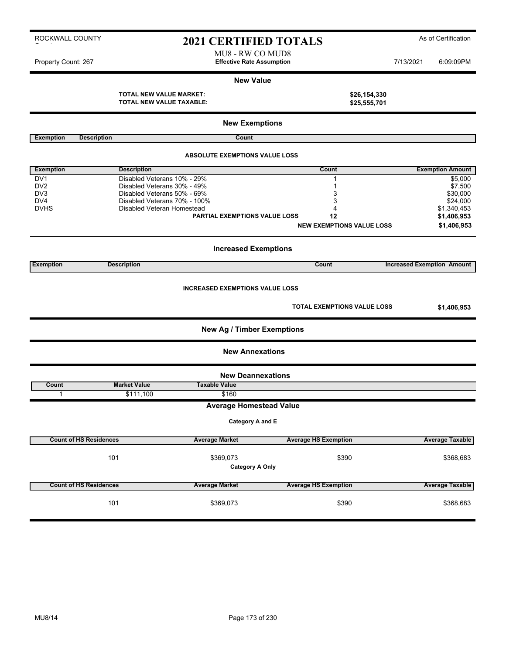## 2021 CERTIFIED TOTALS As of Certification

MU8 - RW CO MUD8 Property Count: 267 **Effective Rate Assumption Effective Rate Assumption** 7/13/2021 6:09:09PM

#### **New Value**

**New Exemptions**

**TOTAL NEW VALUE MARKET: \$26,154,330 TOTAL NEW VALUE TAXABLE: \$25,555,701**

| <b>Exemption</b> | <b>Description</b>                    | Count                                  |                                    |                                   |  |  |  |
|------------------|---------------------------------------|----------------------------------------|------------------------------------|-----------------------------------|--|--|--|
|                  | <b>ABSOLUTE EXEMPTIONS VALUE LOSS</b> |                                        |                                    |                                   |  |  |  |
| <b>Exemption</b> | <b>Description</b>                    |                                        | Count                              | <b>Exemption Amount</b>           |  |  |  |
| DV <sub>1</sub>  | Disabled Veterans 10% - 29%           |                                        | $\mathbf{1}$                       | \$5,000                           |  |  |  |
| DV <sub>2</sub>  | Disabled Veterans 30% - 49%           |                                        | $\mathbf 1$                        | \$7,500                           |  |  |  |
| DV <sub>3</sub>  | Disabled Veterans 50% - 69%           |                                        | 3                                  | \$30,000                          |  |  |  |
| DV4              | Disabled Veterans 70% - 100%          |                                        | 3                                  | \$24,000                          |  |  |  |
| <b>DVHS</b>      | Disabled Veteran Homestead            |                                        | 4                                  | \$1,340,453                       |  |  |  |
|                  |                                       | <b>PARTIAL EXEMPTIONS VALUE LOSS</b>   | 12                                 | \$1,406,953                       |  |  |  |
|                  |                                       |                                        | <b>NEW EXEMPTIONS VALUE LOSS</b>   | \$1,406,953                       |  |  |  |
|                  |                                       |                                        |                                    |                                   |  |  |  |
|                  |                                       | <b>Increased Exemptions</b>            |                                    |                                   |  |  |  |
| <b>Exemption</b> | <b>Description</b>                    |                                        | <b>Count</b>                       | <b>Increased Exemption Amount</b> |  |  |  |
|                  |                                       | <b>INCREASED EXEMPTIONS VALUE LOSS</b> |                                    |                                   |  |  |  |
|                  |                                       |                                        | <b>TOTAL EXEMPTIONS VALUE LOSS</b> | \$1,406,953                       |  |  |  |
|                  |                                       | <b>New Ag / Timber Exemptions</b>      |                                    |                                   |  |  |  |
|                  |                                       | <b>New Annexations</b>                 |                                    |                                   |  |  |  |
|                  |                                       | <b>New Deannexations</b>               |                                    |                                   |  |  |  |
| Count            | <b>Market Value</b>                   | <b>Taxable Value</b>                   |                                    |                                   |  |  |  |
| $\mathbf{1}$     | \$111,100                             | \$160                                  |                                    |                                   |  |  |  |
|                  |                                       | <b>Average Homestead Value</b>         |                                    |                                   |  |  |  |
|                  |                                       | Category A and E                       |                                    |                                   |  |  |  |
|                  | <b>Count of HS Residences</b>         | <b>Average Market</b>                  | <b>Average HS Exemption</b>        | <b>Average Taxable</b>            |  |  |  |
|                  | 101                                   | \$369,073<br><b>Category A Only</b>    | \$390                              | \$368,683                         |  |  |  |
|                  | <b>Count of HS Residences</b>         | <b>Average Market</b>                  | <b>Average HS Exemption</b>        | <b>Average Taxable</b>            |  |  |  |
|                  | 101                                   | \$369,073                              | \$390                              | \$368,683                         |  |  |  |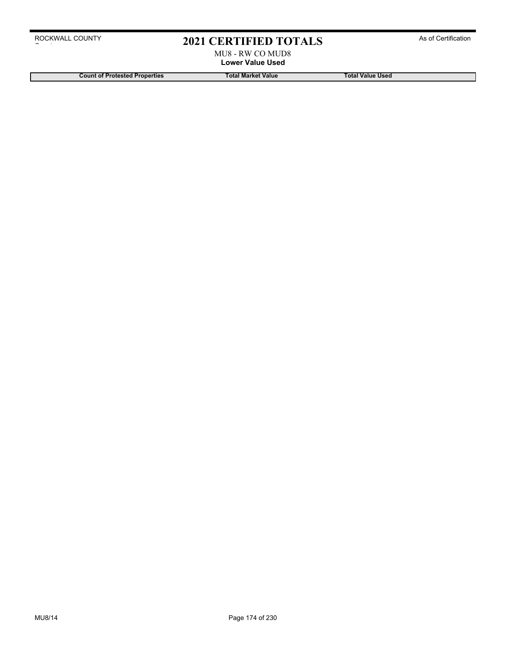# 2021 CERTIFIED TOTALS As of Certification

MU8 - RW CO MUD8 **Lower Value Used**

**Count of Protested Properties Total Market Value Count of Protested Properties Count of Protested Properties**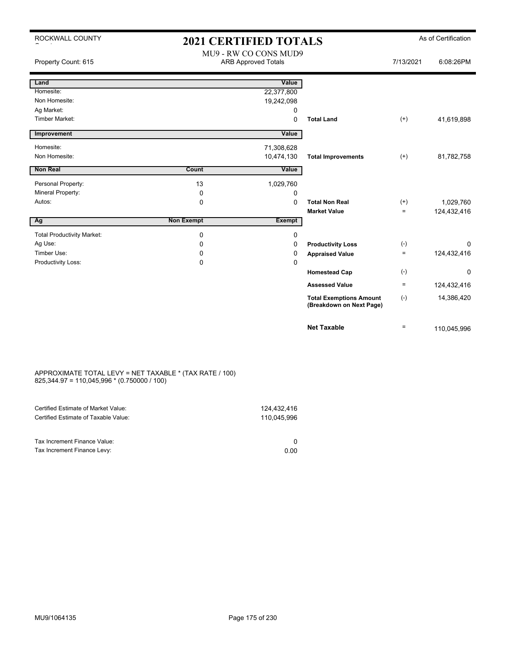| ROCKWALL COUNTY                   | <b>2021 CERTIFIED TOTALS</b> |                                                     |                                                            |           | As of Certification |
|-----------------------------------|------------------------------|-----------------------------------------------------|------------------------------------------------------------|-----------|---------------------|
| Property Count: 615               |                              | MU9 - RW CO CONS MUD9<br><b>ARB Approved Totals</b> |                                                            | 7/13/2021 | 6:08:26PM           |
| Land                              |                              | Value                                               |                                                            |           |                     |
| Homesite:                         |                              | 22,377,800                                          |                                                            |           |                     |
| Non Homesite:                     |                              | 19,242,098                                          |                                                            |           |                     |
| Ag Market:                        |                              | 0                                                   |                                                            |           |                     |
| <b>Timber Market:</b>             |                              | 0                                                   | <b>Total Land</b>                                          | $^{(+)}$  | 41,619,898          |
| Improvement                       |                              | Value                                               |                                                            |           |                     |
| Homesite:                         |                              | 71,308,628                                          |                                                            |           |                     |
| Non Homesite:                     |                              | 10,474,130                                          | <b>Total Improvements</b>                                  | $^{(+)}$  | 81,782,758          |
| <b>Non Real</b>                   | Count                        | Value                                               |                                                            |           |                     |
| Personal Property:                | 13                           | 1,029,760                                           |                                                            |           |                     |
| Mineral Property:                 | 0                            | 0                                                   |                                                            |           |                     |
| Autos:                            | 0                            | $\Omega$                                            | <b>Total Non Real</b>                                      | $(+)$     | 1,029,760           |
|                                   |                              |                                                     | <b>Market Value</b>                                        | $=$       | 124,432,416         |
| Ag                                | <b>Non Exempt</b>            | Exempt                                              |                                                            |           |                     |
| <b>Total Productivity Market:</b> | 0                            | 0                                                   |                                                            |           |                     |
| Ag Use:                           | 0                            | $\Omega$                                            | <b>Productivity Loss</b>                                   | $(-)$     | $\Omega$            |
| Timber Use:                       | 0                            | $\Omega$                                            | <b>Appraised Value</b>                                     | $=$       | 124,432,416         |
| Productivity Loss:                | 0                            | 0                                                   |                                                            |           |                     |
|                                   |                              |                                                     | <b>Homestead Cap</b>                                       | $(-)$     | 0                   |
|                                   |                              |                                                     | <b>Assessed Value</b>                                      | $\equiv$  | 124,432,416         |
|                                   |                              |                                                     | <b>Total Exemptions Amount</b><br>(Breakdown on Next Page) | $(-)$     | 14,386,420          |
|                                   |                              |                                                     | <b>Net Taxable</b>                                         | $\equiv$  | 110,045,996         |

#### APPROXIMATE TOTAL LEVY = NET TAXABLE \* (TAX RATE / 100) 825,344.97 = 110,045,996 \* (0.750000 / 100)

| Certified Estimate of Market Value:                         | 124.432.416 |
|-------------------------------------------------------------|-------------|
| Certified Estimate of Taxable Value:                        | 110.045.996 |
| Tax Increment Finance Value:<br>Tax Increment Finance Levy: | 0.00        |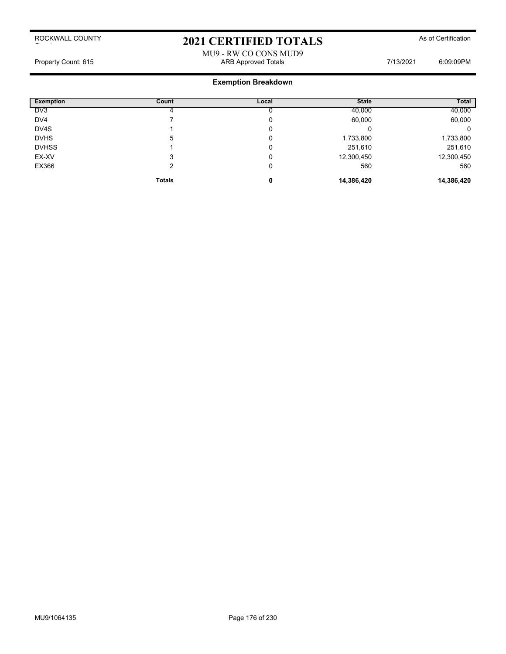# 2021 CERTIFIED TOTALS As of Certification

## MU9 - RW CO CONS MUD9 Property Count: 615 **ARB Approved Totals** ARB Approved Totals **1998** 7/13/2021 6:09:09PM

| <b>Exemption</b> | Count         | Local | <b>State</b> | Total      |
|------------------|---------------|-------|--------------|------------|
| DV <sub>3</sub>  |               |       | 40,000       | 40,000     |
| DV4              |               | 0     | 60,000       | 60,000     |
| DV4S             |               | 0     |              | 0          |
| <b>DVHS</b>      | 5             | 0     | 1,733,800    | 1,733,800  |
| <b>DVHSS</b>     |               | 0     | 251,610      | 251,610    |
| EX-XV            | 3             | 0     | 12,300,450   | 12,300,450 |
| EX366            |               | 0     | 560          | 560        |
|                  | <b>Totals</b> | 0     | 14,386,420   | 14,386,420 |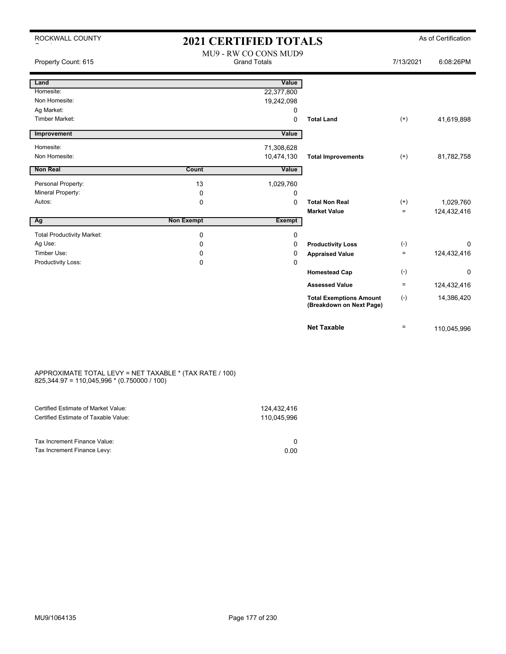| ROCKWALL COUNTY                   | <b>2021 CERTIFIED TOTALS</b> |                                              |                                                            | As of Certification |             |  |
|-----------------------------------|------------------------------|----------------------------------------------|------------------------------------------------------------|---------------------|-------------|--|
| Property Count: 615               |                              | MU9 - RW CO CONS MUD9<br><b>Grand Totals</b> |                                                            | 7/13/2021           | 6:08:26PM   |  |
| Land                              |                              | Value                                        |                                                            |                     |             |  |
| Homesite:                         |                              | 22,377,800                                   |                                                            |                     |             |  |
| Non Homesite:                     |                              | 19,242,098                                   |                                                            |                     |             |  |
| Ag Market:                        |                              | 0                                            |                                                            |                     |             |  |
| <b>Timber Market:</b>             |                              | $\mathbf 0$                                  | <b>Total Land</b>                                          | $^{(+)}$            | 41,619,898  |  |
| Improvement                       |                              | Value                                        |                                                            |                     |             |  |
| Homesite:                         |                              | 71,308,628                                   |                                                            |                     |             |  |
| Non Homesite:                     |                              | 10,474,130                                   | <b>Total Improvements</b>                                  | $(+)$               | 81,782,758  |  |
| Non Real                          | Count                        | Value                                        |                                                            |                     |             |  |
| Personal Property:                | 13                           | 1,029,760                                    |                                                            |                     |             |  |
| Mineral Property:                 | 0                            | 0                                            |                                                            |                     |             |  |
| Autos:                            | $\Omega$                     | $\Omega$                                     | <b>Total Non Real</b>                                      | $^{(+)}$            | 1,029,760   |  |
|                                   |                              |                                              | <b>Market Value</b>                                        | $\equiv$            | 124,432,416 |  |
| Ag                                | <b>Non Exempt</b>            | <b>Exempt</b>                                |                                                            |                     |             |  |
| <b>Total Productivity Market:</b> | $\mathbf 0$                  | 0                                            |                                                            |                     |             |  |
| Ag Use:                           | 0                            | 0                                            | <b>Productivity Loss</b>                                   | $(-)$               | $\Omega$    |  |
| Timber Use:                       | 0                            | 0                                            | <b>Appraised Value</b>                                     | $\equiv$            | 124,432,416 |  |
| Productivity Loss:                | 0                            | 0                                            |                                                            |                     |             |  |
|                                   |                              |                                              | <b>Homestead Cap</b>                                       | $(-)$               | 0           |  |
|                                   |                              |                                              | <b>Assessed Value</b>                                      | $\equiv$            | 124,432,416 |  |
|                                   |                              |                                              | <b>Total Exemptions Amount</b><br>(Breakdown on Next Page) | $(-)$               | 14,386,420  |  |
|                                   |                              |                                              | <b>Net Taxable</b>                                         | $\equiv$            | 110,045,996 |  |

#### APPROXIMATE TOTAL LEVY = NET TAXABLE \* (TAX RATE / 100) 825,344.97 = 110,045,996 \* (0.750000 / 100)

| 124.432.416<br>110.045.996 |
|----------------------------|
| 0.00                       |
|                            |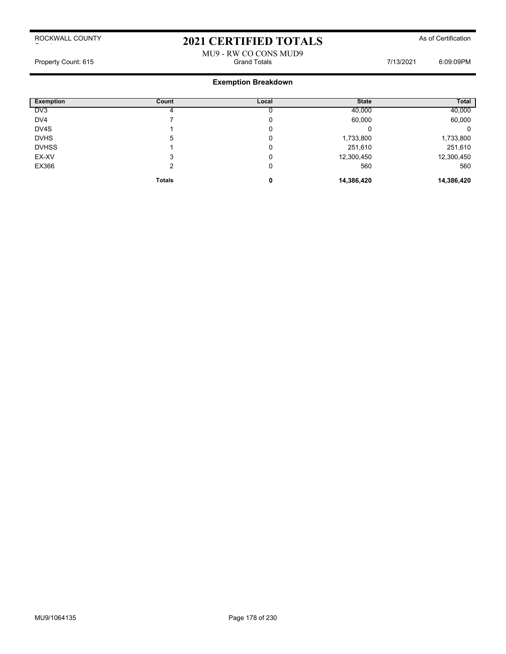# 2021 CERTIFIED TOTALS As of Certification

MU9 - RW CO CONS MUD9<br>Grand Totals Property Count: 615 Count: 615 Count: 615 Count: 615 Count: 615 Count: 615 Count: 615 Count: 615 Count: 615 Count: 615

| <b>Exemption</b> | Count         | Local | <b>State</b> | Total      |
|------------------|---------------|-------|--------------|------------|
| DV3              |               |       | 40,000       | 40,000     |
| DV4              |               | υ     | 60,000       | 60,000     |
| DV4S             |               | 0     | U            | 0          |
| <b>DVHS</b>      | 5             | 0     | 1,733,800    | 1,733,800  |
| <b>DVHSS</b>     |               | 0     | 251,610      | 251,610    |
| EX-XV            | 3             | 0     | 12,300,450   | 12,300,450 |
| EX366            |               | 0     | 560          | 560        |
|                  | <b>Totals</b> | 0     | 14,386,420   | 14,386,420 |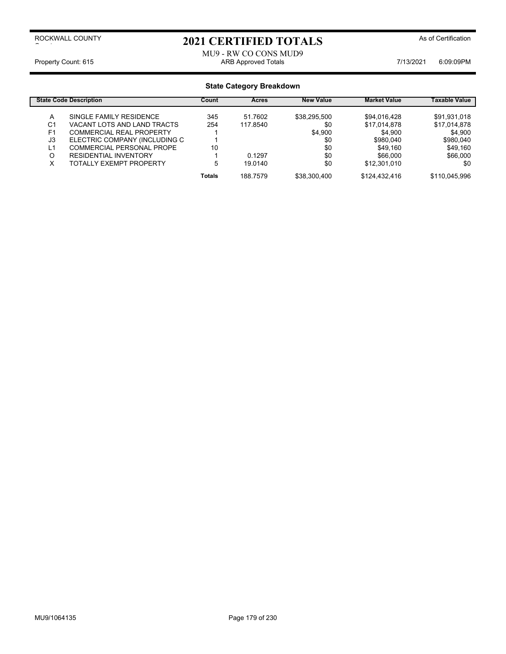## 2021 CERTIFIED TOTALS As of Certification

### MU9 - RW CO CONS MUD9 Property Count: 615 **ARB Approved Totals** ARB Approved Totals **7/13/2021** 6:09:09PM

| <b>State Code Description</b> |                                 | Count         | Acres    | <b>New Value</b> | <b>Market Value</b> | Taxable Value |
|-------------------------------|---------------------------------|---------------|----------|------------------|---------------------|---------------|
| A                             | SINGLE FAMILY RESIDENCE         | 345           | 51.7602  | \$38,295,500     | \$94.016.428        | \$91,931,018  |
| C1                            | VACANT LOTS AND LAND TRACTS     | 254           | 117.8540 | \$0              | \$17,014,878        | \$17,014,878  |
| F <sub>1</sub>                | <b>COMMERCIAL REAL PROPERTY</b> |               |          | \$4.900          | \$4,900             | \$4,900       |
| J3                            | ELECTRIC COMPANY (INCLUDING C   |               |          | \$0              | \$980.040           | \$980,040     |
| L1                            | COMMERCIAL PERSONAL PROPE       | 10            |          | \$0              | \$49.160            | \$49,160      |
| O                             | <b>RESIDENTIAL INVENTORY</b>    |               | 0.1297   | \$0              | \$66,000            | \$66,000      |
| Х                             | TOTALLY EXEMPT PROPERTY         | 5             | 19.0140  | \$0              | \$12,301,010        | \$0           |
|                               |                                 | <b>Totals</b> | 188.7579 | \$38,300,400     | \$124,432,416       | \$110,045,996 |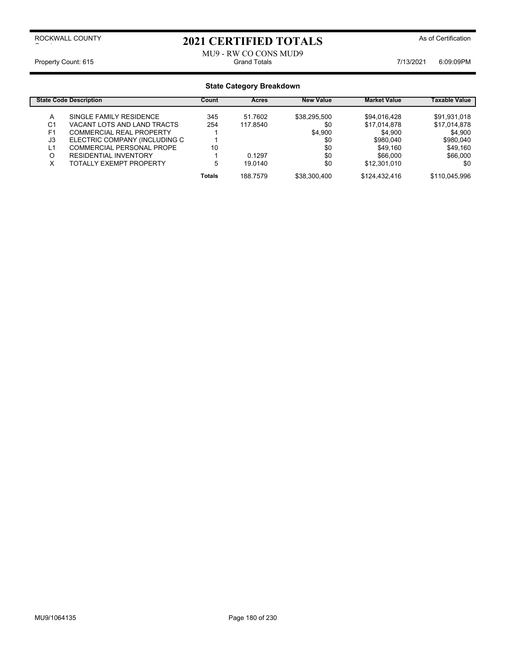# 2021 CERTIFIED TOTALS As of Certification

## MU9 - RW CO CONS MUD9<br>Grand Totals Property Count: 615 Count: 615 Count: 615 Count: 615 Count: 615

| <b>State Code Description</b> |                                  | Count         | <b>Acres</b> | <b>New Value</b> | <b>Market Value</b> | Taxable Value |
|-------------------------------|----------------------------------|---------------|--------------|------------------|---------------------|---------------|
| A                             | SINGLE FAMILY RESIDENCE          | 345           | 51.7602      | \$38,295,500     | \$94.016.428        | \$91,931,018  |
| C1                            | VACANT LOTS AND LAND TRACTS      | 254           | 117.8540     | \$0              | \$17,014,878        | \$17,014,878  |
| F <sub>1</sub>                | COMMERCIAL REAL PROPERTY         |               |              | \$4.900          | \$4,900             | \$4,900       |
| J3                            | ELECTRIC COMPANY (INCLUDING C    |               |              | \$0              | \$980.040           | \$980,040     |
| L1                            | <b>COMMERCIAL PERSONAL PROPE</b> | 10            |              | \$0              | \$49.160            | \$49,160      |
| O                             | <b>RESIDENTIAL INVENTORY</b>     |               | 0.1297       | \$0              | \$66,000            | \$66,000      |
| х                             | TOTALLY EXEMPT PROPERTY          | 5             | 19.0140      | \$0              | \$12,301,010        | \$0           |
|                               |                                  | <b>Totals</b> | 188.7579     | \$38,300,400     | \$124,432,416       | \$110,045,996 |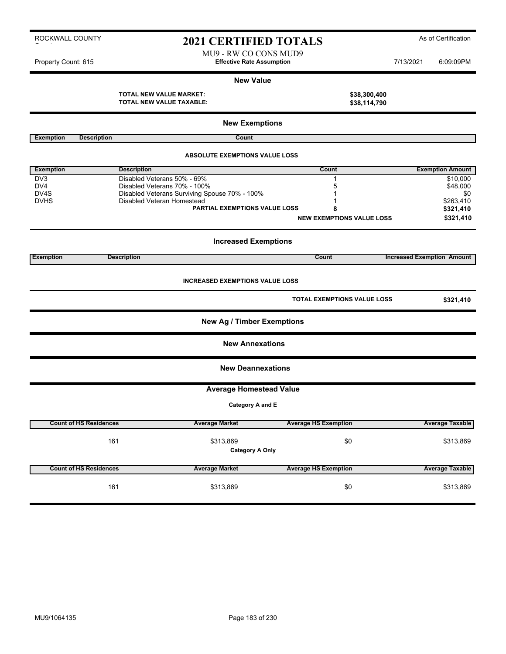# 2021 CERTIFIED TOTALS As of Certification

MU9 - RW CO CONS MUD9 Property Count: 615 **Effective Rate Assumption Effective Rate Assumption** 7/13/2021 6:09:09PM

#### **New Value**

**TOTAL NEW VALUE MARKET: \$38,300,400 TOTAL NEW VALUE TAXABLE: \$38,114,790**

|                   |                               | <b>New Exemptions</b>                         |                                    |                                   |
|-------------------|-------------------------------|-----------------------------------------------|------------------------------------|-----------------------------------|
| <b>Exemption</b>  | <b>Description</b>            | Count                                         |                                    |                                   |
|                   |                               | <b>ABSOLUTE EXEMPTIONS VALUE LOSS</b>         |                                    |                                   |
| <b>Exemption</b>  | <b>Description</b>            |                                               | Count                              | <b>Exemption Amount</b>           |
| D <sub>V</sub> 3  |                               | Disabled Veterans 50% - 69%                   | $\mathbf{1}$                       | \$10,000                          |
| DV4               |                               | Disabled Veterans 70% - 100%                  | 5                                  |                                   |
| DV <sub>4</sub> S |                               | Disabled Veterans Surviving Spouse 70% - 100% | 1                                  | \$48,000<br>\$0                   |
| <b>DVHS</b>       |                               | Disabled Veteran Homestead                    |                                    | \$263,410                         |
|                   |                               | <b>PARTIAL EXEMPTIONS VALUE LOSS</b>          | 8                                  | \$321,410                         |
|                   |                               |                                               |                                    |                                   |
|                   |                               |                                               | <b>NEW EXEMPTIONS VALUE LOSS</b>   | \$321,410                         |
|                   |                               | <b>Increased Exemptions</b>                   |                                    |                                   |
| <b>Exemption</b>  | <b>Description</b>            |                                               | Count                              | <b>Increased Exemption Amount</b> |
|                   |                               |                                               |                                    |                                   |
|                   |                               | <b>INCREASED EXEMPTIONS VALUE LOSS</b>        |                                    |                                   |
|                   |                               |                                               | <b>TOTAL EXEMPTIONS VALUE LOSS</b> | \$321,410                         |
|                   |                               | <b>New Ag / Timber Exemptions</b>             |                                    |                                   |
|                   |                               | <b>New Annexations</b>                        |                                    |                                   |
|                   |                               | <b>New Deannexations</b>                      |                                    |                                   |
|                   |                               | <b>Average Homestead Value</b>                |                                    |                                   |
|                   |                               |                                               |                                    |                                   |
|                   |                               | Category A and E                              |                                    |                                   |
|                   | <b>Count of HS Residences</b> | <b>Average Market</b>                         | <b>Average HS Exemption</b>        | <b>Average Taxable</b>            |
|                   |                               |                                               |                                    |                                   |
|                   | 161                           | \$313,869                                     | \$0                                | \$313,869                         |
|                   |                               | <b>Category A Only</b>                        |                                    |                                   |
|                   | <b>Count of HS Residences</b> | <b>Average Market</b>                         | <b>Average HS Exemption</b>        | <b>Average Taxable</b>            |
|                   |                               |                                               |                                    |                                   |
|                   | 161                           | \$313,869                                     | \$0                                | \$313,869                         |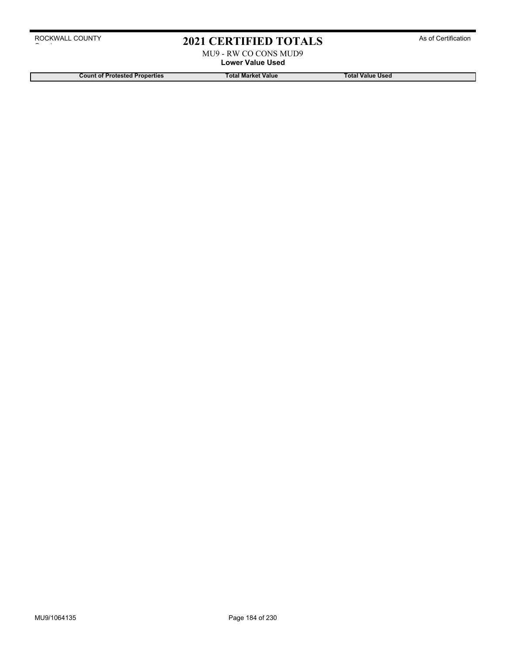# 2021 CERTIFIED TOTALS As of Certification

MU9 - RW CO CONS MUD9 **Lower Value Used**

**Count of Protested Properties Total Market Value Total Value Used**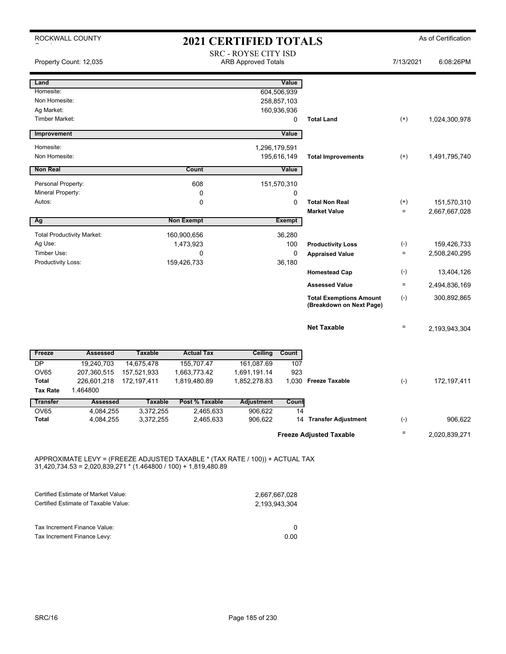|                                     | ROCKWALL COUNTY                   |                             |                             | <b>2021 CERTIFIED TOTALS</b>                              |                         |                                                            |                            | As of Certification |
|-------------------------------------|-----------------------------------|-----------------------------|-----------------------------|-----------------------------------------------------------|-------------------------|------------------------------------------------------------|----------------------------|---------------------|
|                                     | Property Count: 12,035            |                             |                             | <b>SRC - ROYSE CITY ISD</b><br><b>ARB Approved Totals</b> |                         |                                                            | 7/13/2021                  | 6:08:26PM           |
| Land                                |                                   |                             |                             |                                                           | Value                   |                                                            |                            |                     |
| Homesite:                           |                                   |                             |                             |                                                           | 604,506,939             |                                                            |                            |                     |
| Non Homesite:                       |                                   |                             |                             |                                                           | 258,857,103             |                                                            |                            |                     |
| Ag Market:<br><b>Timber Market:</b> |                                   |                             |                             |                                                           | 160,936,936<br>$\Omega$ | <b>Total Land</b>                                          | $^{(+)}$                   | 1,024,300,978       |
|                                     |                                   |                             |                             |                                                           |                         |                                                            |                            |                     |
| Improvement                         |                                   |                             |                             |                                                           | Value                   |                                                            |                            |                     |
| Homesite:                           |                                   |                             |                             | 1,296,179,591                                             |                         |                                                            |                            |                     |
| Non Homesite:                       |                                   |                             |                             |                                                           | 195,616,149             | <b>Total Improvements</b>                                  | $^{(+)}$                   | 1,491,795,740       |
| <b>Non Real</b>                     |                                   |                             | Count                       |                                                           | Value                   |                                                            |                            |                     |
| Personal Property:                  |                                   |                             | 608                         |                                                           | 151,570,310             |                                                            |                            |                     |
| Mineral Property:                   |                                   |                             | 0                           |                                                           | 0                       |                                                            |                            |                     |
| Autos:                              |                                   |                             | $\mathbf 0$                 |                                                           | 0                       | <b>Total Non Real</b>                                      | $^{(+)}$                   | 151,570,310         |
|                                     |                                   |                             |                             |                                                           |                         | <b>Market Value</b>                                        | $\equiv$                   | 2,667,667,028       |
| Ag                                  |                                   |                             | <b>Non Exempt</b>           |                                                           | <b>Exempt</b>           |                                                            |                            |                     |
|                                     | <b>Total Productivity Market:</b> |                             | 160,900,656                 |                                                           | 36,280                  |                                                            |                            |                     |
| Ag Use:                             |                                   |                             | 1,473,923                   |                                                           | 100                     | <b>Productivity Loss</b>                                   | $(\textnormal{-})$         | 159,426,733         |
| Timber Use:                         |                                   |                             | 0                           |                                                           | 0                       | <b>Appraised Value</b>                                     | $\equiv$                   | 2,508,240,295       |
| Productivity Loss:                  |                                   |                             | 159,426,733                 |                                                           | 36,180                  |                                                            |                            |                     |
|                                     |                                   |                             |                             |                                                           |                         | <b>Homestead Cap</b>                                       | $(-)$                      | 13,404,126          |
|                                     |                                   |                             |                             |                                                           |                         | <b>Assessed Value</b>                                      | $\equiv$                   | 2,494,836,169       |
|                                     |                                   |                             |                             |                                                           |                         | <b>Total Exemptions Amount</b><br>(Breakdown on Next Page) | $(-)$                      | 300,892,865         |
|                                     |                                   |                             |                             |                                                           |                         | <b>Net Taxable</b>                                         | $\quad \  \, =\quad \  \,$ | 2,193,943,304       |
| Freeze                              | <b>Assessed</b>                   | <b>Taxable</b>              | <b>Actual Tax</b>           | Ceiling                                                   | Count                   |                                                            |                            |                     |
| DP                                  | 19,240,703                        | 14,675,478                  | 155,707.47                  | 161,087.69                                                | 107                     |                                                            |                            |                     |
| <b>OV65</b>                         | 207,360,515                       | 157,521,933                 | 1,663,773.42                | 1,691,191.14                                              | 923                     |                                                            |                            |                     |
| <b>Total</b><br><b>Tax Rate</b>     | 226,601,218<br>1.464800           | 172,197,411                 | 1,819,480.89                | 1,852,278.83                                              |                         | 1,030 Freeze Taxable                                       | $(-)$                      | 172,197,411         |
|                                     |                                   |                             |                             |                                                           |                         |                                                            |                            |                     |
| <b>Transfer</b><br>OV65             | <b>Assessed</b><br>4,084,255      | <b>Taxable</b><br>3,372,255 | Post % Taxable<br>2,465,633 | <b>Adjustment</b><br>906,622                              | Count<br>14             |                                                            |                            |                     |
| <b>Total</b>                        | 4,084,255                         | 3,372,255                   | 2,465,633                   | 906,622                                                   |                         | 14 Transfer Adjustment                                     | $(-)$                      | 906,622             |
|                                     |                                   |                             |                             |                                                           |                         |                                                            | $\equiv$                   |                     |
|                                     |                                   |                             |                             |                                                           |                         | <b>Freeze Adjusted Taxable</b>                             |                            | 2,020,839,271       |

APPROXIMATE LEVY = (FREEZE ADJUSTED TAXABLE \* (TAX RATE / 100)) + ACTUAL TAX 31,420,734.53 = 2,020,839,271 \* (1.464800 / 100) + 1,819,480.89

| Certified Estimate of Market Value:  | 2,667,667,028 |
|--------------------------------------|---------------|
| Certified Estimate of Taxable Value: | 2.193.943.304 |
| Tax Increment Finance Value:         | <sup>0</sup>  |
| Tax Increment Finance Levy:          | 0.00          |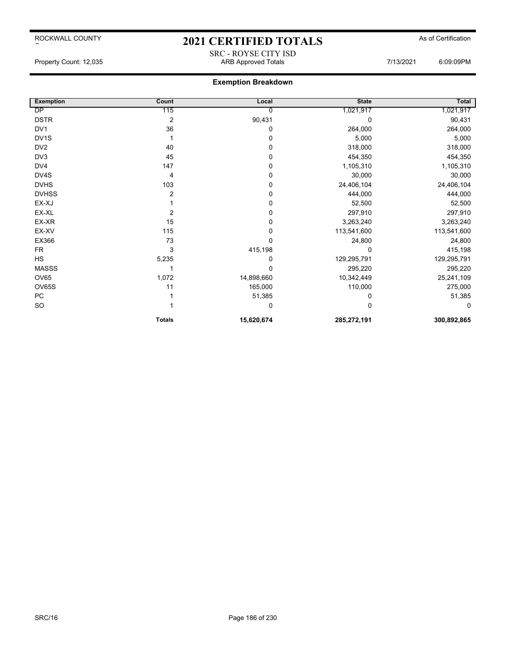# ROCKWALL COUNTY

# 2021 CERTIFIED TOTALS As of Certification

SRC - ROYSE CITY ISD<br>ARB Approved Totals

## **Exemption Breakdown**

| <b>Exemption</b> | Count          | Local      | <b>State</b> | <b>Total</b> |
|------------------|----------------|------------|--------------|--------------|
| <b>DP</b>        | 115            | 0          | 1,021,917    | 1,021,917    |
| <b>DSTR</b>      | $\overline{2}$ | 90,431     |              | 90,431       |
| DV <sub>1</sub>  | 36             | 0          | 264,000      | 264,000      |
| DV1S             |                | 0          | 5,000        | 5,000        |
| DV <sub>2</sub>  | 40             | 0          | 318,000      | 318,000      |
| DV3              | 45             | 0          | 454,350      | 454,350      |
| DV4              | 147            | 0          | 1,105,310    | 1,105,310    |
| DV4S             | $\overline{4}$ | 0          | 30,000       | 30,000       |
| <b>DVHS</b>      | 103            | 0          | 24,406,104   | 24,406,104   |
| <b>DVHSS</b>     | 2              | 0          | 444,000      | 444,000      |
| EX-XJ            |                | 0          | 52,500       | 52,500       |
| EX-XL            | 2              | 0          | 297,910      | 297,910      |
| EX-XR            | 15             | 0          | 3,263,240    | 3,263,240    |
| EX-XV            | 115            | 0          | 113,541,600  | 113,541,600  |
| EX366            | 73             | 0          | 24,800       | 24,800       |
| <b>FR</b>        | 3              | 415,198    |              | 415,198      |
| HS               | 5,235          | 0          | 129,295,791  | 129,295,791  |
| <b>MASSS</b>     |                |            | 295,220      | 295,220      |
| OV65             | 1,072          | 14,898,660 | 10,342,449   | 25,241,109   |
| OV65S            | 11             | 165,000    | 110,000      | 275,000      |
| ${\sf PC}$       |                | 51,385     |              | 51,385       |
| <b>SO</b>        |                | 0          |              | $\Omega$     |
|                  | <b>Totals</b>  | 15,620,674 | 285,272,191  | 300,892,865  |

 $\sim$  to the set of  $\sim$ 

Property Count: 12,035 **ARB Approved Totals ARB Approved Totals** 7/13/2021 6:09:09PM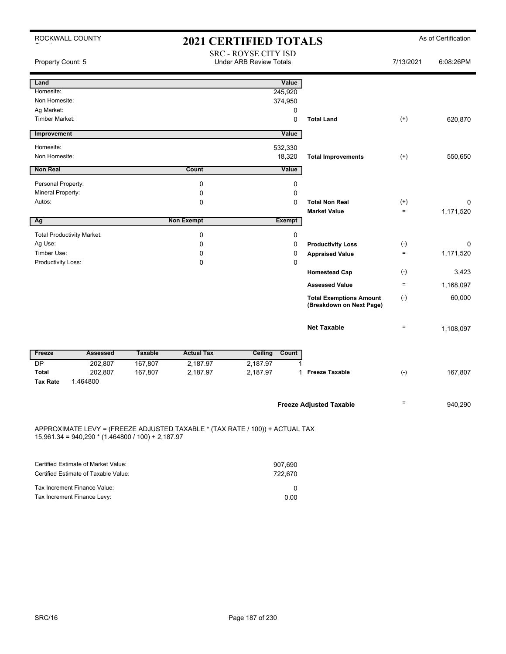| ROCKWALL COUNTY                                                                                                                     |                |                   | <b>2021 CERTIFIED TOTALS</b>                           |                    |                                                            |           | As of Certification |
|-------------------------------------------------------------------------------------------------------------------------------------|----------------|-------------------|--------------------------------------------------------|--------------------|------------------------------------------------------------|-----------|---------------------|
| Property Count: 5                                                                                                                   |                |                   | SRC - ROYSE CITY ISD<br><b>Under ARB Review Totals</b> |                    |                                                            | 7/13/2021 | 6:08:26PM           |
| Land                                                                                                                                |                |                   |                                                        | Value              |                                                            |           |                     |
| Homesite:                                                                                                                           |                |                   |                                                        | 245,920            |                                                            |           |                     |
| Non Homesite:                                                                                                                       |                |                   |                                                        | 374,950            |                                                            |           |                     |
| Ag Market:                                                                                                                          |                |                   |                                                        | 0                  |                                                            |           |                     |
| Timber Market:                                                                                                                      |                |                   |                                                        | 0                  | <b>Total Land</b>                                          | $^{(+)}$  | 620,870             |
| Improvement                                                                                                                         |                |                   |                                                        | Value              |                                                            |           |                     |
| Homesite:                                                                                                                           |                |                   |                                                        | 532,330            |                                                            |           |                     |
| Non Homesite:                                                                                                                       |                |                   |                                                        | 18,320             | <b>Total Improvements</b>                                  | $^{(+)}$  | 550,650             |
| <b>Non Real</b>                                                                                                                     |                | Count             |                                                        | Value              |                                                            |           |                     |
| Personal Property:                                                                                                                  |                | $\mathbf 0$       |                                                        | 0                  |                                                            |           |                     |
| Mineral Property:                                                                                                                   |                | 0                 |                                                        | 0                  |                                                            |           |                     |
| Autos:                                                                                                                              |                | 0                 |                                                        | $\Omega$           | <b>Total Non Real</b>                                      | $^{(+)}$  | 0                   |
|                                                                                                                                     |                |                   |                                                        |                    | <b>Market Value</b>                                        | $\equiv$  | 1,171,520           |
| Ag                                                                                                                                  |                | <b>Non Exempt</b> |                                                        | <b>Exempt</b>      |                                                            |           |                     |
| <b>Total Productivity Market:</b>                                                                                                   |                | $\mathbf 0$       |                                                        | 0                  |                                                            |           |                     |
| Ag Use:                                                                                                                             |                | $\mathbf 0$       |                                                        | $\mathbf 0$        | <b>Productivity Loss</b>                                   | $(-)$     | 0                   |
| Timber Use:                                                                                                                         |                | 0                 |                                                        | $\mathbf 0$        | <b>Appraised Value</b>                                     | $\equiv$  | 1,171,520           |
| Productivity Loss:                                                                                                                  |                | $\Omega$          |                                                        | $\Omega$           |                                                            |           |                     |
|                                                                                                                                     |                |                   |                                                        |                    | <b>Homestead Cap</b>                                       | $(-)$     | 3,423               |
|                                                                                                                                     |                |                   |                                                        |                    | <b>Assessed Value</b>                                      | $\equiv$  | 1,168,097           |
|                                                                                                                                     |                |                   |                                                        |                    | <b>Total Exemptions Amount</b><br>(Breakdown on Next Page) | $(-)$     | 60,000              |
|                                                                                                                                     |                |                   |                                                        |                    | <b>Net Taxable</b>                                         | $\equiv$  | 1,108,097           |
| Freeze<br><b>Assessed</b>                                                                                                           | <b>Taxable</b> | <b>Actual Tax</b> | <b>Ceiling</b>                                         | Count              |                                                            |           |                     |
| DP<br>202,807                                                                                                                       | 167,807        | 2,187.97          | 2,187.97                                               |                    |                                                            |           |                     |
| <b>Total</b><br>202,807<br><b>Tax Rate</b><br>1.464800                                                                              | 167,807        | 2,187.97          | 2,187.97                                               | 1                  | <b>Freeze Taxable</b>                                      | $(-)$     | 167,807             |
|                                                                                                                                     |                |                   |                                                        |                    | <b>Freeze Adjusted Taxable</b>                             | $\equiv$  | 940,290             |
| APPROXIMATE LEVY = (FREEZE ADJUSTED TAXABLE * (TAX RATE / 100)) + ACTUAL TAX<br>$15,961.34 = 940,290 * (1.464800 / 100) + 2,187.97$ |                |                   |                                                        |                    |                                                            |           |                     |
| Certified Estimate of Market Value:                                                                                                 |                |                   |                                                        |                    |                                                            |           |                     |
| Certified Estimate of Taxable Value:                                                                                                |                |                   |                                                        | 907,690<br>722,670 |                                                            |           |                     |
|                                                                                                                                     |                |                   |                                                        |                    |                                                            |           |                     |
| Tax Increment Finance Value:                                                                                                        |                |                   |                                                        | 0                  |                                                            |           |                     |
| Tax Increment Finance Levy:                                                                                                         |                |                   |                                                        | 0.00               |                                                            |           |                     |

Tax Increment Finance Levy: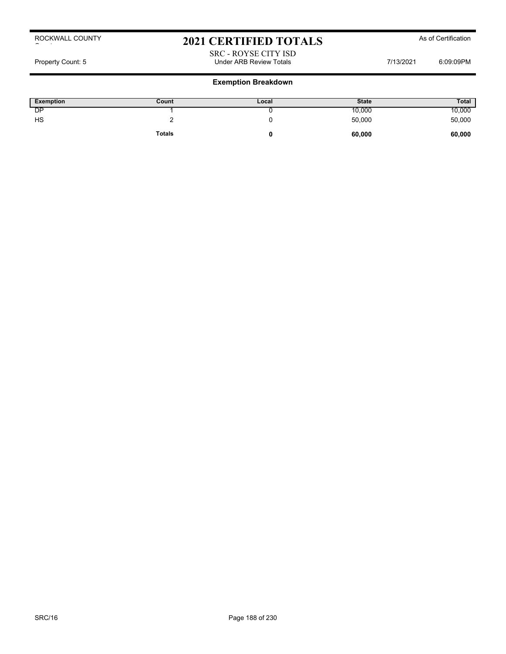# 2021 CERTIFIED TOTALS As of Certification

### SRC - ROYSE CITY ISD Property Count: 5 **Property Count: 5** CO9:09PM

| Exemption | Count         | Local | <b>State</b> | <b>Total</b> |
|-----------|---------------|-------|--------------|--------------|
| DΡ        |               |       | 10,000       | 10,000       |
| HS        |               |       | 50,000       | 50,000       |
|           | <b>Totals</b> |       | 60,000       | 60,000       |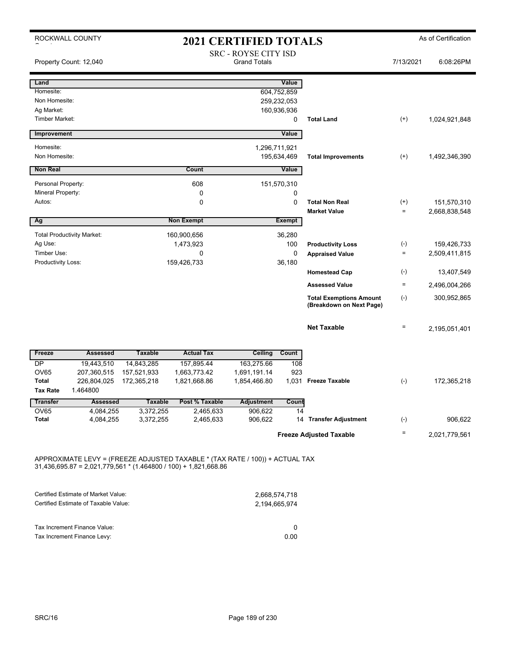|                                     | ROCKWALL COUNTY                   |                        |                        | <b>2021 CERTIFIED TOTALS</b>                       |                  |                                                            |                 | As of Certification |
|-------------------------------------|-----------------------------------|------------------------|------------------------|----------------------------------------------------|------------------|------------------------------------------------------------|-----------------|---------------------|
|                                     | Property Count: 12,040            |                        |                        | <b>SRC - ROYSE CITY ISD</b><br><b>Grand Totals</b> |                  |                                                            | 7/13/2021       | 6:08:26PM           |
| Land                                |                                   |                        |                        |                                                    | Value            |                                                            |                 |                     |
| Homesite:                           |                                   |                        |                        |                                                    | 604,752,859      |                                                            |                 |                     |
| Non Homesite:                       |                                   |                        |                        |                                                    | 259,232,053      |                                                            |                 |                     |
| Ag Market:<br><b>Timber Market:</b> |                                   |                        |                        |                                                    | 160,936,936<br>0 | <b>Total Land</b>                                          | $^{(+)}$        | 1,024,921,848       |
|                                     |                                   |                        |                        |                                                    |                  |                                                            |                 |                     |
| Improvement                         |                                   |                        |                        |                                                    | Value            |                                                            |                 |                     |
| Homesite:                           |                                   |                        |                        |                                                    | 1,296,711,921    |                                                            |                 |                     |
| Non Homesite:                       |                                   |                        |                        |                                                    | 195,634,469      | <b>Total Improvements</b>                                  | $^{(+)}$        | 1,492,346,390       |
| <b>Non Real</b>                     |                                   |                        | Count                  |                                                    | Value            |                                                            |                 |                     |
| Personal Property:                  |                                   |                        | 608                    |                                                    | 151,570,310      |                                                            |                 |                     |
| Mineral Property:                   |                                   |                        | 0                      |                                                    | 0                |                                                            |                 |                     |
| Autos:                              |                                   |                        | 0                      |                                                    | 0                | <b>Total Non Real</b>                                      | $^{(+)}$        | 151,570,310         |
|                                     |                                   |                        |                        |                                                    |                  | <b>Market Value</b>                                        | $\equiv$        | 2,668,838,548       |
| Ag                                  |                                   |                        | <b>Non Exempt</b>      |                                                    | <b>Exempt</b>    |                                                            |                 |                     |
|                                     | <b>Total Productivity Market:</b> |                        | 160,900,656            |                                                    | 36,280           |                                                            |                 |                     |
| Ag Use:                             |                                   |                        | 1,473,923              |                                                    | 100              | <b>Productivity Loss</b>                                   | $(-)$           | 159,426,733         |
| Timber Use:                         |                                   |                        | $\Omega$               |                                                    | 0                | <b>Appraised Value</b>                                     | $\equiv$        | 2,509,411,815       |
| Productivity Loss:                  |                                   |                        | 159,426,733            |                                                    | 36,180           |                                                            |                 |                     |
|                                     |                                   |                        |                        |                                                    |                  | <b>Homestead Cap</b>                                       | $(-)$           | 13,407,549          |
|                                     |                                   |                        |                        |                                                    |                  | <b>Assessed Value</b>                                      | $\equiv$        | 2,496,004,266       |
|                                     |                                   |                        |                        |                                                    |                  | <b>Total Exemptions Amount</b><br>(Breakdown on Next Page) | $(-)$           | 300,952,865         |
|                                     |                                   |                        |                        |                                                    |                  | <b>Net Taxable</b>                                         | $\equiv$        | 2,195,051,401       |
| Freeze                              | <b>Assessed</b>                   | <b>Taxable</b>         | <b>Actual Tax</b>      | Ceiling                                            | Count            |                                                            |                 |                     |
| <b>DP</b>                           | 19,443,510                        | 14,843,285             | 157,895.44             | 163,275.66                                         | 108              |                                                            |                 |                     |
| <b>OV65</b>                         | 207,360,515                       | 157,521,933            | 1,663,773.42           | 1,691,191.14                                       | 923              |                                                            |                 |                     |
| <b>Total</b>                        | 226,804,025                       | 172,365,218            | 1,821,668.86           | 1,854,466.80                                       | 1,031            | <b>Freeze Taxable</b>                                      | $(-)$           | 172,365,218         |
| <b>Tax Rate</b>                     | 1.464800                          |                        |                        |                                                    |                  |                                                            |                 |                     |
| <b>Transfer</b>                     | <b>Assessed</b>                   | <b>Taxable</b>         | Post % Taxable         | <b>Adjustment</b>                                  | Count            |                                                            |                 |                     |
| <b>OV65</b><br><b>Total</b>         | 4,084,255<br>4,084,255            | 3,372,255<br>3,372,255 | 2,465,633<br>2,465,633 | 906,622<br>906,622                                 | 14               | 14 Transfer Adjustment                                     | $(-)$           | 906,622             |
|                                     |                                   |                        |                        |                                                    |                  |                                                            |                 |                     |
|                                     |                                   |                        |                        |                                                    |                  | <b>Freeze Adjusted Taxable</b>                             | $\quad \  \  =$ | 2,021,779,561       |

APPROXIMATE LEVY = (FREEZE ADJUSTED TAXABLE \* (TAX RATE / 100)) + ACTUAL TAX 31,436,695.87 = 2,021,779,561 \* (1.464800 / 100) + 1,821,668.86

| Certified Estimate of Market Value:  | 2,668,574,718 |
|--------------------------------------|---------------|
| Certified Estimate of Taxable Value: | 2.194.665.974 |
| Tax Increment Finance Value:         | <sup>0</sup>  |
| Tax Increment Finance Levy:          | 0.OO          |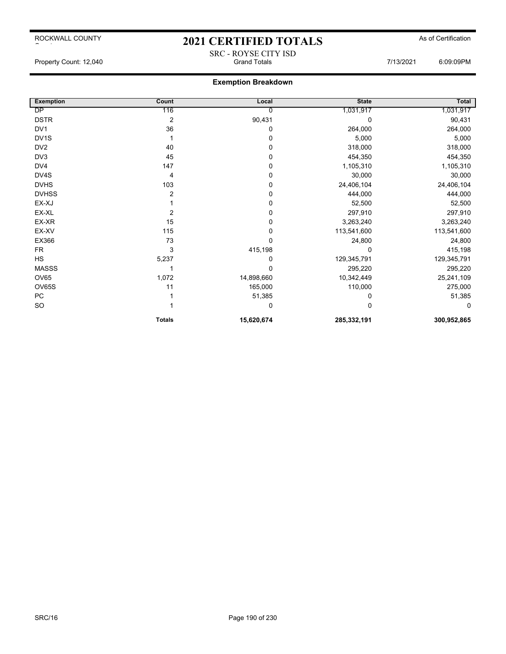# 2021 CERTIFIED TOTALS As of Certification SRC - ROYSE CITY ISD

Property Count: 12,040 **Count: 12,040** Grand Totals Grand Totals **6:09:09PM** 

| <b>Exemption</b>  | Count            | Local      | <b>State</b> | <b>Total</b> |
|-------------------|------------------|------------|--------------|--------------|
| DP                | 116              | 0          | 1,031,917    | 1,031,917    |
| <b>DSTR</b>       | $\boldsymbol{2}$ | 90,431     | 0            | 90,431       |
| DV <sub>1</sub>   | 36               | 0          | 264,000      | 264,000      |
| DV <sub>1</sub> S |                  | 0          | 5,000        | 5,000        |
| DV <sub>2</sub>   | 40               | 0          | 318,000      | 318,000      |
| DV3               | 45               | 0          | 454,350      | 454,350      |
| DV4               | 147              | 0          | 1,105,310    | 1,105,310    |
| DV4S              | 4                | 0          | 30,000       | 30,000       |
| <b>DVHS</b>       | 103              | 0          | 24,406,104   | 24,406,104   |
| <b>DVHSS</b>      | $\overline{2}$   | 0          | 444,000      | 444,000      |
| EX-XJ             |                  | 0          | 52,500       | 52,500       |
| EX-XL             | 2                | 0          | 297,910      | 297,910      |
| EX-XR             | 15               | 0          | 3,263,240    | 3,263,240    |
| EX-XV             | 115              | 0          | 113,541,600  | 113,541,600  |
| EX366             | 73               | 0          | 24,800       | 24,800       |
| <b>FR</b>         | 3                | 415,198    | O            | 415,198      |
| HS                | 5,237            | 0          | 129,345,791  | 129,345,791  |
| <b>MASSS</b>      |                  | 0          | 295,220      | 295,220      |
| <b>OV65</b>       | 1,072            | 14,898,660 | 10,342,449   | 25,241,109   |
| OV65S             | 11               | 165,000    | 110,000      | 275,000      |
| <b>PC</b>         |                  | 51,385     | 0            | 51,385       |
| <b>SO</b>         |                  | 0          | O            | 0            |
|                   | <b>Totals</b>    | 15,620,674 | 285,332,191  | 300,952,865  |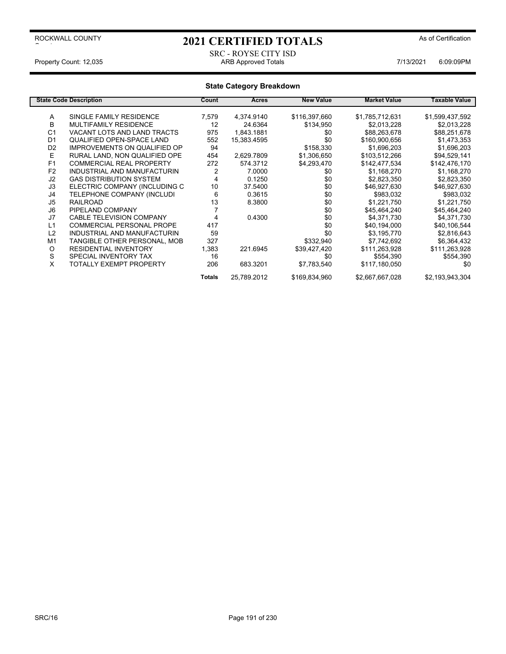# 2021 CERTIFIED TOTALS As of Certification

### SRC - ROYSE CITY ISD<br>ARB Approved Totals Property Count: 12,035 **ARB Approved Totals ARB Approved Totals** 7/13/2021 6:09:09PM

|                | <b>State Code Description</b>       | Count  | Acres       | <b>New Value</b> | <b>Market Value</b> | Taxable Value   |
|----------------|-------------------------------------|--------|-------------|------------------|---------------------|-----------------|
| Α              | SINGLE FAMILY RESIDENCE             | 7,579  | 4,374.9140  | \$116,397,660    | \$1,785,712,631     | \$1,599,437,592 |
| B              | <b>MULTIFAMILY RESIDENCE</b>        | 12     | 24.6364     | \$134,950        | \$2,013,228         | \$2,013,228     |
| C <sub>1</sub> | VACANT LOTS AND LAND TRACTS         | 975    | 1,843.1881  | \$0              | \$88,263,678        | \$88,251,678    |
| D <sub>1</sub> | QUALIFIED OPEN-SPACE LAND           | 552    | 15,383.4595 | \$0              | \$160,900,656       | \$1,473,353     |
| D <sub>2</sub> | <b>IMPROVEMENTS ON QUALIFIED OP</b> | 94     |             | \$158,330        | \$1,696,203         | \$1,696,203     |
| E              | RURAL LAND, NON QUALIFIED OPE       | 454    | 2,629.7809  | \$1,306,650      | \$103,512,266       | \$94,529,141    |
| F <sub>1</sub> | <b>COMMERCIAL REAL PROPERTY</b>     | 272    | 574.3712    | \$4,293,470      | \$142,477,534       | \$142,476,170   |
| F <sub>2</sub> | INDUSTRIAL AND MANUFACTURIN         |        | 7.0000      | \$0              | \$1,168,270         | \$1,168,270     |
| J2             | <b>GAS DISTRIBUTION SYSTEM</b>      | 4      | 0.1250      | \$0              | \$2,823,350         | \$2,823,350     |
| J3             | ELECTRIC COMPANY (INCLUDING C       | 10     | 37.5400     | \$0              | \$46,927,630        | \$46,927,630    |
| J4             | TELEPHONE COMPANY (INCLUDI          | 6      | 0.3615      | \$0              | \$983,032           | \$983,032       |
| J5             | <b>RAILROAD</b>                     | 13     | 8.3800      | \$0              | \$1,221,750         | \$1,221,750     |
| J6             | PIPELAND COMPANY                    |        |             | \$0              | \$45,464,240        | \$45,464,240    |
| J7             | <b>CABLE TELEVISION COMPANY</b>     | 4      | 0.4300      | \$0              | \$4,371,730         | \$4,371,730     |
| L1             | <b>COMMERCIAL PERSONAL PROPE</b>    | 417    |             | \$0              | \$40,194,000        | \$40,106,544    |
| L2             | INDUSTRIAL AND MANUFACTURIN         | 59     |             | \$0              | \$3,195,770         | \$2,816,643     |
| M <sub>1</sub> | TANGIBLE OTHER PERSONAL, MOB        | 327    |             | \$332,940        | \$7,742,692         | \$6,364,432     |
| O              | <b>RESIDENTIAL INVENTORY</b>        | 1,383  | 221.6945    | \$39,427,420     | \$111,263,928       | \$111,263,928   |
| S              | SPECIAL INVENTORY TAX               | 16     |             | \$0              | \$554,390           | \$554,390       |
| X              | TOTALLY EXEMPT PROPERTY             | 206    | 683.3201    | \$7,783,540      | \$117,180,050       | \$0             |
|                |                                     | Totals | 25,789.2012 | \$169,834,960    | \$2,667,667,028     | \$2,193,943,304 |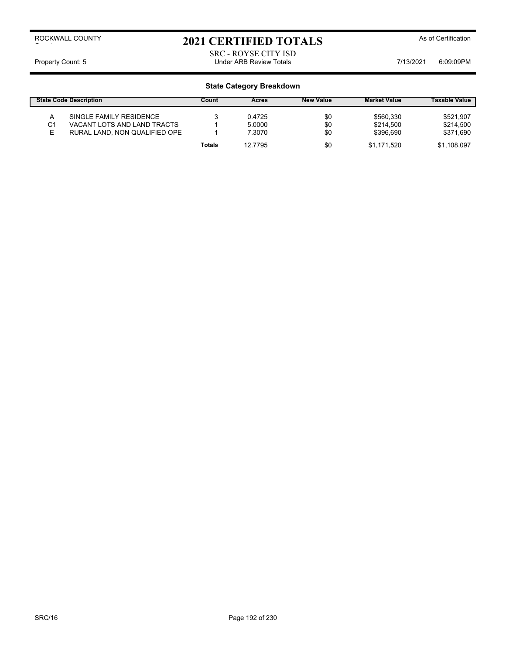2021 CERTIFIED TOTALS As of Certification

SRC - ROYSE CITY ISD Property Count: 5 **Property Count: 5** CO9:09PM

|    | <b>State Code Description</b> | Count         | Acres   | <b>New Value</b> | <b>Market Value</b> | <b>Taxable Value</b> |
|----|-------------------------------|---------------|---------|------------------|---------------------|----------------------|
|    | SINGLE FAMILY RESIDENCE       |               | 0.4725  | \$0              | \$560.330           | \$521,907            |
| C1 | VACANT LOTS AND LAND TRACTS   |               | 5.0000  | \$0              | \$214.500           | \$214,500            |
|    | RURAL LAND, NON QUALIFIED OPE |               | 7.3070  | \$0              | \$396.690           | \$371,690            |
|    |                               | <b>Totals</b> | 12.7795 | \$0              | \$1.171.520         | \$1,108,097          |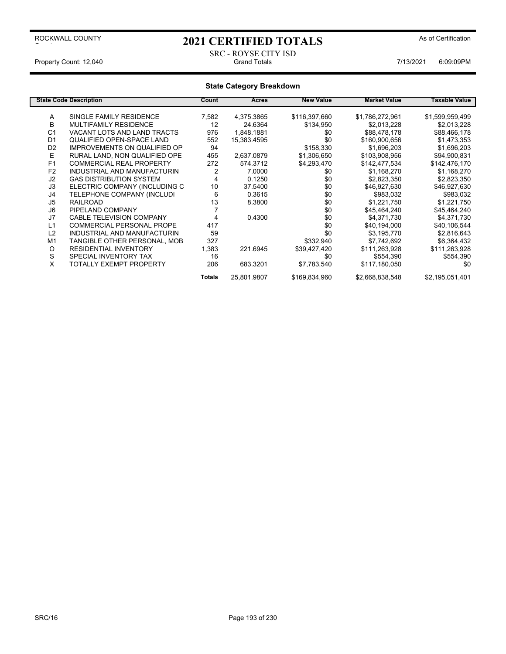# 2021 CERTIFIED TOTALS As of Certification

### SRC - ROYSE CITY ISD Property Count: 12,040 **Count: 12,040** Grand Totals Grand Totals **7/13/2021** 6:09:09PM

|                | <b>State Code Description</b>       | Count  | Acres       | <b>New Value</b> | <b>Market Value</b> | Taxable Value   |
|----------------|-------------------------------------|--------|-------------|------------------|---------------------|-----------------|
|                |                                     |        |             |                  |                     |                 |
| A              | SINGLE FAMILY RESIDENCE             | 7,582  | 4,375.3865  | \$116,397,660    | \$1,786,272,961     | \$1,599,959,499 |
| в              | MULTIFAMILY RESIDENCE               | 12     | 24.6364     | \$134,950        | \$2,013,228         | \$2,013,228     |
| C <sub>1</sub> | VACANT LOTS AND LAND TRACTS         | 976    | 1,848.1881  | \$0              | \$88,478,178        | \$88,466,178    |
| D <sub>1</sub> | QUALIFIED OPEN-SPACE LAND           | 552    | 15,383.4595 | \$0              | \$160,900,656       | \$1,473,353     |
| D <sub>2</sub> | <b>IMPROVEMENTS ON QUALIFIED OP</b> | 94     |             | \$158,330        | \$1,696,203         | \$1,696,203     |
| E              | RURAL LAND. NON QUALIFIED OPE       | 455    | 2.637.0879  | \$1,306,650      | \$103.908.956       | \$94,900,831    |
| F <sub>1</sub> | <b>COMMERCIAL REAL PROPERTY</b>     | 272    | 574.3712    | \$4,293,470      | \$142,477,534       | \$142,476,170   |
| F <sub>2</sub> | INDUSTRIAL AND MANUFACTURIN         | 2      | 7.0000      | \$0              | \$1,168,270         | \$1,168,270     |
| J2             | <b>GAS DISTRIBUTION SYSTEM</b>      | 4      | 0.1250      | \$0              | \$2,823,350         | \$2,823,350     |
| J3             | ELECTRIC COMPANY (INCLUDING C       | 10     | 37.5400     | \$0              | \$46,927,630        | \$46,927,630    |
| J4             | TELEPHONE COMPANY (INCLUDI          | 6      | 0.3615      | \$0              | \$983,032           | \$983,032       |
| J5             | <b>RAILROAD</b>                     | 13     | 8.3800      | \$0              | \$1,221,750         | \$1,221,750     |
| J6             | PIPELAND COMPANY                    |        |             | \$0              | \$45,464,240        | \$45,464,240    |
| J7             | <b>CABLE TELEVISION COMPANY</b>     |        | 0.4300      | \$0              | \$4,371,730         | \$4,371,730     |
| L <sub>1</sub> | <b>COMMERCIAL PERSONAL PROPE</b>    | 417    |             | \$0              | \$40,194,000        | \$40,106,544    |
| L2             | INDUSTRIAL AND MANUFACTURIN         | 59     |             | \$0              | \$3,195,770         | \$2,816,643     |
| M <sub>1</sub> | TANGIBLE OTHER PERSONAL, MOB        | 327    |             | \$332,940        | \$7,742,692         | \$6,364,432     |
| O              | <b>RESIDENTIAL INVENTORY</b>        | 1,383  | 221.6945    | \$39,427,420     | \$111,263,928       | \$111,263,928   |
| S              | SPECIAL INVENTORY TAX               | 16     |             | \$0              | \$554,390           | \$554,390       |
| X              | TOTALLY EXEMPT PROPERTY             | 206    | 683.3201    | \$7,783,540      | \$117,180,050       | \$0             |
|                |                                     | Totals | 25,801.9807 | \$169,834,960    | \$2,668,838,548     | \$2,195,051,401 |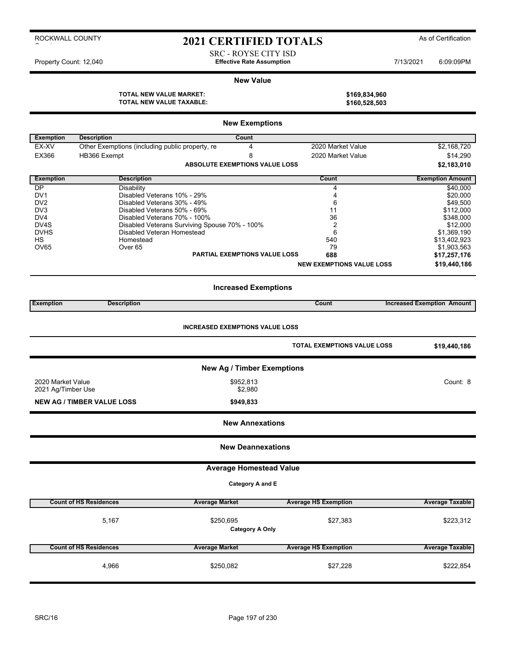# 2021 CERTIFIED TOTALS As of Certification

SRC - ROYSE CITY ISD Property Count: 12,040 **Effective Rate Assumption Effective Rate Assumption** 7/13/2021 6:09:09PM

#### **New Value**

**TOTAL NEW VALUE MARKET: \$169,834,960**

|                                    | <b>OTAL NEW VALUE WAINLET.</b><br>TOTAL NEW VALUE TAXABLE: |                                               |                                        | ง เ งฮ,๐งฺ+,ฮงบ<br>\$160,528,503   |                                   |
|------------------------------------|------------------------------------------------------------|-----------------------------------------------|----------------------------------------|------------------------------------|-----------------------------------|
|                                    |                                                            |                                               | <b>New Exemptions</b>                  |                                    |                                   |
| <b>Exemption</b>                   | <b>Description</b>                                         |                                               | Count                                  |                                    |                                   |
| EX-XV                              | Other Exemptions (including public property, re            |                                               | 4                                      | 2020 Market Value                  | \$2,168,720                       |
| EX366                              | HB366 Exempt                                               |                                               | 8                                      | 2020 Market Value                  | \$14,290                          |
|                                    |                                                            |                                               | <b>ABSOLUTE EXEMPTIONS VALUE LOSS</b>  |                                    | \$2,183,010                       |
| <b>Exemption</b>                   | <b>Description</b>                                         |                                               |                                        | Count                              | <b>Exemption Amount</b>           |
| <b>DP</b>                          | Disability                                                 |                                               |                                        | 4                                  | \$40,000                          |
| DV <sub>1</sub><br>DV <sub>2</sub> | Disabled Veterans 10% - 29%<br>Disabled Veterans 30% - 49% |                                               |                                        | 4<br>6                             | \$20,000                          |
| DV3                                | Disabled Veterans 50% - 69%                                |                                               |                                        | 11                                 | \$49,500<br>\$112,000             |
| DV4                                | Disabled Veterans 70% - 100%                               |                                               |                                        | 36                                 | \$348,000                         |
| DV4S                               |                                                            | Disabled Veterans Surviving Spouse 70% - 100% |                                        | 2                                  | \$12,000                          |
| <b>DVHS</b>                        | Disabled Veteran Homestead                                 |                                               |                                        | 6                                  | \$1,369,190                       |
| <b>HS</b>                          | Homestead                                                  |                                               |                                        | 540                                | \$13,402,923                      |
| OV65                               | Over 65                                                    |                                               |                                        | 79                                 | \$1,903,563                       |
|                                    |                                                            |                                               | <b>PARTIAL EXEMPTIONS VALUE LOSS</b>   | 688                                | \$17,257,176                      |
|                                    |                                                            |                                               |                                        | <b>NEW EXEMPTIONS VALUE LOSS</b>   | \$19,440,186                      |
| <b>Exemption</b>                   | <b>Description</b>                                         |                                               | <b>Increased Exemptions</b>            | Count                              | <b>Increased Exemption Amount</b> |
|                                    |                                                            |                                               |                                        |                                    |                                   |
|                                    |                                                            |                                               | <b>INCREASED EXEMPTIONS VALUE LOSS</b> |                                    |                                   |
|                                    |                                                            |                                               |                                        | <b>TOTAL EXEMPTIONS VALUE LOSS</b> | \$19,440,186                      |
|                                    |                                                            |                                               | <b>New Ag / Timber Exemptions</b>      |                                    |                                   |
| 2020 Market Value                  |                                                            |                                               | \$952,813                              |                                    | Count: 8                          |
| 2021 Ag/Timber Use                 |                                                            |                                               | \$2,980                                |                                    |                                   |
|                                    | <b>NEW AG / TIMBER VALUE LOSS</b>                          |                                               | \$949,833                              |                                    |                                   |
|                                    |                                                            |                                               | <b>New Annexations</b>                 |                                    |                                   |
|                                    |                                                            |                                               | <b>New Deannexations</b>               |                                    |                                   |
|                                    |                                                            |                                               | <b>Average Homestead Value</b>         |                                    |                                   |
|                                    |                                                            |                                               | Category A and E                       |                                    |                                   |
|                                    | <b>Count of HS Residences</b>                              | <b>Average Market</b>                         |                                        | <b>Average HS Exemption</b>        | <b>Average Taxable</b>            |
|                                    |                                                            |                                               |                                        |                                    |                                   |
|                                    | 5,167                                                      | \$250,695                                     |                                        | \$27,383                           | \$223,312                         |
|                                    |                                                            |                                               | <b>Category A Only</b>                 |                                    |                                   |
|                                    | <b>Count of HS Residences</b>                              | <b>Average Market</b>                         |                                        | <b>Average HS Exemption</b>        | <b>Average Taxable</b>            |
|                                    |                                                            |                                               |                                        |                                    |                                   |
|                                    | 4,966                                                      | \$250,082                                     |                                        | \$27,228                           | \$222,854                         |
|                                    |                                                            |                                               |                                        |                                    |                                   |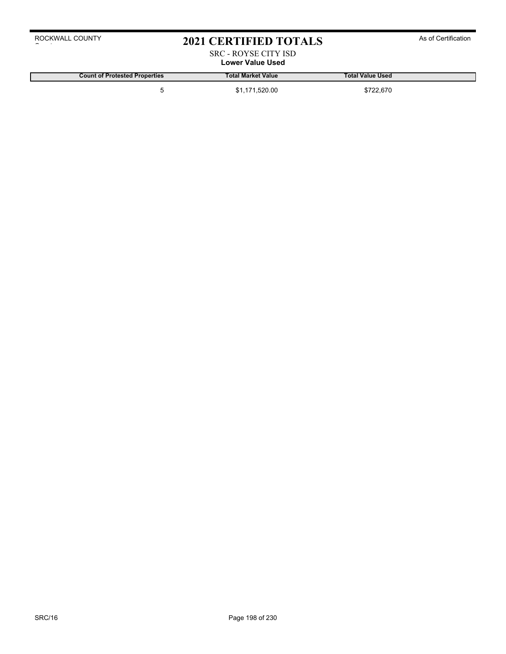# 2021 CERTIFIED TOTALS As of Certification

### SRC - ROYSE CITY ISD **Lower Value Used**

**Count of Protested Properties Total Market Value Total Value Used**

5 \$1,171,520.00 \$722,670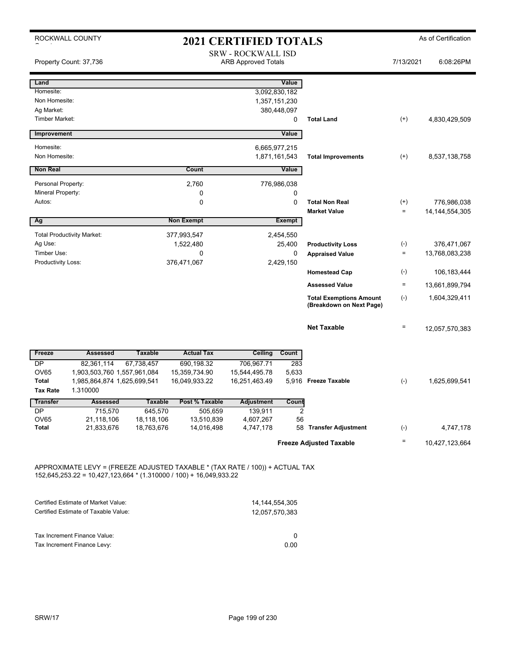|                                 | ROCKWALL COUNTY                         |                                                         |                   | <b>2021 CERTIFIED TOTALS</b> |                                |                                                            |                               | As of Certification              |
|---------------------------------|-----------------------------------------|---------------------------------------------------------|-------------------|------------------------------|--------------------------------|------------------------------------------------------------|-------------------------------|----------------------------------|
|                                 | Property Count: 37,736                  | <b>SRW - ROCKWALL ISD</b><br><b>ARB Approved Totals</b> |                   |                              |                                | 7/13/2021                                                  | 6:08:26PM                     |                                  |
| Land                            |                                         |                                                         |                   |                              | Value                          |                                                            |                               |                                  |
| Homesite:<br>Non Homesite:      |                                         |                                                         |                   |                              | 3,092,830,182<br>1,357,151,230 |                                                            |                               |                                  |
| Ag Market:                      |                                         |                                                         |                   |                              | 380,448,097                    |                                                            |                               |                                  |
| <b>Timber Market:</b>           |                                         |                                                         |                   |                              | 0                              | <b>Total Land</b>                                          | $^{(+)}$                      | 4,830,429,509                    |
| Improvement                     |                                         |                                                         |                   |                              | Value                          |                                                            |                               |                                  |
| Homesite:                       |                                         |                                                         |                   |                              | 6,665,977,215                  |                                                            |                               |                                  |
| Non Homesite:                   |                                         |                                                         |                   |                              | 1,871,161,543                  | <b>Total Improvements</b>                                  | $^{(+)}$                      | 8,537,138,758                    |
| <b>Non Real</b>                 |                                         |                                                         | Count             |                              | Value                          |                                                            |                               |                                  |
| Personal Property:              |                                         |                                                         | 2,760             |                              | 776,986,038                    |                                                            |                               |                                  |
| Mineral Property:               |                                         |                                                         | 0                 |                              | 0                              |                                                            |                               |                                  |
| Autos:                          |                                         |                                                         | 0                 |                              | 0                              | <b>Total Non Real</b><br><b>Market Value</b>               | $^{(+)}$<br>$\qquad \qquad =$ | 776,986,038<br>14, 144, 554, 305 |
| Ag                              |                                         |                                                         | <b>Non Exempt</b> |                              | Exempt                         |                                                            |                               |                                  |
|                                 | <b>Total Productivity Market:</b>       |                                                         | 377,993,547       |                              | 2,454,550                      |                                                            |                               |                                  |
| Ag Use:                         |                                         |                                                         | 1,522,480         |                              | 25,400                         | <b>Productivity Loss</b>                                   | $(-)$                         | 376,471,067                      |
| Timber Use:                     |                                         |                                                         | 0                 |                              | $\mathbf 0$                    | <b>Appraised Value</b>                                     | $\quad =$                     | 13,768,083,238                   |
| Productivity Loss:              |                                         |                                                         | 376,471,067       |                              | 2,429,150                      | <b>Homestead Cap</b>                                       | $(-)$                         | 106,183,444                      |
|                                 |                                         |                                                         |                   |                              |                                | <b>Assessed Value</b>                                      | $\equiv$                      | 13,661,899,794                   |
|                                 |                                         |                                                         |                   |                              |                                | <b>Total Exemptions Amount</b><br>(Breakdown on Next Page) | $(-)$                         | 1,604,329,411                    |
|                                 |                                         |                                                         |                   |                              |                                |                                                            |                               |                                  |
|                                 |                                         |                                                         |                   |                              |                                | <b>Net Taxable</b>                                         | $\equiv$                      | 12,057,570,383                   |
| Freeze                          | <b>Assessed</b>                         | <b>Taxable</b>                                          | <b>Actual Tax</b> | Ceiling                      | Count                          |                                                            |                               |                                  |
| DP                              | 82,361,114                              | 67,738,457                                              | 690,198.32        | 706,967.71                   | 283                            |                                                            |                               |                                  |
| OV65                            | 1,903,503,760 1,557,961,084             |                                                         | 15,359,734.90     | 15,544,495.78                | 5,633                          |                                                            |                               |                                  |
| <b>Total</b><br><b>Tax Rate</b> | 1,985,864,874 1,625,699,541<br>1.310000 |                                                         | 16,049,933.22     | 16,251,463.49                |                                | 5,916 Freeze Taxable                                       | $(-)$                         | 1,625,699,541                    |
| <b>Transfer</b>                 | <b>Assessed</b>                         | <b>Taxable</b>                                          | Post % Taxable    | <b>Adjustment</b>            | Count                          |                                                            |                               |                                  |
| DP                              | 715,570                                 | 645,570                                                 | 505,659           | 139,911                      | $\overline{c}$                 |                                                            |                               |                                  |
| OV65                            | 21,118,106                              | 18,118,106                                              | 13,510,839        | 4,607,267                    | 56                             |                                                            |                               |                                  |
| <b>Total</b>                    | 21,833,676                              | 18,763,676                                              | 14,016,498        | 4,747,178                    | 58                             | <b>Transfer Adjustment</b>                                 | $(\text{-})$                  | 4,747,178                        |
|                                 |                                         |                                                         |                   |                              |                                | <b>Freeze Adjusted Taxable</b>                             | Ξ                             | 10,427,123,664                   |
|                                 |                                         |                                                         |                   |                              |                                |                                                            |                               |                                  |

APPROXIMATE LEVY = (FREEZE ADJUSTED TAXABLE \* (TAX RATE / 100)) + ACTUAL TAX 152,645,253.22 = 10,427,123,664 \* (1.310000 / 100) + 16,049,933.22

| Certified Estimate of Market Value:  | 14.144.554.305 |
|--------------------------------------|----------------|
| Certified Estimate of Taxable Value: | 12.057.570.383 |
|                                      |                |
| Tax Increment Finance Value:         |                |
|                                      |                |
| Tax Increment Finance Levy:          | 0.00           |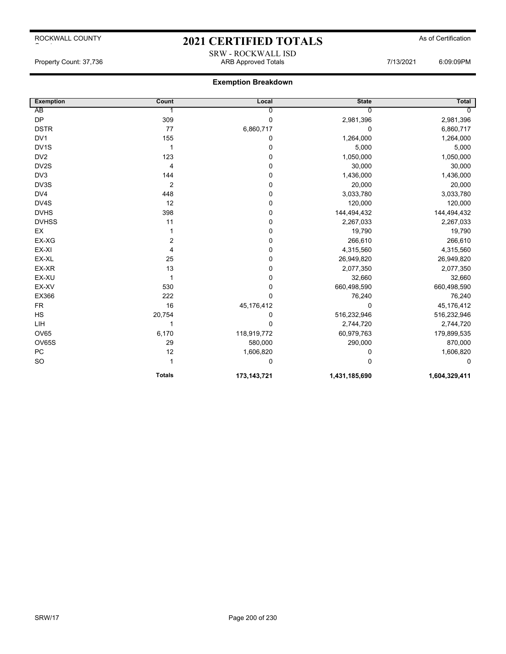# 2021 CERTIFIED TOTALS As of Certification SRW - ROCKWALL ISD

Property Count: 37,736 ARB Approved Totals 7/13/2021 6:09:09PM

| <b>Exemption</b>  | Count         | Local         | <b>State</b>  | <b>Total</b>  |
|-------------------|---------------|---------------|---------------|---------------|
| AB                |               | 0             | 0             |               |
| <b>DP</b>         | 309           | $\pmb{0}$     | 2,981,396     | 2,981,396     |
| <b>DSTR</b>       | 77            | 6,860,717     | 0             | 6,860,717     |
| DV1               | 155           | 0             | 1,264,000     | 1,264,000     |
| DV <sub>1</sub> S | 1             | 0             | 5,000         | 5,000         |
| DV <sub>2</sub>   | 123           | 0             | 1,050,000     | 1,050,000     |
| DV2S              | 4             | 0             | 30,000        | 30,000        |
| DV <sub>3</sub>   | 144           | 0             | 1,436,000     | 1,436,000     |
| DV3S              | 2             | 0             | 20,000        | 20,000        |
| DV4               | 448           | 0             | 3,033,780     | 3,033,780     |
| DV4S              | 12            | 0             | 120,000       | 120,000       |
| <b>DVHS</b>       | 398           | 0             | 144,494,432   | 144,494,432   |
| <b>DVHSS</b>      | 11            | 0             | 2,267,033     | 2,267,033     |
| EX                |               | $\pmb{0}$     | 19,790        | 19,790        |
| EX-XG             | 2             | 0             | 266,610       | 266,610       |
| EX-XI             | 4             | 0             | 4,315,560     | 4,315,560     |
| EX-XL             | 25            | 0             | 26,949,820    | 26,949,820    |
| EX-XR             | 13            | 0             | 2,077,350     | 2,077,350     |
| EX-XU             | $\mathbf{1}$  | 0             | 32,660        | 32,660        |
| EX-XV             | 530           | 0             | 660,498,590   | 660,498,590   |
| EX366             | 222           | $\mathbf 0$   | 76,240        | 76,240        |
| <b>FR</b>         | 16            | 45,176,412    | 0             | 45,176,412    |
| HS                | 20,754        | 0             | 516,232,946   | 516,232,946   |
| LIH               |               | $\mathbf 0$   | 2,744,720     | 2,744,720     |
| <b>OV65</b>       | 6,170         | 118,919,772   | 60,979,763    | 179,899,535   |
| OV65S             | 29            | 580,000       | 290,000       | 870,000       |
| PC                | 12            | 1,606,820     | 0             | 1,606,820     |
| <b>SO</b>         | 1             | 0             | $\Omega$      | 0             |
|                   | <b>Totals</b> | 173, 143, 721 | 1,431,185,690 | 1,604,329,411 |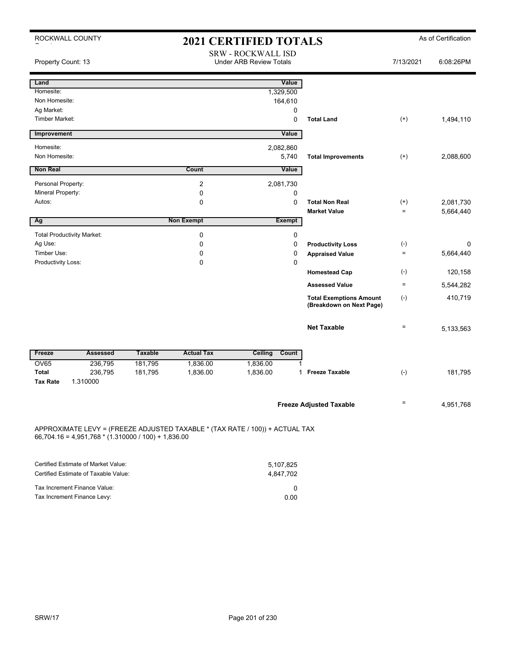| ROCKWALL COUNTY                                                                                                                       |                |                   | <b>2021 CERTIFIED TOTALS</b>                                |               |                                                            |           | As of Certification |
|---------------------------------------------------------------------------------------------------------------------------------------|----------------|-------------------|-------------------------------------------------------------|---------------|------------------------------------------------------------|-----------|---------------------|
| Property Count: 13                                                                                                                    |                |                   | <b>SRW - ROCKWALL ISD</b><br><b>Under ARB Review Totals</b> |               |                                                            | 7/13/2021 | 6:08:26PM           |
| Land                                                                                                                                  |                |                   |                                                             | Value         |                                                            |           |                     |
| Homesite:                                                                                                                             |                |                   | 1,329,500                                                   |               |                                                            |           |                     |
| Non Homesite:                                                                                                                         |                |                   |                                                             | 164,610       |                                                            |           |                     |
| Ag Market:                                                                                                                            |                |                   |                                                             | 0             |                                                            |           |                     |
| <b>Timber Market:</b>                                                                                                                 |                |                   |                                                             | $\mathbf 0$   | <b>Total Land</b>                                          | $^{(+)}$  | 1,494,110           |
| Improvement                                                                                                                           |                |                   |                                                             | Value         |                                                            |           |                     |
| Homesite:                                                                                                                             |                |                   | 2,082,860                                                   |               |                                                            |           |                     |
| Non Homesite:                                                                                                                         |                |                   |                                                             | 5,740         | <b>Total Improvements</b>                                  | $^{(+)}$  | 2,088,600           |
| <b>Non Real</b>                                                                                                                       |                | Count             |                                                             | Value         |                                                            |           |                     |
| Personal Property:                                                                                                                    |                | 2                 | 2,081,730                                                   |               |                                                            |           |                     |
| Mineral Property:                                                                                                                     |                | $\mathbf 0$       |                                                             | 0             |                                                            |           |                     |
| Autos:                                                                                                                                |                | 0                 |                                                             | $\mathbf 0$   | <b>Total Non Real</b>                                      | $^{(+)}$  | 2,081,730           |
|                                                                                                                                       |                |                   |                                                             |               | <b>Market Value</b>                                        | $\equiv$  | 5,664,440           |
| Ag                                                                                                                                    |                | <b>Non Exempt</b> |                                                             | <b>Exempt</b> |                                                            |           |                     |
| <b>Total Productivity Market:</b>                                                                                                     |                | $\mathbf 0$       |                                                             | 0             |                                                            |           |                     |
| Ag Use:                                                                                                                               |                | 0                 |                                                             | $\mathbf 0$   | <b>Productivity Loss</b>                                   | $(-)$     | 0                   |
| Timber Use:                                                                                                                           |                | 0                 |                                                             | $\mathbf 0$   | <b>Appraised Value</b>                                     | $\equiv$  | 5,664,440           |
| Productivity Loss:                                                                                                                    |                | 0                 |                                                             | $\Omega$      |                                                            |           |                     |
|                                                                                                                                       |                |                   |                                                             |               | <b>Homestead Cap</b>                                       | $(-)$     | 120,158             |
|                                                                                                                                       |                |                   |                                                             |               | <b>Assessed Value</b>                                      | $\equiv$  | 5,544,282           |
|                                                                                                                                       |                |                   |                                                             |               | <b>Total Exemptions Amount</b><br>(Breakdown on Next Page) | $(-)$     | 410,719             |
|                                                                                                                                       |                |                   |                                                             |               | <b>Net Taxable</b>                                         | $\equiv$  | 5,133,563           |
| Freeze<br><b>Assessed</b>                                                                                                             | <b>Taxable</b> | <b>Actual Tax</b> | Ceiling                                                     | Count         |                                                            |           |                     |
| <b>OV65</b><br>236,795                                                                                                                | 181,795        | 1,836.00          | 1,836.00                                                    |               |                                                            |           |                     |
| <b>Total</b><br>236,795<br><b>Tax Rate</b><br>1.310000                                                                                | 181,795        | 1,836.00          | 1,836.00                                                    | 1             | <b>Freeze Taxable</b>                                      | $(-)$     | 181,795             |
|                                                                                                                                       |                |                   |                                                             |               |                                                            |           |                     |
|                                                                                                                                       |                |                   |                                                             |               | <b>Freeze Adjusted Taxable</b>                             | $\equiv$  | 4,951,768           |
| APPROXIMATE LEVY = (FREEZE ADJUSTED TAXABLE * (TAX RATE / 100)) + ACTUAL TAX<br>$66,704.16 = 4,951,768 * (1.310000 / 100) + 1,836.00$ |                |                   |                                                             |               |                                                            |           |                     |
|                                                                                                                                       |                |                   |                                                             |               |                                                            |           |                     |
| Certified Estimate of Market Value:<br>Certified Estimate of Taxable Value:                                                           |                |                   | 5,107,825                                                   |               |                                                            |           |                     |
|                                                                                                                                       |                |                   | 4,847,702                                                   |               |                                                            |           |                     |
| Tax Increment Finance Value:                                                                                                          |                |                   |                                                             | 0             |                                                            |           |                     |

Tax Increment Finance Levy: 0.00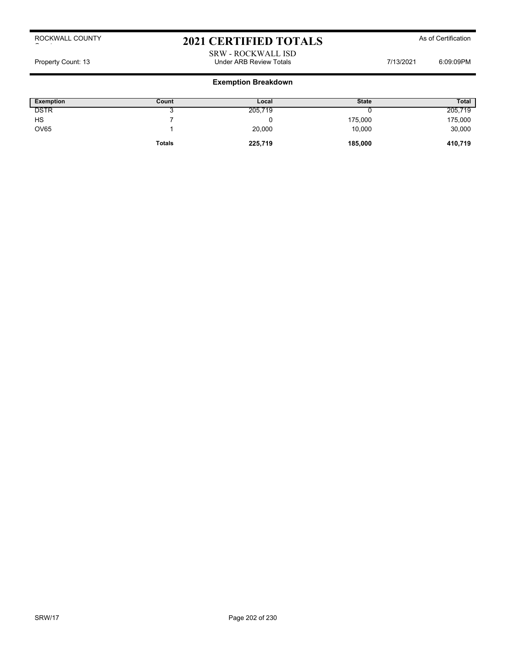# 2021 CERTIFIED TOTALS As of Certification

SRW - ROCKWALL ISD Property Count: 13 **Property Count: 13** COUNTER TOTAL STATE Review Totals **Property Count: 13** COUNTER 6:09:09PM

| Exemption   | Count         | Local   | <b>State</b> | <b>Total</b> |
|-------------|---------------|---------|--------------|--------------|
| <b>DSTR</b> |               | 205,719 |              | 205,719      |
| HS          |               |         | 175,000      | 175,000      |
| <b>OV65</b> |               | 20,000  | 10,000       | 30,000       |
|             | <b>Totals</b> | 225,719 | 185,000      | 410,719      |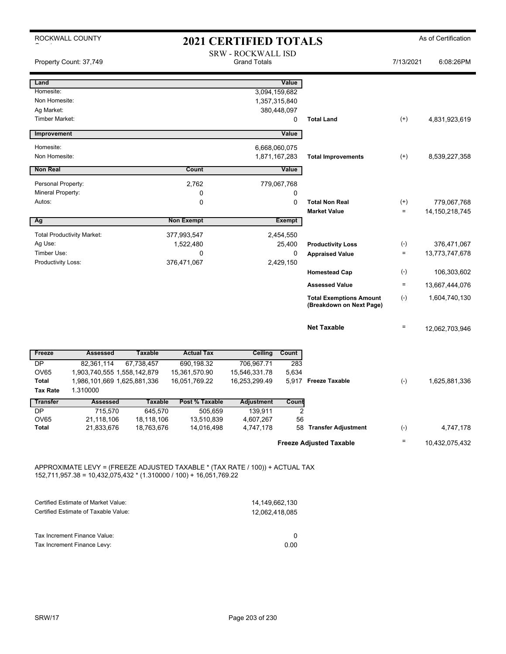|                                         | ROCKWALL COUNTY                   |                              |                                 | <b>2021 CERTIFIED TOTALS</b>                     |                                |                                                            |                   | As of Certification |
|-----------------------------------------|-----------------------------------|------------------------------|---------------------------------|--------------------------------------------------|--------------------------------|------------------------------------------------------------|-------------------|---------------------|
|                                         | Property Count: 37,749            |                              |                                 | <b>SRW - ROCKWALL ISD</b><br><b>Grand Totals</b> |                                |                                                            | 7/13/2021         | 6:08:26PM           |
| Land                                    |                                   |                              |                                 |                                                  | Value                          |                                                            |                   |                     |
| Homesite:                               |                                   |                              |                                 |                                                  | 3,094,159,682                  |                                                            |                   |                     |
| Non Homesite:                           |                                   |                              |                                 |                                                  | 1,357,315,840                  |                                                            |                   |                     |
| Ag Market:<br><b>Timber Market:</b>     |                                   |                              |                                 |                                                  | 380,448,097<br>0               | <b>Total Land</b>                                          | $^{(+)}$          | 4,831,923,619       |
| Improvement                             |                                   |                              |                                 |                                                  | Value                          |                                                            |                   |                     |
|                                         |                                   |                              |                                 |                                                  |                                |                                                            |                   |                     |
| Homesite:<br>Non Homesite:              |                                   |                              |                                 |                                                  | 6,668,060,075<br>1,871,167,283 | <b>Total Improvements</b>                                  | $^{(+)}$          | 8,539,227,358       |
| <b>Non Real</b>                         |                                   |                              | Count                           |                                                  | Value                          |                                                            |                   |                     |
|                                         |                                   |                              |                                 |                                                  |                                |                                                            |                   |                     |
| Personal Property:<br>Mineral Property: |                                   |                              | 2,762<br>0                      |                                                  | 779,067,768<br>0               |                                                            |                   |                     |
| Autos:                                  |                                   |                              | 0                               |                                                  | 0                              | <b>Total Non Real</b>                                      | $^{(+)}$          | 779,067,768         |
|                                         |                                   |                              |                                 |                                                  |                                | <b>Market Value</b>                                        | $\qquad \qquad =$ | 14, 150, 218, 745   |
| Ag                                      |                                   |                              | <b>Non Exempt</b>               |                                                  | <b>Exempt</b>                  |                                                            |                   |                     |
|                                         | <b>Total Productivity Market:</b> |                              | 377,993,547                     |                                                  | 2,454,550                      |                                                            |                   |                     |
| Ag Use:                                 |                                   |                              | 1,522,480                       |                                                  | 25,400                         | <b>Productivity Loss</b>                                   | $(-)$             | 376,471,067         |
| Timber Use:                             |                                   |                              | 0                               |                                                  | 0                              | <b>Appraised Value</b>                                     | $\equiv$          | 13,773,747,678      |
| Productivity Loss:                      |                                   |                              | 376,471,067                     |                                                  | 2,429,150                      | <b>Homestead Cap</b>                                       | $(-)$             | 106,303,602         |
|                                         |                                   |                              |                                 |                                                  |                                | <b>Assessed Value</b>                                      | $\equiv$          | 13,667,444,076      |
|                                         |                                   |                              |                                 |                                                  |                                |                                                            |                   |                     |
|                                         |                                   |                              |                                 |                                                  |                                | <b>Total Exemptions Amount</b><br>(Breakdown on Next Page) | $(-)$             | 1,604,740,130       |
|                                         |                                   |                              |                                 |                                                  |                                |                                                            |                   |                     |
|                                         |                                   |                              |                                 |                                                  |                                | <b>Net Taxable</b>                                         | $\quad \  \  =$   | 12,062,703,946      |
|                                         |                                   |                              |                                 |                                                  |                                |                                                            |                   |                     |
| Freeze<br><b>DP</b>                     | <b>Assessed</b><br>82.361.114     | <b>Taxable</b><br>67,738,457 | <b>Actual Tax</b><br>690,198.32 | Ceiling<br>706,967.71                            | Count<br>283                   |                                                            |                   |                     |
| <b>OV65</b>                             | 1,903,740,555 1,558,142,879       |                              | 15,361,570.90                   | 15,546,331.78                                    | 5,634                          |                                                            |                   |                     |
| Total                                   | 1,986,101,669 1,625,881,336       |                              | 16,051,769.22                   | 16,253,299.49                                    |                                | 5,917 Freeze Taxable                                       | $(-)$             | 1,625,881,336       |
| <b>Tax Rate</b>                         | 1.310000                          |                              |                                 |                                                  |                                |                                                            |                   |                     |
| <b>Transfer</b>                         | <b>Assessed</b>                   | Taxable                      | Post % Taxable                  | <b>Adjustment</b>                                | Count                          |                                                            |                   |                     |
| DP<br>OV65                              | 715,570<br>21,118,106             | 645,570<br>18,118,106        | 505,659<br>13,510,839           | 139,911<br>4,607,267                             | $\overline{2}$<br>56           |                                                            |                   |                     |
| <b>Total</b>                            | 21,833,676                        | 18,763,676                   | 14,016,498                      | 4,747,178                                        |                                | 58 Transfer Adjustment                                     | $(\text{-})$      | 4,747,178           |
|                                         |                                   |                              |                                 |                                                  |                                | <b>Freeze Adjusted Taxable</b>                             | Ξ                 |                     |
|                                         |                                   |                              |                                 |                                                  |                                |                                                            |                   | 10,432,075,432      |
|                                         |                                   |                              |                                 |                                                  |                                |                                                            |                   |                     |

APPROXIMATE LEVY = (FREEZE ADJUSTED TAXABLE \* (TAX RATE / 100)) + ACTUAL TAX 152,711,957.38 = 10,432,075,432 \* (1.310000 / 100) + 16,051,769.22

| Certified Estimate of Market Value:  | 14.149.662.130 |
|--------------------------------------|----------------|
| Certified Estimate of Taxable Value: | 12.062.418.085 |
|                                      |                |
|                                      |                |
| Tax Increment Finance Value:         |                |
| Tax Increment Finance Levy:          | 0.00           |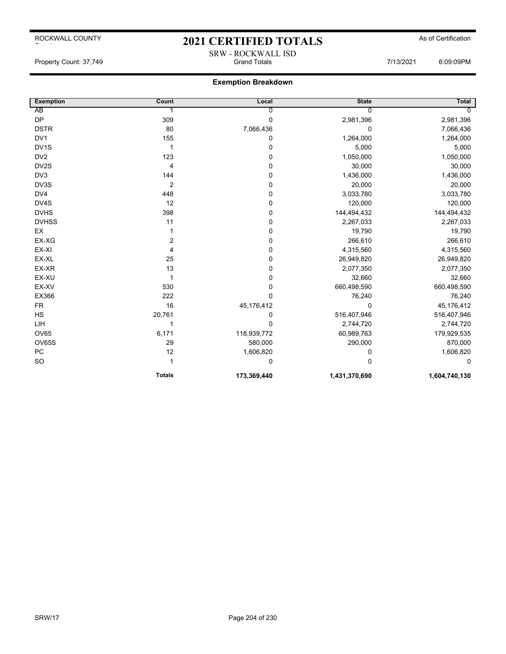# 2021 CERTIFIED TOTALS As of Certification SRW - ROCKWALL ISD

Property Count: 37,749 Grand Totals 7/13/2021 6:09:09PM

| <b>Exemption</b>  | Count          | Local       | <b>State</b>  | <b>Total</b>  |
|-------------------|----------------|-------------|---------------|---------------|
| AB                |                | 0           | 0             | 0             |
| <b>DP</b>         | 309            | 0           | 2,981,396     | 2,981,396     |
| <b>DSTR</b>       | 80             | 7,066,436   | 0             | 7,066,436     |
| DV <sub>1</sub>   | 155            | 0           | 1,264,000     | 1,264,000     |
| DV <sub>1</sub> S | 1              | 0           | 5,000         | 5,000         |
| DV <sub>2</sub>   | 123            | 0           | 1,050,000     | 1,050,000     |
| DV2S              | 4              | 0           | 30,000        | 30,000        |
| DV3               | 144            | 0           | 1,436,000     | 1,436,000     |
| DV3S              | 2              | 0           | 20,000        | 20,000        |
| DV4               | 448            | 0           | 3,033,780     | 3,033,780     |
| DV4S              | 12             | 0           | 120,000       | 120,000       |
| <b>DVHS</b>       | 398            | 0           | 144,494,432   | 144,494,432   |
| <b>DVHSS</b>      | 11             | 0           | 2,267,033     | 2,267,033     |
| EX                |                | 0           | 19,790        | 19,790        |
| EX-XG             | $\overline{c}$ | 0           | 266,610       | 266,610       |
| EX-XI             | 4              | 0           | 4,315,560     | 4,315,560     |
| EX-XL             | 25             | 0           | 26,949,820    | 26,949,820    |
| EX-XR             | 13             | 0           | 2,077,350     | 2,077,350     |
| EX-XU             | 1              | 0           | 32,660        | 32,660        |
| EX-XV             | 530            | 0           | 660,498,590   | 660,498,590   |
| EX366             | 222            | $\Omega$    | 76,240        | 76,240        |
| <b>FR</b>         | 16             | 45,176,412  | 0             | 45,176,412    |
| HS                | 20,761         | 0           | 516,407,946   | 516,407,946   |
| LIH               | 1              | 0           | 2,744,720     | 2,744,720     |
| <b>OV65</b>       | 6,171          | 118,939,772 | 60,989,763    | 179,929,535   |
| OV65S             | 29             | 580,000     | 290,000       | 870,000       |
| PC                | 12             | 1,606,820   | 0             | 1,606,820     |
| <b>SO</b>         |                | 0           | 0             | 0             |
|                   | <b>Totals</b>  | 173,369,440 | 1,431,370,690 | 1,604,740,130 |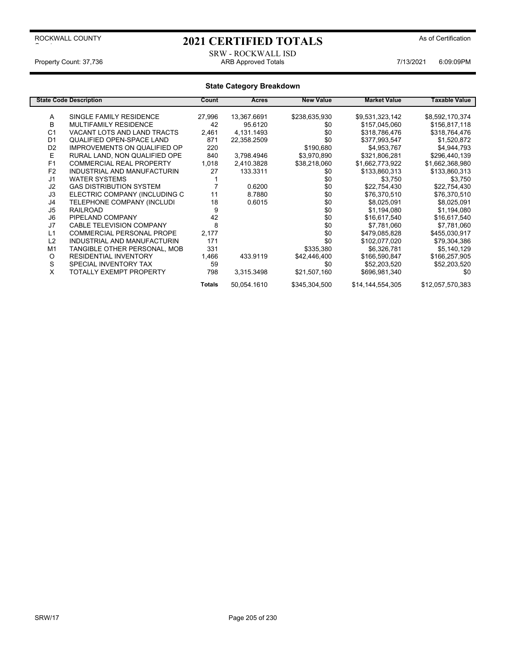# 2021 CERTIFIED TOTALS As of Certification

### SRW - ROCKWALL ISD<br>ARB Approved Totals Property Count: 37,736 **ARB Approved Totals** ARB Approved Totals 7/13/2021 6:09:09PM

|                | <b>State Code Description</b>       | Count  | Acres       | <b>New Value</b> | <b>Market Value</b> | Taxable Value    |
|----------------|-------------------------------------|--------|-------------|------------------|---------------------|------------------|
|                |                                     |        |             |                  |                     |                  |
| Α              | SINGLE FAMILY RESIDENCE             | 27,996 | 13,367.6691 | \$238,635,930    | \$9,531,323,142     | \$8,592,170,374  |
| B              | <b>MULTIFAMILY RESIDENCE</b>        | 42     | 95.6120     | \$0              | \$157,045,060       | \$156,817,118    |
| C <sub>1</sub> | VACANT LOTS AND LAND TRACTS         | 2,461  | 4,131.1493  | \$0              | \$318,786,476       | \$318,764,476    |
| D <sub>1</sub> | QUALIFIED OPEN-SPACE LAND           | 871    | 22,358.2509 | \$0              | \$377,993,547       | \$1,520,872      |
| D <sub>2</sub> | <b>IMPROVEMENTS ON QUALIFIED OP</b> | 220    |             | \$190,680        | \$4,953,767         | \$4,944,793      |
| E              | RURAL LAND, NON QUALIFIED OPE       | 840    | 3.798.4946  | \$3,970,890      | \$321,806,281       | \$296,440,139    |
| F <sub>1</sub> | <b>COMMERCIAL REAL PROPERTY</b>     | 1,018  | 2,410.3828  | \$38,218,060     | \$1,662,773,922     | \$1,662,368,980  |
| F <sub>2</sub> | INDUSTRIAL AND MANUFACTURIN         | 27     | 133.3311    | \$0              | \$133,860,313       | \$133,860,313    |
| J <sub>1</sub> | <b>WATER SYSTEMS</b>                |        |             | \$0              | \$3,750             | \$3,750          |
| J2             | <b>GAS DISTRIBUTION SYSTEM</b>      |        | 0.6200      | \$0              | \$22,754,430        | \$22,754,430     |
| J3             | ELECTRIC COMPANY (INCLUDING C       | 11     | 8.7880      | \$0              | \$76,370,510        | \$76,370,510     |
| J4             | TELEPHONE COMPANY (INCLUDI          | 18     | 0.6015      | \$0              | \$8,025,091         | \$8,025,091      |
| J5             | <b>RAILROAD</b>                     | 9      |             | \$0              | \$1,194,080         | \$1,194,080      |
| J <sub>6</sub> | PIPELAND COMPANY                    | 42     |             | \$0              | \$16,617,540        | \$16,617,540     |
| J7             | <b>CABLE TELEVISION COMPANY</b>     | 8      |             | \$0              | \$7,781,060         | \$7,781,060      |
| L1             | <b>COMMERCIAL PERSONAL PROPE</b>    | 2,177  |             | \$0              | \$479,085,828       | \$455,030,917    |
| L2             | INDUSTRIAL AND MANUFACTURIN         | 171    |             | \$0              | \$102,077,020       | \$79,304,386     |
| M1             | TANGIBLE OTHER PERSONAL, MOB        | 331    |             | \$335,380        | \$6,326,781         | \$5,140,129      |
| O              | <b>RESIDENTIAL INVENTORY</b>        | 1,466  | 433.9119    | \$42,446,400     | \$166,590,847       | \$166,257,905    |
| S              | SPECIAL INVENTORY TAX               | 59     |             | \$0              | \$52,203,520        | \$52,203,520     |
| X              | TOTALLY EXEMPT PROPERTY             | 798    | 3,315.3498  | \$21,507,160     | \$696,981,340       | \$0              |
|                |                                     | Totals | 50,054.1610 | \$345,304,500    | \$14,144,554,305    | \$12,057,570,383 |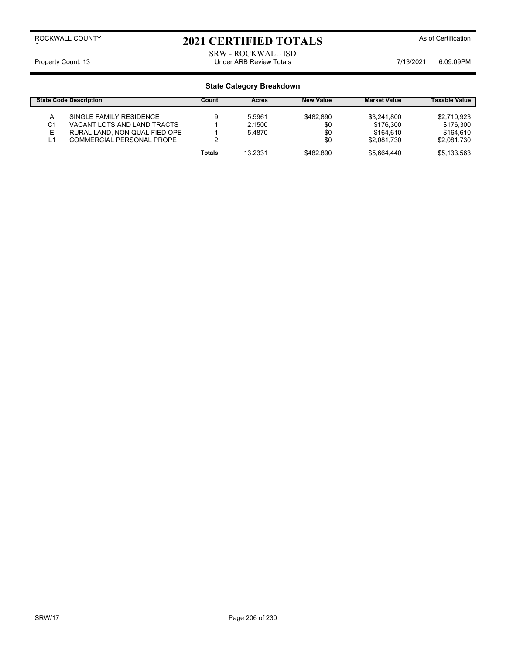# 2021 CERTIFIED TOTALS As of Certification

SRW - ROCKWALL ISD Property Count: 13 **Property Count: 13** COUNTER TOTAL STATE Review Totals **Property Count: 13** COSCOPM

|         | <b>State Code Description</b>                              | Count  | <b>Acres</b>     | <b>New Value</b> | <b>Market Value</b>      | <b>Taxable Value</b>     |
|---------|------------------------------------------------------------|--------|------------------|------------------|--------------------------|--------------------------|
| A<br>C1 | SINGLE FAMILY RESIDENCE<br>VACANT LOTS AND LAND TRACTS     |        | 5.5961<br>2.1500 | \$482.890<br>\$0 | \$3.241.800<br>\$176.300 | \$2,710,923<br>\$176.300 |
| Е<br>L1 | RURAL LAND, NON QUALIFIED OPE<br>COMMERCIAL PERSONAL PROPE | っ      | 5.4870           | \$0<br>\$0       | \$164.610<br>\$2.081.730 | \$164.610<br>\$2.081.730 |
|         |                                                            | Totals | 13.2331          | \$482.890        | \$5,664,440              | \$5,133,563              |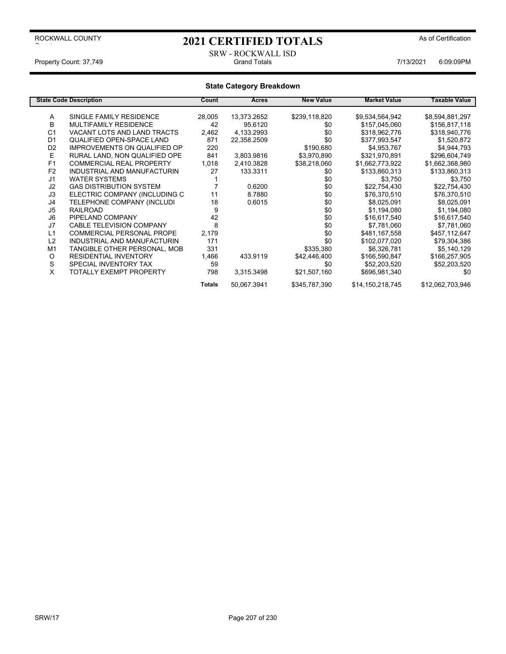# 2021 CERTIFIED TOTALS As of Certification

### SRW - ROCKWALL ISD Property Count: 37,749 **Fig. 2018** Grand Totals **Count: 37,749** Grand Totals **7/13/2021** 6:09:09PM

|                | <b>State Code Description</b>       | Count         | Acres       | <b>New Value</b> | <b>Market Value</b> | Taxable Value    |
|----------------|-------------------------------------|---------------|-------------|------------------|---------------------|------------------|
|                |                                     |               |             |                  |                     |                  |
| Α              | SINGLE FAMILY RESIDENCE             | 28,005        | 13,373.2652 | \$239,118,820    | \$9,534,564,942     | \$8,594,881,297  |
| B              | MULTIFAMILY RESIDENCE               | 42            | 95.6120     | \$0              | \$157,045,060       | \$156,817,118    |
| C <sub>1</sub> | VACANT LOTS AND LAND TRACTS         | 2,462         | 4,133.2993  | \$0              | \$318,962,776       | \$318,940,776    |
| D <sub>1</sub> | QUALIFIED OPEN-SPACE LAND           | 871           | 22,358.2509 | \$0              | \$377,993,547       | \$1,520,872      |
| D <sub>2</sub> | <b>IMPROVEMENTS ON QUALIFIED OP</b> | 220           |             | \$190,680        | \$4,953,767         | \$4,944,793      |
| Е              | RURAL LAND, NON QUALIFIED OPE       | 841           | 3,803.9816  | \$3,970,890      | \$321,970,891       | \$296,604,749    |
| F <sub>1</sub> | <b>COMMERCIAL REAL PROPERTY</b>     | 1,018         | 2,410.3828  | \$38,218,060     | \$1,662,773,922     | \$1,662,368,980  |
| F <sub>2</sub> | INDUSTRIAL AND MANUFACTURIN         | 27            | 133.3311    | \$0              | \$133,860,313       | \$133,860,313    |
| J <sub>1</sub> | <b>WATER SYSTEMS</b>                |               |             | \$0              | \$3,750             | \$3,750          |
| J2             | <b>GAS DISTRIBUTION SYSTEM</b>      |               | 0.6200      | \$0              | \$22,754,430        | \$22,754,430     |
| J3             | ELECTRIC COMPANY (INCLUDING C       | 11            | 8.7880      | \$0              | \$76,370,510        | \$76,370,510     |
| J4             | TELEPHONE COMPANY (INCLUDI          | 18            | 0.6015      | \$0              | \$8,025,091         | \$8,025,091      |
| J5             | <b>RAILROAD</b>                     | 9             |             | \$0              | \$1,194,080         | \$1,194,080      |
| J6             | PIPELAND COMPANY                    | 42            |             | \$0              | \$16,617,540        | \$16,617,540     |
| J7             | <b>CABLE TELEVISION COMPANY</b>     | 8             |             | \$0              | \$7,781,060         | \$7,781,060      |
| L1             | <b>COMMERCIAL PERSONAL PROPE</b>    | 2,179         |             | \$0              | \$481,167,558       | \$457,112,647    |
| L2             | INDUSTRIAL AND MANUFACTURIN         | 171           |             | \$0              | \$102,077,020       | \$79,304,386     |
| M <sub>1</sub> | TANGIBLE OTHER PERSONAL, MOB        | 331           |             | \$335,380        | \$6,326,781         | \$5,140,129      |
| O              | <b>RESIDENTIAL INVENTORY</b>        | 1,466         | 433.9119    | \$42,446,400     | \$166,590,847       | \$166,257,905    |
| S              | SPECIAL INVENTORY TAX               | 59            |             | \$0              | \$52,203,520        | \$52,203,520     |
| X              | TOTALLY EXEMPT PROPERTY             | 798           | 3,315.3498  | \$21,507,160     | \$696,981,340       | \$0              |
|                |                                     | <b>Totals</b> | 50,067.3941 | \$345,787,390    | \$14,150,218,745    | \$12,062,703,946 |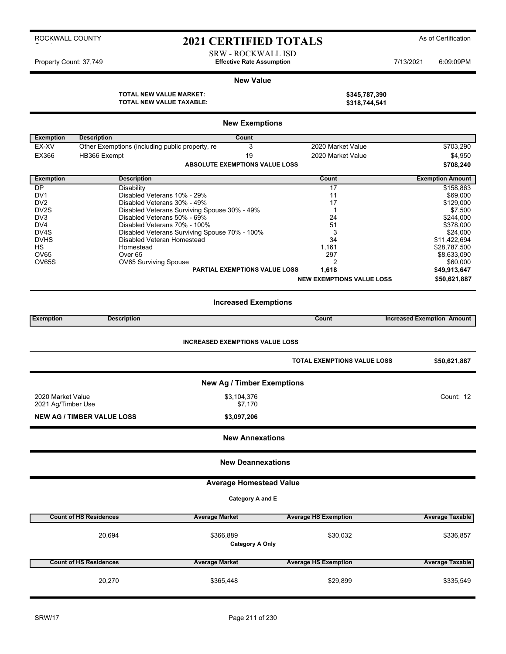# 2021 CERTIFIED TOTALS As of Certification

SRW - ROCKWALL ISD Property Count: 37,749 **Effective Rate Assumption Effective Rate Assumption** 7/13/2021 6:09:09PM

#### **New Value**

**TOTAL NEW VALUE MARKET: \$345,787,390 TOTAL NEW VALUE TAXABLE: \$318,744,541**

|  | <b>TOTAL NEW VALUE MARKET:</b>  |
|--|---------------------------------|
|  | <b>TOTAL NEW VALUE TAXABLE:</b> |

| <b>New Exemptions</b> |                                                 |                                               |                                    |                                   |  |  |
|-----------------------|-------------------------------------------------|-----------------------------------------------|------------------------------------|-----------------------------------|--|--|
| <b>Exemption</b>      | <b>Description</b>                              | Count                                         |                                    |                                   |  |  |
| EX-XV                 | Other Exemptions (including public property, re | 3                                             | 2020 Market Value                  | \$703,290                         |  |  |
| EX366                 | HB366 Exempt                                    | 19                                            | 2020 Market Value                  | \$4,950                           |  |  |
|                       |                                                 | <b>ABSOLUTE EXEMPTIONS VALUE LOSS</b>         |                                    | \$708,240                         |  |  |
|                       |                                                 |                                               |                                    |                                   |  |  |
| <b>Exemption</b>      | <b>Description</b>                              |                                               | Count                              | <b>Exemption Amount</b>           |  |  |
| $\overline{DP}$       | Disability                                      |                                               | 17                                 | \$158,863                         |  |  |
| DV <sub>1</sub>       | Disabled Veterans 10% - 29%                     |                                               | 11                                 | \$69,000                          |  |  |
| DV <sub>2</sub>       | Disabled Veterans 30% - 49%                     |                                               | 17                                 | \$129,000                         |  |  |
| DV <sub>2</sub> S     |                                                 | Disabled Veterans Surviving Spouse 30% - 49%  | 1                                  | \$7,500                           |  |  |
| DV <sub>3</sub>       | Disabled Veterans 50% - 69%                     |                                               | 24                                 | \$244,000                         |  |  |
| DV4                   | Disabled Veterans 70% - 100%                    |                                               | 51                                 | \$378,000                         |  |  |
| DV <sub>4</sub> S     |                                                 | Disabled Veterans Surviving Spouse 70% - 100% | 3                                  | \$24,000                          |  |  |
| <b>DVHS</b>           | Disabled Veteran Homestead                      |                                               | 34                                 | \$11,422,694                      |  |  |
| НS                    | Homestead                                       |                                               | 1,161                              | \$28,787,500                      |  |  |
| OV65                  | Over <sub>65</sub>                              |                                               | 297                                | \$8,633,090                       |  |  |
| OV65S                 | OV65 Surviving Spouse                           | <b>PARTIAL EXEMPTIONS VALUE LOSS</b>          | 2                                  | \$60,000                          |  |  |
|                       |                                                 |                                               | 1,618                              | \$49,913,647                      |  |  |
|                       |                                                 |                                               | <b>NEW EXEMPTIONS VALUE LOSS</b>   | \$50,621,887                      |  |  |
|                       |                                                 | <b>Increased Exemptions</b>                   |                                    |                                   |  |  |
| <b>Exemption</b>      | <b>Description</b>                              |                                               | Count                              | <b>Increased Exemption Amount</b> |  |  |
|                       |                                                 | <b>INCREASED EXEMPTIONS VALUE LOSS</b>        | <b>TOTAL EXEMPTIONS VALUE LOSS</b> | \$50,621,887                      |  |  |
|                       |                                                 | <b>New Ag / Timber Exemptions</b>             |                                    |                                   |  |  |
| 2020 Market Value     |                                                 | \$3,104,376                                   |                                    | Count: 12                         |  |  |
| 2021 Ag/Timber Use    |                                                 | \$7,170                                       |                                    |                                   |  |  |
|                       |                                                 |                                               |                                    |                                   |  |  |
|                       | <b>NEW AG / TIMBER VALUE LOSS</b>               | \$3,097,206                                   |                                    |                                   |  |  |
|                       |                                                 | <b>New Annexations</b>                        |                                    |                                   |  |  |
|                       |                                                 | <b>New Deannexations</b>                      |                                    |                                   |  |  |
|                       |                                                 | <b>Average Homestead Value</b>                |                                    |                                   |  |  |
|                       |                                                 | Category A and E                              |                                    |                                   |  |  |
|                       |                                                 |                                               |                                    |                                   |  |  |
|                       | <b>Count of HS Residences</b>                   | <b>Average Market</b>                         | <b>Average HS Exemption</b>        | <b>Average Taxable</b>            |  |  |
|                       | 20,694                                          | \$366,889<br><b>Category A Only</b>           | \$30,032                           | \$336,857                         |  |  |
|                       | <b>Count of HS Residences</b>                   | <b>Average Market</b>                         | <b>Average HS Exemption</b>        | <b>Average Taxable</b>            |  |  |
|                       | 20,270                                          | \$365,448                                     | \$29,899                           | \$335,549                         |  |  |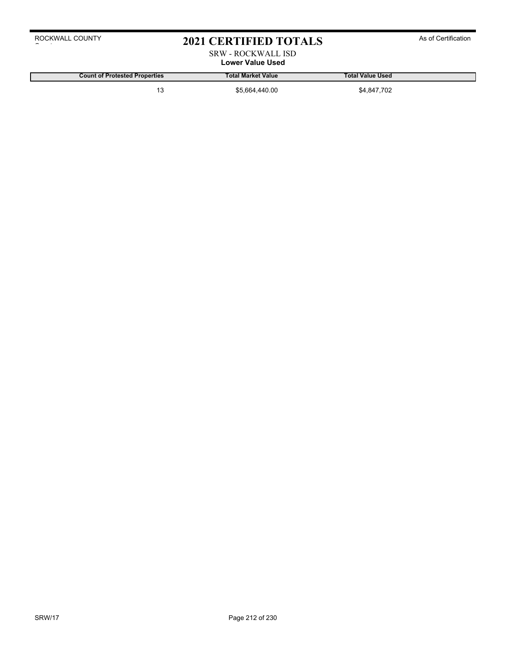# 2021 CERTIFIED TOTALS As of Certification

### SRW - ROCKWALL ISD **Lower Value Used**

**Count of Protested Properties Total Market Value Total Value Used**

13 \$5,664,440.00 \$4,847,702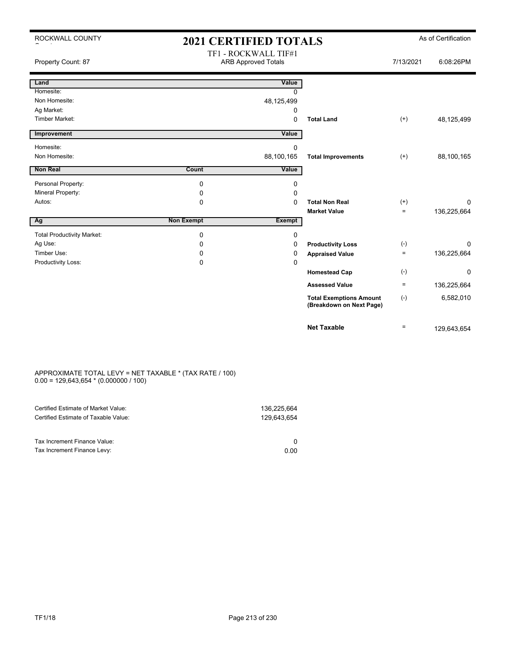| ROCKWALL COUNTY                   | <b>2021 CERTIFIED TOTALS</b> |                                                    |                                                            |           | As of Certification |
|-----------------------------------|------------------------------|----------------------------------------------------|------------------------------------------------------------|-----------|---------------------|
| Property Count: 87                |                              | TF1 - ROCKWALL TIF#1<br><b>ARB Approved Totals</b> |                                                            | 7/13/2021 | 6:08:26PM           |
| Land                              |                              | Value                                              |                                                            |           |                     |
| Homesite:                         |                              | $\Omega$                                           |                                                            |           |                     |
| Non Homesite:                     |                              | 48,125,499                                         |                                                            |           |                     |
| Ag Market:                        |                              | 0                                                  |                                                            |           |                     |
| Timber Market:                    |                              | $\mathbf 0$                                        | <b>Total Land</b>                                          | $(+)$     | 48,125,499          |
| Improvement                       |                              | Value                                              |                                                            |           |                     |
| Homesite:                         |                              | 0                                                  |                                                            |           |                     |
| Non Homesite:                     |                              | 88,100,165                                         | <b>Total Improvements</b>                                  | $^{(+)}$  | 88,100,165          |
| <b>Non Real</b>                   | <b>Count</b>                 | Value                                              |                                                            |           |                     |
| Personal Property:                | $\mathbf 0$                  | 0                                                  |                                                            |           |                     |
| Mineral Property:                 | 0                            | 0                                                  |                                                            |           |                     |
| Autos:                            | $\Omega$                     | $\Omega$                                           | <b>Total Non Real</b>                                      | $^{(+)}$  | 0                   |
|                                   |                              |                                                    | <b>Market Value</b>                                        | $=$       | 136,225,664         |
| Ag                                | <b>Non Exempt</b>            | <b>Exempt</b>                                      |                                                            |           |                     |
| <b>Total Productivity Market:</b> | $\mathbf 0$                  | $\mathbf 0$                                        |                                                            |           |                     |
| Ag Use:                           | 0                            | 0                                                  | <b>Productivity Loss</b>                                   | $(-)$     | $\Omega$            |
| Timber Use:                       | 0                            | 0                                                  | <b>Appraised Value</b>                                     | $\equiv$  | 136,225,664         |
| Productivity Loss:                | 0                            | $\Omega$                                           |                                                            |           |                     |
|                                   |                              |                                                    | <b>Homestead Cap</b>                                       | $(-)$     | 0                   |
|                                   |                              |                                                    | <b>Assessed Value</b>                                      | $=$       | 136,225,664         |
|                                   |                              |                                                    | <b>Total Exemptions Amount</b><br>(Breakdown on Next Page) | $(-)$     | 6,582,010           |
|                                   |                              |                                                    | <b>Net Taxable</b>                                         | $=$       | 129,643,654         |

#### APPROXIMATE TOTAL LEVY = NET TAXABLE \* (TAX RATE / 100) 0.00 = 129,643,654 \* (0.000000 / 100)

| 0.00 |
|------|
|      |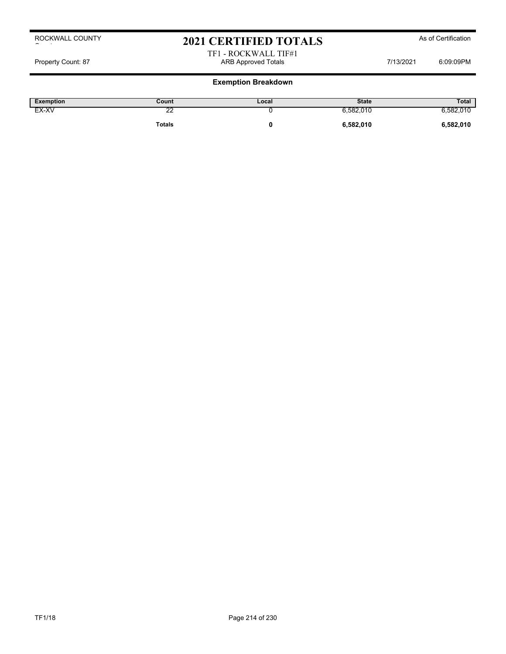# 2021 CERTIFIED TOTALS As of Certification

TF1 - ROCKWALL TIF#1 Property Count: 87 ARB Approved Totals 7/13/2021 6:09:09PM ARB Approved Totals 7/13/2021 6:09:09PM

| <b>Exemption</b> | Count         | Local | <b>State</b> | Total     |
|------------------|---------------|-------|--------------|-----------|
| EX-XV            | c<br>∠∠       |       | 6,582,010    | 6,582,010 |
|                  | <b>Totals</b> |       | 6,582,010    | 6,582,010 |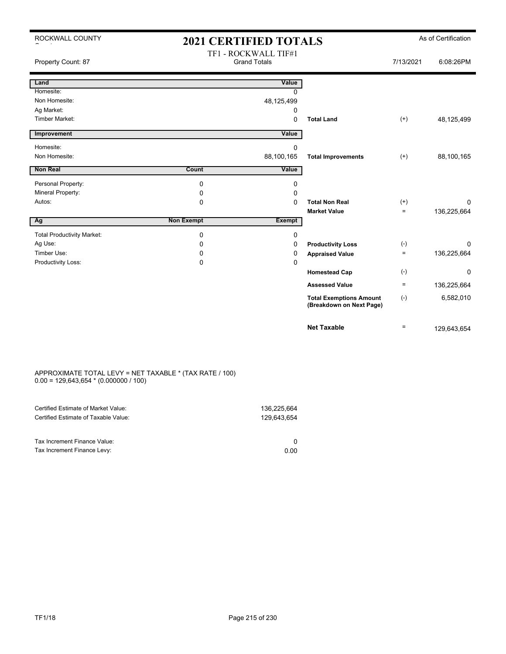| ROCKWALL COUNTY                   | <b>2021 CERTIFIED TOTALS</b> |                                             |                                                            | As of Certification |             |  |
|-----------------------------------|------------------------------|---------------------------------------------|------------------------------------------------------------|---------------------|-------------|--|
| Property Count: 87                |                              | TF1 - ROCKWALL TIF#1<br><b>Grand Totals</b> |                                                            | 7/13/2021           | 6:08:26PM   |  |
| Land                              |                              | Value                                       |                                                            |                     |             |  |
| Homesite:                         |                              | <sup>0</sup>                                |                                                            |                     |             |  |
| Non Homesite:                     |                              | 48,125,499                                  |                                                            |                     |             |  |
| Ag Market:                        |                              | 0                                           |                                                            |                     |             |  |
| <b>Timber Market:</b>             |                              | 0                                           | <b>Total Land</b>                                          | $(+)$               | 48,125,499  |  |
| Improvement                       |                              | Value                                       |                                                            |                     |             |  |
| Homesite:                         |                              | 0                                           |                                                            |                     |             |  |
| Non Homesite:                     |                              | 88,100,165                                  | <b>Total Improvements</b>                                  | $(+)$               | 88,100,165  |  |
| <b>Non Real</b>                   | Count                        | Value                                       |                                                            |                     |             |  |
| Personal Property:                | 0                            | 0                                           |                                                            |                     |             |  |
| Mineral Property:                 | 0                            | 0                                           |                                                            |                     |             |  |
| Autos:                            | 0                            | 0                                           | <b>Total Non Real</b>                                      | $^{(+)}$            | $\Omega$    |  |
|                                   |                              |                                             | <b>Market Value</b>                                        | $=$                 | 136,225,664 |  |
| Ag                                | <b>Non Exempt</b>            | <b>Exempt</b>                               |                                                            |                     |             |  |
| <b>Total Productivity Market:</b> | 0                            | 0                                           |                                                            |                     |             |  |
| Ag Use:                           | 0                            | 0                                           | <b>Productivity Loss</b>                                   | $(-)$               | $\Omega$    |  |
| Timber Use:                       | 0                            | 0                                           | <b>Appraised Value</b>                                     | $\equiv$            | 136,225,664 |  |
| Productivity Loss:                | 0                            | 0                                           |                                                            |                     |             |  |
|                                   |                              |                                             | <b>Homestead Cap</b>                                       | $(-)$               | 0           |  |
|                                   |                              |                                             | <b>Assessed Value</b>                                      | $=$                 | 136,225,664 |  |
|                                   |                              |                                             | <b>Total Exemptions Amount</b><br>(Breakdown on Next Page) | $(-)$               | 6,582,010   |  |
|                                   |                              |                                             | <b>Net Taxable</b>                                         | $=$                 | 129,643,654 |  |

#### APPROXIMATE TOTAL LEVY = NET TAXABLE \* (TAX RATE / 100) 0.00 = 129,643,654 \* (0.000000 / 100)

| Certified Estimate of Market Value:                         | 136,225,664 |
|-------------------------------------------------------------|-------------|
| Certified Estimate of Taxable Value:                        | 129.643.654 |
| Tax Increment Finance Value:<br>Tax Increment Finance Levy: | 0.00        |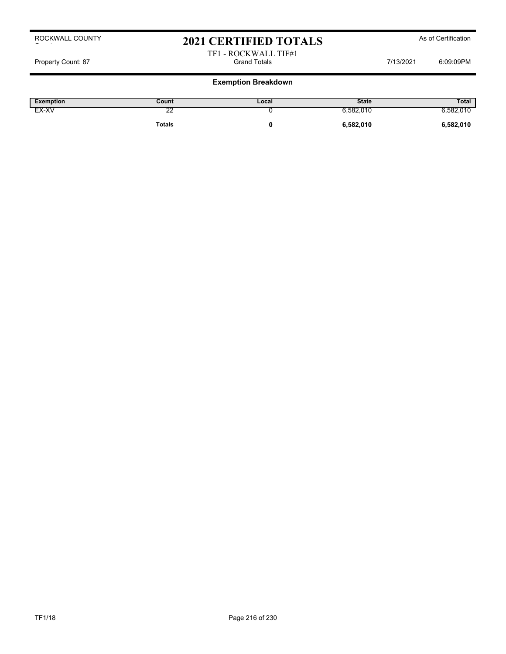# 2021 CERTIFIED TOTALS As of Certification

#### TF1 - ROCKWALL TIF#1 Property Count: 87 Grand Totals 7/13/2021 6:09:09PM

| Exemption | Count   | Local | <b>State</b> | Total     |
|-----------|---------|-------|--------------|-----------|
| EX-XV     | ç<br>-- |       | 582,010 ن    | 3.582.010 |
|           | Totals  |       | 6,582,010    | 6,582,010 |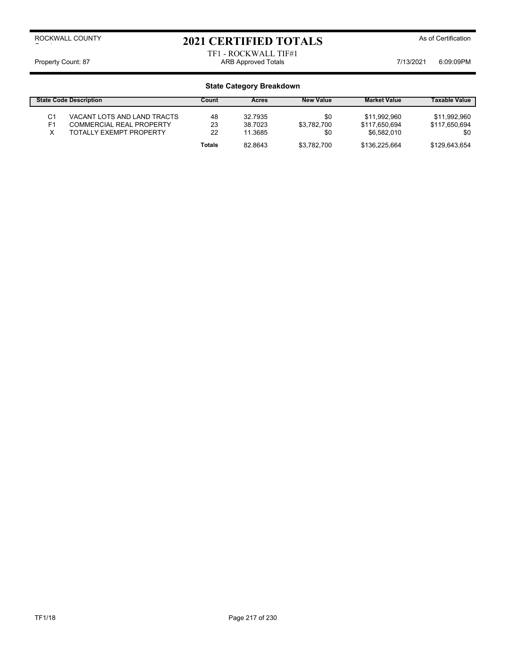# 2021 CERTIFIED TOTALS As of Certification

TF1 - ROCKWALL TIF#1 Property Count: 87 ARB Approved Totals 7/13/2021 6:09:09PM

|                | <b>State Code Description</b>   | Count  | Acres   | <b>New Value</b> | <b>Market Value</b> | <b>Taxable Value</b> |
|----------------|---------------------------------|--------|---------|------------------|---------------------|----------------------|
| C1             | VACANT LOTS AND LAND TRACTS     | 48     | 32.7935 | \$0              | \$11,992,960        | \$11,992,960         |
| F <sub>1</sub> | <b>COMMERCIAL REAL PROPERTY</b> | 23     | 38.7023 | \$3.782.700      | \$117,650,694       | \$117,650,694        |
| v              | TOTALLY EXEMPT PROPERTY         | 22     | 11.3685 | \$0              | \$6.582,010         | \$0                  |
|                |                                 | Totals | 82.8643 | \$3.782.700      | \$136,225,664       | \$129.643.654        |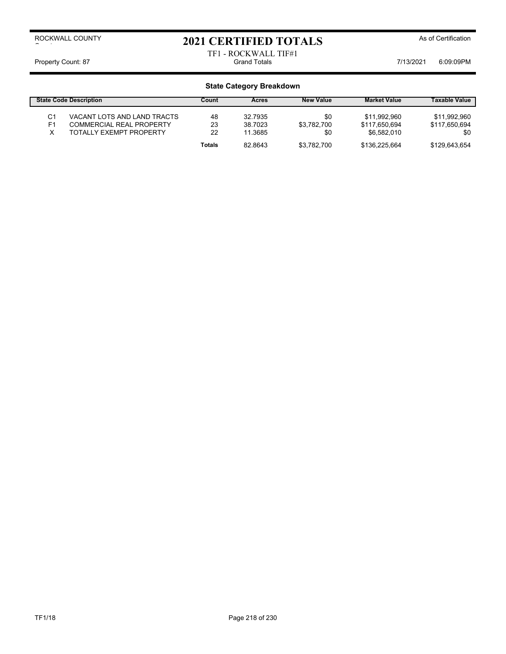# 2021 CERTIFIED TOTALS As of Certification

TF1 - ROCKWALL TIF#1 Property Count: 87 Grand Totals 7/13/2021 6:09:09PM

|                | <b>State Code Description</b>   | Count  | <b>Acres</b> | <b>New Value</b> | <b>Market Value</b> | <b>Taxable Value</b> |
|----------------|---------------------------------|--------|--------------|------------------|---------------------|----------------------|
| C1             | VACANT LOTS AND LAND TRACTS     | 48     | 32.7935      | \$0              | \$11,992,960        | \$11,992,960         |
| F <sub>1</sub> | <b>COMMERCIAL REAL PROPERTY</b> | 23     | 38.7023      | \$3.782.700      | \$117.650.694       | \$117,650,694        |
|                | <b>TOTALLY EXEMPT PROPERTY</b>  | 22     | 11.3685      | \$0              | \$6.582.010         | \$0                  |
|                |                                 | Totals | 82.8643      | \$3.782.700      | \$136,225,664       | \$129.643.654        |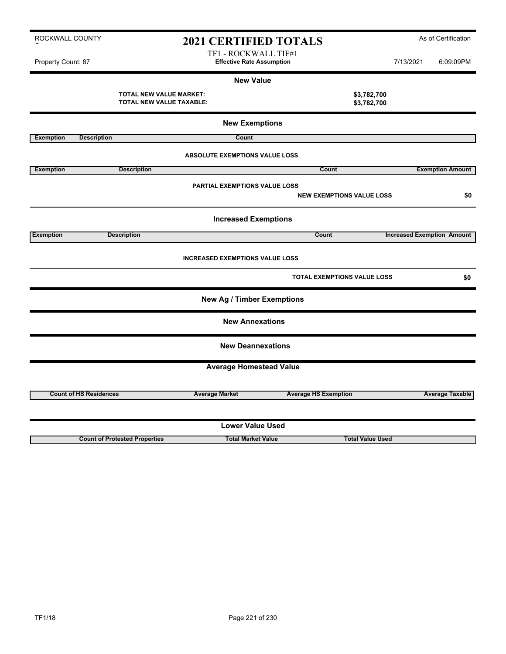| ROCKWALL COUNTY    |                                                            | <b>2021 CERTIFIED TOTALS</b>                             |                             |                                    |           | As of Certification               |
|--------------------|------------------------------------------------------------|----------------------------------------------------------|-----------------------------|------------------------------------|-----------|-----------------------------------|
| Property Count: 87 |                                                            | TF1 - ROCKWALL TIF#1<br><b>Effective Rate Assumption</b> |                             |                                    | 7/13/2021 | 6:09:09PM                         |
|                    |                                                            | <b>New Value</b>                                         |                             |                                    |           |                                   |
|                    | <b>TOTAL NEW VALUE MARKET:</b><br>TOTAL NEW VALUE TAXABLE: |                                                          |                             | \$3,782,700<br>\$3,782,700         |           |                                   |
|                    |                                                            | <b>New Exemptions</b>                                    |                             |                                    |           |                                   |
| <b>Exemption</b>   | <b>Description</b>                                         | Count                                                    |                             |                                    |           |                                   |
|                    |                                                            | <b>ABSOLUTE EXEMPTIONS VALUE LOSS</b>                    |                             |                                    |           |                                   |
| <b>Exemption</b>   | <b>Description</b>                                         |                                                          | <b>Count</b>                |                                    |           | <b>Exemption Amount</b>           |
|                    |                                                            | <b>PARTIAL EXEMPTIONS VALUE LOSS</b>                     |                             | <b>NEW EXEMPTIONS VALUE LOSS</b>   |           | \$0                               |
|                    |                                                            | <b>Increased Exemptions</b>                              |                             |                                    |           |                                   |
| <b>Exemption</b>   | <b>Description</b>                                         |                                                          | Count                       |                                    |           | <b>Increased Exemption Amount</b> |
|                    |                                                            | <b>INCREASED EXEMPTIONS VALUE LOSS</b>                   |                             |                                    |           |                                   |
|                    |                                                            |                                                          |                             | <b>TOTAL EXEMPTIONS VALUE LOSS</b> |           | \$0                               |
|                    |                                                            | <b>New Ag / Timber Exemptions</b>                        |                             |                                    |           |                                   |
|                    |                                                            | <b>New Annexations</b>                                   |                             |                                    |           |                                   |
|                    |                                                            | <b>New Deannexations</b>                                 |                             |                                    |           |                                   |
|                    |                                                            | <b>Average Homestead Value</b>                           |                             |                                    |           |                                   |
|                    |                                                            |                                                          |                             |                                    |           |                                   |
|                    | <b>Count of HS Residences</b>                              | <b>Average Market</b>                                    | <b>Average HS Exemption</b> |                                    |           | <b>Average Taxable</b>            |
|                    |                                                            | <b>Lower Value Used</b>                                  |                             |                                    |           |                                   |
|                    | <b>Count of Protested Properties</b>                       | <b>Total Market Value</b>                                |                             | <b>Total Value Used</b>            |           |                                   |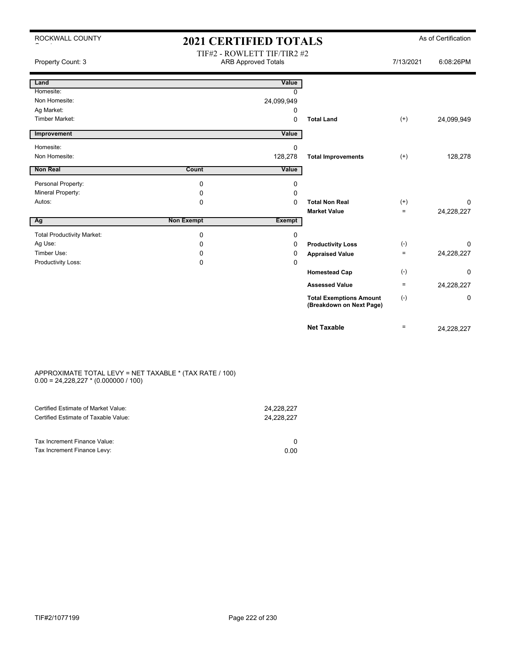| ROCKWALL COUNTY                   | <b>2021 CERTIFIED TOTALS</b> |                                                           |                                                            |                   | As of Certification |
|-----------------------------------|------------------------------|-----------------------------------------------------------|------------------------------------------------------------|-------------------|---------------------|
| Property Count: 3                 |                              | TIF#2 - ROWLETT TIF/TIR2 #2<br><b>ARB Approved Totals</b> |                                                            | 7/13/2021         | 6:08:26PM           |
| Land                              |                              | Value                                                     |                                                            |                   |                     |
| Homesite:                         |                              | $\Omega$                                                  |                                                            |                   |                     |
| Non Homesite:                     |                              | 24,099,949                                                |                                                            |                   |                     |
| Ag Market:                        |                              | 0                                                         |                                                            |                   |                     |
| Timber Market:                    |                              | $\mathbf 0$                                               | <b>Total Land</b>                                          | $(+)$             | 24,099,949          |
| Improvement                       |                              | Value                                                     |                                                            |                   |                     |
| Homesite:                         |                              | $\mathbf 0$                                               |                                                            |                   |                     |
| Non Homesite:                     |                              | 128,278                                                   | <b>Total Improvements</b>                                  | $(+)$             | 128,278             |
| Non Real                          | Count                        | Value                                                     |                                                            |                   |                     |
| Personal Property:                | $\mathbf 0$                  | 0                                                         |                                                            |                   |                     |
| Mineral Property:                 | 0                            | 0                                                         |                                                            |                   |                     |
| Autos:                            | 0                            | $\Omega$                                                  | <b>Total Non Real</b>                                      | $^{(+)}$          | 0                   |
|                                   |                              |                                                           | <b>Market Value</b>                                        | $=$               | 24,228,227          |
| Ag                                | <b>Non Exempt</b>            | <b>Exempt</b>                                             |                                                            |                   |                     |
| <b>Total Productivity Market:</b> | 0                            | 0                                                         |                                                            |                   |                     |
| Ag Use:                           | $\Omega$                     | $\Omega$                                                  | <b>Productivity Loss</b>                                   | $(-)$             | $\Omega$            |
| Timber Use:                       | $\Omega$                     | 0                                                         | <b>Appraised Value</b>                                     | $\qquad \qquad =$ | 24,228,227          |
| Productivity Loss:                | $\Omega$                     | $\Omega$                                                  |                                                            |                   |                     |
|                                   |                              |                                                           | <b>Homestead Cap</b>                                       | $(-)$             | 0                   |
|                                   |                              |                                                           | <b>Assessed Value</b>                                      | $\equiv$          | 24,228,227          |
|                                   |                              |                                                           | <b>Total Exemptions Amount</b><br>(Breakdown on Next Page) | $(-)$             | 0                   |
|                                   |                              |                                                           | <b>Net Taxable</b>                                         | $=$               | 24,228,227          |

#### APPROXIMATE TOTAL LEVY = NET TAXABLE \* (TAX RATE / 100)  $0.00 = 24,228,227 * (0.000000 / 100)$

| Certified Estimate of Market Value:<br>Certified Estimate of Taxable Value: | 24,228,227<br>24.228.227 |
|-----------------------------------------------------------------------------|--------------------------|
| Tax Increment Finance Value:                                                |                          |
| Tax Increment Finance Levy:                                                 | 0.00                     |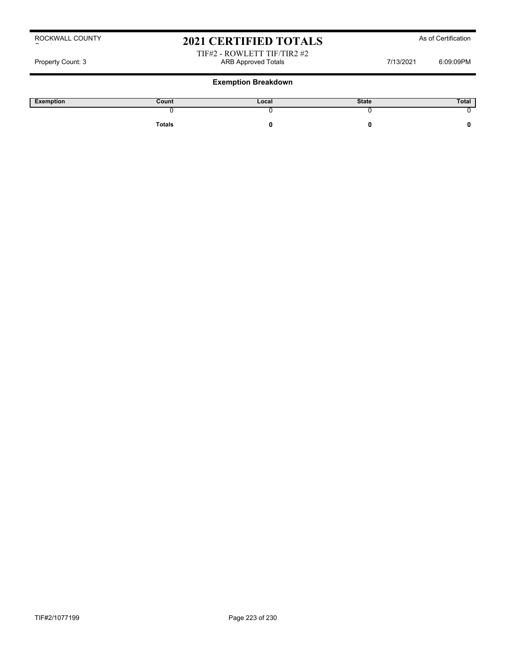# 2021 CERTIFIED TOTALS As of Certification

TIF#2 - ROWLETT TIF/TIR2 #2 Property Count: 3 **ARB Approved Totals ARB Approved Totals** 7/13/2021 6:09:09PM

| Exemption | Count  | Local | <b>State</b> | Total |
|-----------|--------|-------|--------------|-------|
|           |        |       |              |       |
|           | Totals |       |              |       |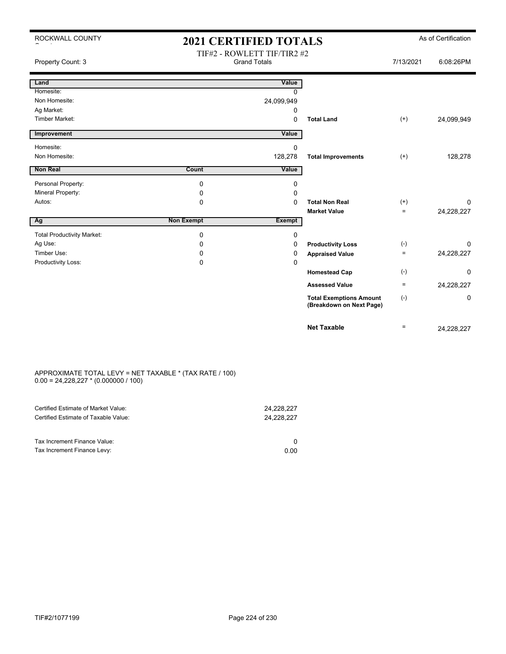| ROCKWALL COUNTY                   | <b>2021 CERTIFIED TOTALS</b> |                                                    |                                                            | As of Certification |             |
|-----------------------------------|------------------------------|----------------------------------------------------|------------------------------------------------------------|---------------------|-------------|
| Property Count: 3                 |                              | TIF#2 - ROWLETT TIF/TIR2 #2<br><b>Grand Totals</b> |                                                            | 7/13/2021           | 6:08:26PM   |
| Land                              |                              | Value                                              |                                                            |                     |             |
| Homesite:                         |                              | 0                                                  |                                                            |                     |             |
| Non Homesite:                     |                              | 24,099,949                                         |                                                            |                     |             |
| Ag Market:                        |                              | 0                                                  |                                                            |                     |             |
| <b>Timber Market:</b>             |                              | $\Omega$                                           | <b>Total Land</b>                                          | $(+)$               | 24,099,949  |
| Improvement                       |                              | Value                                              |                                                            |                     |             |
| Homesite:                         |                              | 0                                                  |                                                            |                     |             |
| Non Homesite:                     |                              | 128,278                                            | <b>Total Improvements</b>                                  | $(+)$               | 128,278     |
| <b>Non Real</b>                   | Count                        | Value                                              |                                                            |                     |             |
| Personal Property:                | 0                            | 0                                                  |                                                            |                     |             |
| Mineral Property:                 | 0                            | 0                                                  |                                                            |                     |             |
| Autos:                            | 0                            | $\Omega$                                           | <b>Total Non Real</b>                                      | $(+)$               | $\mathbf 0$ |
|                                   |                              |                                                    | <b>Market Value</b>                                        | $=$                 | 24,228,227  |
| Ag                                | <b>Non Exempt</b>            | <b>Exempt</b>                                      |                                                            |                     |             |
| <b>Total Productivity Market:</b> | 0                            | 0                                                  |                                                            |                     |             |
| Ag Use:                           | 0                            | 0                                                  | <b>Productivity Loss</b>                                   | $(-)$               | 0           |
| Timber Use:                       | $\Omega$                     | 0                                                  | <b>Appraised Value</b>                                     | $=$                 | 24,228,227  |
| Productivity Loss:                | 0                            | $\Omega$                                           |                                                            |                     |             |
|                                   |                              |                                                    | <b>Homestead Cap</b>                                       | $(-)$               | $\Omega$    |
|                                   |                              |                                                    | <b>Assessed Value</b>                                      | $=$                 | 24,228,227  |
|                                   |                              |                                                    | <b>Total Exemptions Amount</b><br>(Breakdown on Next Page) | $(-)$               | 0           |
|                                   |                              |                                                    | <b>Net Taxable</b>                                         | $=$                 | 24.228.227  |

#### APPROXIMATE TOTAL LEVY = NET TAXABLE \* (TAX RATE / 100)  $0.00 = 24,228,227 * (0.000000 / 100)$

| Certified Estimate of Market Value:<br>Certified Estimate of Taxable Value: | 24,228,227<br>24,228,227 |
|-----------------------------------------------------------------------------|--------------------------|
| Tax Increment Finance Value:                                                |                          |
| Tax Increment Finance Levy:                                                 | 0.00                     |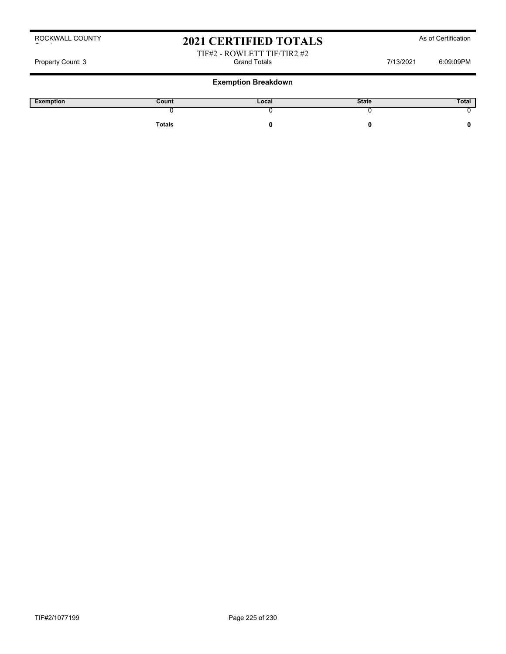# 2021 CERTIFIED TOTALS As of Certification

### TIF#2 - ROWLETT TIF/TIR2 #2<br>Grand Totals Property Count: 3 Crand Totals Grand Totals Count: 3 Count: 3 Count: 3 Count: 3 Count: 3 Count: 3 Count: 3 Count: 0

| Exemption | Count         | Local | <b>State</b> | Total |
|-----------|---------------|-------|--------------|-------|
|           |               |       |              |       |
|           | <b>Totals</b> |       |              |       |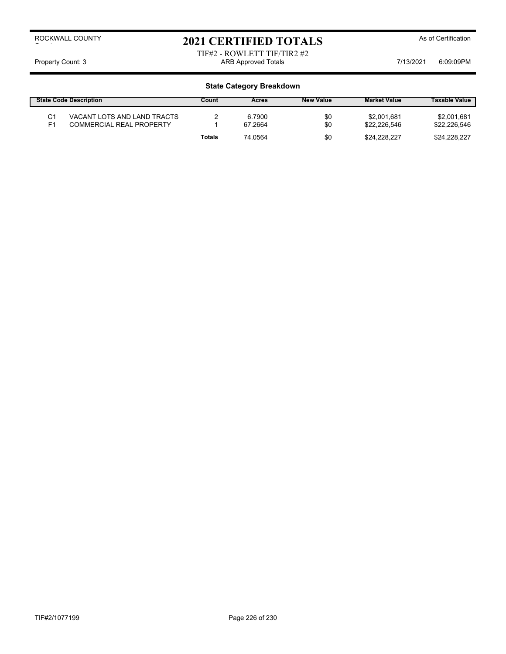# 2021 CERTIFIED TOTALS As of Certification

### TIF#2 - ROWLETT TIF/TIR2 #2 Property Count: 3 **ARB Approved Totals** ARB Approved Totals **7/13/2021** 6:09:09PM

| <b>State Code Description</b> |                                                                | Count         | Acres             | <b>New Value</b> | <b>Market Value</b>         | <b>Taxable Value</b>        |
|-------------------------------|----------------------------------------------------------------|---------------|-------------------|------------------|-----------------------------|-----------------------------|
| C1<br>F1                      | VACANT LOTS AND LAND TRACTS<br><b>COMMERCIAL REAL PROPERTY</b> |               | 6.7900<br>67.2664 | \$0<br>\$0       | \$2,001.681<br>\$22.226.546 | \$2,001,681<br>\$22,226,546 |
|                               |                                                                | <b>Totals</b> | 74.0564           | \$0              | \$24.228.227                | \$24.228.227                |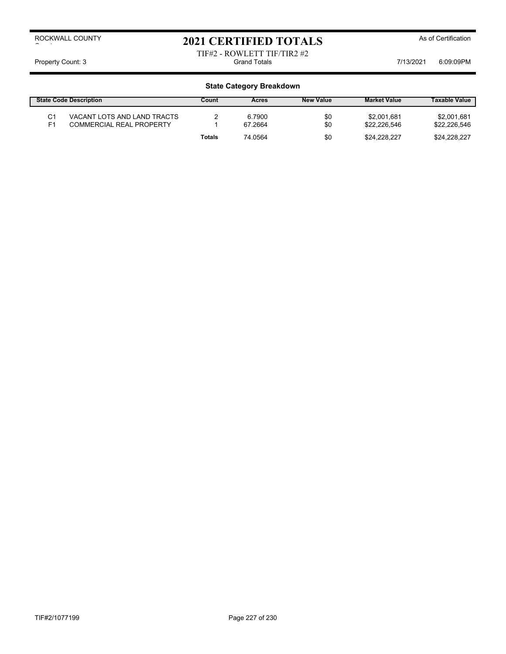# 2021 CERTIFIED TOTALS As of Certification

### TIF#2 - ROWLETT TIF/TIR2 #2<br>Grand Totals Property Count: 3 Crand Totals Grand Totals Count: 3 Crand Totals Count: 3 Count: 3 CO9:09PM

| <b>State Code Description</b> |                                                                | Count  | Acres             | <b>New Value</b> | <b>Market Value</b>         | <b>Taxable Value</b>        |
|-------------------------------|----------------------------------------------------------------|--------|-------------------|------------------|-----------------------------|-----------------------------|
| C1<br>F <sub>1</sub>          | VACANT LOTS AND LAND TRACTS<br><b>COMMERCIAL REAL PROPERTY</b> |        | 6.7900<br>67.2664 | \$0<br>\$0       | \$2,001.681<br>\$22.226.546 | \$2,001,681<br>\$22,226,546 |
|                               |                                                                | Totals | 74.0564           | \$0              | \$24.228.227                | \$24.228.227                |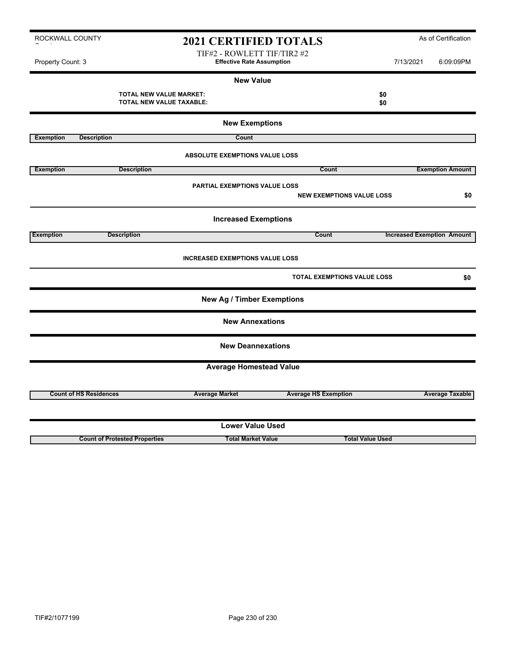TIF#2 - ROWLETT TIF/TIR2 #2 Property Count: 3 **Effective Rate Assumption Effective Rate Assumption** 7/13/2021 6:09:09PM

|                  |                                                            | <b>New Value</b>                       |                                    |                         |                                   |
|------------------|------------------------------------------------------------|----------------------------------------|------------------------------------|-------------------------|-----------------------------------|
|                  | TOTAL NEW VALUE MARKET:<br><b>TOTAL NEW VALUE TAXABLE:</b> |                                        |                                    | \$0<br>\$0              |                                   |
|                  |                                                            | <b>New Exemptions</b>                  |                                    |                         |                                   |
| <b>Exemption</b> | <b>Description</b>                                         | Count                                  |                                    |                         |                                   |
|                  |                                                            | ABSOLUTE EXEMPTIONS VALUE LOSS         |                                    |                         |                                   |
| <b>Exemption</b> | <b>Description</b>                                         |                                        | Count                              |                         | <b>Exemption Amount</b>           |
|                  |                                                            | <b>PARTIAL EXEMPTIONS VALUE LOSS</b>   | <b>NEW EXEMPTIONS VALUE LOSS</b>   |                         | \$0                               |
|                  |                                                            | <b>Increased Exemptions</b>            |                                    |                         |                                   |
| <b>Exemption</b> | <b>Description</b>                                         |                                        | Count                              |                         | <b>Increased Exemption Amount</b> |
|                  |                                                            | <b>INCREASED EXEMPTIONS VALUE LOSS</b> |                                    |                         |                                   |
|                  |                                                            |                                        | <b>TOTAL EXEMPTIONS VALUE LOSS</b> |                         | \$0                               |
|                  |                                                            | <b>New Ag / Timber Exemptions</b>      |                                    |                         |                                   |
|                  |                                                            | <b>New Annexations</b>                 |                                    |                         |                                   |
|                  |                                                            | <b>New Deannexations</b>               |                                    |                         |                                   |
|                  |                                                            | <b>Average Homestead Value</b>         |                                    |                         |                                   |
|                  |                                                            |                                        |                                    |                         |                                   |
|                  | <b>Count of HS Residences</b>                              | <b>Average Market</b>                  | <b>Average HS Exemption</b>        |                         | <b>Average Taxable</b>            |
|                  |                                                            | <b>Lower Value Used</b>                |                                    |                         |                                   |
|                  |                                                            |                                        |                                    |                         |                                   |
|                  | <b>Count of Protested Properties</b>                       | <b>Total Market Value</b>              |                                    | <b>Total Value Used</b> |                                   |

ROCKWALL COUNTY

 $\sim$  to the set of  $\sim$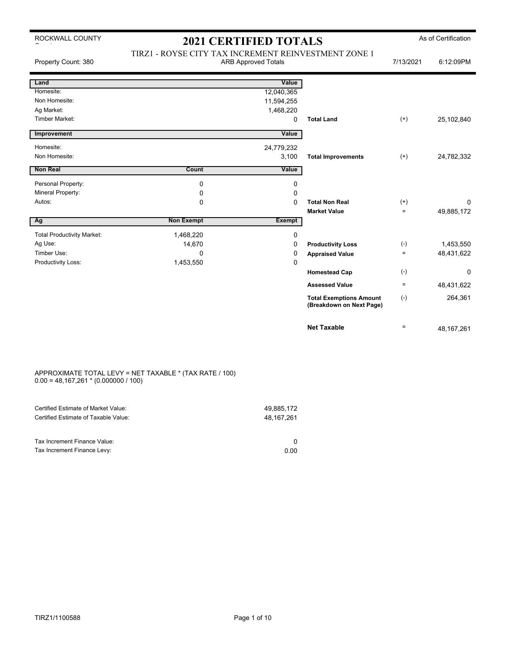| ROCKWALL COUNTY |
|-----------------|
|                 |

| Property Count: 380               |                   | TIRZ1 - ROYSE CITY TAX INCREMENT REINVESTMENT ZONE 1<br><b>ARB Approved Totals</b> |                                                            |          | 6:12:09PM    |
|-----------------------------------|-------------------|------------------------------------------------------------------------------------|------------------------------------------------------------|----------|--------------|
| Land                              |                   | Value                                                                              |                                                            |          |              |
| Homesite:                         |                   | 12,040,365                                                                         |                                                            |          |              |
| Non Homesite:                     |                   | 11,594,255                                                                         |                                                            |          |              |
| Ag Market:                        |                   | 1,468,220                                                                          |                                                            |          |              |
| Timber Market:                    |                   | 0                                                                                  | <b>Total Land</b>                                          | $^{(+)}$ | 25,102,840   |
| Improvement                       |                   | Value                                                                              |                                                            |          |              |
| Homesite:                         |                   | 24,779,232                                                                         |                                                            |          |              |
| Non Homesite:                     |                   | 3,100                                                                              | <b>Total Improvements</b>                                  | $(+)$    | 24,782,332   |
| <b>Non Real</b>                   | Count             | Value                                                                              |                                                            |          |              |
| Personal Property:                | 0                 | 0                                                                                  |                                                            |          |              |
| Mineral Property:                 | 0                 | $\Omega$                                                                           |                                                            |          |              |
| Autos:                            | 0                 | $\Omega$                                                                           | <b>Total Non Real</b>                                      | $^{(+)}$ | $\Omega$     |
|                                   |                   |                                                                                    | <b>Market Value</b>                                        | $=$      | 49,885,172   |
| Ag                                | <b>Non Exempt</b> | <b>Exempt</b>                                                                      |                                                            |          |              |
| <b>Total Productivity Market:</b> | 1,468,220         | 0                                                                                  |                                                            |          |              |
| Ag Use:                           | 14,670            | 0                                                                                  | <b>Productivity Loss</b>                                   | $(-)$    | 1,453,550    |
| Timber Use:                       | $\Omega$          | 0                                                                                  | <b>Appraised Value</b>                                     | $\equiv$ | 48,431,622   |
| Productivity Loss:                | 1,453,550         | 0                                                                                  |                                                            |          |              |
|                                   |                   |                                                                                    | <b>Homestead Cap</b>                                       | $(-)$    | 0            |
|                                   |                   |                                                                                    | <b>Assessed Value</b>                                      | $\equiv$ | 48,431,622   |
|                                   |                   |                                                                                    | <b>Total Exemptions Amount</b><br>(Breakdown on Next Page) | $(-)$    | 264,361      |
|                                   |                   |                                                                                    | <b>Net Taxable</b>                                         | $=$      | 48, 167, 261 |

### APPROXIMATE TOTAL LEVY = NET TAXABLE \* (TAX RATE / 100)  $0.00 = 48,167,261 * (0.000000 / 100)$

| Certified Estimate of Market Value:                         | 49.885.172 |
|-------------------------------------------------------------|------------|
| Certified Estimate of Taxable Value:                        | 48,167,261 |
| Tax Increment Finance Value:<br>Tax Increment Finance Levy: | 0.00       |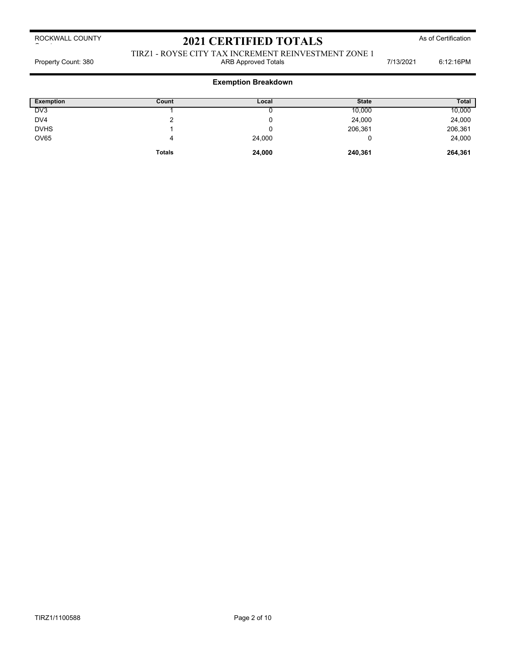ROCKWALL COUNTY  $\sim$  to the set of  $\sim$ 

# 2021 CERTIFIED TOTALS As of Certification

### TIRZ1 - ROYSE CITY TAX INCREMENT REINVESTMENT ZONE 1 Property Count: 380 **ARB Approved Totals ARB Approved Totals** 7/13/2021 6:12:16PM

## **Exemption Breakdown**

| <b>Exemption</b> | Count         | Local  | <b>State</b> | <b>Total</b> |
|------------------|---------------|--------|--------------|--------------|
| DV <sub>3</sub>  |               |        | 10,000       | 10,000       |
| DV4              | ົ             |        | 24,000       | 24,000       |
| <b>DVHS</b>      |               | u      | 206,361      | 206,361      |
| <b>OV65</b>      | 4             | 24,000 |              | 24,000       |
|                  | <b>Totals</b> | 24,000 | 240,361      | 264,361      |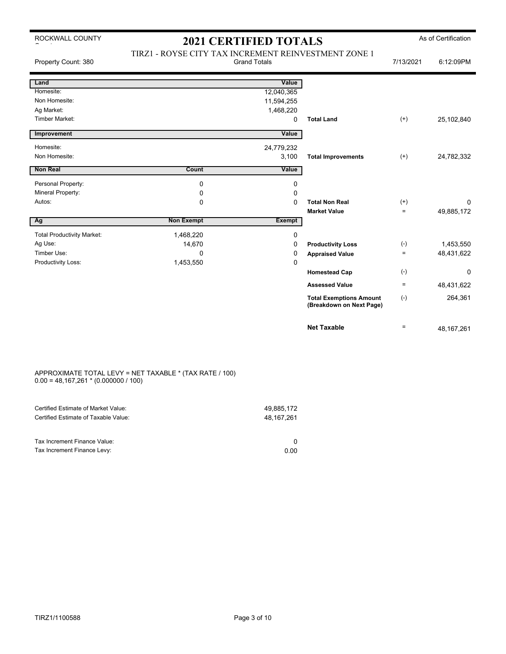| ROCKWALL COUNTY |
|-----------------|
|                 |

| Property Count: 380               | TIRZ1 - ROYSE CITY TAX INCREMENT REINVESTMENT ZONE 1 | <b>Grand Totals</b> |                                                            | 7/13/2021    | 6:12:09PM    |
|-----------------------------------|------------------------------------------------------|---------------------|------------------------------------------------------------|--------------|--------------|
| Land                              |                                                      | Value               |                                                            |              |              |
| Homesite:                         |                                                      | 12,040,365          |                                                            |              |              |
| Non Homesite:                     |                                                      | 11,594,255          |                                                            |              |              |
| Ag Market:                        |                                                      | 1,468,220           |                                                            |              |              |
| <b>Timber Market:</b>             |                                                      | $\mathbf 0$         | <b>Total Land</b>                                          | $^{(+)}$     | 25,102,840   |
| Improvement                       |                                                      | Value               |                                                            |              |              |
| Homesite:                         |                                                      | 24,779,232          |                                                            |              |              |
| Non Homesite:                     |                                                      | 3,100               | <b>Total Improvements</b>                                  | $^{(+)}$     | 24,782,332   |
| <b>Non Real</b>                   | Count                                                | Value               |                                                            |              |              |
| Personal Property:                | 0                                                    | 0                   |                                                            |              |              |
| Mineral Property:                 | 0                                                    | 0                   |                                                            |              |              |
| Autos:                            | 0                                                    | $\mathbf 0$         | <b>Total Non Real</b>                                      | $^{(+)}$     | $\mathbf 0$  |
|                                   |                                                      |                     | <b>Market Value</b>                                        | $\equiv$     | 49,885,172   |
| Ag                                | <b>Non Exempt</b>                                    | <b>Exempt</b>       |                                                            |              |              |
| <b>Total Productivity Market:</b> | 1,468,220                                            | $\mathbf 0$         |                                                            |              |              |
| Ag Use:                           | 14,670                                               | 0                   | <b>Productivity Loss</b>                                   | $(-)$        | 1,453,550    |
| Timber Use:                       | 0                                                    | 0                   | <b>Appraised Value</b>                                     | $\equiv$     | 48,431,622   |
| Productivity Loss:                | 1,453,550                                            | $\mathbf 0$         |                                                            |              |              |
|                                   |                                                      |                     | <b>Homestead Cap</b>                                       | $(\text{-})$ | $\mathbf 0$  |
|                                   |                                                      |                     | <b>Assessed Value</b>                                      | $\equiv$     | 48,431,622   |
|                                   |                                                      |                     | <b>Total Exemptions Amount</b><br>(Breakdown on Next Page) | $(-)$        | 264,361      |
|                                   |                                                      |                     | <b>Net Taxable</b>                                         | $\equiv$     | 48, 167, 261 |

### APPROXIMATE TOTAL LEVY = NET TAXABLE \* (TAX RATE / 100)  $0.00 = 48,167,261 * (0.000000 / 100)$

| Certified Estimate of Market Value:                         | 49.885.172 |
|-------------------------------------------------------------|------------|
| Certified Estimate of Taxable Value:                        | 48,167,261 |
| Tax Increment Finance Value:<br>Tax Increment Finance Levy: | 0.00       |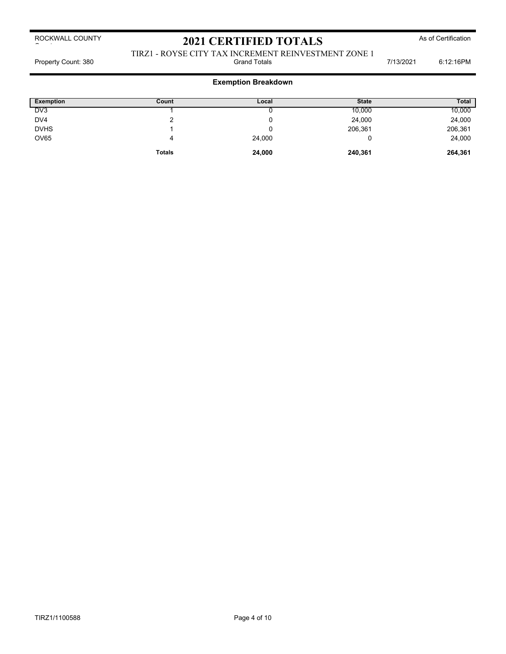ROCKWALL COUNTY  $\sim$  to the set of  $\sim$ 

# 2021 CERTIFIED TOTALS As of Certification

TIRZ1 - ROYSE CITY TAX INCREMENT REINVESTMENT ZONE 1 Property Count: 380 **Fig. 2018** Grand Totals **Count: 380** Grand Totals **6:12:16PM** 

## **Exemption Breakdown**

| <b>Exemption</b> | Count         | Local  | <b>State</b> | <b>Total</b> |
|------------------|---------------|--------|--------------|--------------|
| $D\sqrt{3}$      |               |        | 10,000       | 10,000       |
| DV4              | c             |        | 24,000       | 24,000       |
| <b>DVHS</b>      |               | u      | 206,361      | 206,361      |
| OV65             | 4             | 24,000 |              | 24,000       |
|                  | <b>Totals</b> | 24,000 | 240,361      | 264,361      |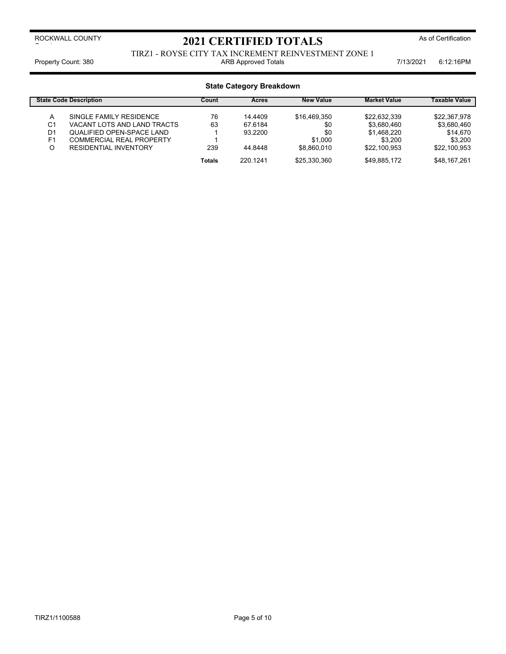### TIRZ1 - ROYSE CITY TAX INCREMENT REINVESTMENT ZONE 1 Property Count: 380 **ARB Approved Totals ARB Approved Totals ARB Approved Totals Property Count: 380** 6:12:16PM

## **State Category Breakdown**

|                | <b>State Code Description</b>   | <b>New Value</b><br><b>Market Value</b><br>Count<br>Acres |          |              | <b>Taxable Value</b> |              |
|----------------|---------------------------------|-----------------------------------------------------------|----------|--------------|----------------------|--------------|
| А              | SINGLE FAMILY RESIDENCE         | 76                                                        | 14.4409  | \$16.469.350 | \$22.632.339         | \$22.367.978 |
| C1             | VACANT LOTS AND LAND TRACTS     | 63                                                        | 67.6184  | \$0          | \$3,680,460          | \$3,680,460  |
| D <sub>1</sub> | QUALIFIED OPEN-SPACE LAND       |                                                           | 93.2200  | \$0          | \$1.468.220          | \$14,670     |
| F <sub>1</sub> | <b>COMMERCIAL REAL PROPERTY</b> |                                                           |          | \$1.000      | \$3.200              | \$3.200      |
| O              | <b>RESIDENTIAL INVENTORY</b>    | 239                                                       | 44.8448  | \$8.860,010  | \$22.100.953         | \$22.100.953 |
|                |                                 | <b>Totals</b>                                             | 220 1241 | \$25.330.360 | \$49.885.172         | \$48.167.261 |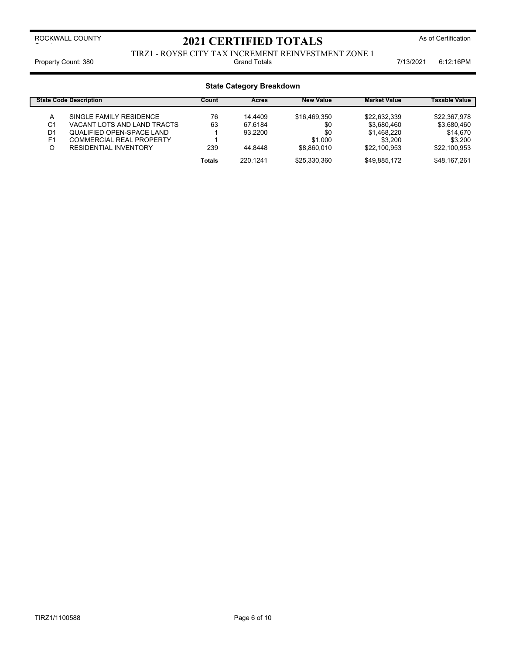TIRZ1 - ROYSE CITY TAX INCREMENT REINVESTMENT ZONE 1 Property Count: 380 **Fig. 12:16PM** Grand Totals **Count: 380** Grand Totals **6:12:16PM** 

## **State Category Breakdown**

| <b>New Value</b><br><b>State Code Description</b><br><b>Market Value</b><br>Count<br><b>Acres</b> |                              |        | <b>Taxable Value</b> |              |              |              |
|---------------------------------------------------------------------------------------------------|------------------------------|--------|----------------------|--------------|--------------|--------------|
| А                                                                                                 | SINGLE FAMILY RESIDENCE      | 76     | 14.4409              | \$16.469.350 | \$22.632.339 | \$22.367.978 |
| C1                                                                                                | VACANT LOTS AND LAND TRACTS  | 63     | 67.6184              | \$0          | \$3.680.460  | \$3,680,460  |
| D <sub>1</sub>                                                                                    | QUALIFIED OPEN-SPACE LAND    |        | 93.2200              | \$0          | \$1.468.220  | \$14,670     |
| F <sub>1</sub>                                                                                    | COMMERCIAL REAL PROPERTY     |        |                      | \$1.000      | \$3.200      | \$3.200      |
|                                                                                                   | <b>RESIDENTIAL INVENTORY</b> | 239    | 44.8448              | \$8.860,010  | \$22,100,953 | \$22.100.953 |
|                                                                                                   |                              | Totals | 220 1241             | \$25,330,360 | \$49,885,172 | \$48,167,261 |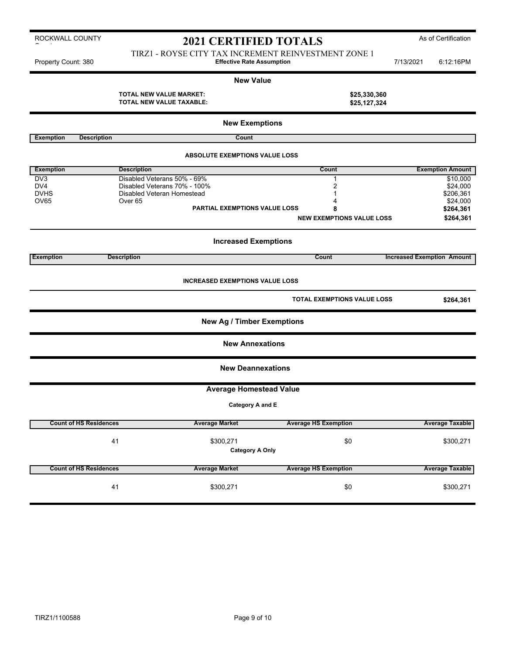## 2021 CERTIFIED TOTALS<sup>As of Certification</sup>

TIRZ1 - ROYSE CITY TAX INCREMENT REINVESTMENT ZONE 1 Property Count: 380 **Effective Rate Assumption Example 10** 13/2021 6:12:16PM

**New Value TOTAL NEW VALUE MARKET: \$25,330,360 TOTAL NEW VALUE TAXABLE: \$25,127,324 New Exemptions Exemption Description Count ABSOLUTE EXEMPTIONS VALUE LOSS Exemption Count Exemption Amount** Description **Count Count Exemption Amount Exemption Amount** DV3 Disabled Veterans 50% - 69% 1 \$10,000 DV4 Disabled Veterans 70% - 100% 2 \$24,000 DVHS Disabled Veteran Homestead 1 \$206,361  $\rm OV65$   $\rm OV67$   $\rm OV67$   $\rm OV67$   $\rm S24,000$ **PARTIAL EXEMPTIONS VALUE LOSS 8 \$264,361 NEW EXEMPTIONS VALUE LOSS \$264,361 Increased Exemptions Exemption Description Count Increased Exemption Amount INCREASED EXEMPTIONS VALUE LOSS TOTAL EXEMPTIONS VALUE LOSS \$264,361 New Ag / Timber Exemptions New Annexations New Deannexations Average Homestead Value Category A and E Count of HS Residences Average Market Average HS Exemption Average Taxable** 41 \$300,271 \$0 \$300,271 **Category A Only**

| <b>Average Taxable</b> | <b>Average HS Exemption</b> | <b>Average Market</b> | <b>Count of HS Residences</b> |
|------------------------|-----------------------------|-----------------------|-------------------------------|
| \$300,271              | \$0                         | \$300.271             | 41                            |